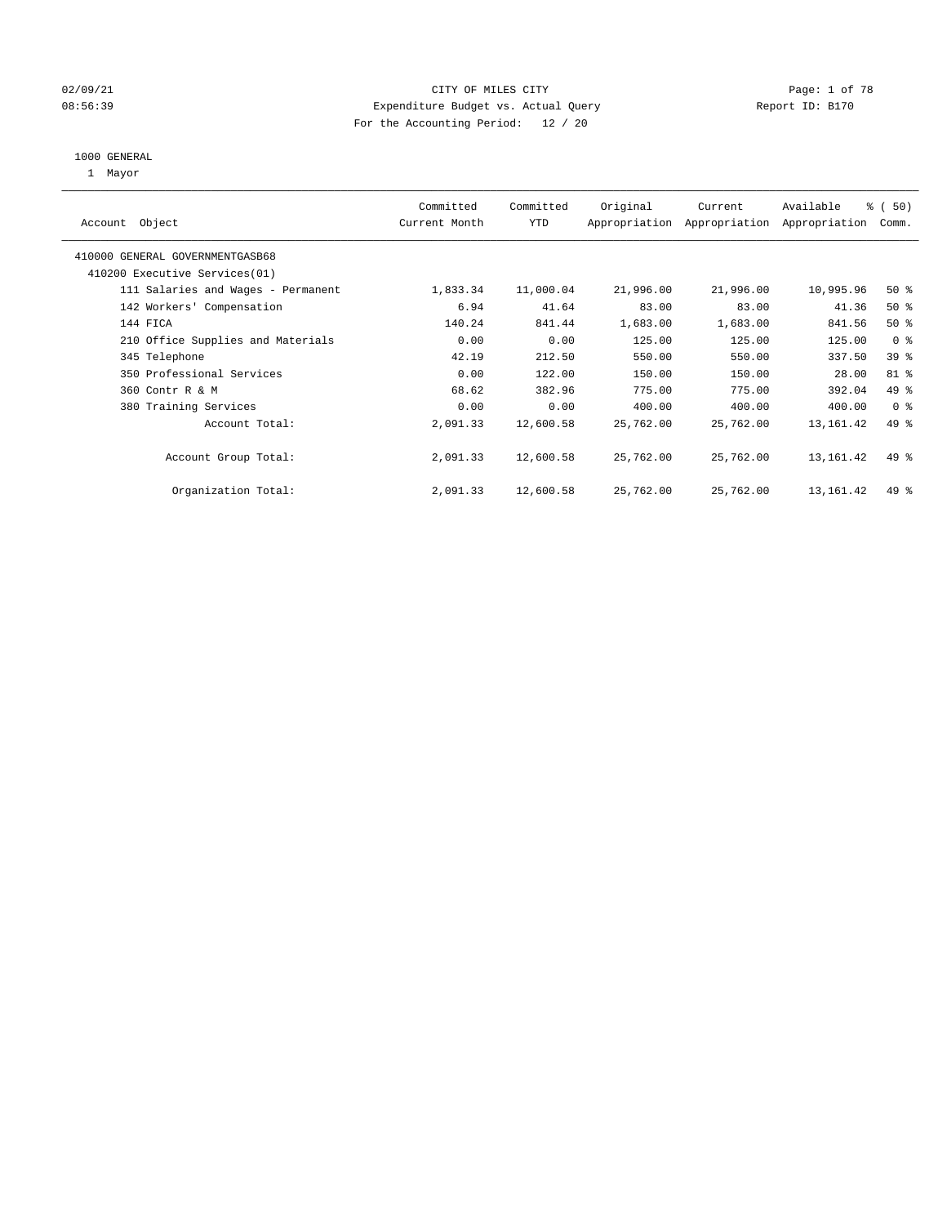#### 02/09/21 Page: 1 of 78 08:56:39 Expenditure Budget vs. Actual Query Report ID: B170 For the Accounting Period: 12 / 20

#### 1000 GENERAL

1 Mayor

| Object<br>Account                  | Committed<br>Current Month | Committed<br><b>YTD</b> | Original  | Current<br>Appropriation Appropriation | Available<br>Appropriation | % (50)<br>Comm. |
|------------------------------------|----------------------------|-------------------------|-----------|----------------------------------------|----------------------------|-----------------|
| 410000 GENERAL GOVERNMENTGASB68    |                            |                         |           |                                        |                            |                 |
| 410200 Executive Services (01)     |                            |                         |           |                                        |                            |                 |
| 111 Salaries and Wages - Permanent | 1,833.34                   | 11,000.04               | 21,996.00 | 21,996.00                              | 10,995.96                  | $50*$           |
| 142 Workers' Compensation          | 6.94                       | 41.64                   | 83.00     | 83.00                                  | 41.36                      | $50*$           |
| 144 FICA                           | 140.24                     | 841.44                  | 1,683.00  | 1,683.00                               | 841.56                     | $50*$           |
| 210 Office Supplies and Materials  | 0.00                       | 0.00                    | 125.00    | 125.00                                 | 125.00                     | 0 <sup>8</sup>  |
| 345 Telephone                      | 42.19                      | 212.50                  | 550.00    | 550.00                                 | 337.50                     | 39 %            |
| 350 Professional Services          | 0.00                       | 122.00                  | 150.00    | 150.00                                 | 28.00                      | 81 %            |
| 360 Contr R & M                    | 68.62                      | 382.96                  | 775.00    | 775.00                                 | 392.04                     | 49 %            |
| 380 Training Services              | 0.00                       | 0.00                    | 400.00    | 400.00                                 | 400.00                     | 0 <sup>8</sup>  |
| Account Total:                     | 2,091.33                   | 12,600.58               | 25,762.00 | 25,762.00                              | 13, 161.42                 | 49 %            |
| Account Group Total:               | 2,091.33                   | 12,600.58               | 25,762.00 | 25,762.00                              | 13, 161.42                 | 49 %            |
| Organization Total:                | 2,091.33                   | 12,600.58               | 25,762.00 | 25,762.00                              | 13, 161. 42                | 49 %            |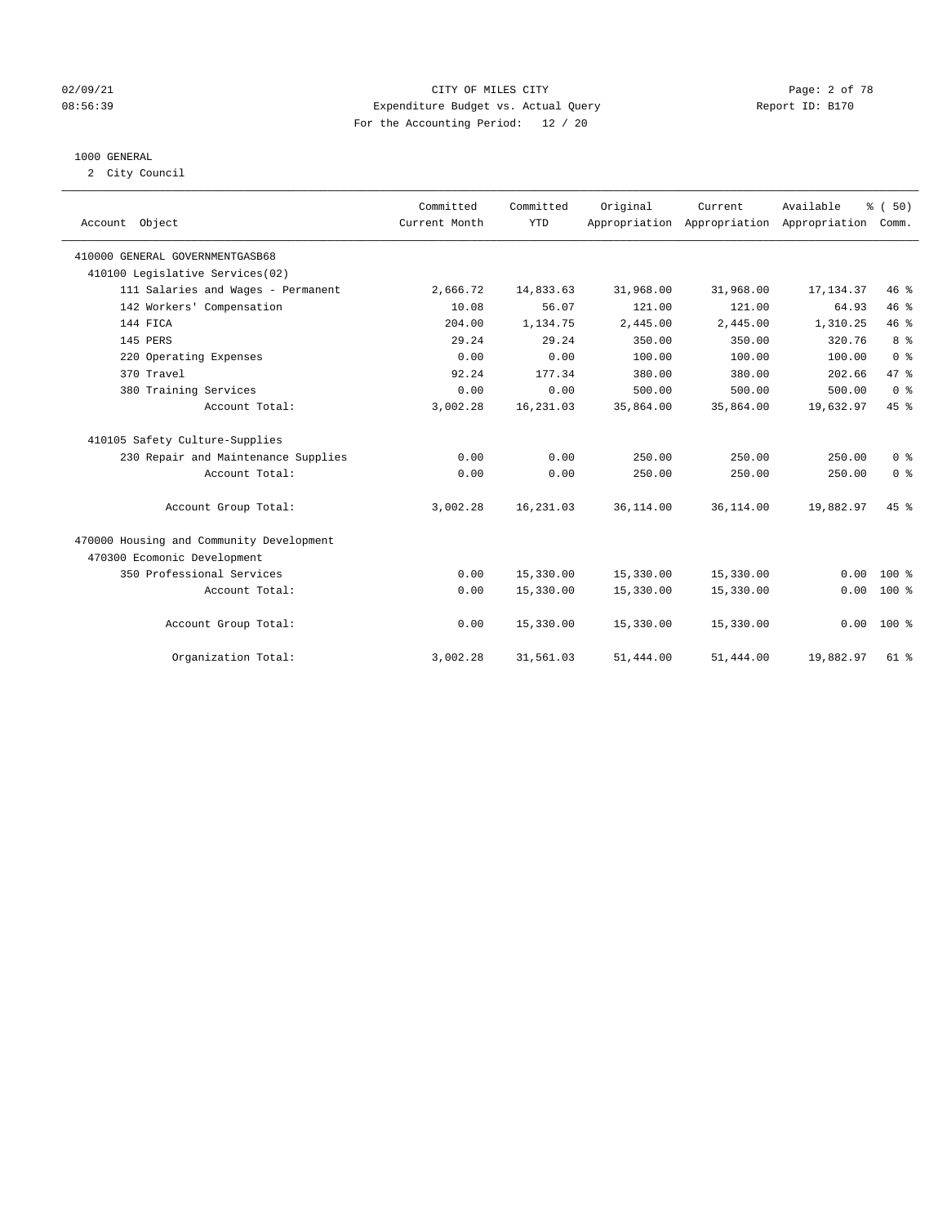#### 02/09/21 CITY OF MILES CITY Page: 2 of 78 08:56:39 Expenditure Budget vs. Actual Query Report ID: B170 For the Accounting Period: 12 / 20

#### 1000 GENERAL

2 City Council

|                                          | Committed     | Committed  | Original  | Current                                   | Available  | % (50)         |
|------------------------------------------|---------------|------------|-----------|-------------------------------------------|------------|----------------|
| Account Object                           | Current Month | <b>YTD</b> |           | Appropriation Appropriation Appropriation |            | Comm.          |
|                                          |               |            |           |                                           |            |                |
| 410000 GENERAL GOVERNMENTGASB68          |               |            |           |                                           |            |                |
| 410100 Legislative Services(02)          |               |            |           |                                           |            |                |
| 111 Salaries and Wages - Permanent       | 2,666.72      | 14,833.63  | 31,968.00 | 31,968.00                                 | 17, 134.37 | 46%            |
| 142 Workers' Compensation                | 10.08         | 56.07      | 121.00    | 121.00                                    | 64.93      | 46%            |
| 144 FICA                                 | 204.00        | 1,134.75   | 2,445.00  | 2,445.00                                  | 1,310.25   | 46%            |
| 145 PERS                                 | 29.24         | 29.24      | 350.00    | 350.00                                    | 320.76     | 8 <sup>°</sup> |
| 220 Operating Expenses                   | 0.00          | 0.00       | 100.00    | 100.00                                    | 100.00     | 0 <sup>8</sup> |
| 370 Travel                               | 92.24         | 177.34     | 380.00    | 380.00                                    | 202.66     | 47.8           |
| 380 Training Services                    | 0.00          | 0.00       | 500.00    | 500.00                                    | 500.00     | 0 <sup>8</sup> |
| Account Total:                           | 3,002.28      | 16,231.03  | 35,864.00 | 35,864.00                                 | 19,632.97  | 45 %           |
| 410105 Safety Culture-Supplies           |               |            |           |                                           |            |                |
| 230 Repair and Maintenance Supplies      | 0.00          | 0.00       | 250.00    | 250.00                                    | 250.00     | 0 <sup>8</sup> |
| Account Total:                           | 0.00          | 0.00       | 250.00    | 250.00                                    | 250.00     | 0 <sup>8</sup> |
| Account Group Total:                     | 3,002.28      | 16,231.03  | 36,114.00 | 36,114.00                                 | 19,882.97  | 45 %           |
| 470000 Housing and Community Development |               |            |           |                                           |            |                |
| 470300 Ecomonic Development              |               |            |           |                                           |            |                |
| 350 Professional Services                | 0.00          | 15,330.00  | 15,330.00 | 15,330.00                                 | 0.00       | $100*$         |
| Account Total:                           | 0.00          | 15,330.00  | 15,330.00 | 15,330.00                                 | 0.00       | $100*$         |
| Account Group Total:                     | 0.00          | 15,330.00  | 15,330.00 | 15,330.00                                 |            | $0.00 100$ %   |
| Organization Total:                      | 3,002.28      | 31,561.03  | 51,444.00 | 51,444.00                                 | 19,882.97  | 61 %           |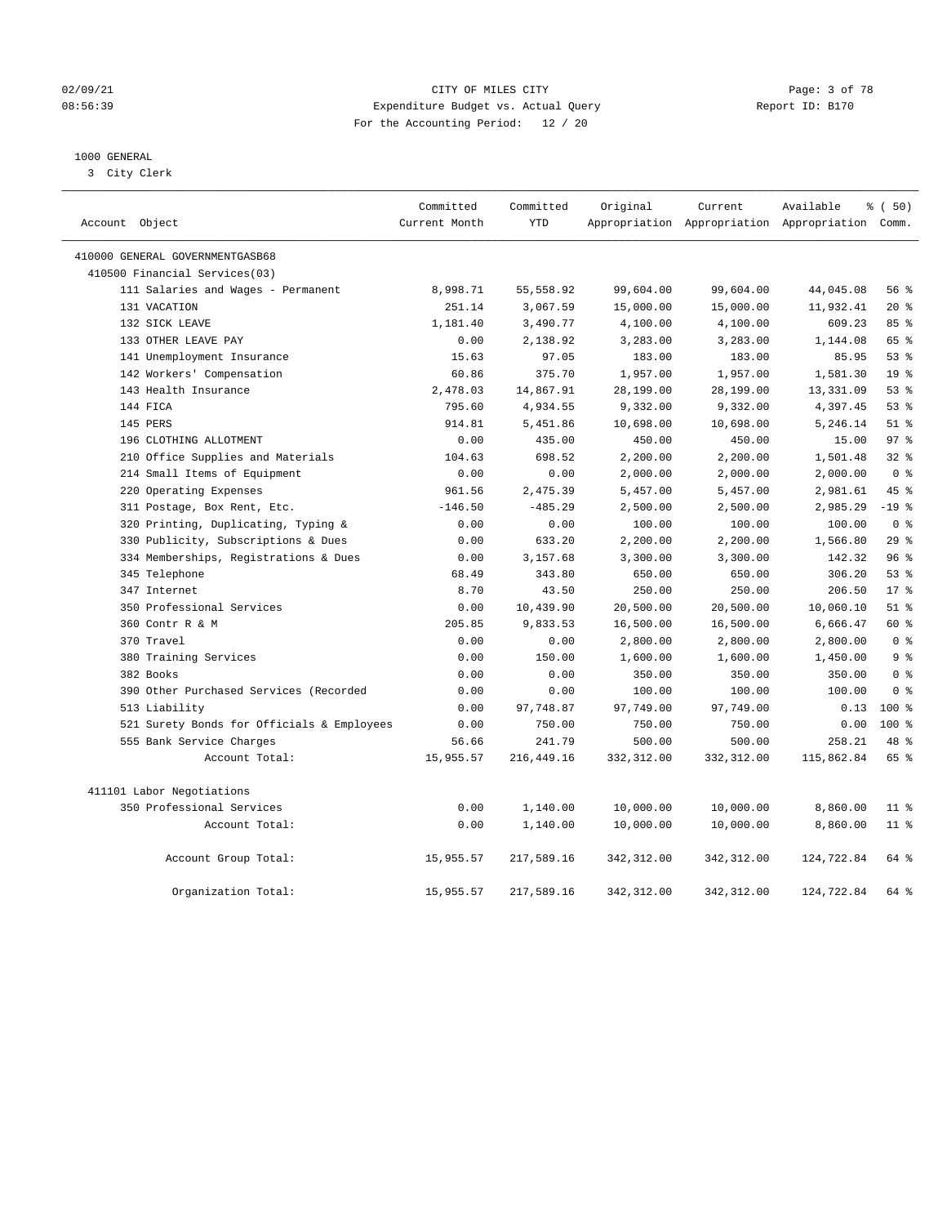#### 02/09/21 Page: 3 of 78 08:56:39 Expenditure Budget vs. Actual Query Report ID: B170 For the Accounting Period: 12 / 20

#### 1000 GENERAL

3 City Clerk

| Account Object                             | Committed<br>Current Month | Committed<br><b>YTD</b> | Original    | Current     | Available<br>Appropriation Appropriation Appropriation Comm. | % (50)          |
|--------------------------------------------|----------------------------|-------------------------|-------------|-------------|--------------------------------------------------------------|-----------------|
| 410000 GENERAL GOVERNMENTGASB68            |                            |                         |             |             |                                                              |                 |
| 410500 Financial Services(03)              |                            |                         |             |             |                                                              |                 |
| 111 Salaries and Wages - Permanent         | 8,998.71                   | 55,558.92               | 99,604.00   | 99,604.00   | 44,045.08                                                    | 56%             |
| 131 VACATION                               | 251.14                     | 3,067.59                | 15,000.00   | 15,000.00   | 11,932.41                                                    | $20*$           |
| 132 SICK LEAVE                             | 1,181.40                   | 3,490.77                | 4,100.00    | 4,100.00    | 609.23                                                       | 85%             |
| 133 OTHER LEAVE PAY                        | 0.00                       | 2,138.92                | 3,283.00    | 3,283.00    | 1,144.08                                                     | 65 %            |
| 141 Unemployment Insurance                 | 15.63                      | 97.05                   | 183.00      | 183.00      | 85.95                                                        | 53%             |
| 142 Workers' Compensation                  | 60.86                      | 375.70                  | 1,957.00    | 1,957.00    | 1,581.30                                                     | 19 <sup>°</sup> |
| 143 Health Insurance                       | 2,478.03                   | 14,867.91               | 28,199.00   | 28,199.00   | 13,331.09                                                    | 53%             |
| 144 FICA                                   | 795.60                     | 4,934.55                | 9,332.00    | 9,332.00    | 4,397.45                                                     | 53%             |
| 145 PERS                                   | 914.81                     | 5,451.86                | 10,698.00   | 10,698.00   | 5,246.14                                                     | $51$ %          |
| 196 CLOTHING ALLOTMENT                     | 0.00                       | 435.00                  | 450.00      | 450.00      | 15.00                                                        | 97 <sub>8</sub> |
| 210 Office Supplies and Materials          | 104.63                     | 698.52                  | 2,200.00    | 2,200.00    | 1,501.48                                                     | 32%             |
| 214 Small Items of Equipment               | 0.00                       | 0.00                    | 2,000.00    | 2,000.00    | 2,000.00                                                     | 0 <sup>8</sup>  |
| 220 Operating Expenses                     | 961.56                     | 2,475.39                | 5,457.00    | 5,457.00    | 2,981.61                                                     | 45 %            |
| 311 Postage, Box Rent, Etc.                | $-146.50$                  | $-485.29$               | 2,500.00    | 2,500.00    | 2,985.29                                                     | $-19$ %         |
| 320 Printing, Duplicating, Typing &        | 0.00                       | 0.00                    | 100.00      | 100.00      | 100.00                                                       | 0 <sup>8</sup>  |
| 330 Publicity, Subscriptions & Dues        | 0.00                       | 633.20                  | 2,200.00    | 2,200.00    | 1,566.80                                                     | 29%             |
| 334 Memberships, Registrations & Dues      | 0.00                       | 3,157.68                | 3,300.00    | 3,300.00    | 142.32                                                       | 96%             |
| 345 Telephone                              | 68.49                      | 343.80                  | 650.00      | 650.00      | 306.20                                                       | 53%             |
| 347 Internet                               | 8.70                       | 43.50                   | 250.00      | 250.00      | 206.50                                                       | 17 <sup>8</sup> |
| 350 Professional Services                  | 0.00                       | 10,439.90               | 20,500.00   | 20,500.00   | 10,060.10                                                    | $51$ %          |
| 360 Contr R & M                            | 205.85                     | 9,833.53                | 16,500.00   | 16,500.00   | 6,666.47                                                     | 60 %            |
| 370 Travel                                 | 0.00                       | 0.00                    | 2,800.00    | 2,800.00    | 2,800.00                                                     | 0 <sup>8</sup>  |
| 380 Training Services                      | 0.00                       | 150.00                  | 1,600.00    | 1,600.00    | 1,450.00                                                     | 9 <sup>8</sup>  |
| 382 Books                                  | 0.00                       | 0.00                    | 350.00      | 350.00      | 350.00                                                       | 0 <sup>8</sup>  |
| 390 Other Purchased Services (Recorded     | 0.00                       | 0.00                    | 100.00      | 100.00      | 100.00                                                       | 0 <sup>8</sup>  |
| 513 Liability                              | 0.00                       | 97,748.87               | 97,749.00   | 97,749.00   | 0.13                                                         | $100*$          |
| 521 Surety Bonds for Officials & Employees | 0.00                       | 750.00                  | 750.00      | 750.00      | 0.00                                                         | $100*$          |
| 555 Bank Service Charges                   | 56.66                      | 241.79                  | 500.00      | 500.00      | 258.21                                                       | 48 %            |
| Account Total:                             | 15,955.57                  | 216,449.16              | 332,312.00  | 332,312.00  | 115,862.84                                                   | 65 %            |
| 411101 Labor Negotiations                  |                            |                         |             |             |                                                              |                 |
| 350 Professional Services                  | 0.00                       | 1,140.00                | 10,000.00   | 10,000.00   | 8,860.00                                                     | $11*$           |
| Account Total:                             | 0.00                       | 1,140.00                | 10,000.00   | 10,000.00   | 8,860.00                                                     | $11*$           |
| Account Group Total:                       | 15,955.57                  | 217,589.16              | 342,312.00  | 342,312.00  | 124,722.84                                                   | 64 %            |
| Organization Total:                        | 15,955.57                  | 217,589.16              | 342, 312.00 | 342, 312.00 | 124,722.84                                                   | 64 %            |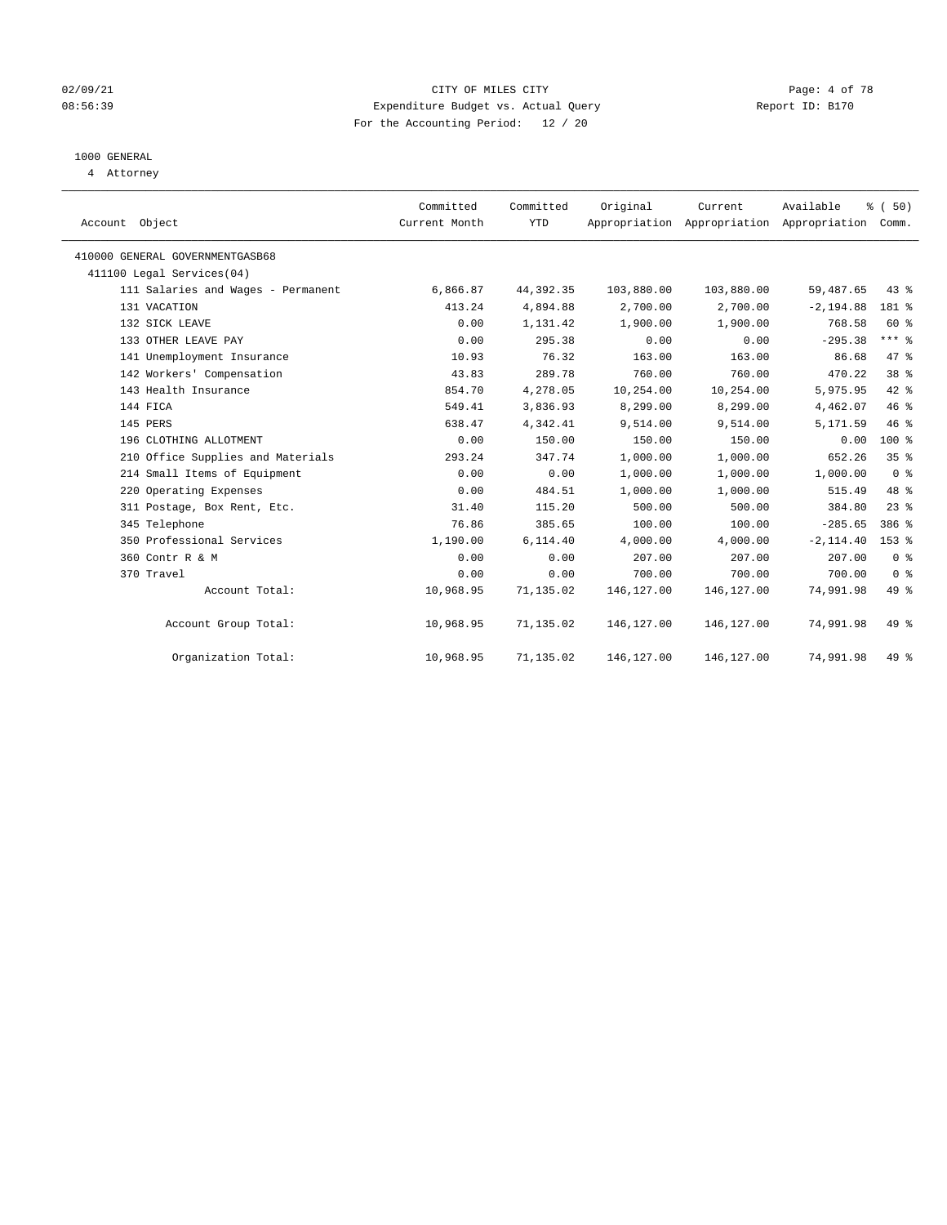#### 02/09/21 CITY OF MILES CITY Page: 4 of 78 08:56:39 Expenditure Budget vs. Actual Query Report ID: B170 For the Accounting Period: 12 / 20

### 1000 GENERAL

4 Attorney

| Account Object                     | Committed<br>Current Month | Committed<br><b>YTD</b> | Original   | Current<br>Appropriation Appropriation Appropriation Comm. | Available    | % (50)          |
|------------------------------------|----------------------------|-------------------------|------------|------------------------------------------------------------|--------------|-----------------|
| 410000 GENERAL GOVERNMENTGASB68    |                            |                         |            |                                                            |              |                 |
| 411100 Legal Services(04)          |                            |                         |            |                                                            |              |                 |
| 111 Salaries and Wages - Permanent | 6,866.87                   | 44, 392.35              | 103,880.00 | 103,880.00                                                 | 59,487.65    | $43$ %          |
| 131 VACATION                       | 413.24                     | 4,894.88                | 2,700.00   | 2,700.00                                                   | $-2, 194.88$ | 181 %           |
| 132 SICK LEAVE                     | 0.00                       | 1,131.42                | 1,900.00   | 1,900.00                                                   | 768.58       | 60 %            |
| 133 OTHER LEAVE PAY                | 0.00                       | 295.38                  | 0.00       | 0.00                                                       | $-295.38$    | $***$ $%$       |
| 141 Unemployment Insurance         | 10.93                      | 76.32                   | 163.00     | 163.00                                                     | 86.68        | 47 %            |
| 142 Workers' Compensation          | 43.83                      | 289.78                  | 760.00     | 760.00                                                     | 470.22       | 38 <sup>8</sup> |
| 143 Health Insurance               | 854.70                     | 4,278.05                | 10,254.00  | 10,254.00                                                  | 5,975.95     | 42 %            |
| 144 FICA                           | 549.41                     | 3,836.93                | 8,299.00   | 8,299.00                                                   | 4,462.07     | 46%             |
| 145 PERS                           | 638.47                     | 4,342.41                | 9,514.00   | 9,514.00                                                   | 5,171.59     | 46%             |
| 196 CLOTHING ALLOTMENT             | 0.00                       | 150.00                  | 150.00     | 150.00                                                     | 0.00         | $100*$          |
| 210 Office Supplies and Materials  | 293.24                     | 347.74                  | 1,000.00   | 1,000.00                                                   | 652.26       | 35%             |
| 214 Small Items of Equipment       | 0.00                       | 0.00                    | 1,000.00   | 1,000.00                                                   | 1,000.00     | 0 <sup>8</sup>  |
| 220 Operating Expenses             | 0.00                       | 484.51                  | 1,000.00   | 1,000.00                                                   | 515.49       | 48 %            |
| 311 Postage, Box Rent, Etc.        | 31.40                      | 115.20                  | 500.00     | 500.00                                                     | 384.80       | $23$ $%$        |
| 345 Telephone                      | 76.86                      | 385.65                  | 100.00     | 100.00                                                     | $-285.65$    | 386 %           |
| 350 Professional Services          | 1,190.00                   | 6,114.40                | 4,000.00   | 4,000.00                                                   | $-2, 114.40$ | $153$ $%$       |
| 360 Contr R & M                    | 0.00                       | 0.00                    | 207.00     | 207.00                                                     | 207.00       | 0 <sup>8</sup>  |
| 370 Travel                         | 0.00                       | 0.00                    | 700.00     | 700.00                                                     | 700.00       | 0 <sup>8</sup>  |
| Account Total:                     | 10,968.95                  | 71,135.02               | 146,127.00 | 146, 127.00                                                | 74,991.98    | 49 %            |
| Account Group Total:               | 10,968.95                  | 71,135.02               | 146,127.00 | 146,127.00                                                 | 74,991.98    | 49 %            |
| Organization Total:                | 10,968.95                  | 71,135.02               | 146,127.00 | 146,127.00                                                 | 74,991.98    | 49 %            |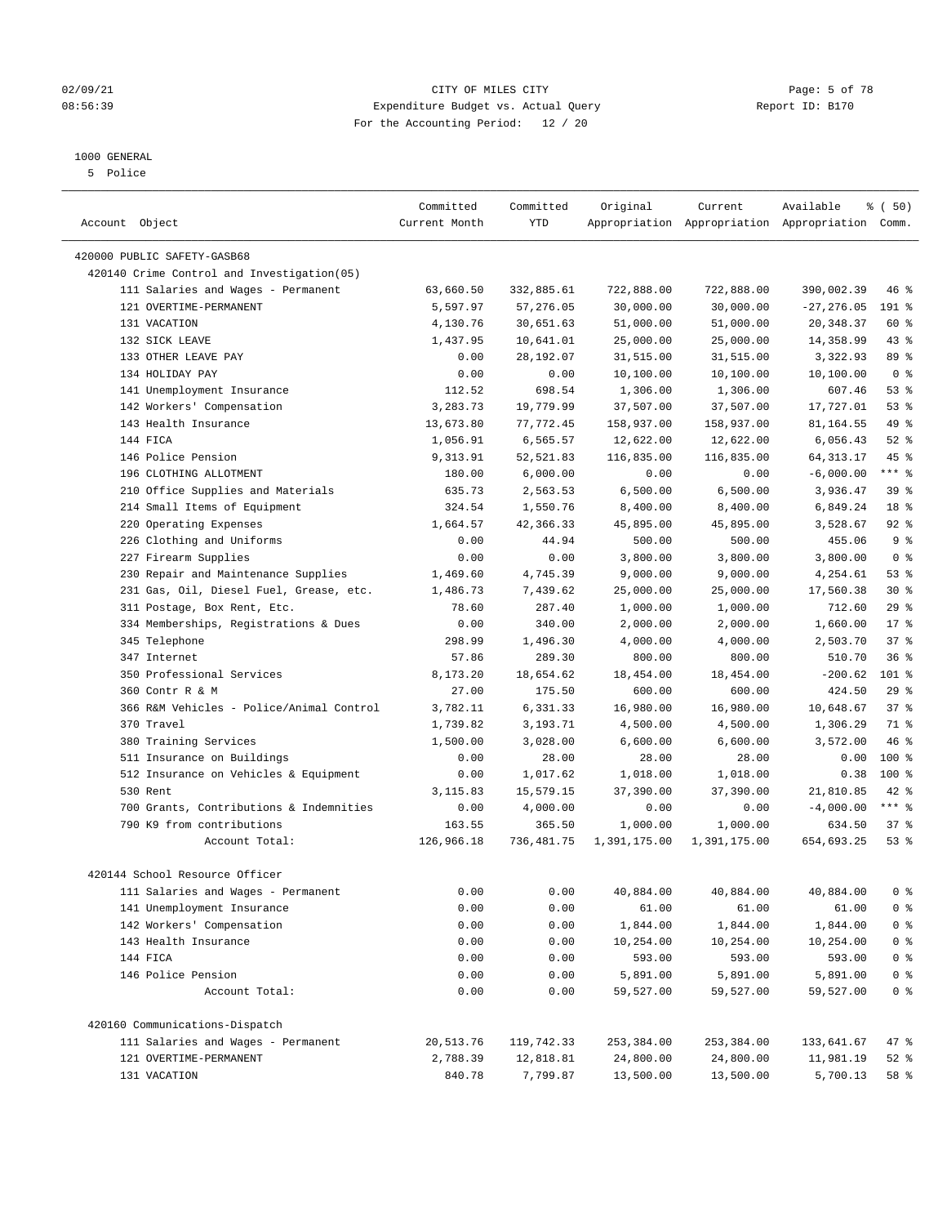#### 02/09/21 Page: 5 of 78 08:56:39 Expenditure Budget vs. Actual Query Report ID: B170 For the Accounting Period: 12 / 20

————————————————————————————————————————————————————————————————————————————————————————————————————————————————————————————————————

#### 1000 GENERAL

5 Police

|                                            | Committed     | Committed  | Original     | Current      | Available                                       | ៖ (50)         |
|--------------------------------------------|---------------|------------|--------------|--------------|-------------------------------------------------|----------------|
| Account Object                             | Current Month | YTD        |              |              | Appropriation Appropriation Appropriation Comm. |                |
| 420000 PUBLIC SAFETY-GASB68                |               |            |              |              |                                                 |                |
| 420140 Crime Control and Investigation(05) |               |            |              |              |                                                 |                |
| 111 Salaries and Wages - Permanent         | 63,660.50     | 332,885.61 | 722,888.00   | 722,888.00   | 390,002.39                                      | 46 %           |
| 121 OVERTIME-PERMANENT                     | 5,597.97      | 57,276.05  | 30,000.00    | 30,000.00    | $-27, 276.05$                                   | 191 %          |
| 131 VACATION                               | 4,130.76      | 30,651.63  | 51,000.00    | 51,000.00    | 20,348.37                                       | 60 %           |
| 132 SICK LEAVE                             | 1,437.95      | 10,641.01  | 25,000.00    | 25,000.00    | 14,358.99                                       | 43 %           |
| 133 OTHER LEAVE PAY                        | 0.00          | 28,192.07  | 31,515.00    | 31,515.00    | 3,322.93                                        | 89 %           |
| 134 HOLIDAY PAY                            | 0.00          | 0.00       | 10,100.00    | 10,100.00    | 10,100.00                                       | 0 <sup>8</sup> |
| 141 Unemployment Insurance                 | 112.52        | 698.54     | 1,306.00     | 1,306.00     | 607.46                                          | 53%            |
| 142 Workers' Compensation                  | 3,283.73      | 19,779.99  | 37,507.00    | 37,507.00    | 17,727.01                                       | 53%            |
| 143 Health Insurance                       | 13,673.80     | 77,772.45  | 158,937.00   | 158,937.00   | 81,164.55                                       | 49 %           |
| 144 FICA                                   | 1,056.91      | 6,565.57   | 12,622.00    | 12,622.00    | 6,056.43                                        | $52$ $%$       |
| 146 Police Pension                         | 9,313.91      | 52,521.83  | 116,835.00   | 116,835.00   | 64, 313. 17                                     | 45 %           |
| 196 CLOTHING ALLOTMENT                     | 180.00        | 6,000.00   | 0.00         | 0.00         | $-6,000.00$                                     | $***$ $_{8}$   |
| 210 Office Supplies and Materials          | 635.73        | 2,563.53   | 6,500.00     | 6,500.00     | 3,936.47                                        | 39%            |
| 214 Small Items of Equipment               | 324.54        | 1,550.76   | 8,400.00     | 8,400.00     | 6,849.24                                        | 18 %           |
| 220 Operating Expenses                     | 1,664.57      | 42,366.33  | 45,895.00    | 45,895.00    | 3,528.67                                        | 92%            |
| 226 Clothing and Uniforms                  | 0.00          | 44.94      | 500.00       | 500.00       | 455.06                                          | 9 <sup>°</sup> |
| 227 Firearm Supplies                       | 0.00          | 0.00       | 3,800.00     | 3,800.00     | 3,800.00                                        | 0 <sup>8</sup> |
| 230 Repair and Maintenance Supplies        | 1,469.60      | 4,745.39   | 9,000.00     | 9,000.00     | 4,254.61                                        | 53%            |
| 231 Gas, Oil, Diesel Fuel, Grease, etc.    | 1,486.73      | 7,439.62   | 25,000.00    | 25,000.00    | 17,560.38                                       | $30*$          |
| 311 Postage, Box Rent, Etc.                | 78.60         | 287.40     | 1,000.00     | 1,000.00     | 712.60                                          | 29%            |
| 334 Memberships, Registrations & Dues      | 0.00          | 340.00     | 2,000.00     | 2,000.00     | 1,660.00                                        | $17*$          |
| 345 Telephone                              | 298.99        | 1,496.30   | 4,000.00     | 4,000.00     | 2,503.70                                        | 37%            |
| 347 Internet                               | 57.86         | 289.30     | 800.00       | 800.00       | 510.70                                          | 36%            |
| 350 Professional Services                  | 8,173.20      | 18,654.62  | 18,454.00    | 18,454.00    | $-200.62$                                       | $101$ %        |
| 360 Contr R & M                            | 27.00         | 175.50     | 600.00       | 600.00       | 424.50                                          | 29%            |
| 366 R&M Vehicles - Police/Animal Control   | 3,782.11      | 6,331.33   | 16,980.00    | 16,980.00    | 10,648.67                                       | 37%            |
| 370 Travel                                 | 1,739.82      | 3,193.71   | 4,500.00     | 4,500.00     | 1,306.29                                        | 71 %           |
| 380 Training Services                      | 1,500.00      | 3,028.00   | 6,600.00     | 6,600.00     | 3,572.00                                        | 46 %           |
| 511 Insurance on Buildings                 | 0.00          | 28.00      | 28.00        | 28.00        | 0.00                                            | $100*$         |
| 512 Insurance on Vehicles & Equipment      | 0.00          | 1,017.62   | 1,018.00     | 1,018.00     | 0.38                                            | 100%           |
| 530 Rent                                   | 3,115.83      | 15,579.15  | 37,390.00    | 37,390.00    | 21,810.85                                       | $42$ %         |
| 700 Grants, Contributions & Indemnities    | 0.00          | 4,000.00   | 0.00         | 0.00         | $-4,000.00$                                     | *** %          |
| 790 K9 from contributions                  | 163.55        | 365.50     | 1,000.00     | 1,000.00     | 634.50                                          | 37%            |
| Account Total:                             | 126,966.18    | 736,481.75 | 1,391,175.00 | 1,391,175.00 | 654,693.25                                      | 53%            |
| 420144 School Resource Officer             |               |            |              |              |                                                 |                |
| 111 Salaries and Wages - Permanent         | 0.00          | 0.00       | 40,884.00    | 40,884.00    | 40,884.00                                       | 0 %            |
| 141 Unemployment Insurance                 | 0.00          | 0.00       | 61.00        | 61.00        | 61.00                                           | 0 <sup>8</sup> |
| 142 Workers' Compensation                  | 0.00          | 0.00       | 1,844.00     | 1,844.00     | 1,844.00                                        | 0 <sup>8</sup> |
| 143 Health Insurance                       | 0.00          | 0.00       | 10,254.00    | 10,254.00    | 10,254.00                                       | $0$ %          |
| 144 FICA                                   | 0.00          | 0.00       | 593.00       | 593.00       | 593.00                                          | $0$ %          |
| 146 Police Pension                         | 0.00          | 0.00       | 5,891.00     | 5,891.00     | 5,891.00                                        | $0$ %          |
| Account Total:                             | 0.00          | 0.00       | 59,527.00    | 59,527.00    | 59,527.00                                       | $0$ %          |
| 420160 Communications-Dispatch             |               |            |              |              |                                                 |                |
| 111 Salaries and Wages - Permanent         | 20,513.76     | 119,742.33 | 253,384.00   | 253,384.00   | 133,641.67                                      | 47 %           |
| 121 OVERTIME-PERMANENT                     | 2,788.39      | 12,818.81  | 24,800.00    | 24,800.00    | 11,981.19                                       | $52$ $%$       |
| 131 VACATION                               | 840.78        | 7,799.87   | 13,500.00    | 13,500.00    | 5,700.13                                        | 58 %           |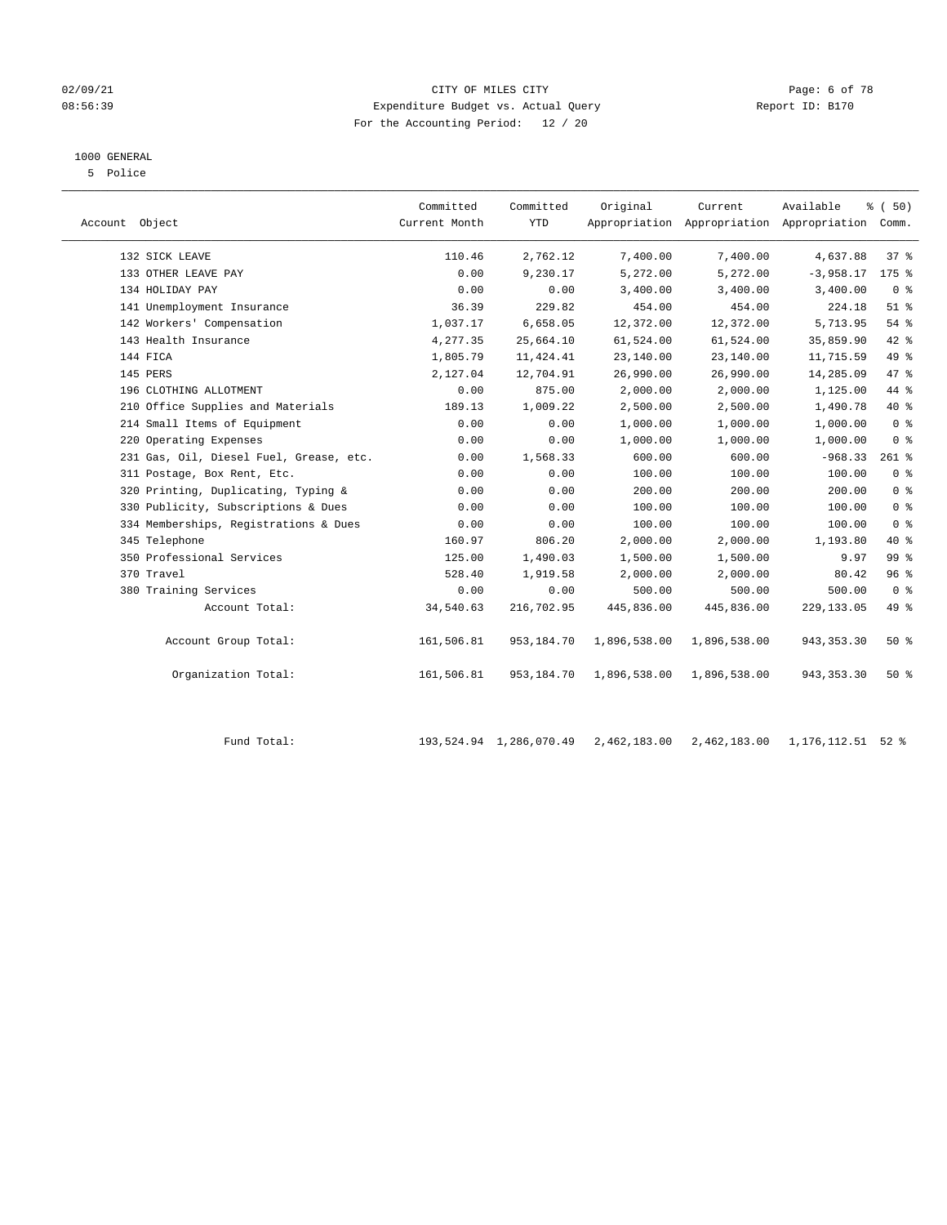#### 02/09/21 Page: 6 of 78 08:56:39 Expenditure Budget vs. Actual Query Report ID: B170 For the Accounting Period: 12 / 20

#### 1000 GENERAL

| 5 Police |  |
|----------|--|
|          |  |

| Account Object |                                         | Committed<br>Current Month | Committed<br><b>YTD</b> | Original     | Current<br>Appropriation Appropriation Appropriation | Available    | % (50)<br>Comm. |
|----------------|-----------------------------------------|----------------------------|-------------------------|--------------|------------------------------------------------------|--------------|-----------------|
|                | 132 SICK LEAVE                          | 110.46                     | 2,762.12                | 7,400.00     | 7,400.00                                             | 4,637.88     | 37 <sup>8</sup> |
|                | 133 OTHER LEAVE PAY                     | 0.00                       | 9,230.17                | 5,272.00     | 5,272.00                                             | $-3,958.17$  | $175$ $%$       |
|                | 134 HOLIDAY PAY                         | 0.00                       | 0.00                    | 3,400.00     | 3,400.00                                             | 3,400.00     | 0 <sup>8</sup>  |
|                | 141 Unemployment Insurance              | 36.39                      | 229.82                  | 454.00       | 454.00                                               | 224.18       | $51$ %          |
|                | 142 Workers' Compensation               | 1,037.17                   | 6,658.05                | 12,372.00    | 12,372.00                                            | 5,713.95     | 54 %            |
|                | 143 Health Insurance                    | 4,277.35                   | 25,664.10               | 61,524.00    | 61,524.00                                            | 35,859.90    | 42 %            |
|                | 144 FICA                                | 1,805.79                   | 11, 424.41              | 23,140.00    | 23,140.00                                            | 11,715.59    | 49 %            |
|                | 145 PERS                                | 2,127.04                   | 12,704.91               | 26,990.00    | 26,990.00                                            | 14,285.09    | 47 %            |
|                | 196 CLOTHING ALLOTMENT                  | 0.00                       | 875.00                  | 2,000.00     | 2,000.00                                             | 1,125.00     | 44 %            |
|                | 210 Office Supplies and Materials       | 189.13                     | 1,009.22                | 2,500.00     | 2,500.00                                             | 1,490.78     | 40 %            |
|                | 214 Small Items of Equipment            | 0.00                       | 0.00                    | 1,000.00     | 1,000.00                                             | 1,000.00     | 0 <sup>8</sup>  |
|                | 220 Operating Expenses                  | 0.00                       | 0.00                    | 1,000.00     | 1,000.00                                             | 1,000.00     | 0 <sup>8</sup>  |
|                | 231 Gas, Oil, Diesel Fuel, Grease, etc. | 0.00                       | 1,568.33                | 600.00       | 600.00                                               | $-968.33$    | $261$ %         |
|                | 311 Postage, Box Rent, Etc.             | 0.00                       | 0.00                    | 100.00       | 100.00                                               | 100.00       | 0 <sup>8</sup>  |
|                | 320 Printing, Duplicating, Typing &     | 0.00                       | 0.00                    | 200.00       | 200.00                                               | 200.00       | 0 <sup>8</sup>  |
|                | 330 Publicity, Subscriptions & Dues     | 0.00                       | 0.00                    | 100.00       | 100.00                                               | 100.00       | 0 <sup>8</sup>  |
|                | 334 Memberships, Registrations & Dues   | 0.00                       | 0.00                    | 100.00       | 100.00                                               | 100.00       | 0 <sup>8</sup>  |
|                | 345 Telephone                           | 160.97                     | 806.20                  | 2,000.00     | 2,000.00                                             | 1,193.80     | 40 %            |
|                | 350 Professional Services               | 125.00                     | 1,490.03                | 1,500.00     | 1,500.00                                             | 9.97         | 99 <sub>8</sub> |
|                | 370 Travel                              | 528.40                     | 1,919.58                | 2,000.00     | 2,000.00                                             | 80.42        | 96%             |
|                | 380 Training Services                   | 0.00                       | 0.00                    | 500.00       | 500.00                                               | 500.00       | 0 <sup>8</sup>  |
|                | Account Total:                          | 34,540.63                  | 216,702.95              | 445,836.00   | 445,836.00                                           | 229, 133.05  | 49 %            |
|                | Account Group Total:                    | 161,506.81                 | 953,184.70              | 1,896,538.00 | 1,896,538.00                                         | 943, 353. 30 | 50%             |
|                | Organization Total:                     | 161,506.81                 | 953,184.70              | 1,896,538.00 | 1,896,538.00                                         | 943, 353. 30 | $50*$           |

| Fund Total: | 193,524.94 1,286,070.49 2,462,183.00 2,462,183.00 1,176,112.51 52 % |  |  |
|-------------|---------------------------------------------------------------------|--|--|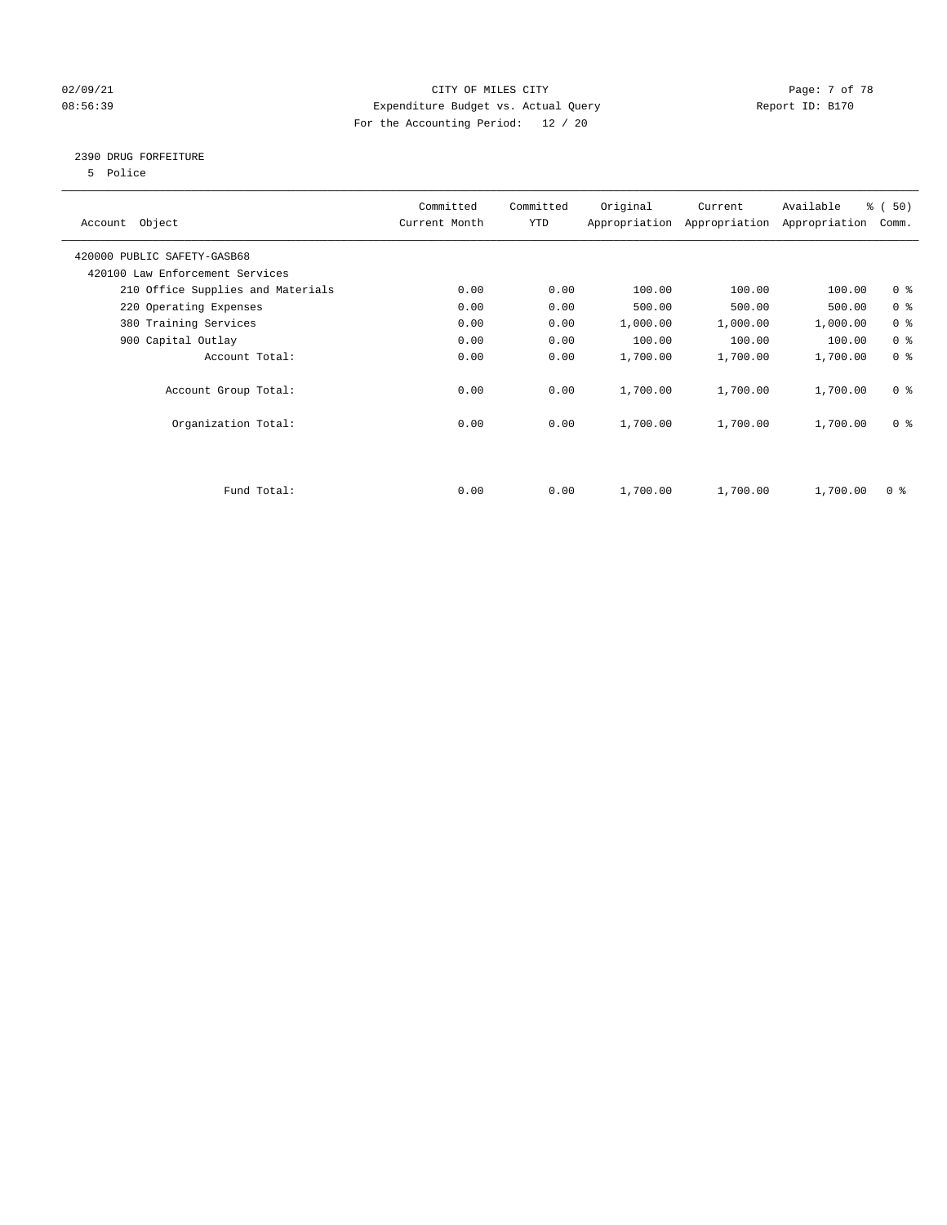#### 02/09/21 Page: 7 of 78 08:56:39 Expenditure Budget vs. Actual Query Report ID: B170 For the Accounting Period: 12 / 20

#### 2390 DRUG FORFEITURE

5 Police

| Account Object                    | Committed<br>Current Month | Committed<br>YTD | Original | Current<br>Appropriation Appropriation | Available<br>Appropriation | % (50)<br>Comm. |
|-----------------------------------|----------------------------|------------------|----------|----------------------------------------|----------------------------|-----------------|
| 420000 PUBLIC SAFETY-GASB68       |                            |                  |          |                                        |                            |                 |
| 420100 Law Enforcement Services   |                            |                  |          |                                        |                            |                 |
| 210 Office Supplies and Materials | 0.00                       | 0.00             | 100.00   | 100.00                                 | 100.00                     | 0 <sub>8</sub>  |
| 220 Operating Expenses            | 0.00                       | 0.00             | 500.00   | 500.00                                 | 500.00                     | 0 <sup>8</sup>  |
| 380 Training Services             | 0.00                       | 0.00             | 1,000.00 | 1,000.00                               | 1,000.00                   | 0 <sup>8</sup>  |
| 900 Capital Outlay                | 0.00                       | 0.00             | 100.00   | 100.00                                 | 100.00                     | 0 <sup>8</sup>  |
| Account Total:                    | 0.00                       | 0.00             | 1,700.00 | 1,700.00                               | 1,700.00                   | 0 <sup>8</sup>  |
| Account Group Total:              | 0.00                       | 0.00             | 1,700.00 | 1,700.00                               | 1,700.00                   | 0 <sup>8</sup>  |
| Organization Total:               | 0.00                       | 0.00             | 1,700.00 | 1,700.00                               | 1,700.00                   | 0 <sup>8</sup>  |
|                                   |                            |                  |          |                                        |                            |                 |
| Fund Total:                       | 0.00                       | 0.00             | 1,700.00 | 1,700.00                               | 1,700.00                   | 0 %             |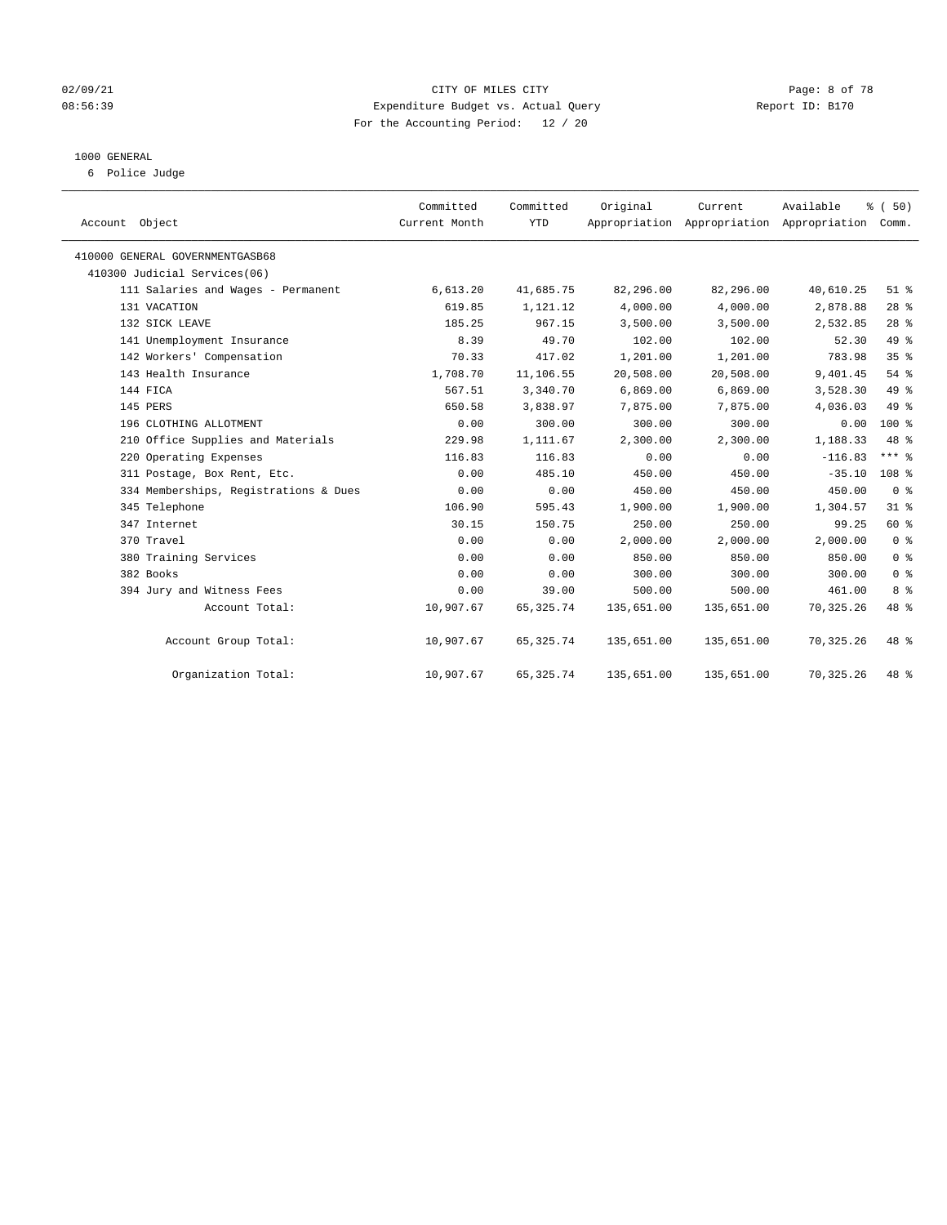#### 02/09/21 CITY OF MILES CITY Page: 8 of 78 08:56:39 Expenditure Budget vs. Actual Query Report ID: B170 For the Accounting Period: 12 / 20

#### 1000 GENERAL

6 Police Judge

| Account Object                        | Committed<br>Current Month | Committed<br><b>YTD</b> | Original   | Current<br>Appropriation Appropriation Appropriation Comm. | Available  | % (50)          |  |
|---------------------------------------|----------------------------|-------------------------|------------|------------------------------------------------------------|------------|-----------------|--|
| 410000 GENERAL GOVERNMENTGASB68       |                            |                         |            |                                                            |            |                 |  |
| 410300 Judicial Services(06)          |                            |                         |            |                                                            |            |                 |  |
| 111 Salaries and Wages - Permanent    | 6,613.20                   | 41,685.75               | 82,296.00  | 82,296.00                                                  | 40,610.25  | $51$ $%$        |  |
| 131 VACATION                          | 619.85                     | 1,121.12                | 4,000.00   | 4,000.00                                                   | 2,878.88   | $28$ %          |  |
| 132 SICK LEAVE                        | 185.25                     | 967.15                  | 3,500.00   | 3,500.00                                                   | 2,532.85   | $28$ %          |  |
| 141 Unemployment Insurance            | 8.39                       | 49.70                   | 102.00     | 102.00                                                     | 52.30      | 49 %            |  |
| 142 Workers' Compensation             | 70.33                      | 417.02                  | 1,201.00   | 1,201.00                                                   | 783.98     | 35 <sup>8</sup> |  |
| 143 Health Insurance                  | 1,708.70                   | 11,106.55               | 20,508.00  | 20,508.00                                                  | 9,401.45   | 54%             |  |
| 144 FICA                              | 567.51                     | 3,340.70                | 6,869.00   | 6,869.00                                                   | 3,528.30   | 49 %            |  |
| 145 PERS                              | 650.58                     | 3,838.97                | 7,875.00   | 7,875.00                                                   | 4,036.03   | 49 %            |  |
| 196 CLOTHING ALLOTMENT                | 0.00                       | 300.00                  | 300.00     | 300.00                                                     | 0.00       | $100*$          |  |
| 210 Office Supplies and Materials     | 229.98                     | 1,111.67                | 2,300.00   | 2,300.00                                                   | 1,188.33   | 48 %            |  |
| 220 Operating Expenses                | 116.83                     | 116.83                  | 0.00       | 0.00                                                       | $-116.83$  | $***$ $%$       |  |
| 311 Postage, Box Rent, Etc.           | 0.00                       | 485.10                  | 450.00     | 450.00                                                     | $-35.10$   | 108 %           |  |
| 334 Memberships, Registrations & Dues | 0.00                       | 0.00                    | 450.00     | 450.00                                                     | 450.00     | 0 <sup>8</sup>  |  |
| 345 Telephone                         | 106.90                     | 595.43                  | 1,900.00   | 1,900.00                                                   | 1,304.57   | 31.8            |  |
| 347 Internet                          | 30.15                      | 150.75                  | 250.00     | 250.00                                                     | 99.25      | 60 %            |  |
| 370 Travel                            | 0.00                       | 0.00                    | 2,000.00   | 2,000.00                                                   | 2.000.00   | 0 <sup>8</sup>  |  |
| 380 Training Services                 | 0.00                       | 0.00                    | 850.00     | 850.00                                                     | 850.00     | 0 <sup>8</sup>  |  |
| 382 Books                             | 0.00                       | 0.00                    | 300.00     | 300.00                                                     | 300.00     | 0 <sup>8</sup>  |  |
| 394 Jury and Witness Fees             | 0.00                       | 39.00                   | 500.00     | 500.00                                                     | 461.00     | 8 <sup>°</sup>  |  |
| Account Total:                        | 10,907.67                  | 65, 325. 74             | 135,651.00 | 135,651.00                                                 | 70,325.26  | 48 %            |  |
| Account Group Total:                  | 10,907.67                  | 65, 325. 74             | 135,651.00 | 135,651.00                                                 | 70, 325.26 | 48 %            |  |
| Organization Total:                   | 10,907.67                  | 65, 325. 74             | 135,651.00 | 135,651.00                                                 | 70, 325.26 | 48 %            |  |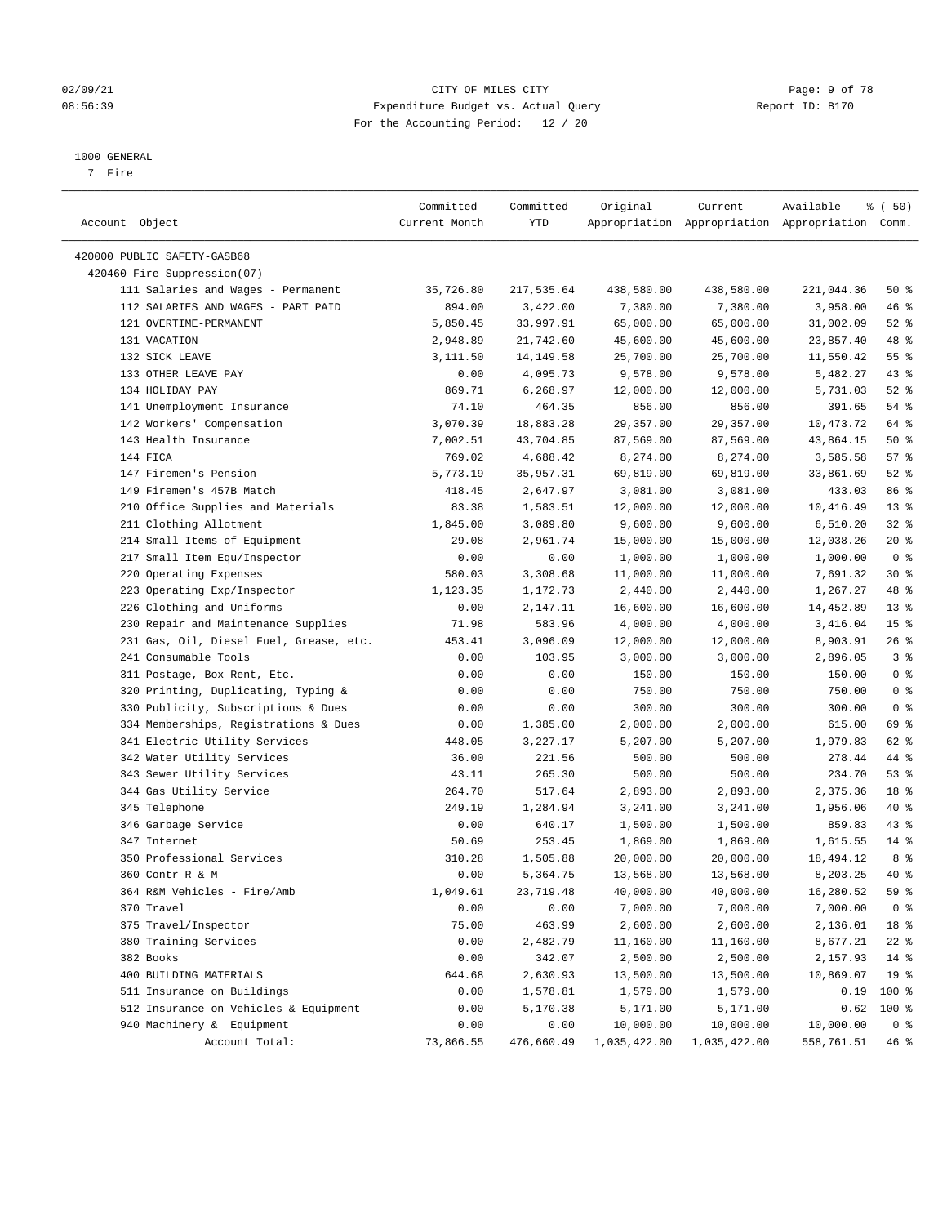#### 02/09/21 Page: 9 of 78 08:56:39 Expenditure Budget vs. Actual Query Report ID: B170 For the Accounting Period: 12 / 20

————————————————————————————————————————————————————————————————————————————————————————————————————————————————————————————————————

#### 1000 GENERAL

7 Fire

|                                         | Committed     | Committed  | Original              | Current               | Available                                       | 8 ( 50)                   |
|-----------------------------------------|---------------|------------|-----------------------|-----------------------|-------------------------------------------------|---------------------------|
| Account Object                          | Current Month | YTD        |                       |                       | Appropriation Appropriation Appropriation Comm. |                           |
| 420000 PUBLIC SAFETY-GASB68             |               |            |                       |                       |                                                 |                           |
| 420460 Fire Suppression(07)             |               |            |                       |                       |                                                 |                           |
| 111 Salaries and Wages - Permanent      | 35,726.80     | 217,535.64 | 438,580.00            | 438,580.00            | 221,044.36                                      | 50%                       |
| 112 SALARIES AND WAGES - PART PAID      | 894.00        | 3,422.00   | 7,380.00              | 7,380.00              | 3,958.00                                        | 46 %                      |
| 121 OVERTIME-PERMANENT                  | 5,850.45      | 33,997.91  | 65,000.00             | 65,000.00             | 31,002.09                                       | 52 $\frac{8}{3}$          |
| 131 VACATION                            | 2,948.89      | 21,742.60  | 45,600.00             | 45,600.00             | 23,857.40                                       | 48 %                      |
| 132 SICK LEAVE                          | 3,111.50      | 14,149.58  | 25,700.00             | 25,700.00             | 11,550.42                                       | $55$ $%$                  |
| 133 OTHER LEAVE PAY                     | 0.00          | 4,095.73   | 9,578.00              | 9,578.00              | 5,482.27                                        | $43$ %                    |
| 134 HOLIDAY PAY                         | 869.71        | 6,268.97   | 12,000.00             | 12,000.00             | 5,731.03                                        | $52$ $%$                  |
| 141 Unemployment Insurance              | 74.10         | 464.35     | 856.00                | 856.00                | 391.65                                          | $54$ %                    |
| 142 Workers' Compensation               |               |            |                       |                       |                                                 | 64 %                      |
| 143 Health Insurance                    | 3,070.39      | 18,883.28  | 29,357.00             | 29,357.00             | 10,473.72                                       | 50%                       |
| 144 FICA                                | 7,002.51      | 43,704.85  | 87,569.00             | 87,569.00<br>8,274.00 | 43,864.15                                       | 57%                       |
| 147 Firemen's Pension                   | 769.02        | 4,688.42   | 8,274.00              |                       | 3,585.58                                        | $52$ $%$                  |
| 149 Firemen's 457B Match                | 5,773.19      | 35,957.31  | 69,819.00             | 69,819.00             | 33,861.69                                       | 86 %                      |
|                                         | 418.45        | 2,647.97   | 3,081.00<br>12,000.00 | 3,081.00              | 433.03                                          | $13*$                     |
| 210 Office Supplies and Materials       | 83.38         | 1,583.51   | 9,600.00              | 12,000.00             | 10,416.49                                       |                           |
| 211 Clothing Allotment                  | 1,845.00      | 3,089.80   |                       | 9,600.00              | 6,510.20                                        | $32$ $%$                  |
| 214 Small Items of Equipment            | 29.08         | 2,961.74   | 15,000.00             | 15,000.00             | 12,038.26                                       | $20*$<br>0 <sup>8</sup>   |
| 217 Small Item Equ/Inspector            | 0.00          | 0.00       | 1,000.00              | 1,000.00              | 1,000.00                                        | $30*$                     |
| 220 Operating Expenses                  | 580.03        | 3,308.68   | 11,000.00             | 11,000.00             | 7,691.32                                        | 48 %                      |
| 223 Operating Exp/Inspector             | 1,123.35      | 1,172.73   | 2,440.00              | 2,440.00              | 1,267.27                                        |                           |
| 226 Clothing and Uniforms               | 0.00          | 2,147.11   | 16,600.00             | 16,600.00             | 14,452.89                                       | $13*$                     |
| 230 Repair and Maintenance Supplies     | 71.98         | 583.96     | 4,000.00              | 4,000.00              | 3,416.04<br>8,903.91                            | 15 <sup>°</sup><br>$26$ % |
| 231 Gas, Oil, Diesel Fuel, Grease, etc. | 453.41        | 3,096.09   | 12,000.00             | 12,000.00             |                                                 |                           |
| 241 Consumable Tools                    | 0.00          | 103.95     | 3,000.00              | 3,000.00              | 2,896.05                                        | 3%                        |
| 311 Postage, Box Rent, Etc.             | 0.00          | 0.00       | 150.00                | 150.00                | 150.00                                          | 0 <sup>8</sup>            |
| 320 Printing, Duplicating, Typing &     | 0.00          | 0.00       | 750.00                | 750.00                | 750.00                                          | 0 <sup>8</sup>            |
| 330 Publicity, Subscriptions & Dues     | 0.00          | 0.00       | 300.00                | 300.00                | 300.00                                          | 0 <sup>8</sup>            |
| 334 Memberships, Registrations & Dues   | 0.00          | 1,385.00   | 2,000.00              | 2,000.00              | 615.00                                          | 69 %                      |
| 341 Electric Utility Services           | 448.05        | 3,227.17   | 5,207.00              | 5,207.00              | 1,979.83                                        | 62 %                      |
| 342 Water Utility Services              | 36.00         | 221.56     | 500.00                | 500.00                | 278.44                                          | 44 %                      |
| 343 Sewer Utility Services              | 43.11         | 265.30     | 500.00                | 500.00                | 234.70                                          | 53%                       |
| 344 Gas Utility Service                 | 264.70        | 517.64     | 2,893.00              | 2,893.00              | 2,375.36                                        | 18 %                      |
| 345 Telephone                           | 249.19        | 1,284.94   | 3,241.00              | 3,241.00              | 1,956.06                                        | 40 %                      |
| 346 Garbage Service                     | 0.00          | 640.17     | 1,500.00              | 1,500.00              | 859.83                                          | $43$ %                    |
| 347 Internet                            | 50.69         | 253.45     | 1,869.00              | 1,869.00              | 1,615.55                                        | $14*$                     |
| 350 Professional Services               | 310.28        | 1,505.88   | 20,000.00             | 20,000.00             | 18,494.12                                       | 8 %                       |
| 360 Contr R & M                         | 0.00          | 5,364.75   | 13,568.00             | 13,568.00             | 8,203.25                                        | 40 %                      |
| 364 R&M Vehicles - Fire/Amb             | 1,049.61      | 23,719.48  | 40,000.00             | 40,000.00             | 16,280.52                                       | 59 %                      |
| 370 Travel                              | 0.00          | 0.00       | 7,000.00              | 7,000.00              | 7,000.00                                        | 0 <sup>8</sup>            |
| 375 Travel/Inspector                    | 75.00         | 463.99     | 2,600.00              | 2,600.00              | 2,136.01                                        | 18 %                      |
| 380 Training Services                   | 0.00          | 2,482.79   | 11,160.00             | 11,160.00             | 8,677.21                                        | $22$ %                    |
| 382 Books                               | 0.00          | 342.07     | 2,500.00              | 2,500.00              | 2,157.93                                        | 14 %                      |
| 400 BUILDING MATERIALS                  | 644.68        | 2,630.93   | 13,500.00             | 13,500.00             | 10,869.07                                       | 19 <sup>°</sup>           |
| 511 Insurance on Buildings              | 0.00          | 1,578.81   | 1,579.00              | 1,579.00              | 0.19                                            | 100 %                     |
| 512 Insurance on Vehicles & Equipment   | 0.00          | 5,170.38   | 5,171.00              | 5,171.00              | 0.62                                            | 100 %                     |
| 940 Machinery & Equipment               | 0.00          | 0.00       | 10,000.00             | 10,000.00             | 10,000.00                                       | 0 <sup>8</sup>            |
| Account Total:                          | 73,866.55     | 476,660.49 | 1,035,422.00          | 1,035,422.00          | 558,761.51                                      | 46%                       |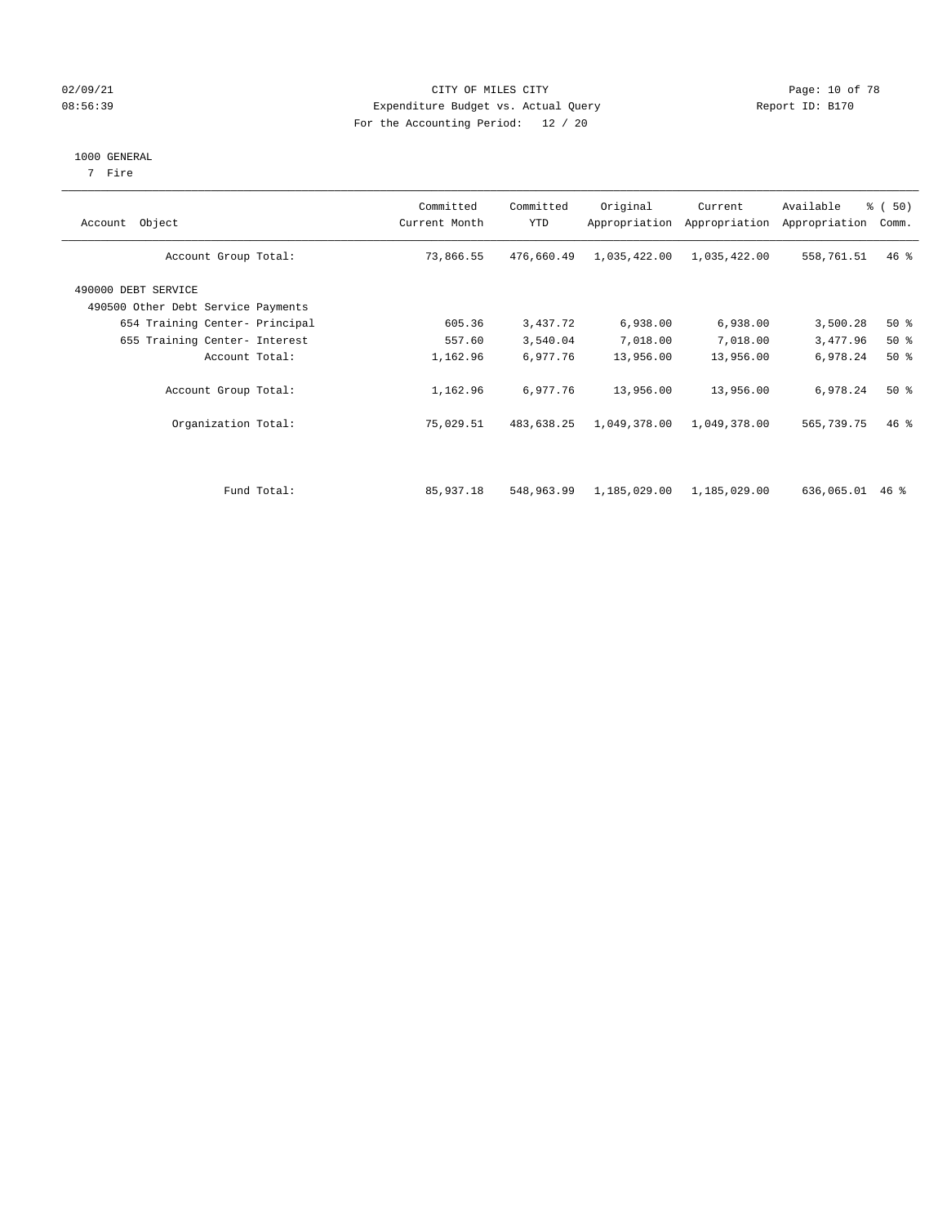#### 02/09/21 **CITY OF MILES CITY CITY CITY Page: 10 of 78** 08:56:39 Expenditure Budget vs. Actual Query Report ID: B170 For the Accounting Period: 12 / 20

#### 1000 GENERAL

7 Fire

|  |  | $\sim$ |  |
|--|--|--------|--|
|  |  |        |  |
|  |  |        |  |

| Object<br>Account                                         |             | Committed<br>Current Month | Committed<br><b>YTD</b> | Original<br>Appropriation Appropriation | Current      | Available<br>Appropriation | % (50)<br>Comm. |
|-----------------------------------------------------------|-------------|----------------------------|-------------------------|-----------------------------------------|--------------|----------------------------|-----------------|
| Account Group Total:                                      |             | 73,866.55                  | 476,660.49              | 1,035,422.00                            | 1,035,422.00 | 558,761.51                 | $46$ %          |
| 490000 DEBT SERVICE<br>490500 Other Debt Service Payments |             |                            |                         |                                         |              |                            |                 |
| 654 Training Center- Principal                            |             | 605.36                     | 3,437.72                | 6,938.00                                | 6,938.00     | 3,500.28                   | $50*$           |
| 655 Training Center- Interest                             |             | 557.60                     | 3,540.04                | 7,018.00                                | 7,018.00     | 3,477.96                   | $50*$           |
| Account Total:                                            |             | 1,162.96                   | 6,977.76                | 13,956.00                               | 13,956.00    | 6,978.24                   | $50*$           |
| Account Group Total:                                      |             | 1,162.96                   | 6,977.76                | 13,956.00                               | 13,956.00    | 6,978.24                   | $50*$           |
| Organization Total:                                       |             | 75,029.51                  | 483,638.25              | 1,049,378.00                            | 1,049,378.00 | 565,739.75                 | $46$ %          |
|                                                           |             |                            |                         |                                         |              |                            |                 |
|                                                           | Fund Total: | 85,937.18                  | 548,963.99              | 1,185,029.00                            | 1,185,029.00 | 636,065.01                 | $46$ %          |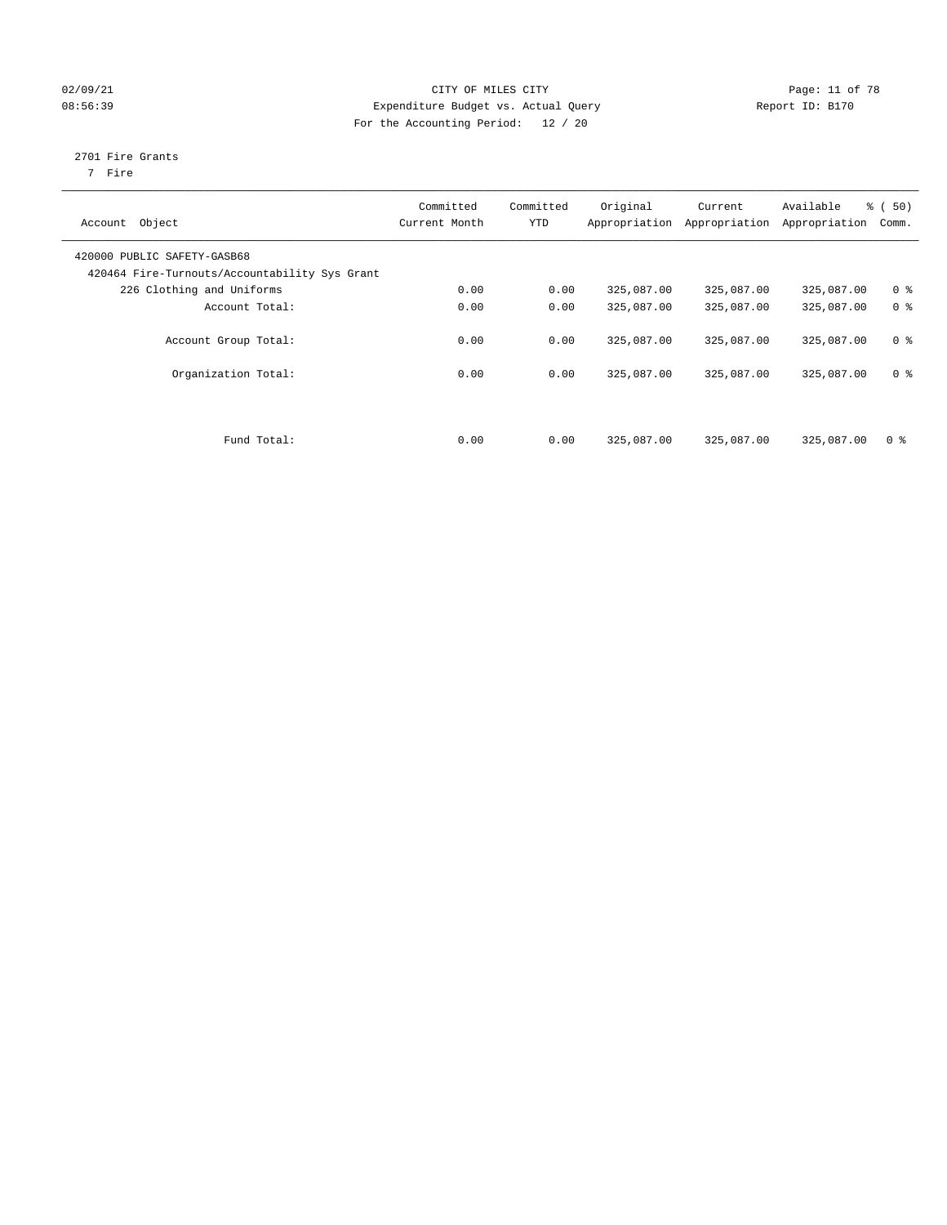#### 02/09/21 **CITY OF MILES CITY CITY CITY Page: 11 of 78** 08:56:39 Expenditure Budget vs. Actual Query Report ID: B170 For the Accounting Period: 12 / 20

### 2701 Fire Grants

7 Fire

| Object<br>Account                             | Committed<br>Current Month | Committed<br><b>YTD</b> | Original<br>Appropriation | Current<br>Appropriation | Available<br>Appropriation | % (50)<br>Comm. |
|-----------------------------------------------|----------------------------|-------------------------|---------------------------|--------------------------|----------------------------|-----------------|
| 420000 PUBLIC SAFETY-GASB68                   |                            |                         |                           |                          |                            |                 |
| 420464 Fire-Turnouts/Accountability Sys Grant |                            |                         |                           |                          |                            |                 |
| 226 Clothing and Uniforms                     | 0.00                       | 0.00                    | 325,087.00                | 325,087.00               | 325,087.00                 | 0 <sup>8</sup>  |
| Account Total:                                | 0.00                       | 0.00                    | 325,087.00                | 325,087.00               | 325,087.00                 | 0 <sup>8</sup>  |
| Account Group Total:                          | 0.00                       | 0.00                    | 325,087.00                | 325,087.00               | 325,087.00                 | 0 <sup>8</sup>  |
| Organization Total:                           | 0.00                       | 0.00                    | 325,087.00                | 325,087.00               | 325,087.00                 | 0 <sup>8</sup>  |
| Fund Total:                                   | 0.00                       | 0.00                    | 325,087.00                | 325,087.00               | 325,087.00                 | 0 <sup>8</sup>  |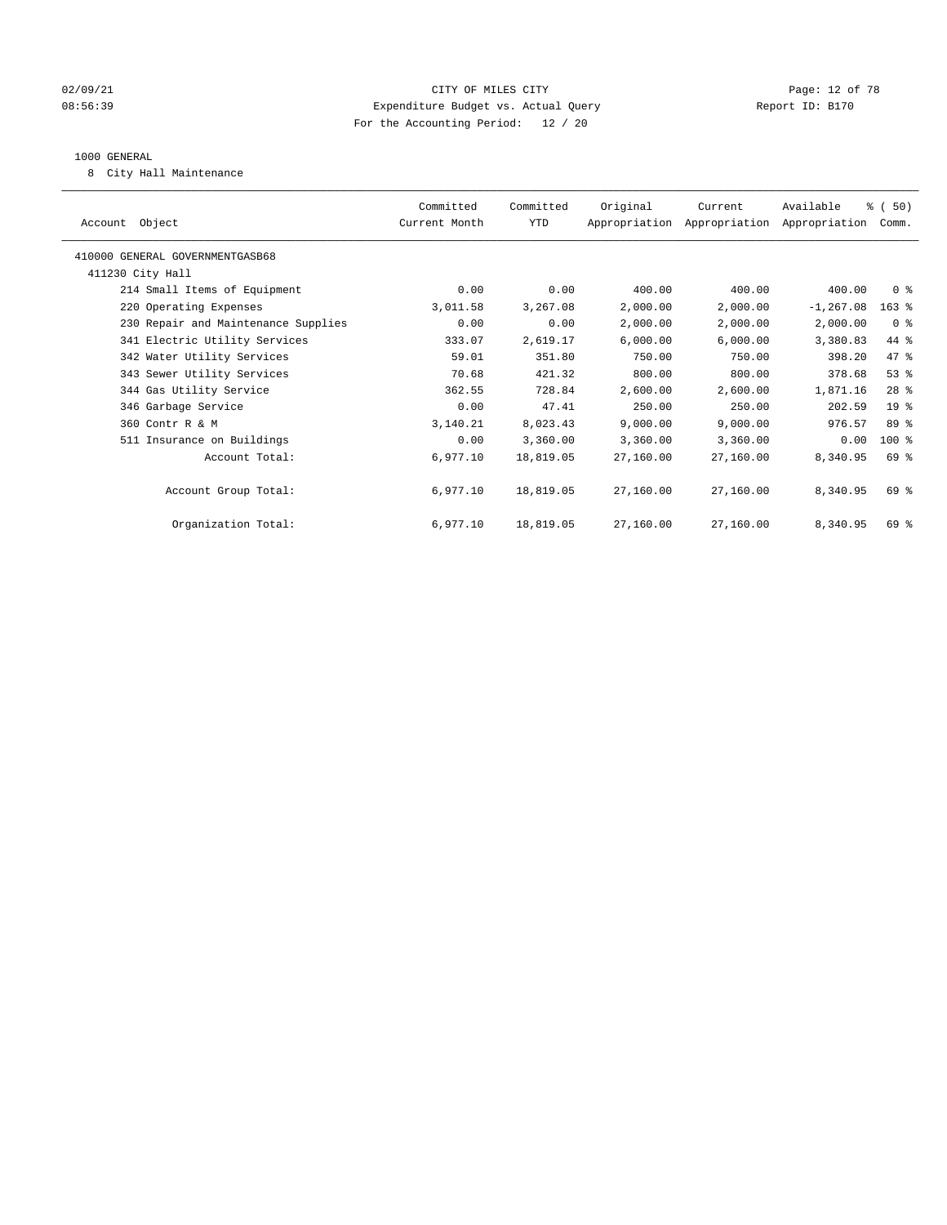#### 02/09/21 **Page: 12 of 78** CITY OF MILES CITY **Page: 12 of 78** 08:56:39 Expenditure Budget vs. Actual Query Report ID: B170 For the Accounting Period: 12 / 20

#### 1000 GENERAL

8 City Hall Maintenance

| Account Object                      | Committed<br>Current Month | Committed<br>YTD | Original  | Current<br>Appropriation Appropriation Appropriation | Available    | % (50)<br>Comm. |  |
|-------------------------------------|----------------------------|------------------|-----------|------------------------------------------------------|--------------|-----------------|--|
| 410000 GENERAL GOVERNMENTGASB68     |                            |                  |           |                                                      |              |                 |  |
| 411230 City Hall                    |                            |                  |           |                                                      |              |                 |  |
| 214 Small Items of Equipment        | 0.00                       | 0.00             | 400.00    | 400.00                                               | 400.00       | 0 <sup>8</sup>  |  |
| 220 Operating Expenses              | 3,011.58                   | 3,267.08         | 2,000.00  | 2,000.00                                             | $-1, 267.08$ | $163$ %         |  |
| 230 Repair and Maintenance Supplies | 0.00                       | 0.00             | 2,000.00  | 2,000.00                                             | 2,000.00     | 0 <sup>8</sup>  |  |
| 341 Electric Utility Services       | 333.07                     | 2,619.17         | 6,000.00  | 6,000.00                                             | 3,380.83     | 44 %            |  |
| 342 Water Utility Services          | 59.01                      | 351.80           | 750.00    | 750.00                                               | 398.20       | 47 %            |  |
| 343 Sewer Utility Services          | 70.68                      | 421.32           | 800.00    | 800.00                                               | 378.68       | 53%             |  |
| 344 Gas Utility Service             | 362.55                     | 728.84           | 2,600.00  | 2,600.00                                             | 1,871.16     | $28$ %          |  |
| 346 Garbage Service                 | 0.00                       | 47.41            | 250.00    | 250.00                                               | 202.59       | $19*$           |  |
| 360 Contr R & M                     | 3,140.21                   | 8,023.43         | 9,000.00  | 9,000.00                                             | 976.57       | 89 %            |  |
| 511 Insurance on Buildings          | 0.00                       | 3,360.00         | 3,360.00  | 3,360.00                                             | 0.00         | $100*$          |  |
| Account Total:                      | 6,977.10                   | 18,819.05        | 27,160.00 | 27,160.00                                            | 8,340.95     | 69 %            |  |
|                                     |                            |                  |           |                                                      |              |                 |  |
| Account Group Total:                | 6,977.10                   | 18,819.05        | 27,160.00 | 27,160.00                                            | 8,340.95     | 69 %            |  |
|                                     |                            |                  |           |                                                      |              |                 |  |
| Organization Total:                 | 6,977.10                   | 18,819.05        | 27,160.00 | 27,160.00                                            | 8,340.95     | 69 %            |  |
|                                     |                            |                  |           |                                                      |              |                 |  |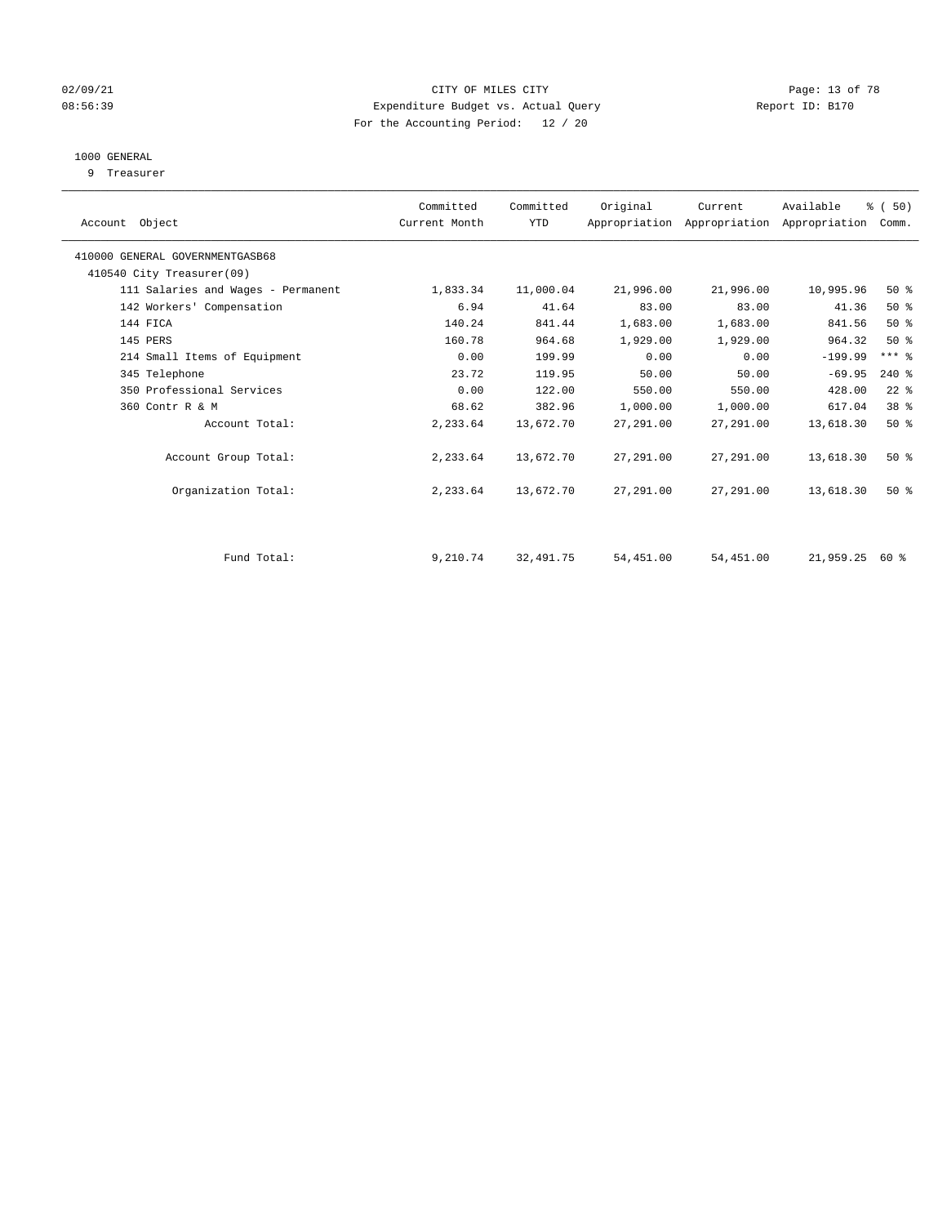#### 02/09/21 **CITY OF MILES CITY CITY CITY Page: 13 of 78** 08:56:39 Expenditure Budget vs. Actual Query Report ID: B170 For the Accounting Period: 12 / 20

#### 1000 GENERAL

9 Treasurer

| Account Object                     | Committed<br>Current Month | Committed<br><b>YTD</b> | Original  | Current   | Available<br>Appropriation Appropriation Appropriation | % (50)<br>Comm. |  |
|------------------------------------|----------------------------|-------------------------|-----------|-----------|--------------------------------------------------------|-----------------|--|
| 410000 GENERAL GOVERNMENTGASB68    |                            |                         |           |           |                                                        |                 |  |
| 410540 City Treasurer(09)          |                            |                         |           |           |                                                        |                 |  |
| 111 Salaries and Wages - Permanent | 1,833.34                   | 11,000.04               | 21,996.00 | 21,996.00 | 10,995.96                                              | 50%             |  |
| 142 Workers' Compensation          | 6.94                       | 41.64                   | 83.00     | 83.00     | 41.36                                                  | $50*$           |  |
| 144 FICA                           | 140.24                     | 841.44                  | 1,683.00  | 1,683.00  | 841.56                                                 | 50%             |  |
| 145 PERS                           | 160.78                     | 964.68                  | 1,929.00  | 1,929.00  | 964.32                                                 | $50*$           |  |
| 214 Small Items of Equipment       | 0.00                       | 199.99                  | 0.00      | 0.00      | $-199.99$                                              | $***$ $-$       |  |
| 345 Telephone                      | 23.72                      | 119.95                  | 50.00     | 50.00     | $-69.95$                                               | $240*$          |  |
| 350 Professional Services          | 0.00                       | 122.00                  | 550.00    | 550.00    | 428.00                                                 | $22$ %          |  |
| 360 Contr R & M                    | 68.62                      | 382.96                  | 1,000.00  | 1,000.00  | 617.04                                                 | 38 %            |  |
| Account Total:                     | 2,233.64                   | 13,672.70               | 27,291.00 | 27,291.00 | 13,618.30                                              | $50*$           |  |
| Account Group Total:               | 2,233.64                   | 13,672.70               | 27,291.00 | 27,291.00 | 13,618.30                                              | $50*$           |  |
| Organization Total:                | 2,233.64                   | 13,672.70               | 27,291.00 | 27,291.00 | 13,618.30                                              | $50*$           |  |
| Fund Total:                        | 9,210.74                   | 32,491.75               | 54,451.00 | 54,451.00 | 21,959.25 60 %                                         |                 |  |
|                                    |                            |                         |           |           |                                                        |                 |  |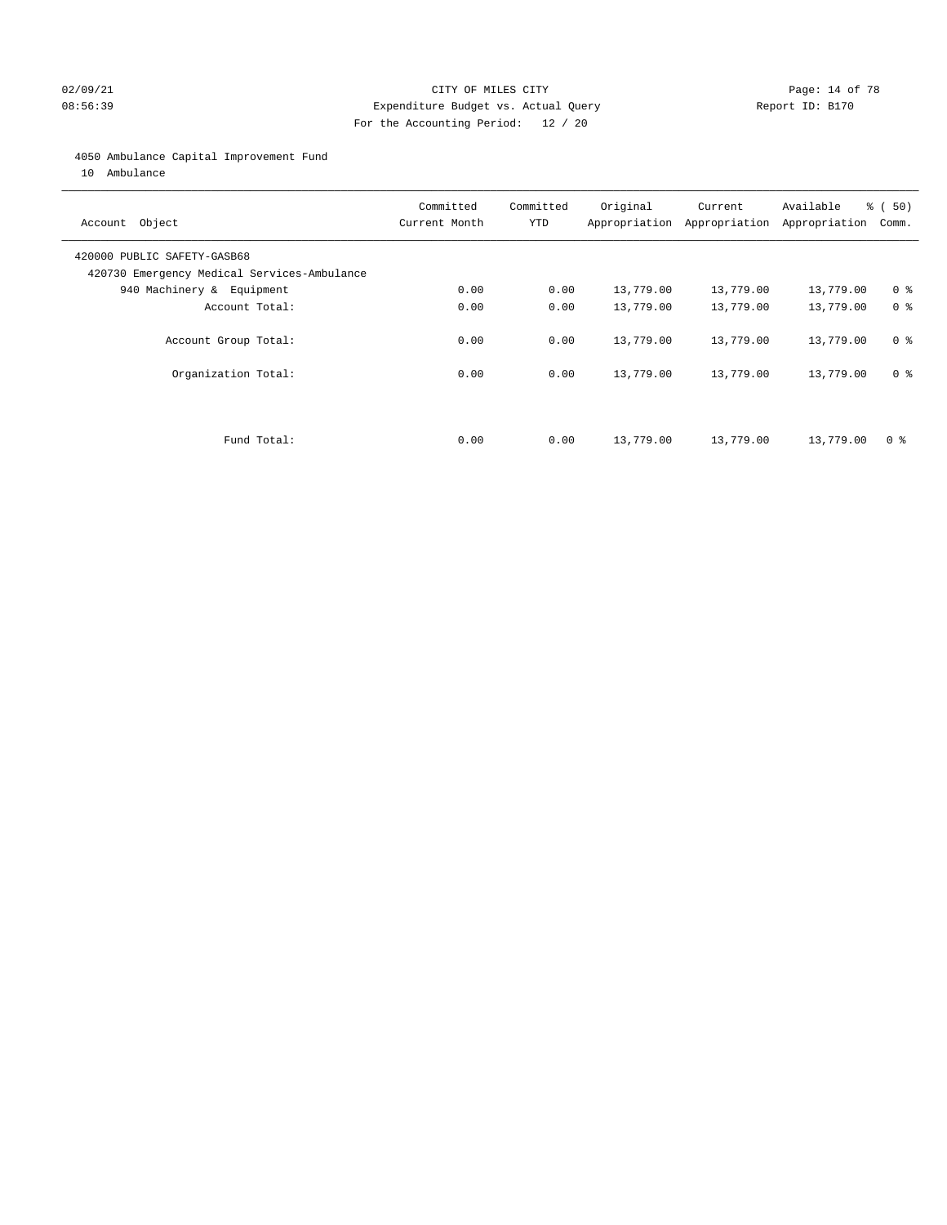#### 02/09/21 **Page: 14 of 78** CITY OF MILES CITY **Page: 14 of 78** 08:56:39 Expenditure Budget vs. Actual Query Report ID: B170 For the Accounting Period: 12 / 20

#### 4050 Ambulance Capital Improvement Fund

10 Ambulance

| Account Object                                                             | Committed<br>Current Month | Committed<br><b>YTD</b> | Original  | Current<br>Appropriation Appropriation | Available<br>Appropriation | % ( 50 )<br>Comm. |
|----------------------------------------------------------------------------|----------------------------|-------------------------|-----------|----------------------------------------|----------------------------|-------------------|
| 420000 PUBLIC SAFETY-GASB68<br>420730 Emergency Medical Services-Ambulance |                            |                         |           |                                        |                            |                   |
| 940 Machinery & Equipment                                                  | 0.00                       | 0.00                    | 13,779.00 | 13,779.00                              | 13,779.00                  | 0 <sup>8</sup>    |
| Account Total:                                                             | 0.00                       | 0.00                    | 13,779.00 | 13,779.00                              | 13,779.00                  | 0 <sup>8</sup>    |
| Account Group Total:                                                       | 0.00                       | 0.00                    | 13,779.00 | 13,779.00                              | 13,779.00                  | 0 <sup>8</sup>    |
| Organization Total:                                                        | 0.00                       | 0.00                    | 13,779.00 | 13,779.00                              | 13,779.00                  | 0 <sup>8</sup>    |
|                                                                            |                            |                         |           |                                        |                            |                   |
| Fund Total:                                                                | 0.00                       | 0.00                    | 13,779.00 | 13,779.00                              | 13,779.00                  | 0 %               |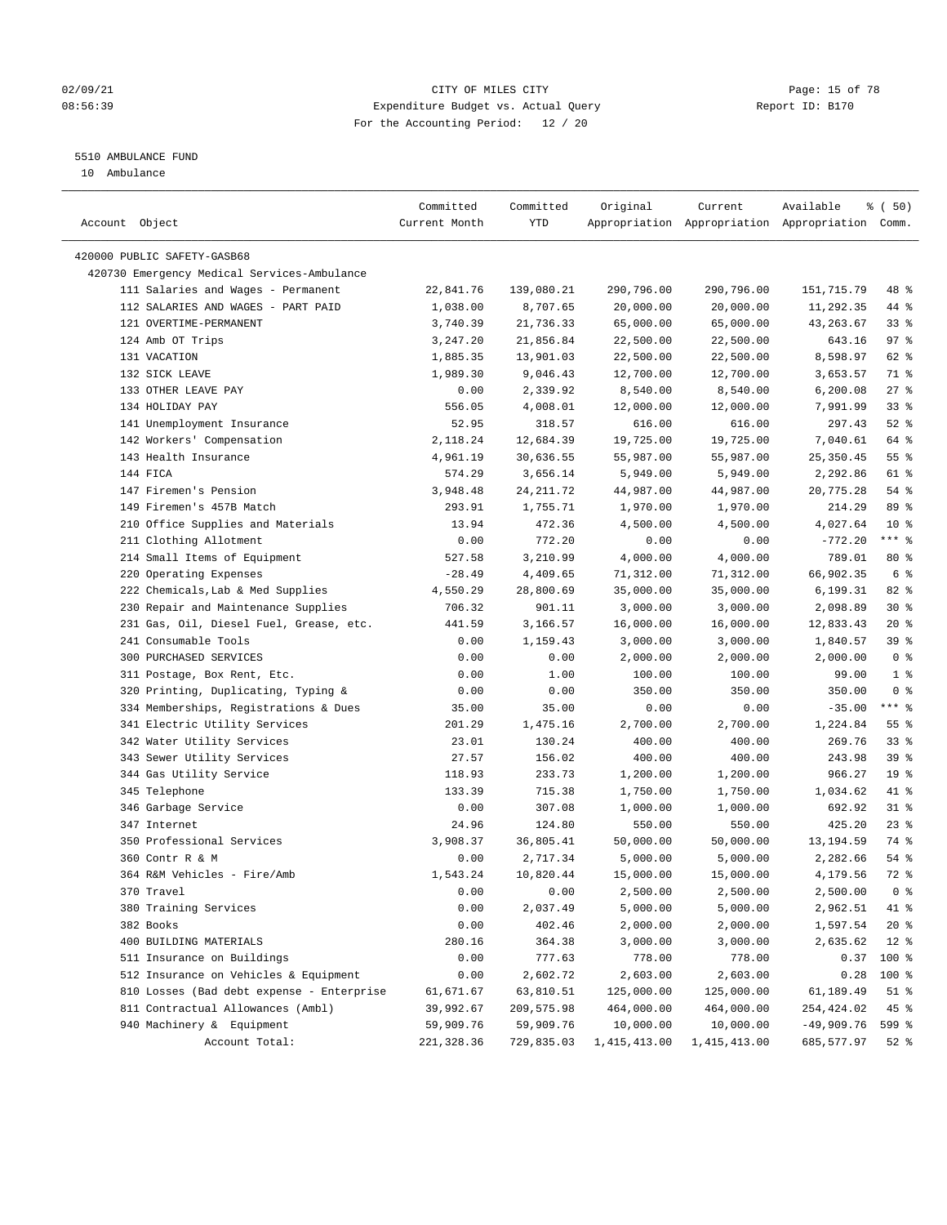#### 02/09/21 Page: 15 of 78 08:56:39 Expenditure Budget vs. Actual Query Report ID: B170 For the Accounting Period: 12 / 20

————————————————————————————————————————————————————————————————————————————————————————————————————————————————————————————————————

#### 5510 AMBULANCE FUND

10 Ambulance

|                                                                                | Committed     | Committed          | Original     | Current        | Available                                       | ៖ (50)          |
|--------------------------------------------------------------------------------|---------------|--------------------|--------------|----------------|-------------------------------------------------|-----------------|
| Account Object                                                                 | Current Month | YTD                |              |                | Appropriation Appropriation Appropriation Comm. |                 |
|                                                                                |               |                    |              |                |                                                 |                 |
| 420000 PUBLIC SAFETY-GASB68                                                    |               |                    |              |                |                                                 |                 |
| 420730 Emergency Medical Services-Ambulance                                    |               |                    |              |                |                                                 |                 |
| 111 Salaries and Wages - Permanent                                             | 22,841.76     | 139,080.21         | 290,796.00   | 290,796.00     | 151,715.79                                      | 48 %            |
| 112 SALARIES AND WAGES - PART PAID                                             | 1,038.00      | 8,707.65           | 20,000.00    | 20,000.00      | 11,292.35                                       | 44 %            |
| 121 OVERTIME-PERMANENT                                                         | 3,740.39      | 21,736.33          | 65,000.00    | 65,000.00      | 43,263.67                                       | $33$ $%$        |
| 124 Amb OT Trips                                                               | 3,247.20      | 21,856.84          | 22,500.00    | 22,500.00      | 643.16                                          | 97%             |
| 131 VACATION                                                                   | 1,885.35      | 13,901.03          | 22,500.00    | 22,500.00      | 8,598.97                                        | 62 %            |
| 132 SICK LEAVE                                                                 | 1,989.30      | 9,046.43           | 12,700.00    | 12,700.00      | 3,653.57                                        | 71 %            |
| 133 OTHER LEAVE PAY                                                            | 0.00          | 2,339.92           | 8,540.00     | 8,540.00       | 6,200.08                                        | $27$ %          |
| 134 HOLIDAY PAY                                                                | 556.05        | 4,008.01           | 12,000.00    | 12,000.00      | 7,991.99                                        | 33%             |
| 141 Unemployment Insurance                                                     | 52.95         | 318.57             | 616.00       | 616.00         | 297.43                                          | $52$ $%$        |
| 142 Workers' Compensation                                                      | 2,118.24      | 12,684.39          | 19,725.00    | 19,725.00      | 7,040.61                                        | 64 %            |
| 143 Health Insurance                                                           | 4,961.19      | 30,636.55          | 55,987.00    | 55,987.00      | 25, 350.45                                      | 55%             |
| 144 FICA                                                                       | 574.29        | 3,656.14           | 5,949.00     | 5,949.00       | 2,292.86                                        | 61 %            |
| 147 Firemen's Pension                                                          | 3,948.48      | 24, 211.72         | 44,987.00    | 44,987.00      | 20,775.28                                       | 54 %            |
| 149 Firemen's 457B Match                                                       | 293.91        | 1,755.71           | 1,970.00     | 1,970.00       | 214.29                                          | 89 %            |
| 210 Office Supplies and Materials                                              | 13.94         | 472.36             | 4,500.00     | 4,500.00       | 4,027.64                                        | $10*$           |
| 211 Clothing Allotment                                                         | 0.00          | 772.20             | 0.00         | 0.00           | $-772.20$                                       | $***$ $-$       |
| 214 Small Items of Equipment                                                   | 527.58        | 3,210.99           | 4,000.00     | 4,000.00       | 789.01                                          | 80 %            |
| 220 Operating Expenses                                                         | $-28.49$      | 4,409.65           | 71,312.00    | 71,312.00      | 66,902.35                                       | 6 <sup>°</sup>  |
| 222 Chemicals, Lab & Med Supplies                                              | 4,550.29      | 28,800.69          | 35,000.00    | 35,000.00      | 6,199.31                                        | $82$ $%$        |
| 230 Repair and Maintenance Supplies                                            | 706.32        | 901.11             | 3,000.00     | 3,000.00       | 2,098.89                                        | $30*$           |
| 231 Gas, Oil, Diesel Fuel, Grease, etc.                                        | 441.59        | 3,166.57           | 16,000.00    | 16,000.00      | 12,833.43                                       | $20*$           |
| 241 Consumable Tools                                                           | 0.00          | 1,159.43           | 3,000.00     | 3,000.00       | 1,840.57                                        | 39%             |
| 300 PURCHASED SERVICES                                                         | 0.00          | 0.00               | 2,000.00     | 2,000.00       | 2,000.00                                        | 0 <sup>8</sup>  |
| 311 Postage, Box Rent, Etc.                                                    | 0.00          | 1.00               | 100.00       | 100.00         | 99.00                                           | 1 <sup>°</sup>  |
| 320 Printing, Duplicating, Typing &                                            | 0.00          | 0.00               | 350.00       | 350.00         | 350.00                                          | 0 <sup>8</sup>  |
| 334 Memberships, Registrations & Dues                                          | 35.00         | 35.00              | 0.00         | 0.00           | $-35.00$                                        | $***$ $-$       |
| 341 Electric Utility Services                                                  | 201.29        | 1,475.16           | 2,700.00     | 2,700.00       | 1,224.84                                        | 55 <sup>8</sup> |
| 342 Water Utility Services                                                     | 23.01         | 130.24             | 400.00       | 400.00         | 269.76                                          | 33%             |
| 343 Sewer Utility Services                                                     | 27.57         | 156.02             | 400.00       | 400.00         | 243.98                                          | 39 %            |
| 344 Gas Utility Service                                                        | 118.93        | 233.73             | 1,200.00     | 1,200.00       | 966.27                                          | 19 <sup>°</sup> |
| 345 Telephone                                                                  | 133.39        | 715.38             | 1,750.00     | 1,750.00       | 1,034.62                                        | 41 %            |
| 346 Garbage Service                                                            | 0.00          | 307.08             | 1,000.00     | 1,000.00       | 692.92                                          | $31$ %          |
| 347 Internet                                                                   | 24.96         | 124.80             | 550.00       | 550.00         | 425.20                                          | $23$ %          |
| 350 Professional Services                                                      | 3,908.37      | 36,805.41          | 50,000.00    | 50,000.00      | 13, 194.59                                      | 74 %            |
| 360 Contr R & M                                                                | 0.00          | 2,717.34           | 5,000.00     | 5,000.00       | 2,282.66                                        | $54$ %          |
| 364 R&M Vehicles - Fire/Amb                                                    | 1,543.24      | 10,820.44          | 15,000.00    | 15,000.00      | 4,179.56                                        | 72 %            |
| 370 Travel                                                                     | 0.00          | 0.00               | 2,500.00     | 2,500.00       | 2,500.00                                        | 0 <sup>8</sup>  |
| 380 Training Services                                                          | 0.00          | 2,037.49           | 5,000.00     | 5,000.00       | 2,962.51                                        | 41 %            |
| 382 Books                                                                      | 0.00          | 402.46             | 2,000.00     | 2,000.00       | 1,597.54                                        | $20*$           |
| 400 BUILDING MATERIALS                                                         | 280.16        | 364.38             | 3,000.00     | 3,000.00       | 2,635.62                                        | $12*$           |
|                                                                                |               |                    |              | 778.00         |                                                 | 100 %           |
| 511 Insurance on Buildings<br>512 Insurance on Vehicles & Equipment            | 0.00<br>0.00  | 777.63<br>2,602.72 | 778.00       | 2,603.00       | 0.37<br>0.28                                    | 100 %           |
|                                                                                |               |                    | 2,603.00     |                |                                                 |                 |
| 810 Losses (Bad debt expense - Enterprise<br>811 Contractual Allowances (Ambl) | 61,671.67     | 63,810.51          | 125,000.00   | 125,000.00     | 61,189.49                                       | $51$ %          |
|                                                                                | 39,992.67     | 209,575.98         | 464,000.00   | 464,000.00     | 254,424.02                                      | 45 %            |
| 940 Machinery & Equipment                                                      | 59,909.76     | 59,909.76          | 10,000.00    | 10,000.00      | $-49,909.76$                                    | 599 %           |
| Account Total:                                                                 | 221,328.36    | 729,835.03         | 1,415,413.00 | 1, 415, 413.00 | 685,577.97                                      | 52 %            |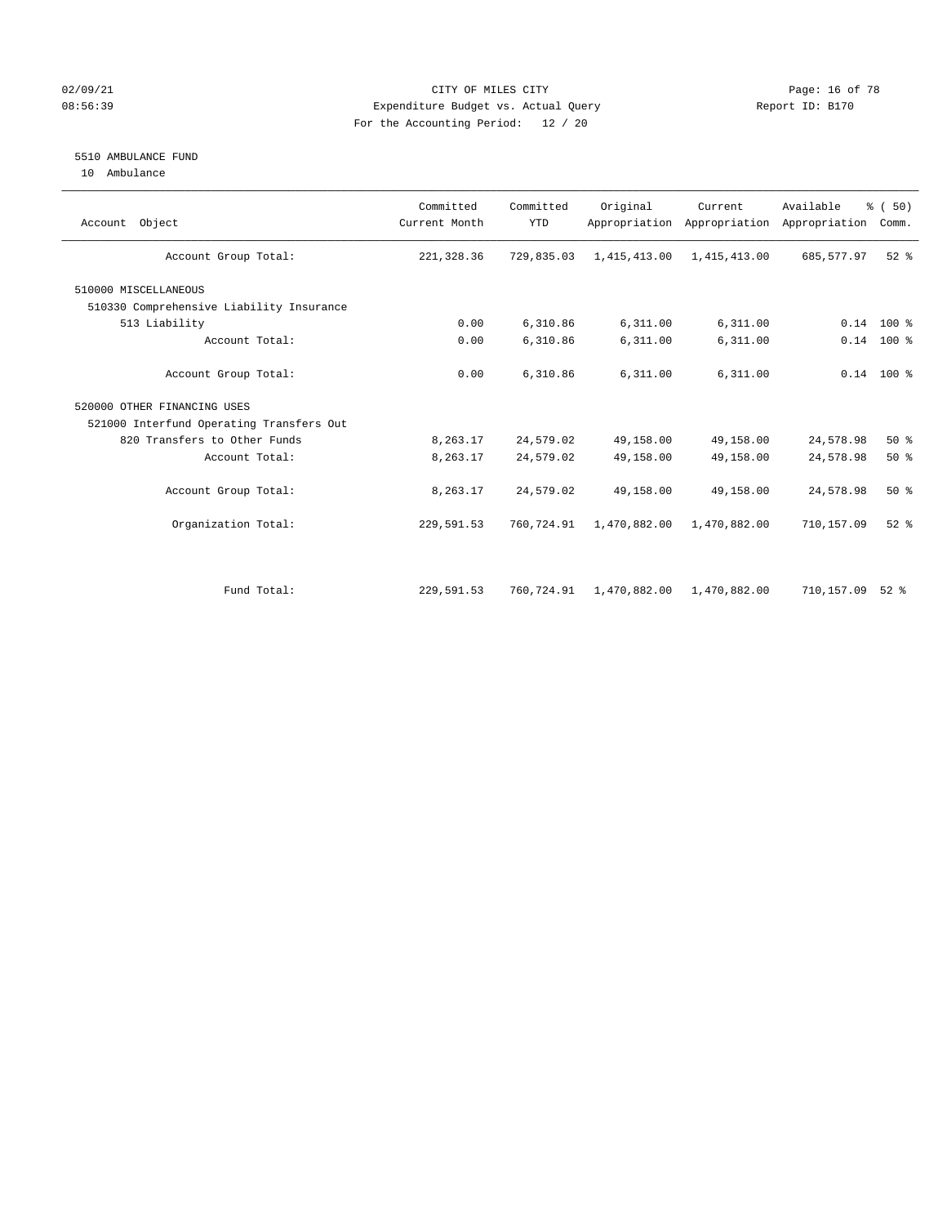#### 02/09/21 **CITY OF MILES CITY CITY CITY Page: 16 of 78** 08:56:39 Expenditure Budget vs. Actual Query Report ID: B170 For the Accounting Period: 12 / 20

#### 5510 AMBULANCE FUND

10 Ambulance

| Account Object                           | Committed<br>Current Month | Committed<br><b>YTD</b> | Original     | Current<br>Appropriation Appropriation | Available<br>Appropriation | % (50)<br>Comm. |
|------------------------------------------|----------------------------|-------------------------|--------------|----------------------------------------|----------------------------|-----------------|
| Account Group Total:                     | 221,328.36                 | 729,835.03              | 1,415,413.00 | 1,415,413.00                           | 685,577.97                 | $52$ $%$        |
| 510000 MISCELLANEOUS                     |                            |                         |              |                                        |                            |                 |
| 510330 Comprehensive Liability Insurance |                            |                         |              |                                        |                            |                 |
| 513 Liability                            | 0.00                       | 6,310.86                | 6,311.00     | 6,311.00                               |                            | $0.14$ 100 %    |
| Account Total:                           | 0.00                       | 6,310.86                | 6,311.00     | 6,311.00                               |                            | $0.14$ 100 %    |
| Account Group Total:                     | 0.00                       | 6,310.86                | 6,311.00     | 6,311.00                               |                            | $0.14$ 100 %    |
| 520000 OTHER FINANCING USES              |                            |                         |              |                                        |                            |                 |
| 521000 Interfund Operating Transfers Out |                            |                         |              |                                        |                            |                 |
| 820 Transfers to Other Funds             | 8,263.17                   | 24,579.02               | 49,158.00    | 49,158.00                              | 24,578.98                  | 50%             |
| Account Total:                           | 8,263.17                   | 24,579.02               | 49,158.00    | 49,158.00                              | 24,578.98                  | 50%             |
| Account Group Total:                     | 8,263.17                   | 24,579.02               | 49,158.00    | 49,158.00                              | 24,578.98                  | 50%             |
| Organization Total:                      | 229,591.53                 | 760,724.91              | 1,470,882.00 | 1,470,882.00                           | 710,157.09                 | $52$ $%$        |
|                                          |                            |                         |              |                                        |                            |                 |
| Fund Total:                              | 229,591.53                 | 760,724.91              | 1,470,882.00 | 1,470,882.00                           | 710,157.09                 | $52$ $%$        |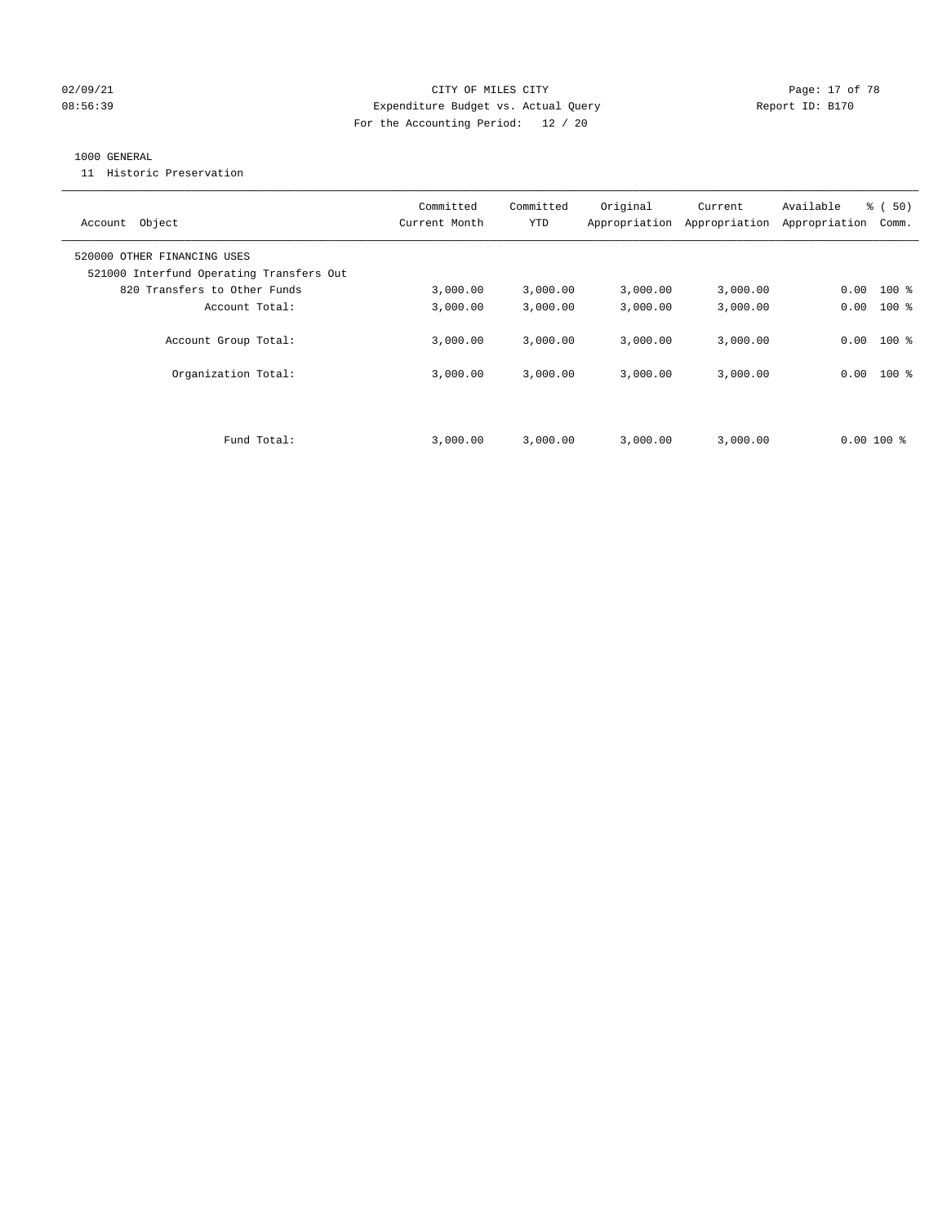#### 02/09/21 **Page: 17 of 78** CITY OF MILES CITY **Page: 17 of 78** 08:56:39 Expenditure Budget vs. Actual Query Report ID: B170 For the Accounting Period: 12 / 20

#### 1000 GENERAL

11 Historic Preservation

| Account Object                                                          | Committed<br>Current Month | Committed<br><b>YTD</b> | Original | Current<br>Appropriation Appropriation | Available<br>Appropriation | % (50)<br>Comm. |
|-------------------------------------------------------------------------|----------------------------|-------------------------|----------|----------------------------------------|----------------------------|-----------------|
| 520000 OTHER FINANCING USES<br>521000 Interfund Operating Transfers Out |                            |                         |          |                                        |                            |                 |
| 820 Transfers to Other Funds                                            | 3,000.00                   | 3,000.00                | 3,000.00 | 3,000.00                               | 0.00                       | $100$ %         |
| Account Total:                                                          | 3,000.00                   | 3,000.00                | 3,000.00 | 3,000.00                               | 0.00                       | $100*$          |
| Account Group Total:                                                    | 3,000.00                   | 3,000.00                | 3.000.00 | 3,000.00                               | 0.00                       | $100$ %         |
| Organization Total:                                                     | 3,000.00                   | 3,000.00                | 3,000.00 | 3,000.00                               | 0.00                       | $100$ %         |
|                                                                         |                            |                         |          |                                        |                            |                 |
| Fund Total:                                                             | 3,000.00                   | 3,000.00                | 3,000.00 | 3,000.00                               | $0.00100$ %                |                 |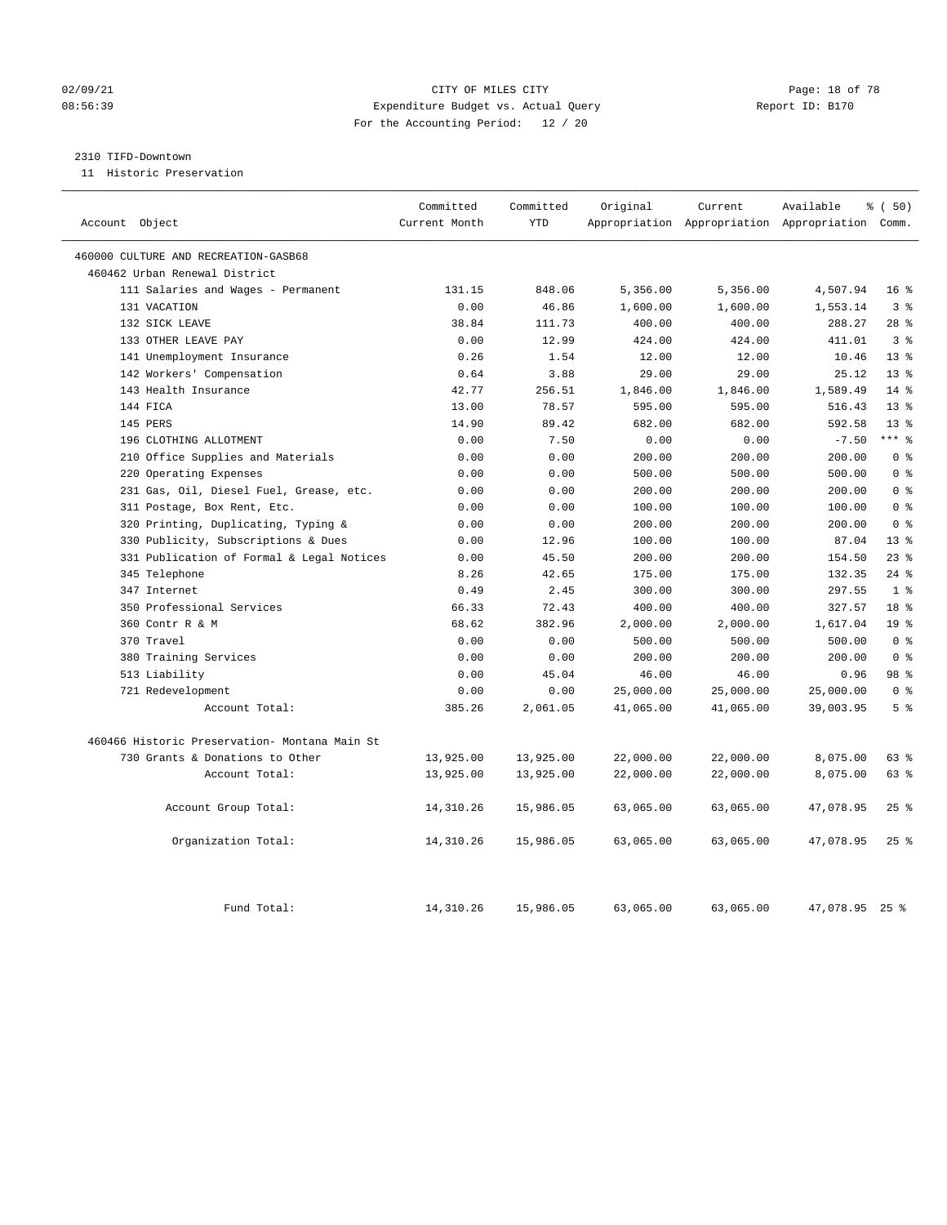#### 02/09/21 Page: 18 of 78 08:56:39 Expenditure Budget vs. Actual Query Report ID: B170 For the Accounting Period: 12 / 20

#### 2310 TIFD-Downtown

11 Historic Preservation

| Account Object                                | Committed<br>Current Month | Committed<br><b>YTD</b> | Original  | Current   | Available<br>Appropriation Appropriation Appropriation Comm. | % (50)          |
|-----------------------------------------------|----------------------------|-------------------------|-----------|-----------|--------------------------------------------------------------|-----------------|
|                                               |                            |                         |           |           |                                                              |                 |
| 460000 CULTURE AND RECREATION-GASB68          |                            |                         |           |           |                                                              |                 |
| 460462 Urban Renewal District                 |                            |                         |           |           |                                                              |                 |
| 111 Salaries and Wages - Permanent            | 131.15                     | 848.06                  | 5,356.00  | 5,356.00  | 4,507.94                                                     | 16 <sup>°</sup> |
| 131 VACATION                                  | 0.00                       | 46.86                   | 1,600.00  | 1,600.00  | 1,553.14                                                     | 3 <sup>8</sup>  |
| 132 SICK LEAVE                                | 38.84                      | 111.73                  | 400.00    | 400.00    | 288.27                                                       | $28$ %          |
| 133 OTHER LEAVE PAY                           | 0.00                       | 12.99                   | 424.00    | 424.00    | 411.01                                                       | 3 <sup>8</sup>  |
| 141 Unemployment Insurance                    | 0.26                       | 1.54                    | 12.00     | 12.00     | 10.46                                                        | 13 <sup>8</sup> |
| 142 Workers' Compensation                     | 0.64                       | 3.88                    | 29.00     | 29.00     | 25.12                                                        | 13 <sup>°</sup> |
| 143 Health Insurance                          | 42.77                      | 256.51                  | 1,846.00  | 1,846.00  | 1,589.49                                                     | $14*$           |
| 144 FICA                                      | 13.00                      | 78.57                   | 595.00    | 595.00    | 516.43                                                       | $13*$           |
| 145 PERS                                      | 14.90                      | 89.42                   | 682.00    | 682.00    | 592.58                                                       | 13 <sup>8</sup> |
| 196 CLOTHING ALLOTMENT                        | 0.00                       | 7.50                    | 0.00      | 0.00      | $-7.50$                                                      | $***$ 8         |
| 210 Office Supplies and Materials             | 0.00                       | 0.00                    | 200.00    | 200.00    | 200.00                                                       | 0 <sup>8</sup>  |
| 220 Operating Expenses                        | 0.00                       | 0.00                    | 500.00    | 500.00    | 500.00                                                       | 0 <sup>8</sup>  |
| 231 Gas, Oil, Diesel Fuel, Grease, etc.       | 0.00                       | 0.00                    | 200.00    | 200.00    | 200.00                                                       | 0 <sup>8</sup>  |
| 311 Postage, Box Rent, Etc.                   | 0.00                       | 0.00                    | 100.00    | 100.00    | 100.00                                                       | 0 <sup>8</sup>  |
| 320 Printing, Duplicating, Typing &           | 0.00                       | 0.00                    | 200.00    | 200.00    | 200.00                                                       | 0 <sup>8</sup>  |
| 330 Publicity, Subscriptions & Dues           | 0.00                       | 12.96                   | 100.00    | 100.00    | 87.04                                                        | 13 <sup>8</sup> |
| 331 Publication of Formal & Legal Notices     | 0.00                       | 45.50                   | 200.00    | 200.00    | 154.50                                                       | $23$ $%$        |
| 345 Telephone                                 | 8.26                       | 42.65                   | 175.00    | 175.00    | 132.35                                                       | $24$ %          |
| 347 Internet                                  | 0.49                       | 2.45                    | 300.00    | 300.00    | 297.55                                                       | 1 <sup>°</sup>  |
| 350 Professional Services                     | 66.33                      | 72.43                   | 400.00    | 400.00    | 327.57                                                       | 18 <sup>8</sup> |
| 360 Contr R & M                               | 68.62                      | 382.96                  | 2,000.00  | 2,000.00  | 1,617.04                                                     | 19 <sup>°</sup> |
| 370 Travel                                    | 0.00                       | 0.00                    | 500.00    | 500.00    | 500.00                                                       | 0 <sup>8</sup>  |
| 380 Training Services                         | 0.00                       | 0.00                    | 200.00    | 200.00    | 200.00                                                       | 0 <sup>8</sup>  |
| 513 Liability                                 | 0.00                       | 45.04                   | 46.00     | 46.00     | 0.96                                                         | 98 %            |
| 721 Redevelopment                             | 0.00                       | 0.00                    | 25,000.00 | 25,000.00 | 25,000.00                                                    | 0 <sup>8</sup>  |
| Account Total:                                | 385.26                     | 2,061.05                | 41,065.00 | 41,065.00 | 39,003.95                                                    | 5 <sup>8</sup>  |
| 460466 Historic Preservation- Montana Main St |                            |                         |           |           |                                                              |                 |
| 730 Grants & Donations to Other               | 13,925.00                  | 13,925.00               | 22,000.00 | 22,000.00 | 8,075.00                                                     | 63 %            |
| Account Total:                                | 13,925.00                  | 13,925.00               | 22,000.00 | 22,000.00 | 8,075.00                                                     | 63%             |
| Account Group Total:                          | 14,310.26                  | 15,986.05               | 63,065.00 | 63,065.00 | 47,078.95                                                    | 25%             |
| Organization Total:                           | 14,310.26                  | 15,986.05               | 63,065.00 | 63,065.00 | 47,078.95                                                    | $25$ %          |
| Fund Total:                                   | 14, 310.26                 | 15,986.05               | 63,065.00 | 63,065.00 | 47,078.95 25 %                                               |                 |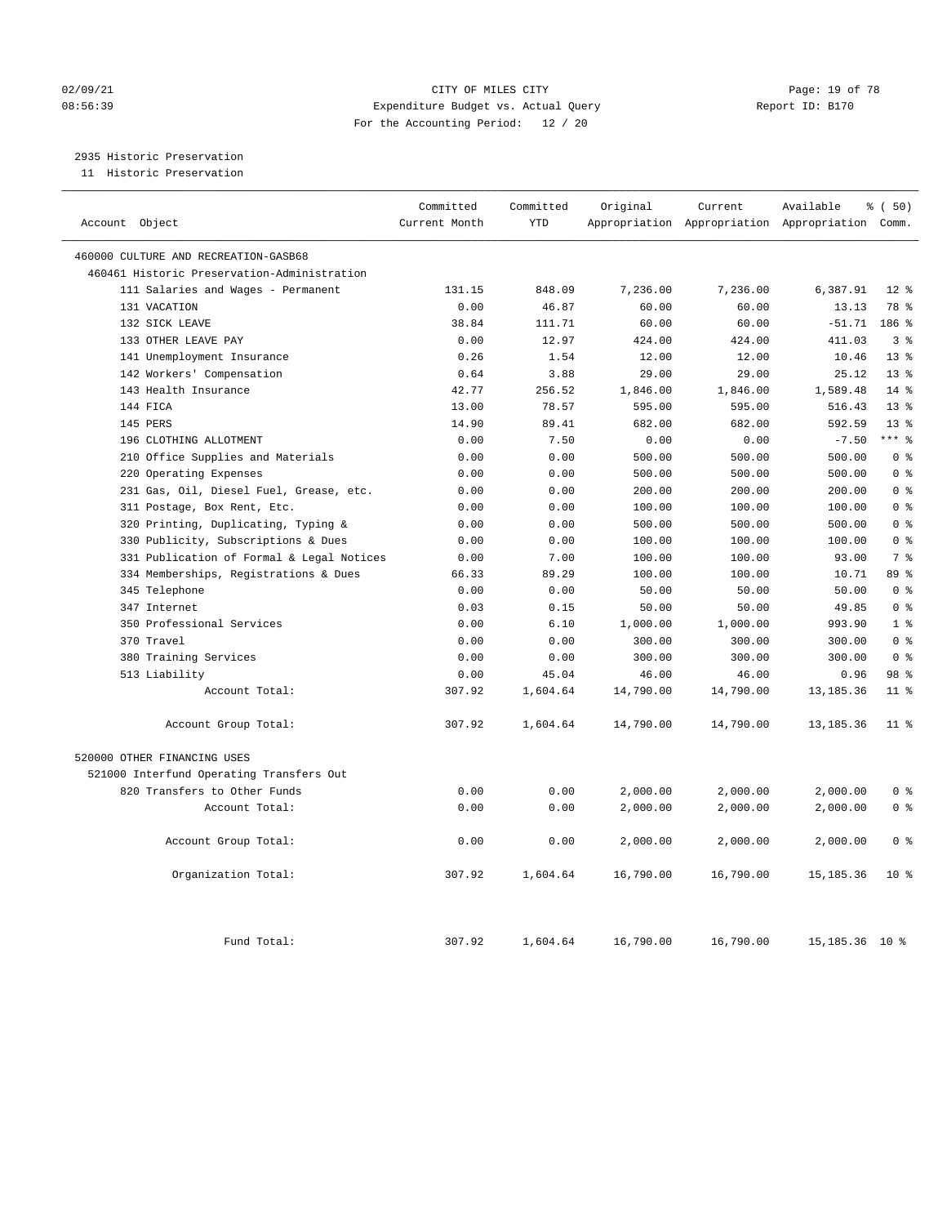#### 02/09/21 **Page: 19 of 78** CITY OF MILES CITY **Page: 19 of 78** 08:56:39 Expenditure Budget vs. Actual Query Report ID: B170 For the Accounting Period: 12 / 20

## 2935 Historic Preservation

11 Historic Preservation

| Account Object                              | Committed<br>Current Month | Committed<br><b>YTD</b> | Original  | Current<br>Appropriation Appropriation Appropriation Comm. | Available        | % ( 50)         |
|---------------------------------------------|----------------------------|-------------------------|-----------|------------------------------------------------------------|------------------|-----------------|
| 460000 CULTURE AND RECREATION-GASB68        |                            |                         |           |                                                            |                  |                 |
| 460461 Historic Preservation-Administration |                            |                         |           |                                                            |                  |                 |
| 111 Salaries and Wages - Permanent          | 131.15                     | 848.09                  | 7,236.00  | 7,236.00                                                   | 6,387.91         | $12*$           |
| 131 VACATION                                | 0.00                       | 46.87                   | 60.00     | 60.00                                                      | 13.13            | 78 %            |
| 132 SICK LEAVE                              | 38.84                      | 111.71                  | 60.00     | 60.00                                                      | $-51.71$         | 186 %           |
| 133 OTHER LEAVE PAY                         | 0.00                       | 12.97                   | 424.00    | 424.00                                                     | 411.03           | 3 <sup>8</sup>  |
| 141 Unemployment Insurance                  | 0.26                       | 1.54                    | 12.00     | 12.00                                                      | 10.46            | 13 <sup>8</sup> |
| 142 Workers' Compensation                   | 0.64                       | 3.88                    | 29.00     | 29.00                                                      | 25.12            | 13 <sup>°</sup> |
| 143 Health Insurance                        | 42.77                      | 256.52                  | 1,846.00  | 1,846.00                                                   | 1,589.48         | $14*$           |
| 144 FICA                                    | 13.00                      | 78.57                   | 595.00    | 595.00                                                     | 516.43           | $13*$           |
| 145 PERS                                    | 14.90                      | 89.41                   | 682.00    | 682.00                                                     | 592.59           | 13 <sup>8</sup> |
| 196 CLOTHING ALLOTMENT                      | 0.00                       | 7.50                    | 0.00      | 0.00                                                       | $-7.50$          | $***$ $_{8}$    |
| 210 Office Supplies and Materials           | 0.00                       | 0.00                    | 500.00    | 500.00                                                     | 500.00           | 0 <sup>8</sup>  |
| 220 Operating Expenses                      | 0.00                       | 0.00                    | 500.00    | 500.00                                                     | 500.00           | 0 <sup>8</sup>  |
| 231 Gas, Oil, Diesel Fuel, Grease, etc.     | 0.00                       | 0.00                    | 200.00    | 200.00                                                     | 200.00           | 0 <sup>8</sup>  |
| 311 Postage, Box Rent, Etc.                 | 0.00                       | 0.00                    | 100.00    | 100.00                                                     | 100.00           | 0 <sup>8</sup>  |
| 320 Printing, Duplicating, Typing &         | 0.00                       | 0.00                    | 500.00    | 500.00                                                     | 500.00           | 0 <sup>8</sup>  |
| 330 Publicity, Subscriptions & Dues         | 0.00                       | 0.00                    | 100.00    | 100.00                                                     | 100.00           | 0 <sup>8</sup>  |
| 331 Publication of Formal & Legal Notices   | 0.00                       | 7.00                    | 100.00    | 100.00                                                     | 93.00            | 7 <sup>°</sup>  |
| 334 Memberships, Registrations & Dues       | 66.33                      | 89.29                   | 100.00    | 100.00                                                     | 10.71            | 89 %            |
| 345 Telephone                               | 0.00                       | 0.00                    | 50.00     | 50.00                                                      | 50.00            | 0 <sup>8</sup>  |
| 347 Internet                                | 0.03                       | 0.15                    | 50.00     | 50.00                                                      | 49.85            | 0 <sup>8</sup>  |
| 350 Professional Services                   | 0.00                       | 6.10                    | 1,000.00  | 1,000.00                                                   | 993.90           | 1 <sup>8</sup>  |
| 370 Travel                                  | 0.00                       | 0.00                    | 300.00    | 300.00                                                     | 300.00           | 0 <sup>8</sup>  |
| 380 Training Services                       | 0.00                       | 0.00                    | 300.00    | 300.00                                                     | 300.00           | 0 <sup>8</sup>  |
| 513 Liability                               | 0.00                       | 45.04                   | 46.00     | 46.00                                                      | 0.96             | 98 %            |
| Account Total:                              | 307.92                     | 1,604.64                | 14,790.00 | 14,790.00                                                  | 13, 185. 36      | 11 <sup>8</sup> |
| Account Group Total:                        | 307.92                     | 1,604.64                | 14,790.00 | 14,790.00                                                  | 13, 185. 36      | 11 <sup>8</sup> |
| 520000 OTHER FINANCING USES                 |                            |                         |           |                                                            |                  |                 |
| 521000 Interfund Operating Transfers Out    |                            |                         |           |                                                            |                  |                 |
| 820 Transfers to Other Funds                | 0.00                       | 0.00                    | 2,000.00  | 2,000.00                                                   | 2,000.00         | 0 <sup>8</sup>  |
| Account Total:                              | 0.00                       | 0.00                    | 2,000.00  | 2,000.00                                                   | 2,000.00         | 0 <sup>8</sup>  |
| Account Group Total:                        | 0.00                       | 0.00                    | 2,000.00  | 2,000.00                                                   | 2,000.00         | 0 <sup>8</sup>  |
| Organization Total:                         | 307.92                     | 1,604.64                | 16,790.00 | 16,790.00                                                  | 15, 185. 36      | $10*$           |
| Fund Total:                                 | 307.92                     | 1,604.64                | 16,790.00 | 16,790.00                                                  | 15, 185. 36 10 % |                 |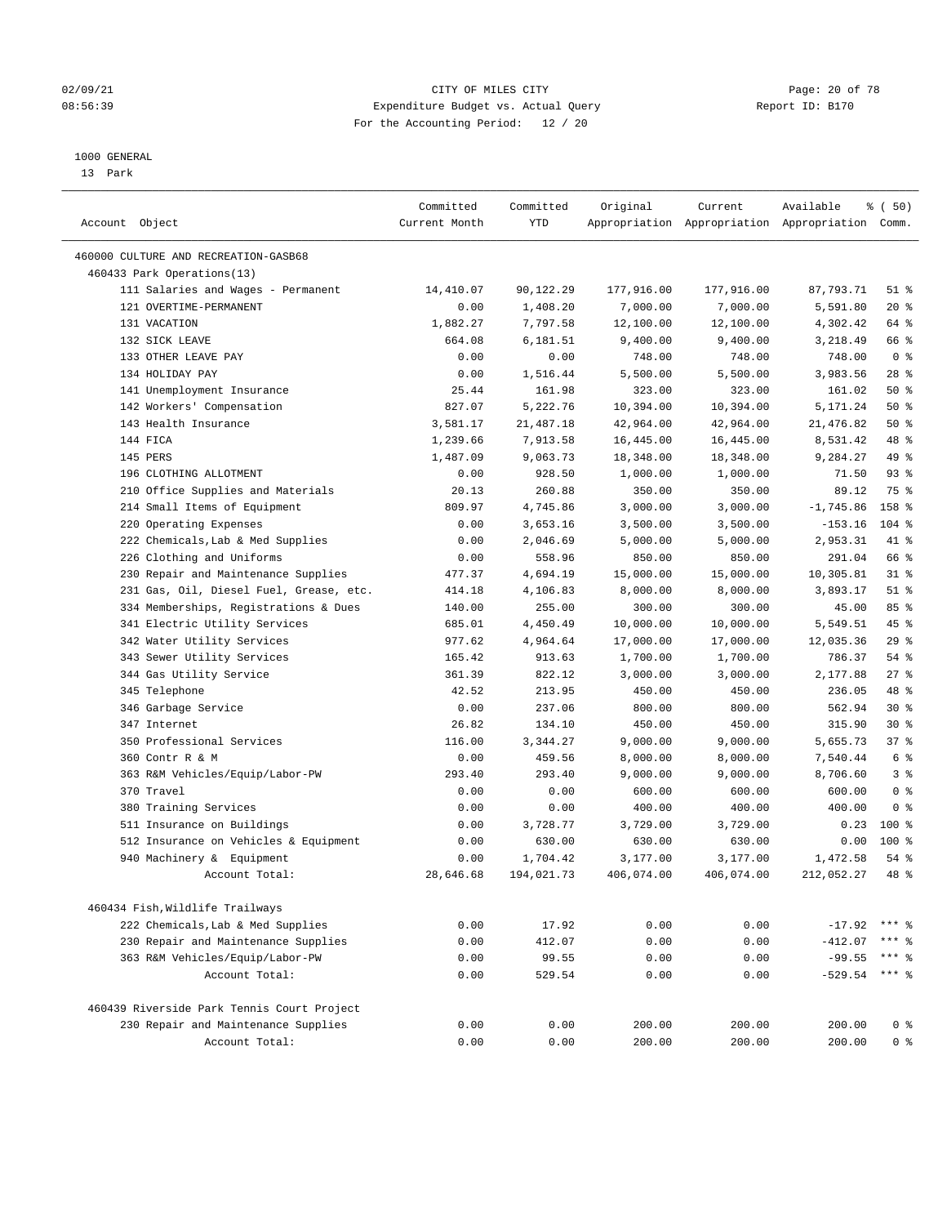#### 02/09/21 **CITY OF MILES CITY CITY CITY Page: 20 of 78** 08:56:39 Expenditure Budget vs. Actual Query Report ID: B170 For the Accounting Period: 12 / 20

————————————————————————————————————————————————————————————————————————————————————————————————————————————————————————————————————

#### 1000 GENERAL

13 Park

|                                                   | Committed     | Committed       | Original     | Current      | Available                                       | ៖ (50)             |
|---------------------------------------------------|---------------|-----------------|--------------|--------------|-------------------------------------------------|--------------------|
| Account Object                                    | Current Month | YTD             |              |              | Appropriation Appropriation Appropriation Comm. |                    |
| 460000 CULTURE AND RECREATION-GASB68              |               |                 |              |              |                                                 |                    |
| 460433 Park Operations(13)                        |               |                 |              |              |                                                 |                    |
| 111 Salaries and Wages - Permanent                | 14,410.07     | 90,122.29       | 177,916.00   | 177,916.00   | 87,793.71                                       | $51$ %             |
| 121 OVERTIME-PERMANENT                            | 0.00          | 1,408.20        | 7,000.00     | 7,000.00     | 5,591.80                                        | $20*$              |
| 131 VACATION                                      | 1,882.27      | 7,797.58        | 12,100.00    | 12,100.00    | 4,302.42                                        | 64 %               |
| 132 SICK LEAVE                                    | 664.08        | 6,181.51        | 9,400.00     | 9,400.00     | 3,218.49                                        | 66 %               |
| 133 OTHER LEAVE PAY                               | 0.00          | 0.00            | 748.00       | 748.00       | 748.00                                          | 0 <sup>8</sup>     |
| 134 HOLIDAY PAY                                   | 0.00          | 1,516.44        | 5,500.00     | 5,500.00     | 3,983.56                                        | $28$ %             |
| 141 Unemployment Insurance                        | 25.44         | 161.98          | 323.00       | 323.00       | 161.02                                          | 50%                |
| 142 Workers' Compensation                         | 827.07        | 5,222.76        | 10,394.00    | 10,394.00    | 5,171.24                                        | 50%                |
| 143 Health Insurance                              | 3,581.17      | 21,487.18       | 42,964.00    | 42,964.00    | 21,476.82                                       | 50%                |
| 144 FICA                                          | 1,239.66      | 7,913.58        | 16,445.00    | 16,445.00    | 8,531.42                                        | 48 %               |
| 145 PERS                                          | 1,487.09      | 9,063.73        | 18,348.00    | 18,348.00    | 9,284.27                                        | 49 %               |
| 196 CLOTHING ALLOTMENT                            | 0.00          | 928.50          | 1,000.00     | 1,000.00     | 71.50                                           | 93%                |
| 210 Office Supplies and Materials                 | 20.13         | 260.88          | 350.00       | 350.00       | 89.12                                           | 75 %               |
| 214 Small Items of Equipment                      | 809.97        | 4,745.86        | 3,000.00     | 3,000.00     | $-1,745.86$                                     | 158 %              |
| 220 Operating Expenses                            | 0.00          | 3,653.16        | 3,500.00     | 3,500.00     | $-153.16$                                       | $104$ %            |
| 222 Chemicals, Lab & Med Supplies                 | 0.00          | 2,046.69        | 5,000.00     | 5,000.00     | 2,953.31                                        | 41 %               |
| 226 Clothing and Uniforms                         | 0.00          | 558.96          | 850.00       | 850.00       | 291.04                                          | 66 %               |
| 230 Repair and Maintenance Supplies               | 477.37        | 4,694.19        | 15,000.00    | 15,000.00    | 10,305.81                                       | $31$ %             |
| 231 Gas, Oil, Diesel Fuel, Grease, etc.           | 414.18        | 4,106.83        | 8,000.00     | 8,000.00     | 3,893.17                                        | $51$ %             |
| 334 Memberships, Registrations & Dues             | 140.00        | 255.00          | 300.00       | 300.00       | 45.00                                           | 85%                |
| 341 Electric Utility Services                     | 685.01        | 4,450.49        | 10,000.00    | 10,000.00    | 5,549.51                                        | 45 %               |
| 342 Water Utility Services                        | 977.62        | 4,964.64        | 17,000.00    | 17,000.00    | 12,035.36                                       | 29%                |
| 343 Sewer Utility Services                        | 165.42        | 913.63          | 1,700.00     | 1,700.00     | 786.37                                          | $54$ %             |
| 344 Gas Utility Service                           | 361.39        | 822.12          | 3,000.00     | 3,000.00     | 2,177.88                                        | $27$ %             |
| 345 Telephone                                     | 42.52         | 213.95          | 450.00       | 450.00       | 236.05                                          | 48 %               |
| 346 Garbage Service                               | 0.00          | 237.06          | 800.00       | 800.00       | 562.94                                          | $30*$              |
| 347 Internet                                      | 26.82         | 134.10          | 450.00       | 450.00       | 315.90                                          | $30*$              |
| 350 Professional Services                         | 116.00        | 3,344.27        | 9,000.00     | 9,000.00     | 5,655.73                                        | 37%                |
| 360 Contr R & M                                   | 0.00          | 459.56          | 8,000.00     | 8,000.00     | 7,540.44                                        | 6 %                |
| 363 R&M Vehicles/Equip/Labor-PW                   | 293.40        | 293.40          | 9,000.00     | 9,000.00     | 8,706.60                                        | 3 <sup>°</sup>     |
| 370 Travel                                        | 0.00          | 0.00            | 600.00       | 600.00       | 600.00                                          | 0 <sup>8</sup>     |
| 380 Training Services                             | 0.00          | 0.00            | 400.00       | 400.00       | 400.00                                          | 0 <sup>8</sup>     |
| 511 Insurance on Buildings                        | 0.00          | 3,728.77        | 3,729.00     | 3,729.00     | 0.23                                            | $100*$             |
| 512 Insurance on Vehicles & Equipment             | 0.00          | 630.00          | 630.00       | 630.00       | 0.00                                            | $100*$             |
| 940 Machinery & Equipment                         | 0.00          | 1,704.42        | 3,177.00     | 3,177.00     | 1,472.58                                        | $54$ %             |
| Account Total:                                    | 28,646.68     | 194,021.73      | 406,074.00   | 406,074.00   | 212,052.27                                      | 48 %               |
|                                                   |               |                 |              |              |                                                 |                    |
| 460434 Fish, Wildlife Trailways                   |               |                 |              |              |                                                 |                    |
| 222 Chemicals, Lab & Med Supplies                 | 0.00          | 17.92           | 0.00         | 0.00         | $-17.92$                                        | ** 응               |
| 230 Repair and Maintenance Supplies               | 0.00          | 412.07<br>99.55 | 0.00         | 0.00         | $-412.07$                                       |                    |
| 363 R&M Vehicles/Equip/Labor-PW<br>Account Total: | 0.00<br>0.00  | 529.54          | 0.00<br>0.00 | 0.00<br>0.00 | $-99.55$<br>$-529.54$                           | *** 응<br>$***$ $8$ |
|                                                   |               |                 |              |              |                                                 |                    |
| 460439 Riverside Park Tennis Court Project        |               |                 |              |              |                                                 |                    |
| 230 Repair and Maintenance Supplies               | 0.00          | 0.00            | 200.00       | 200.00       | 200.00                                          | 0 <sup>8</sup>     |
| Account Total:                                    | 0.00          | 0.00            | 200.00       | 200.00       | 200.00                                          | 0 <sup>8</sup>     |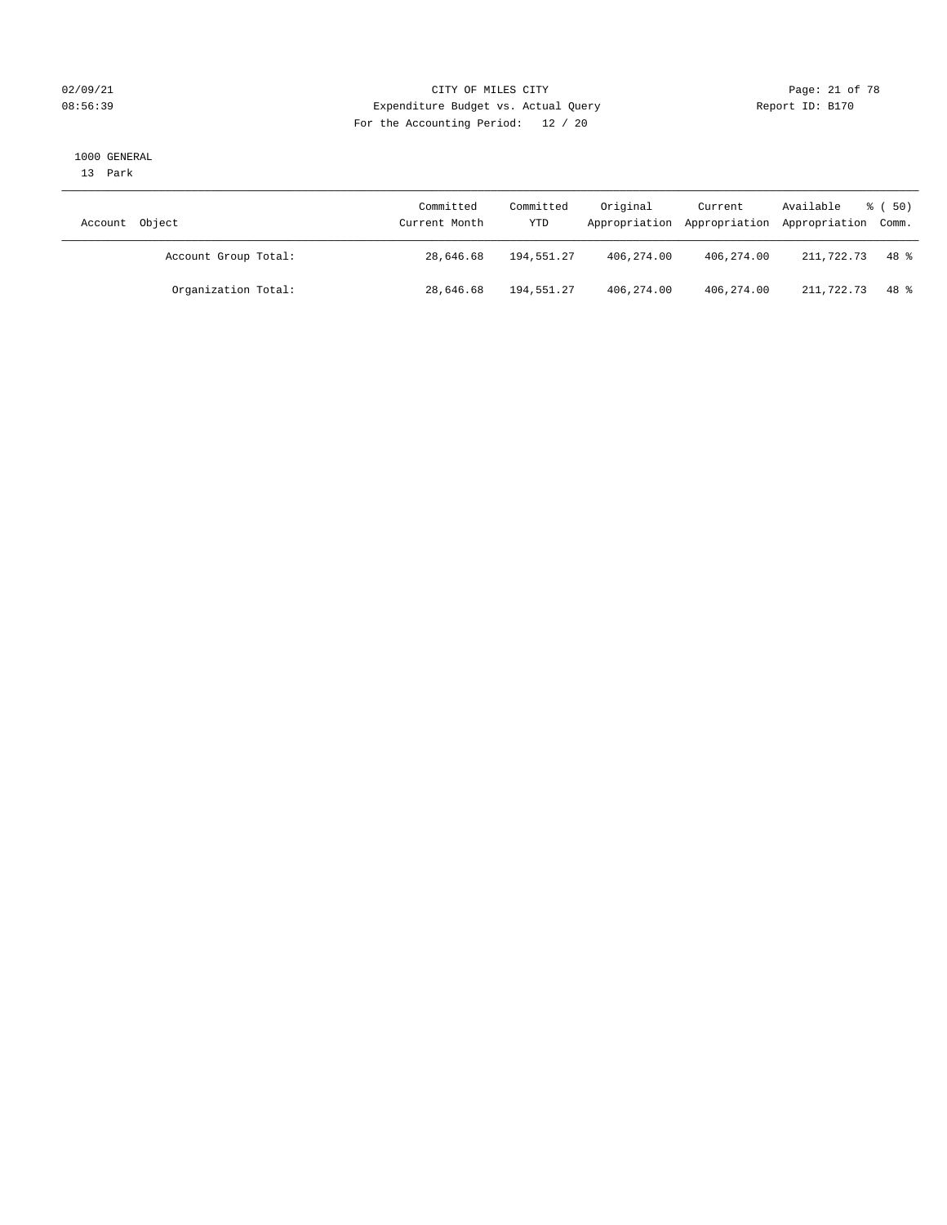#### 02/09/21 Page: 21 of 78 08:56:39 Expenditure Budget vs. Actual Query Report ID: B170 For the Accounting Period: 12 / 20

#### 1000 GENERAL

13 Park

| Account Object |                      | Committed<br>Current Month | Committed<br>YTD | Original   | Current    | Available<br>Appropriation Appropriation Appropriation Comm. | $\frac{2}{3}$ (50) |
|----------------|----------------------|----------------------------|------------------|------------|------------|--------------------------------------------------------------|--------------------|
|                | Account Group Total: | 28,646.68                  | 194,551.27       | 406,274.00 | 406,274.00 | 211,722.73                                                   | $48*$              |
|                | Organization Total:  | 28,646.68                  | 194,551.27       | 406,274.00 | 406,274.00 | 211,722.73                                                   | 48 දි              |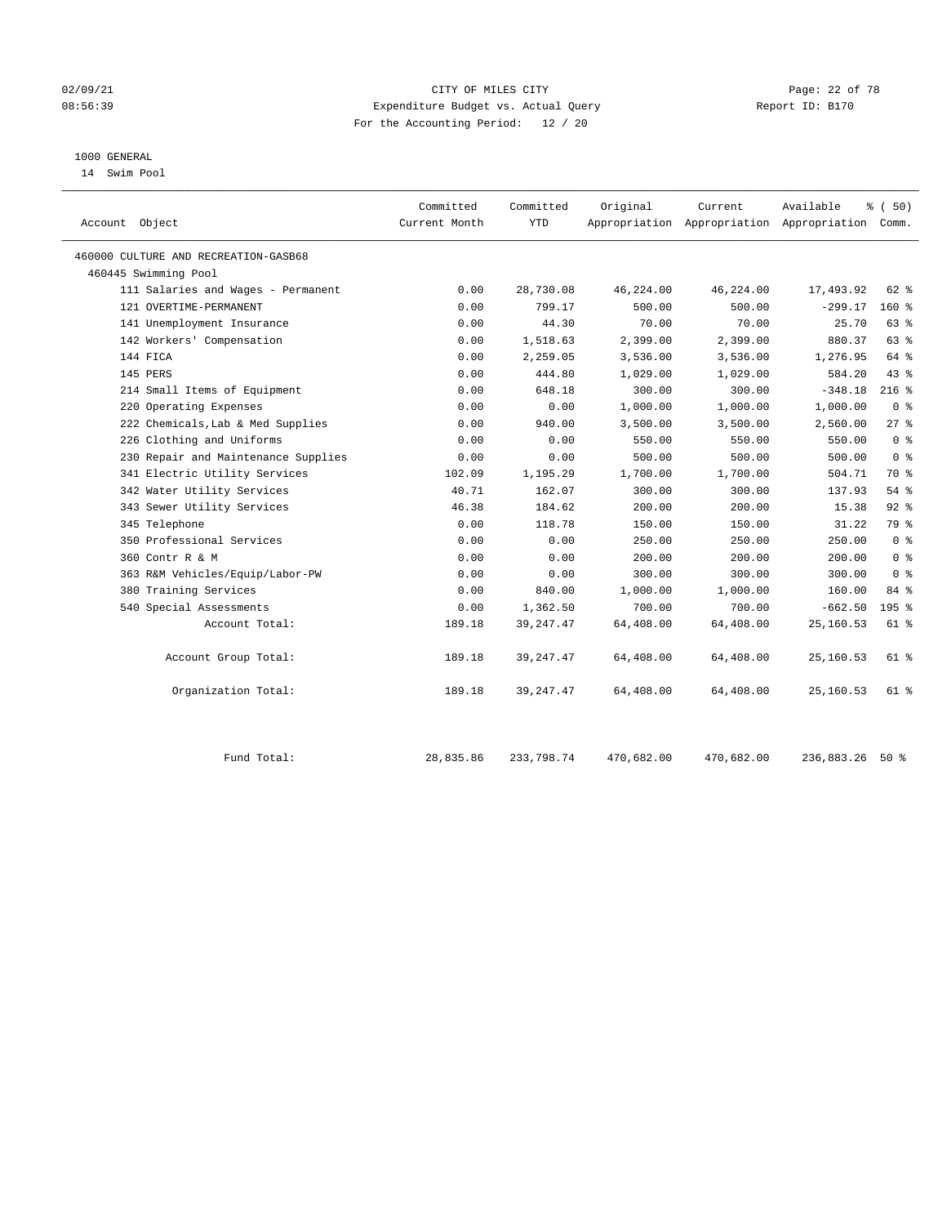#### 02/09/21 Page: 22 of 78 08:56:39 Expenditure Budget vs. Actual Query Report ID: B170 For the Accounting Period: 12 / 20

#### 1000 GENERAL

14 Swim Pool

| Account Object                       | Committed<br>Current Month | Committed<br><b>YTD</b> | Original  | Current   | Available<br>Appropriation Appropriation Appropriation | % (50)<br>Comm. |
|--------------------------------------|----------------------------|-------------------------|-----------|-----------|--------------------------------------------------------|-----------------|
| 460000 CULTURE AND RECREATION-GASB68 |                            |                         |           |           |                                                        |                 |
| 460445 Swimming Pool                 |                            |                         |           |           |                                                        |                 |
| 111 Salaries and Wages - Permanent   | 0.00                       | 28,730.08               | 46,224.00 | 46,224.00 | 17,493.92                                              | 62 %            |
| 121 OVERTIME-PERMANENT               | 0.00                       | 799.17                  | 500.00    | 500.00    | $-299.17$                                              | 160%            |
| 141 Unemployment Insurance           | 0.00                       | 44.30                   | 70.00     | 70.00     | 25.70                                                  | 63 %            |
| 142 Workers' Compensation            | 0.00                       | 1,518.63                | 2,399.00  | 2,399.00  | 880.37                                                 | 63%             |
| 144 FICA                             | 0.00                       | 2,259.05                | 3,536.00  | 3,536.00  | 1,276.95                                               | 64 %            |
| 145 PERS                             | 0.00                       | 444.80                  | 1,029.00  | 1,029.00  | 584.20                                                 | 43.8            |
| 214 Small Items of Equipment         | 0.00                       | 648.18                  | 300.00    | 300.00    | $-348.18$                                              | $216$ %         |
| 220 Operating Expenses               | 0.00                       | 0.00                    | 1,000.00  | 1,000.00  | 1,000.00                                               | 0 <sup>8</sup>  |
| 222 Chemicals, Lab & Med Supplies    | 0.00                       | 940.00                  | 3,500.00  | 3,500.00  | 2,560.00                                               | $27$ $\approx$  |
| 226 Clothing and Uniforms            | 0.00                       | 0.00                    | 550.00    | 550.00    | 550.00                                                 | 0 <sup>8</sup>  |
| 230 Repair and Maintenance Supplies  | 0.00                       | 0.00                    | 500.00    | 500.00    | 500.00                                                 | 0 <sup>8</sup>  |
| 341 Electric Utility Services        | 102.09                     | 1,195.29                | 1,700.00  | 1,700.00  | 504.71                                                 | 70 %            |
| 342 Water Utility Services           | 40.71                      | 162.07                  | 300.00    | 300.00    | 137.93                                                 | 54 %            |
| 343 Sewer Utility Services           | 46.38                      | 184.62                  | 200.00    | 200.00    | 15.38                                                  | 92%             |
| 345 Telephone                        | 0.00                       | 118.78                  | 150.00    | 150.00    | 31.22                                                  | 79 %            |
| 350 Professional Services            | 0.00                       | 0.00                    | 250.00    | 250.00    | 250.00                                                 | 0 <sup>8</sup>  |
| 360 Contr R & M                      | 0.00                       | 0.00                    | 200.00    | 200.00    | 200.00                                                 | 0 <sup>8</sup>  |
| 363 R&M Vehicles/Equip/Labor-PW      | 0.00                       | 0.00                    | 300.00    | 300.00    | 300.00                                                 | 0 <sup>8</sup>  |
| 380 Training Services                | 0.00                       | 840.00                  | 1,000.00  | 1,000.00  | 160.00                                                 | 84 %            |
| 540 Special Assessments              | 0.00                       | 1,362.50                | 700.00    | 700.00    | $-662.50$                                              | $195$ %         |
| Account Total:                       | 189.18                     | 39, 247.47              | 64,408.00 | 64,408.00 | 25,160.53                                              | 61 %            |
| Account Group Total:                 | 189.18                     | 39, 247.47              | 64,408.00 | 64,408.00 | 25,160.53                                              | 61 %            |
| Organization Total:                  | 189.18                     | 39, 247.47              | 64,408.00 | 64,408.00 | 25,160.53                                              | 61 %            |
|                                      |                            |                         |           |           |                                                        |                 |

Fund Total: 28,835.86 233,798.74 470,682.00 470,682.00 236,883.26 50 %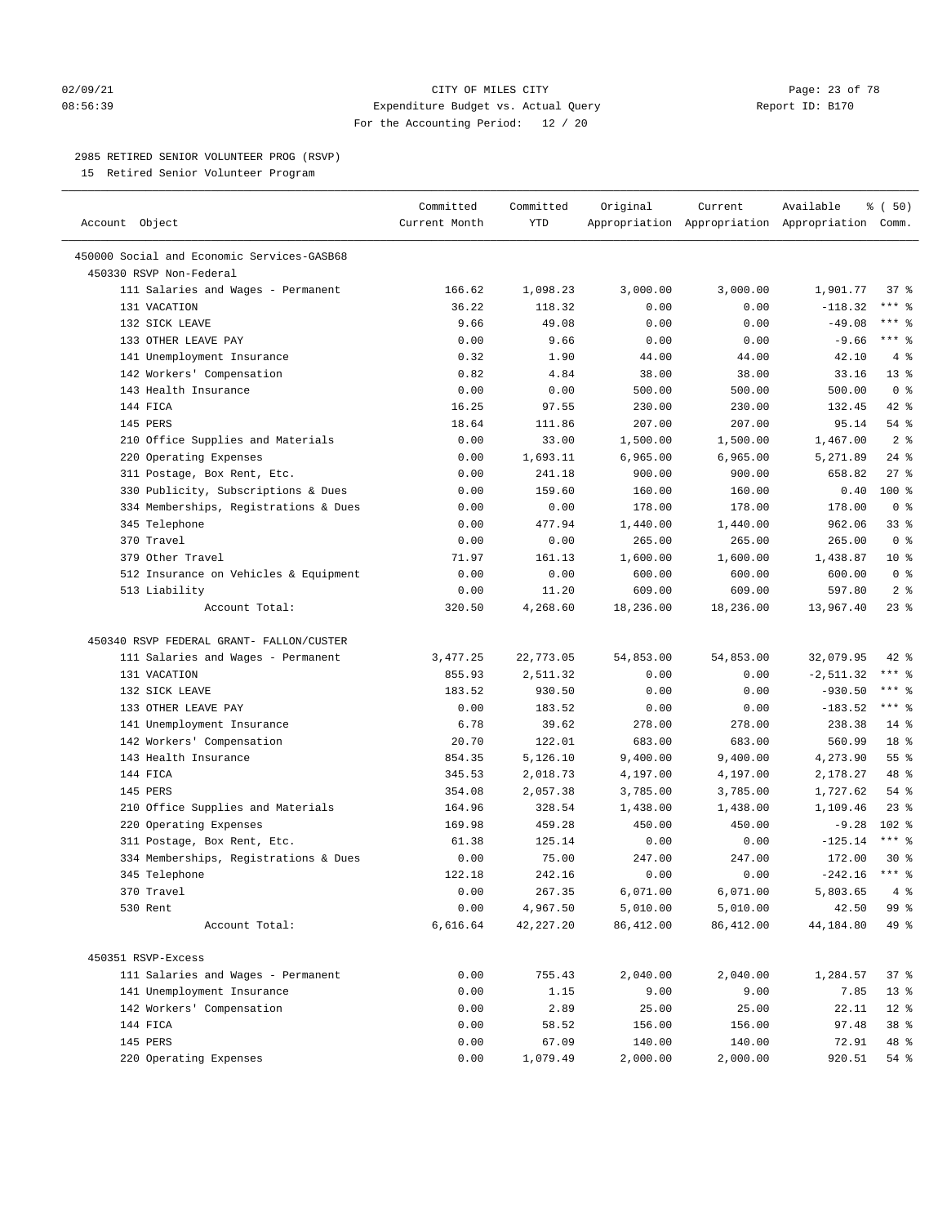#### $O2/09/21$  Page: 23 of 78 08:56:39 Expenditure Budget vs. Actual Query Report ID: B170 For the Accounting Period: 12 / 20

————————————————————————————————————————————————————————————————————————————————————————————————————————————————————————————————————

#### 2985 RETIRED SENIOR VOLUNTEER PROG (RSVP)

15 Retired Senior Volunteer Program

|                                            | Committed     | Committed   | Original  | Current   | Available                                       | <sub>ර</sub> ි (50) |
|--------------------------------------------|---------------|-------------|-----------|-----------|-------------------------------------------------|---------------------|
| Account Object                             | Current Month | YTD         |           |           | Appropriation Appropriation Appropriation Comm. |                     |
| 450000 Social and Economic Services-GASB68 |               |             |           |           |                                                 |                     |
| 450330 RSVP Non-Federal                    |               |             |           |           |                                                 |                     |
| 111 Salaries and Wages - Permanent         | 166.62        | 1,098.23    | 3,000.00  | 3,000.00  | 1,901.77                                        | 37 %                |
| 131 VACATION                               | 36.22         | 118.32      | 0.00      | 0.00      | $-118.32$                                       | *** 응               |
| 132 SICK LEAVE                             | 9.66          | 49.08       | 0.00      | 0.00      | $-49.08$                                        | *** 응               |
| 133 OTHER LEAVE PAY                        | 0.00          | 9.66        | 0.00      | 0.00      | $-9.66$                                         | $***$ $%$           |
| 141 Unemployment Insurance                 | 0.32          | 1.90        | 44.00     | 44.00     | 42.10                                           | 4%                  |
| 142 Workers' Compensation                  | 0.82          | 4.84        | 38.00     | 38.00     | 33.16                                           | $13*$               |
| 143 Health Insurance                       | 0.00          | 0.00        | 500.00    | 500.00    | 500.00                                          | 0 <sup>8</sup>      |
| 144 FICA                                   | 16.25         | 97.55       | 230.00    | 230.00    | 132.45                                          | $42$ %              |
| 145 PERS                                   | 18.64         | 111.86      | 207.00    | 207.00    | 95.14                                           | 54 %                |
| 210 Office Supplies and Materials          | 0.00          | 33.00       | 1,500.00  | 1,500.00  | 1,467.00                                        | 2 <sup>8</sup>      |
| 220 Operating Expenses                     | 0.00          | 1,693.11    | 6,965.00  | 6,965.00  | 5,271.89                                        | $24$ %              |
| 311 Postage, Box Rent, Etc.                | 0.00          | 241.18      | 900.00    | 900.00    | 658.82                                          | $27$ %              |
| 330 Publicity, Subscriptions & Dues        | 0.00          | 159.60      | 160.00    | 160.00    | 0.40                                            | $100*$              |
| 334 Memberships, Registrations & Dues      | 0.00          | 0.00        | 178.00    | 178.00    | 178.00                                          | 0 <sup>8</sup>      |
| 345 Telephone                              | 0.00          | 477.94      | 1,440.00  | 1,440.00  | 962.06                                          | $33$ $%$            |
| 370 Travel                                 | 0.00          | 0.00        | 265.00    | 265.00    | 265.00                                          | 0 <sup>8</sup>      |
| 379 Other Travel                           | 71.97         | 161.13      | 1,600.00  | 1,600.00  | 1,438.87                                        | $10*$               |
| 512 Insurance on Vehicles & Equipment      | 0.00          | 0.00        | 600.00    | 600.00    | 600.00                                          | 0 <sup>8</sup>      |
| 513 Liability                              | 0.00          | 11.20       | 609.00    | 609.00    | 597.80                                          | 2 <sup>°</sup>      |
| Account Total:                             | 320.50        | 4,268.60    | 18,236.00 | 18,236.00 | 13,967.40                                       | $23$ %              |
|                                            |               |             |           |           |                                                 |                     |
| 450340 RSVP FEDERAL GRANT- FALLON/CUSTER   |               |             |           |           |                                                 |                     |
| 111 Salaries and Wages - Permanent         | 3,477.25      | 22,773.05   | 54,853.00 | 54,853.00 | 32,079.95                                       | $42$ %              |
| 131 VACATION                               | 855.93        | 2,511.32    | 0.00      | 0.00      | $-2, 511.32$                                    | $***$ $-$           |
| 132 SICK LEAVE                             | 183.52        | 930.50      | 0.00      | 0.00      | $-930.50$                                       | $***$ $-$           |
| 133 OTHER LEAVE PAY                        | 0.00          | 183.52      | 0.00      | 0.00      | $-183.52$                                       | $***$ $-$           |
| 141 Unemployment Insurance                 | 6.78          | 39.62       | 278.00    | 278.00    | 238.38                                          | $14*$               |
| 142 Workers' Compensation                  | 20.70         | 122.01      | 683.00    | 683.00    | 560.99                                          | 18 <sup>°</sup>     |
| 143 Health Insurance                       | 854.35        | 5,126.10    | 9,400.00  | 9,400.00  | 4,273.90                                        | $55$ $%$            |
| 144 FICA                                   | 345.53        | 2,018.73    | 4,197.00  | 4,197.00  | 2,178.27                                        | 48 %                |
| 145 PERS                                   | 354.08        | 2,057.38    | 3,785.00  | 3,785.00  | 1,727.62                                        | $54$ %              |
| 210 Office Supplies and Materials          | 164.96        | 328.54      | 1,438.00  | 1,438.00  | 1,109.46                                        | $23$ %              |
| 220 Operating Expenses                     | 169.98        | 459.28      | 450.00    | 450.00    | $-9.28$                                         | $102$ %             |
| 311 Postage, Box Rent, Etc.                | 61.38         | 125.14      | 0.00      | 0.00      | $-125.14$                                       | $***$ $%$           |
| 334 Memberships, Registrations & Dues      | 0.00          | 75.00       | 247.00    | 247.00    | 172.00                                          | $30*$               |
| 345 Telephone                              | 122.18        | 242.16      | 0.00      | 0.00      | $-242.16$                                       | $***$ $%$           |
| 370 Travel                                 | 0.00          | 267.35      | 6,071.00  | 6,071.00  | 5,803.65                                        | 4%                  |
| 530 Rent                                   | 0.00          | 4,967.50    | 5,010.00  | 5,010.00  | 42.50                                           | 99 %                |
| Account Total:                             | 6,616.64      | 42, 227. 20 | 86,412.00 | 86,412.00 | 44,184.80                                       | 49 %                |
|                                            |               |             |           |           |                                                 |                     |
| 450351 RSVP-Excess                         |               |             |           |           |                                                 |                     |
| 111 Salaries and Wages - Permanent         | 0.00          | 755.43      | 2,040.00  | 2,040.00  | 1,284.57                                        | 37%                 |
| 141 Unemployment Insurance                 | 0.00          | 1.15        | 9.00      | 9.00      | 7.85                                            | 13 <sup>8</sup>     |
| 142 Workers' Compensation                  | 0.00          | 2.89        | 25.00     | 25.00     | 22.11                                           | $12$ %              |
| 144 FICA                                   | 0.00          | 58.52       | 156.00    | 156.00    | 97.48                                           | 38 %                |
| 145 PERS                                   | 0.00          | 67.09       | 140.00    | 140.00    | 72.91                                           | 48 %                |
| 220 Operating Expenses                     | 0.00          | 1,079.49    | 2,000.00  | 2,000.00  | 920.51                                          | 54 %                |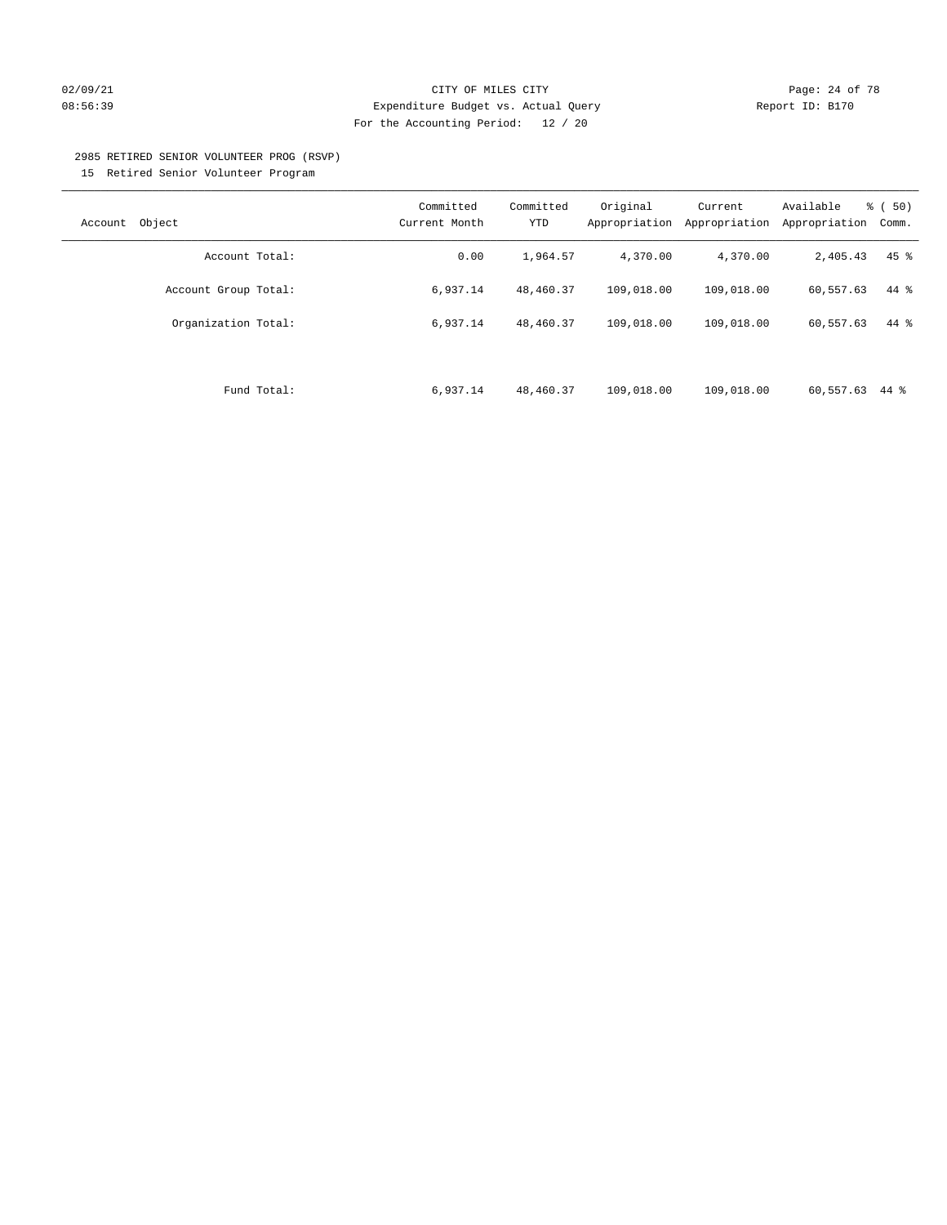#### $O2/09/21$  Page: 24 of 78 08:56:39 Expenditure Budget vs. Actual Query Report ID: B170 For the Accounting Period: 12 / 20

#### 2985 RETIRED SENIOR VOLUNTEER PROG (RSVP)

15 Retired Senior Volunteer Program

| Object<br>Account    | Committed<br>Current Month | Committed<br><b>YTD</b> | Original<br>Appropriation | Current<br>Appropriation | Available<br>Appropriation | $\frac{1}{6}$ (50)<br>Comm. |
|----------------------|----------------------------|-------------------------|---------------------------|--------------------------|----------------------------|-----------------------------|
| Account Total:       | 0.00                       | 1,964.57                | 4,370.00                  | 4,370.00                 | 2,405.43                   | $45$ %                      |
| Account Group Total: | 6,937.14                   | 48,460.37               | 109,018.00                | 109,018.00               | 60,557.63                  | 44 %                        |
| Organization Total:  | 6,937.14                   | 48,460.37               | 109,018.00                | 109,018.00               | 60,557.63                  | 44 %                        |
|                      |                            |                         |                           |                          |                            |                             |
| Fund Total:          | 6,937.14                   | 48,460.37               | 109,018.00                | 109,018.00               | 60,557.63                  | 44 %                        |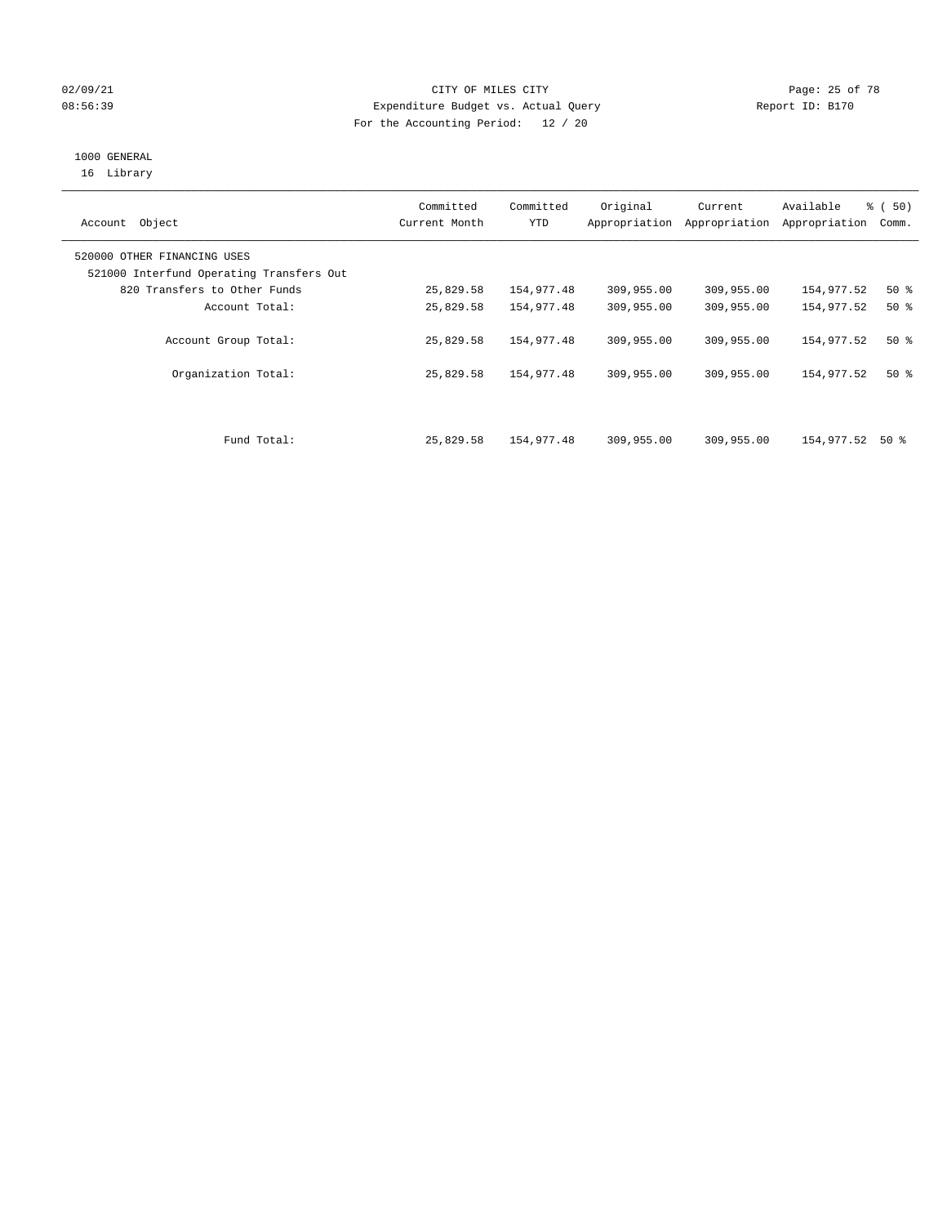#### 02/09/21 Page: 25 of 78 08:56:39 Expenditure Budget vs. Actual Query Report ID: B170 For the Accounting Period: 12 / 20

## 1000 GENERAL

16 Library

| Account Object                                                          | Committed<br>Current Month | Committed<br><b>YTD</b> | Original   | Current<br>Appropriation Appropriation | Available<br>Appropriation | % ( 50 )<br>Comm. |
|-------------------------------------------------------------------------|----------------------------|-------------------------|------------|----------------------------------------|----------------------------|-------------------|
| 520000 OTHER FINANCING USES<br>521000 Interfund Operating Transfers Out |                            |                         |            |                                        |                            |                   |
| 820 Transfers to Other Funds                                            | 25,829.58                  | 154,977.48              | 309,955.00 | 309,955.00                             | 154,977.52                 | 50%               |
| Account Total:                                                          | 25,829.58                  | 154,977.48              | 309,955.00 | 309,955.00                             | 154,977.52                 | $50*$             |
| Account Group Total:                                                    | 25,829.58                  | 154,977.48              | 309,955.00 | 309,955.00                             | 154,977.52                 | 50%               |
| Organization Total:                                                     | 25,829.58                  | 154,977.48              | 309,955.00 | 309,955.00                             | 154,977.52                 | 50%               |
| Fund Total:                                                             | 25,829.58                  | 154,977.48              | 309,955.00 | 309,955.00                             | 154,977.52                 | 50 %              |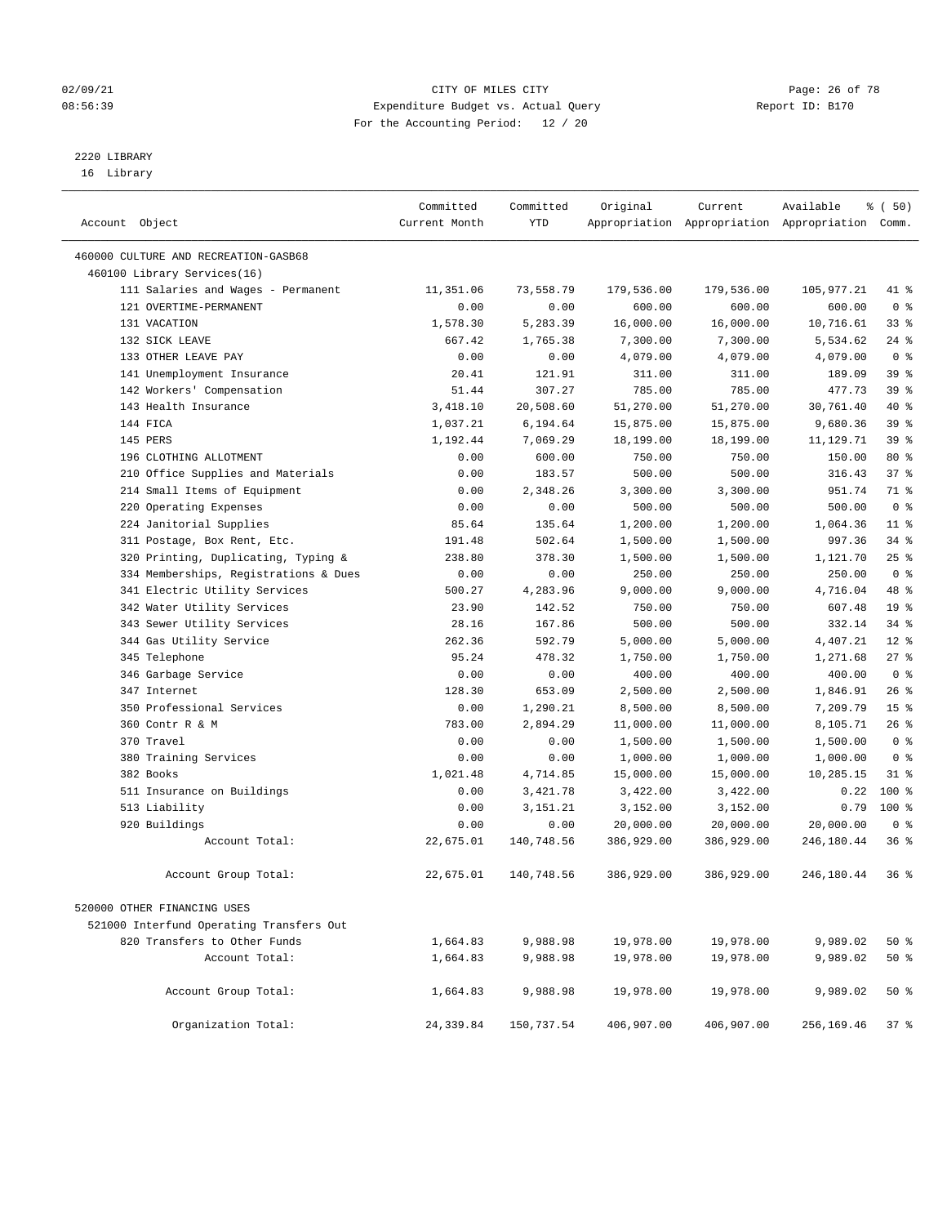#### 02/09/21 **CITY OF MILES CITY CITY CITY Page: 26 of 78** 08:56:39 Expenditure Budget vs. Actual Query Report ID: B170 For the Accounting Period: 12 / 20

————————————————————————————————————————————————————————————————————————————————————————————————————————————————————————————————————

## 2220 LIBRARY

16 Library

|                                                              | Committed     | Committed  | Original             | Current    | Available                                       | १ ( 50)         |  |
|--------------------------------------------------------------|---------------|------------|----------------------|------------|-------------------------------------------------|-----------------|--|
| Account Object                                               | Current Month | YTD        |                      |            | Appropriation Appropriation Appropriation Comm. |                 |  |
|                                                              |               |            |                      |            |                                                 |                 |  |
| 460000 CULTURE AND RECREATION-GASB68                         |               |            |                      |            |                                                 |                 |  |
| 460100 Library Services(16)                                  |               |            |                      |            |                                                 |                 |  |
| 111 Salaries and Wages - Permanent<br>121 OVERTIME-PERMANENT | 11,351.06     | 73,558.79  | 179,536.00<br>600.00 | 179,536.00 | 105,977.21                                      | 41 %            |  |
|                                                              | 0.00          | 0.00       |                      | 600.00     | 600.00                                          | 0 <sup>8</sup>  |  |
| 131 VACATION                                                 | 1,578.30      | 5,283.39   | 16,000.00            | 16,000.00  | 10,716.61                                       | $33$ $%$        |  |
| 132 SICK LEAVE                                               | 667.42        | 1,765.38   | 7,300.00             | 7,300.00   | 5,534.62                                        | $24$ %          |  |
| 133 OTHER LEAVE PAY                                          | 0.00          | 0.00       | 4,079.00             | 4,079.00   | 4,079.00                                        | 0 <sup>8</sup>  |  |
| 141 Unemployment Insurance                                   | 20.41         | 121.91     | 311.00               | 311.00     | 189.09                                          | 39 %<br>39 %    |  |
| 142 Workers' Compensation                                    | 51.44         | 307.27     | 785.00               | 785.00     | 477.73                                          |                 |  |
| 143 Health Insurance<br>144 FICA                             | 3,418.10      | 20,508.60  | 51,270.00            | 51,270.00  | 30,761.40                                       | 40 %            |  |
|                                                              | 1,037.21      | 6,194.64   | 15,875.00            | 15,875.00  | 9,680.36                                        | 39 %            |  |
| 145 PERS                                                     | 1,192.44      | 7,069.29   | 18,199.00            | 18,199.00  | 11,129.71                                       | 39 %            |  |
| 196 CLOTHING ALLOTMENT                                       | 0.00          | 600.00     | 750.00               | 750.00     | 150.00                                          | 80 %            |  |
| 210 Office Supplies and Materials                            | 0.00          | 183.57     | 500.00               | 500.00     | 316.43                                          | 37%             |  |
| 214 Small Items of Equipment                                 | 0.00          | 2,348.26   | 3,300.00             | 3,300.00   | 951.74                                          | 71 %            |  |
| 220 Operating Expenses                                       | 0.00          | 0.00       | 500.00               | 500.00     | 500.00                                          | 0 <sup>8</sup>  |  |
| 224 Janitorial Supplies                                      | 85.64         | 135.64     | 1,200.00             | 1,200.00   | 1,064.36                                        | $11*$           |  |
| 311 Postage, Box Rent, Etc.                                  | 191.48        | 502.64     | 1,500.00             | 1,500.00   | 997.36                                          | 34%             |  |
| 320 Printing, Duplicating, Typing &                          | 238.80        | 378.30     | 1,500.00             | 1,500.00   | 1,121.70                                        | 25%             |  |
| 334 Memberships, Registrations & Dues                        | 0.00          | 0.00       | 250.00               | 250.00     | 250.00                                          | 0 <sup>8</sup>  |  |
| 341 Electric Utility Services                                | 500.27        | 4,283.96   | 9,000.00             | 9,000.00   | 4,716.04                                        | 48 %            |  |
| 342 Water Utility Services                                   | 23.90         | 142.52     | 750.00               | 750.00     | 607.48                                          | 19 <sup>°</sup> |  |
| 343 Sewer Utility Services                                   | 28.16         | 167.86     | 500.00               | 500.00     | 332.14                                          | 34%             |  |
| 344 Gas Utility Service                                      | 262.36        | 592.79     | 5,000.00             | 5,000.00   | 4,407.21                                        | $12*$           |  |
| 345 Telephone                                                | 95.24         | 478.32     | 1,750.00             | 1,750.00   | 1,271.68                                        | 27%             |  |
| 346 Garbage Service                                          | 0.00          | 0.00       | 400.00               | 400.00     | 400.00                                          | 0 <sup>8</sup>  |  |
| 347 Internet                                                 | 128.30        | 653.09     | 2,500.00             | 2,500.00   | 1,846.91                                        | 26%             |  |
| 350 Professional Services                                    | 0.00          | 1,290.21   | 8,500.00             | 8,500.00   | 7,209.79                                        | 15 <sup>°</sup> |  |
| 360 Contr R & M                                              | 783.00        | 2,894.29   | 11,000.00            | 11,000.00  | 8,105.71                                        | 26%             |  |
| 370 Travel                                                   | 0.00          | 0.00       | 1,500.00             | 1,500.00   | 1,500.00                                        | 0 <sup>8</sup>  |  |
| 380 Training Services                                        | 0.00          | 0.00       | 1,000.00             | 1,000.00   | 1,000.00                                        | 0 <sup>8</sup>  |  |
| 382 Books                                                    | 1,021.48      | 4,714.85   | 15,000.00            | 15,000.00  | 10,285.15                                       | $31$ %          |  |
| 511 Insurance on Buildings                                   | 0.00          | 3,421.78   | 3,422.00             | 3,422.00   | 0.22                                            | 100 %           |  |
| 513 Liability                                                | 0.00          | 3,151.21   | 3,152.00             | 3,152.00   | 0.79                                            | $100$ %         |  |
| 920 Buildings                                                | 0.00          | 0.00       | 20,000.00            | 20,000.00  | 20,000.00                                       | 0 <sup>8</sup>  |  |
| Account Total:                                               | 22,675.01     | 140,748.56 | 386,929.00           | 386,929.00 | 246,180.44                                      | 36%             |  |
| Account Group Total:                                         | 22,675.01     | 140,748.56 | 386,929.00           | 386,929.00 | 246,180.44                                      | 36%             |  |
| 520000 OTHER FINANCING USES                                  |               |            |                      |            |                                                 |                 |  |
| 521000 Interfund Operating Transfers Out                     |               |            |                      |            |                                                 |                 |  |
| 820 Transfers to Other Funds                                 | 1,664.83      | 9,988.98   | 19,978.00            | 19,978.00  | 9,989.02                                        | 50%             |  |
| Account Total:                                               | 1,664.83      | 9,988.98   | 19,978.00            | 19,978.00  | 9,989.02                                        | 50%             |  |
|                                                              |               |            |                      |            |                                                 |                 |  |
| Account Group Total:                                         | 1,664.83      | 9,988.98   | 19,978.00            | 19,978.00  | 9,989.02                                        | 50%             |  |
| Organization Total:                                          | 24,339.84     | 150,737.54 | 406,907.00           | 406,907.00 | 256,169.46                                      | 37%             |  |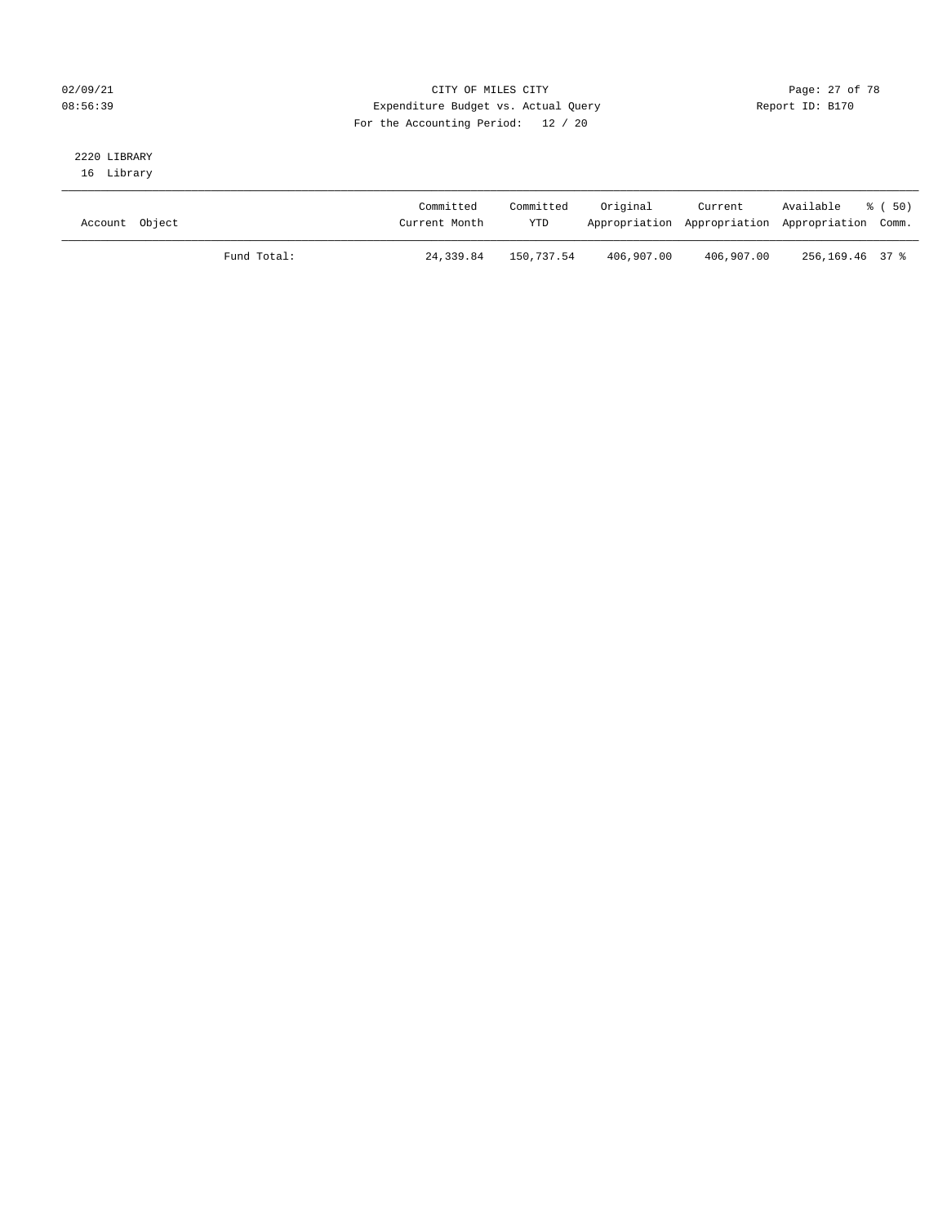#### 02/09/21 Page: 27 of 78 08:56:39 Expenditure Budget vs. Actual Query Report ID: B170 For the Accounting Period: 12 / 20

## 2220 LIBRARY

16 Library

| Account Object |             | Committed<br>Current Month | Committed<br><b>YTD</b> | Original   | Current<br>Appropriation Appropriation Appropriation Comm. | Available % (50) |  |
|----------------|-------------|----------------------------|-------------------------|------------|------------------------------------------------------------|------------------|--|
|                | Fund Total: | 24,339.84                  | 150,737.54              | 406,907.00 | 406,907.00                                                 | 256,169.46 37 %  |  |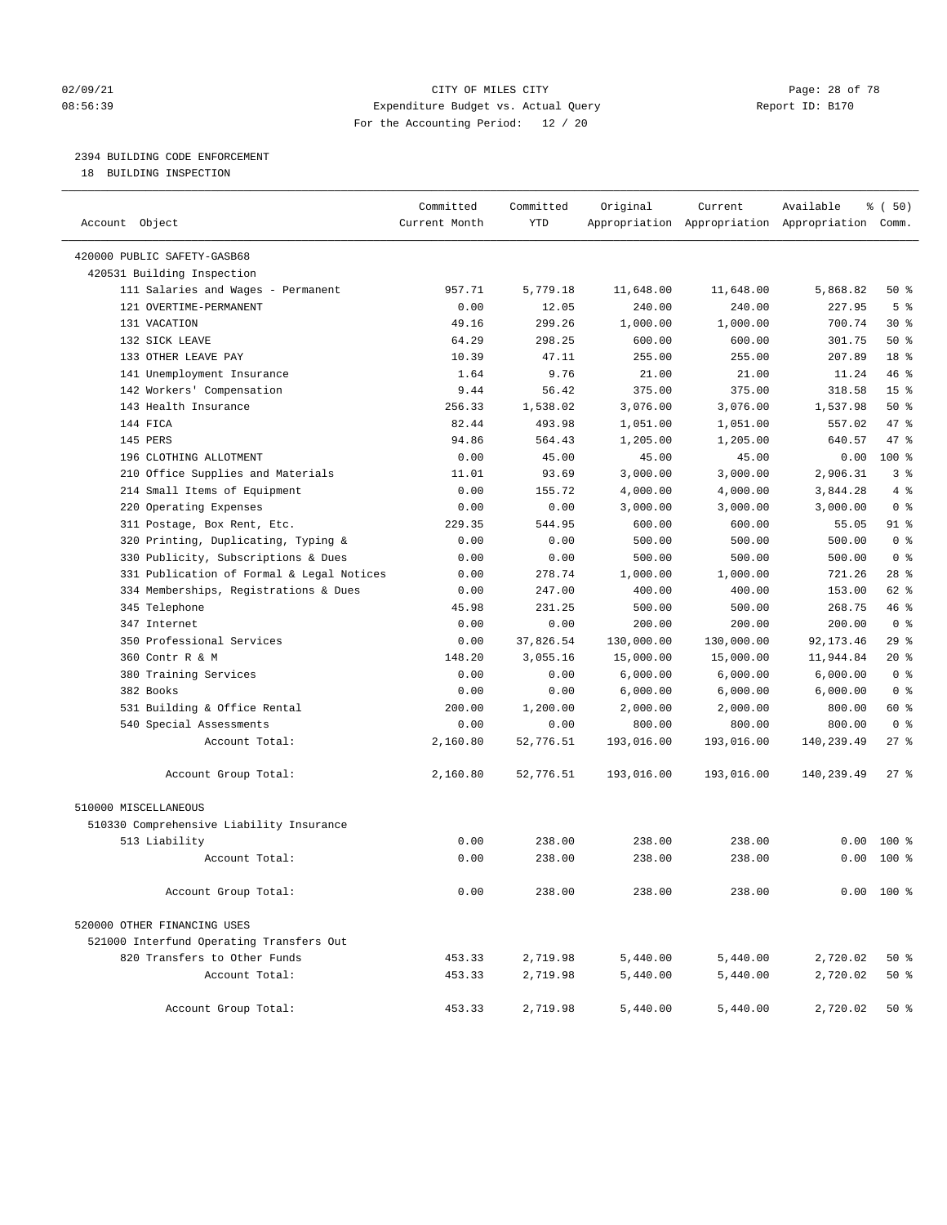#### 02/09/21 **Page: 28 of 78** CITY OF MILES CITY **Page: 28 of 78** 08:56:39 Expenditure Budget vs. Actual Query Report ID: B170 For the Accounting Period: 12 / 20

————————————————————————————————————————————————————————————————————————————————————————————————————————————————————————————————————

#### 2394 BUILDING CODE ENFORCEMENT

18 BUILDING INSPECTION

|                                           | Committed     | Committed  | Original   | Current    | Available                                       | % ( 50)         |  |
|-------------------------------------------|---------------|------------|------------|------------|-------------------------------------------------|-----------------|--|
| Account Object                            | Current Month | <b>YTD</b> |            |            | Appropriation Appropriation Appropriation Comm. |                 |  |
| 420000 PUBLIC SAFETY-GASB68               |               |            |            |            |                                                 |                 |  |
| 420531 Building Inspection                |               |            |            |            |                                                 |                 |  |
| 111 Salaries and Wages - Permanent        | 957.71        | 5,779.18   | 11,648.00  | 11,648.00  | 5,868.82                                        | 50%             |  |
| 121 OVERTIME-PERMANENT                    | 0.00          | 12.05      | 240.00     | 240.00     | 227.95                                          | 5 <sup>8</sup>  |  |
| 131 VACATION                              | 49.16         | 299.26     | 1,000.00   | 1,000.00   | 700.74                                          | $30*$           |  |
| 132 SICK LEAVE                            | 64.29         | 298.25     | 600.00     | 600.00     | 301.75                                          | 50%             |  |
| 133 OTHER LEAVE PAY                       | 10.39         | 47.11      | 255.00     | 255.00     | 207.89                                          | 18 <sup>°</sup> |  |
| 141 Unemployment Insurance                | 1.64          | 9.76       | 21.00      | 21.00      | 11.24                                           | 46 %            |  |
| 142 Workers' Compensation                 | 9.44          | 56.42      | 375.00     | 375.00     | 318.58                                          | 15 <sup>°</sup> |  |
| 143 Health Insurance                      | 256.33        | 1,538.02   | 3,076.00   | 3,076.00   | 1,537.98                                        | 50%             |  |
| 144 FICA                                  | 82.44         | 493.98     | 1,051.00   | 1,051.00   | 557.02                                          | 47 %            |  |
| 145 PERS                                  | 94.86         | 564.43     | 1,205.00   | 1,205.00   | 640.57                                          | 47 %            |  |
| 196 CLOTHING ALLOTMENT                    | 0.00          | 45.00      | 45.00      | 45.00      | 0.00                                            | 100%            |  |
| 210 Office Supplies and Materials         | 11.01         | 93.69      | 3,000.00   | 3,000.00   | 2,906.31                                        | 3%              |  |
| 214 Small Items of Equipment              | 0.00          | 155.72     | 4,000.00   | 4,000.00   | 3,844.28                                        | 4%              |  |
| 220 Operating Expenses                    | 0.00          | 0.00       | 3,000.00   | 3,000.00   | 3,000.00                                        | 0 <sup>8</sup>  |  |
| 311 Postage, Box Rent, Etc.               | 229.35        | 544.95     | 600.00     | 600.00     | 55.05                                           | 91 %            |  |
| 320 Printing, Duplicating, Typing &       | 0.00          | 0.00       | 500.00     | 500.00     | 500.00                                          | 0 <sup>8</sup>  |  |
| 330 Publicity, Subscriptions & Dues       | 0.00          | 0.00       | 500.00     | 500.00     | 500.00                                          | 0 <sup>8</sup>  |  |
| 331 Publication of Formal & Legal Notices | 0.00          | 278.74     | 1,000.00   | 1,000.00   | 721.26                                          | $28$ %          |  |
| 334 Memberships, Registrations & Dues     | 0.00          | 247.00     | 400.00     | 400.00     | 153.00                                          | 62 %            |  |
| 345 Telephone                             | 45.98         | 231.25     | 500.00     | 500.00     | 268.75                                          | 46 %            |  |
| 347 Internet                              | 0.00          | 0.00       | 200.00     | 200.00     | 200.00                                          | 0 <sup>8</sup>  |  |
| 350 Professional Services                 | 0.00          | 37,826.54  | 130,000.00 | 130,000.00 | 92,173.46                                       | $29$ %          |  |
| 360 Contr R & M                           | 148.20        | 3,055.16   | 15,000.00  | 15,000.00  | 11,944.84                                       | $20*$           |  |
| 380 Training Services                     | 0.00          | 0.00       | 6,000.00   | 6,000.00   | 6,000.00                                        | 0 <sup>8</sup>  |  |
| 382 Books                                 | 0.00          | 0.00       | 6,000.00   | 6,000.00   | 6,000.00                                        | 0 <sup>8</sup>  |  |
| 531 Building & Office Rental              | 200.00        | 1,200.00   | 2,000.00   | 2,000.00   | 800.00                                          | 60 %            |  |
| 540 Special Assessments                   | 0.00          | 0.00       | 800.00     | 800.00     | 800.00                                          | 0 <sup>8</sup>  |  |
| Account Total:                            | 2,160.80      | 52,776.51  | 193,016.00 | 193,016.00 | 140,239.49                                      | $27$ %          |  |
| Account Group Total:                      | 2,160.80      | 52,776.51  | 193,016.00 | 193,016.00 | 140,239.49                                      | $27$ %          |  |
| 510000 MISCELLANEOUS                      |               |            |            |            |                                                 |                 |  |
| 510330 Comprehensive Liability Insurance  |               |            |            |            |                                                 |                 |  |
| 513 Liability                             | 0.00          | 238.00     | 238.00     | 238.00     | 0.00                                            | $100*$          |  |
| Account Total:                            | 0.00          | 238.00     | 238.00     | 238.00     |                                                 | $0.00$ 100 %    |  |
| Account Group Total:                      | 0.00          | 238.00     | 238.00     | 238.00     |                                                 | $0.00$ 100 %    |  |
| 520000 OTHER FINANCING USES               |               |            |            |            |                                                 |                 |  |
| 521000 Interfund Operating Transfers Out  |               |            |            |            |                                                 |                 |  |
| 820 Transfers to Other Funds              | 453.33        | 2,719.98   | 5,440.00   | 5,440.00   | 2,720.02                                        | 50%             |  |
| Account Total:                            | 453.33        | 2,719.98   | 5,440.00   | 5,440.00   | 2,720.02                                        | 50%             |  |
| Account Group Total:                      | 453.33        | 2,719.98   | 5,440.00   | 5,440.00   | 2,720.02                                        | 50%             |  |
|                                           |               |            |            |            |                                                 |                 |  |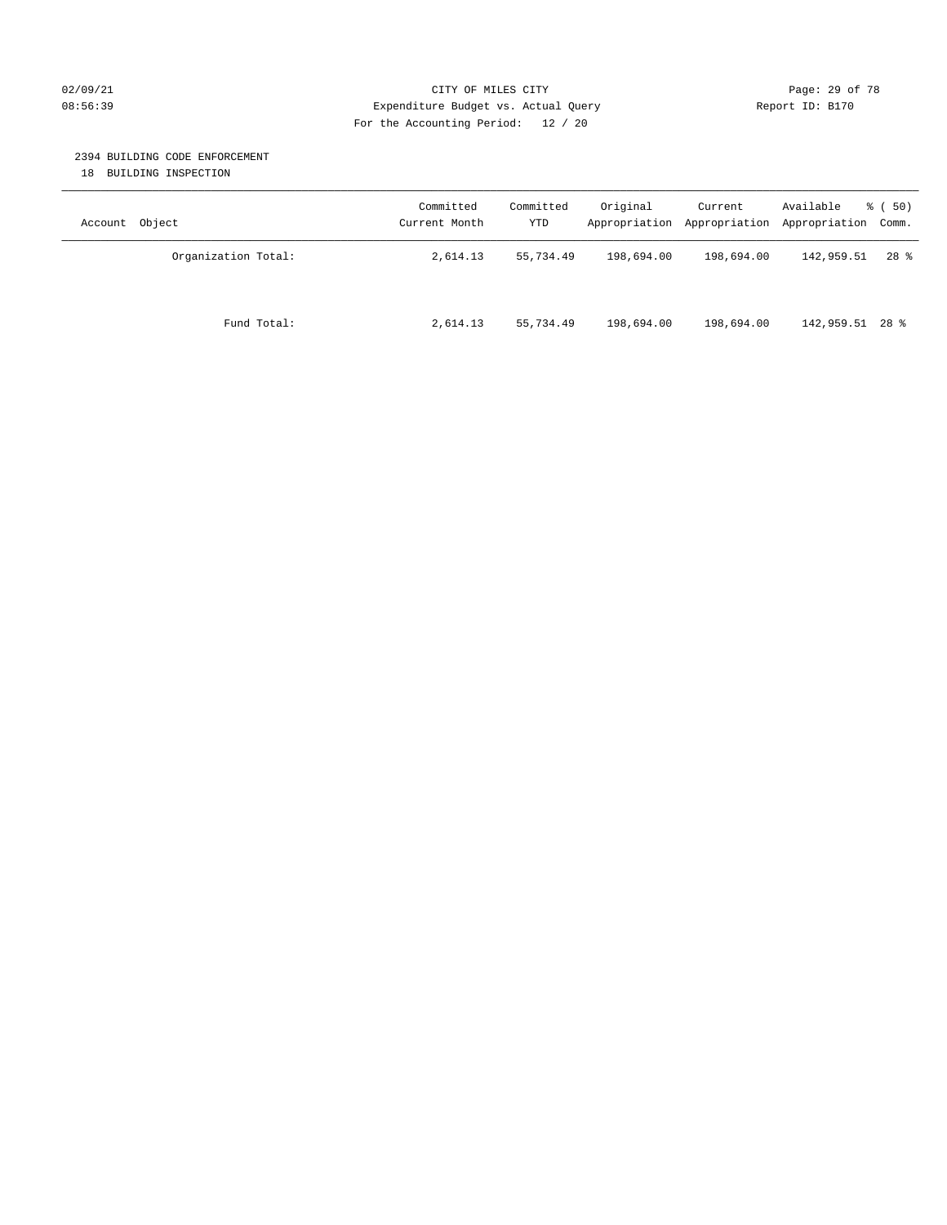#### 02/09/21 **Page: 29 of 78** CITY OF MILES CITY **Page: 29 of 78** 08:56:39 Expenditure Budget vs. Actual Query Report ID: B170 For the Accounting Period: 12 / 20

#### 2394 BUILDING CODE ENFORCEMENT

18 BUILDING INSPECTION

| Account Object      | Committed<br>Current Month | Committed<br>YTD | Original   | Current<br>Appropriation Appropriation | Available<br>Appropriation Comm. | 8 ( 50)  |
|---------------------|----------------------------|------------------|------------|----------------------------------------|----------------------------------|----------|
| Organization Total: | 2,614.13                   | 55,734.49        | 198,694.00 | 198,694.00                             | 142,959.51                       | $28$ $%$ |
| Fund Total:         | 2,614.13                   | 55,734.49        | 198,694.00 | 198,694.00                             | 142,959.51 28 %                  |          |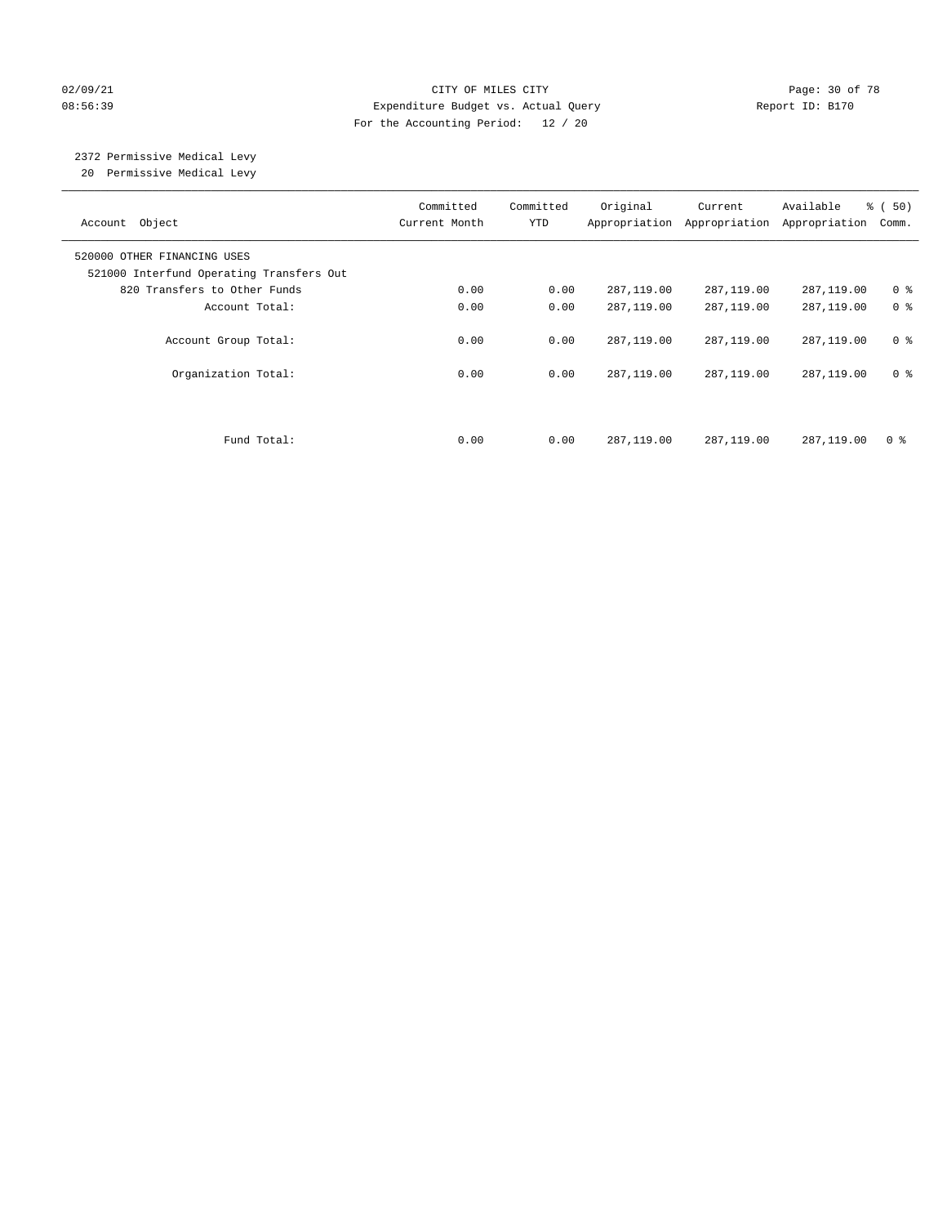#### 02/09/21 **Page: 30 of 78** CITY OF MILES CITY **Page: 30 of 78** 08:56:39 Expenditure Budget vs. Actual Query Report ID: B170 For the Accounting Period: 12 / 20

# 2372 Permissive Medical Levy

20 Permissive Medical Levy

| Account Object                                                          | Committed<br>Current Month | Committed<br><b>YTD</b> | Original   | Current<br>Appropriation Appropriation | Available<br>Appropriation | % ( 50 )<br>Comm. |
|-------------------------------------------------------------------------|----------------------------|-------------------------|------------|----------------------------------------|----------------------------|-------------------|
| 520000 OTHER FINANCING USES<br>521000 Interfund Operating Transfers Out |                            |                         |            |                                        |                            |                   |
| 820 Transfers to Other Funds                                            | 0.00                       | 0.00                    | 287,119.00 | 287,119.00                             | 287,119.00                 | 0 <sup>8</sup>    |
| Account Total:                                                          | 0.00                       | 0.00                    | 287,119.00 | 287,119.00                             | 287,119.00                 | 0 <sup>8</sup>    |
| Account Group Total:                                                    | 0.00                       | 0.00                    | 287,119.00 | 287,119.00                             | 287,119.00                 | 0 <sup>8</sup>    |
| Organization Total:                                                     | 0.00                       | 0.00                    | 287,119.00 | 287,119.00                             | 287,119.00                 | 0 <sup>8</sup>    |
|                                                                         |                            |                         |            |                                        |                            |                   |
| Fund Total:                                                             | 0.00                       | 0.00                    | 287,119.00 | 287,119.00                             | 287,119.00                 | 0 %               |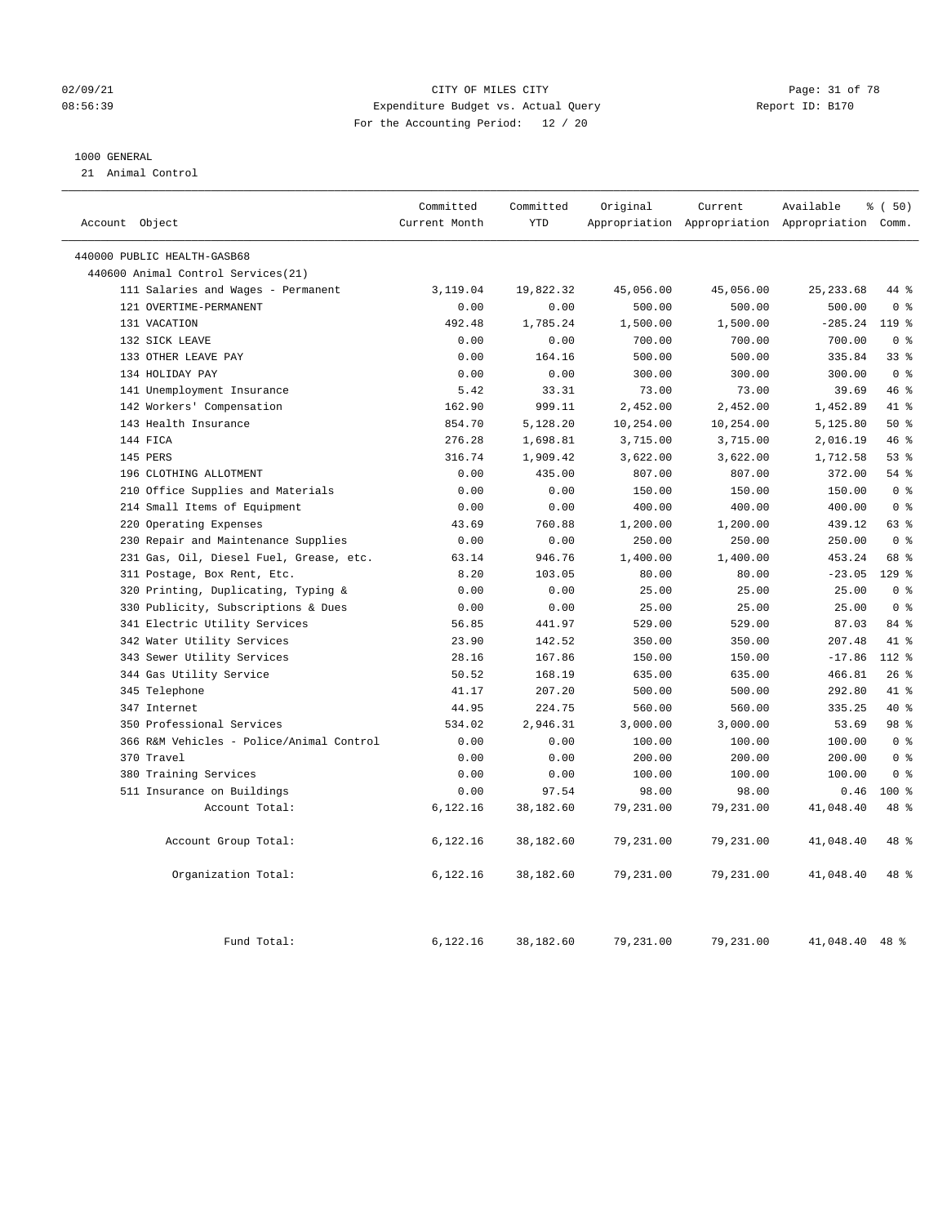#### 02/09/21 Page: 31 of 78 CITY OF MILES CITY CHEMIC PAGE: 31 of 78 08:56:39 Expenditure Budget vs. Actual Query Report ID: B170 For the Accounting Period: 12 / 20

#### 1000 GENERAL

21 Animal Control

| Account Object              |                                          | Committed<br>Current Month | Committed<br><b>YTD</b> | Original  | Current   | Available<br>Appropriation Appropriation Appropriation Comm. | % (50)         |
|-----------------------------|------------------------------------------|----------------------------|-------------------------|-----------|-----------|--------------------------------------------------------------|----------------|
| 440000 PUBLIC HEALTH-GASB68 |                                          |                            |                         |           |           |                                                              |                |
|                             | 440600 Animal Control Services (21)      |                            |                         |           |           |                                                              |                |
|                             | 111 Salaries and Wages - Permanent       | 3,119.04                   | 19,822.32               | 45,056.00 | 45,056.00 | 25, 233.68                                                   | 44 %           |
|                             | 121 OVERTIME-PERMANENT                   | 0.00                       | 0.00                    | 500.00    | 500.00    | 500.00                                                       | 0 <sup>8</sup> |
| 131 VACATION                |                                          | 492.48                     | 1,785.24                | 1,500.00  | 1,500.00  | $-285.24$                                                    | 119.8          |
| 132 SICK LEAVE              |                                          | 0.00                       | 0.00                    | 700.00    | 700.00    | 700.00                                                       | 0 <sup>8</sup> |
| 133 OTHER LEAVE PAY         |                                          | 0.00                       | 164.16                  | 500.00    | 500.00    | 335.84                                                       | 33%            |
| 134 HOLIDAY PAY             |                                          | 0.00                       | 0.00                    | 300.00    | 300.00    | 300.00                                                       | 0 <sup>8</sup> |
|                             | 141 Unemployment Insurance               | 5.42                       | 33.31                   | 73.00     | 73.00     | 39.69                                                        | 46 %           |
|                             | 142 Workers' Compensation                | 162.90                     | 999.11                  | 2,452.00  | 2,452.00  | 1,452.89                                                     | 41 %           |
| 143 Health Insurance        |                                          | 854.70                     | 5,128.20                | 10,254.00 | 10,254.00 | 5,125.80                                                     | 50%            |
| 144 FICA                    |                                          | 276.28                     | 1,698.81                | 3,715.00  | 3,715.00  | 2,016.19                                                     | 46%            |
| 145 PERS                    |                                          | 316.74                     | 1,909.42                | 3,622.00  | 3,622.00  | 1,712.58                                                     | 53%            |
|                             | 196 CLOTHING ALLOTMENT                   | 0.00                       | 435.00                  | 807.00    | 807.00    | 372.00                                                       | 54%            |
|                             | 210 Office Supplies and Materials        | 0.00                       | 0.00                    | 150.00    | 150.00    | 150.00                                                       | 0 <sup>8</sup> |
|                             | 214 Small Items of Equipment             | 0.00                       | 0.00                    | 400.00    | 400.00    | 400.00                                                       | 0 <sup>8</sup> |
|                             | 220 Operating Expenses                   | 43.69                      | 760.88                  | 1,200.00  | 1,200.00  | 439.12                                                       | 63 %           |
|                             | 230 Repair and Maintenance Supplies      | 0.00                       | 0.00                    | 250.00    | 250.00    | 250.00                                                       | 0 <sup>8</sup> |
|                             | 231 Gas, Oil, Diesel Fuel, Grease, etc.  | 63.14                      | 946.76                  | 1,400.00  | 1,400.00  | 453.24                                                       | 68 %           |
|                             | 311 Postage, Box Rent, Etc.              | 8.20                       | 103.05                  | 80.00     | 80.00     | $-23.05$                                                     | $129$ %        |
|                             | 320 Printing, Duplicating, Typing &      | 0.00                       | 0.00                    | 25.00     | 25.00     | 25.00                                                        | 0 <sup>8</sup> |
|                             | 330 Publicity, Subscriptions & Dues      | 0.00                       | 0.00                    | 25.00     | 25.00     | 25.00                                                        | 0 <sup>8</sup> |
|                             | 341 Electric Utility Services            | 56.85                      | 441.97                  | 529.00    | 529.00    | 87.03                                                        | 84 %           |
|                             | 342 Water Utility Services               | 23.90                      | 142.52                  | 350.00    | 350.00    | 207.48                                                       | 41 %           |
|                             | 343 Sewer Utility Services               | 28.16                      | 167.86                  | 150.00    | 150.00    | $-17.86$                                                     | 112 %          |
|                             | 344 Gas Utility Service                  | 50.52                      | 168.19                  | 635.00    | 635.00    | 466.81                                                       | 26%            |
| 345 Telephone               |                                          | 41.17                      | 207.20                  | 500.00    | 500.00    | 292.80                                                       | 41.8           |
| 347 Internet                |                                          | 44.95                      | 224.75                  | 560.00    | 560.00    | 335.25                                                       | 40 %           |
|                             | 350 Professional Services                | 534.02                     | 2,946.31                | 3,000.00  | 3,000.00  | 53.69                                                        | 98 %           |
|                             | 366 R&M Vehicles - Police/Animal Control | 0.00                       | 0.00                    | 100.00    | 100.00    | 100.00                                                       | 0 <sup>8</sup> |
| 370 Travel                  |                                          | 0.00                       | 0.00                    | 200.00    | 200.00    | 200.00                                                       | 0 <sup>8</sup> |
|                             | 380 Training Services                    | 0.00                       | 0.00                    | 100.00    | 100.00    | 100.00                                                       | 0 <sup>8</sup> |
|                             | 511 Insurance on Buildings               | 0.00                       | 97.54                   | 98.00     | 98.00     | 0.46                                                         | 100 %          |
|                             | Account Total:                           | 6,122.16                   | 38,182.60               | 79,231.00 | 79,231.00 | 41,048.40                                                    | 48 %           |
|                             | Account Group Total:                     | 6,122.16                   | 38,182.60               | 79,231.00 | 79,231.00 | 41,048.40                                                    | 48 %           |
|                             | Organization Total:                      | 6,122.16                   | 38,182.60               | 79,231.00 | 79,231.00 | 41,048.40                                                    | 48 %           |
|                             | Fund Total:                              | 6,122.16                   | 38,182.60               | 79,231.00 | 79,231.00 | 41,048.40                                                    | $48$ %         |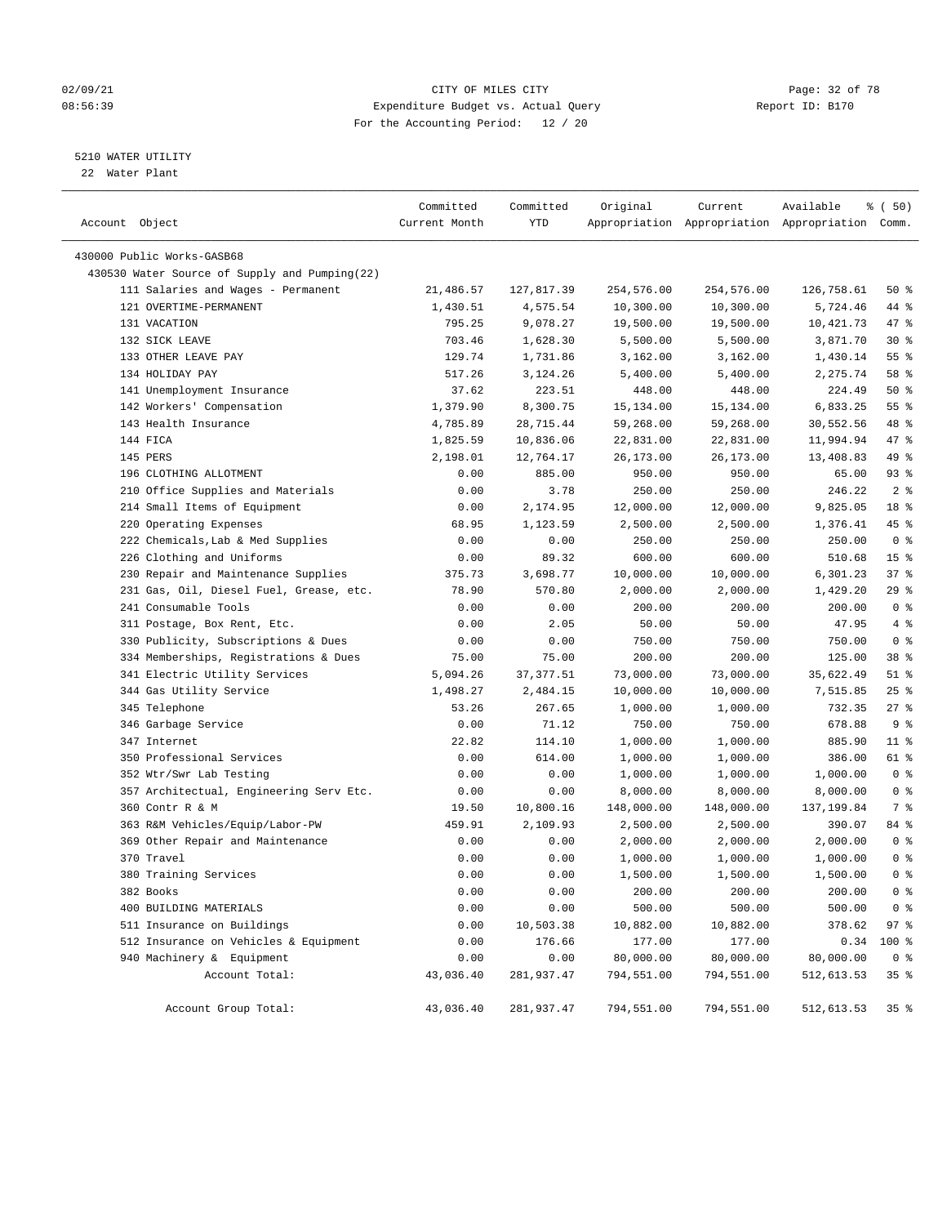#### 02/09/21 **CITY OF MILES CITY CITY CITY Page: 32 of 78** 08:56:39 Expenditure Budget vs. Actual Query Report ID: B170 For the Accounting Period: 12 / 20

————————————————————————————————————————————————————————————————————————————————————————————————————————————————————————————————————

#### 5210 WATER UTILITY

22 Water Plant

|                                               | Committed     | Committed  | Original   | Current    | Available                                       | 8 ( 50)         |
|-----------------------------------------------|---------------|------------|------------|------------|-------------------------------------------------|-----------------|
| Account Object                                | Current Month | YTD        |            |            | Appropriation Appropriation Appropriation Comm. |                 |
| 430000 Public Works-GASB68                    |               |            |            |            |                                                 |                 |
| 430530 Water Source of Supply and Pumping(22) |               |            |            |            |                                                 |                 |
| 111 Salaries and Wages - Permanent            | 21,486.57     | 127,817.39 | 254,576.00 | 254,576.00 | 126,758.61                                      | 50%             |
| 121 OVERTIME-PERMANENT                        | 1,430.51      | 4,575.54   | 10,300.00  | 10,300.00  | 5,724.46                                        | 44 %            |
| 131 VACATION                                  | 795.25        | 9,078.27   | 19,500.00  | 19,500.00  | 10,421.73                                       | 47 %            |
| 132 SICK LEAVE                                | 703.46        | 1,628.30   | 5,500.00   | 5,500.00   | 3,871.70                                        | $30*$           |
| 133 OTHER LEAVE PAY                           | 129.74        | 1,731.86   | 3,162.00   | 3,162.00   | 1,430.14                                        | 55 %            |
| 134 HOLIDAY PAY                               | 517.26        | 3,124.26   | 5,400.00   | 5,400.00   | 2,275.74                                        | 58 %            |
| 141 Unemployment Insurance                    | 37.62         | 223.51     | 448.00     | 448.00     | 224.49                                          | 50%             |
| 142 Workers' Compensation                     | 1,379.90      | 8,300.75   | 15,134.00  | 15,134.00  | 6,833.25                                        | $55$ $%$        |
| 143 Health Insurance                          | 4,785.89      | 28,715.44  | 59,268.00  | 59,268.00  | 30,552.56                                       | 48 %            |
| 144 FICA                                      | 1,825.59      | 10,836.06  | 22,831.00  | 22,831.00  | 11,994.94                                       | 47 %            |
| 145 PERS                                      | 2,198.01      | 12,764.17  | 26,173.00  | 26,173.00  | 13,408.83                                       | 49 %            |
| 196 CLOTHING ALLOTMENT                        | 0.00          | 885.00     | 950.00     | 950.00     | 65.00                                           | 93%             |
| 210 Office Supplies and Materials             | 0.00          | 3.78       | 250.00     | 250.00     | 246.22                                          | 2 <sup>8</sup>  |
| 214 Small Items of Equipment                  | 0.00          | 2,174.95   | 12,000.00  | 12,000.00  | 9,825.05                                        | 18 <sup>8</sup> |
| 220 Operating Expenses                        | 68.95         | 1,123.59   | 2,500.00   | 2,500.00   | 1,376.41                                        | 45 %            |
| 222 Chemicals, Lab & Med Supplies             | 0.00          | 0.00       | 250.00     | 250.00     | 250.00                                          | 0 <sup>8</sup>  |
| 226 Clothing and Uniforms                     | 0.00          | 89.32      | 600.00     | 600.00     | 510.68                                          | 15 <sup>8</sup> |
| 230 Repair and Maintenance Supplies           | 375.73        | 3,698.77   | 10,000.00  | 10,000.00  | 6,301.23                                        | 37%             |
| 231 Gas, Oil, Diesel Fuel, Grease, etc.       | 78.90         | 570.80     | 2,000.00   | 2,000.00   | 1,429.20                                        | $29$ %          |
| 241 Consumable Tools                          | 0.00          | 0.00       | 200.00     | 200.00     | 200.00                                          | 0 <sup>8</sup>  |
| 311 Postage, Box Rent, Etc.                   | 0.00          | 2.05       | 50.00      | 50.00      | 47.95                                           | 4%              |
| 330 Publicity, Subscriptions & Dues           | 0.00          | 0.00       | 750.00     | 750.00     | 750.00                                          | 0 <sup>8</sup>  |
| 334 Memberships, Registrations & Dues         | 75.00         | 75.00      | 200.00     | 200.00     | 125.00                                          | 38 <sup>8</sup> |
| 341 Electric Utility Services                 | 5,094.26      | 37, 377.51 | 73,000.00  | 73,000.00  | 35,622.49                                       | 51 %            |
| 344 Gas Utility Service                       | 1,498.27      | 2,484.15   | 10,000.00  | 10,000.00  | 7,515.85                                        | $25$ %          |
| 345 Telephone                                 | 53.26         | 267.65     | 1,000.00   | 1,000.00   | 732.35                                          | $27$ %          |
| 346 Garbage Service                           | 0.00          | 71.12      | 750.00     | 750.00     | 678.88                                          | 9%              |
| 347 Internet                                  | 22.82         | 114.10     | 1,000.00   | 1,000.00   | 885.90                                          | $11$ %          |
| 350 Professional Services                     | 0.00          | 614.00     | 1,000.00   | 1,000.00   | 386.00                                          | 61 %            |
| 352 Wtr/Swr Lab Testing                       | 0.00          | 0.00       | 1,000.00   | 1,000.00   | 1,000.00                                        | 0 <sup>8</sup>  |
| 357 Architectual, Engineering Serv Etc.       | 0.00          | 0.00       | 8,000.00   | 8,000.00   | 8,000.00                                        | 0 <sup>8</sup>  |
| 360 Contr R & M                               | 19.50         | 10,800.16  | 148,000.00 | 148,000.00 | 137,199.84                                      | 7 %             |
| 363 R&M Vehicles/Equip/Labor-PW               | 459.91        | 2,109.93   | 2,500.00   | 2,500.00   | 390.07                                          | 84 %            |
| 369 Other Repair and Maintenance              | 0.00          | 0.00       | 2,000.00   | 2,000.00   | 2,000.00                                        | 0 <sup>8</sup>  |
| 370 Travel                                    | 0.00          | 0.00       | 1,000.00   | 1,000.00   | 1,000.00                                        | 0 <sup>8</sup>  |
| 380 Training Services                         | 0.00          | 0.00       | 1,500.00   | 1,500.00   | 1,500.00                                        | 0 <sup>8</sup>  |
| 382 Books                                     | 0.00          | 0.00       | 200.00     | 200.00     | 200.00                                          | 0 <sup>8</sup>  |
| 400 BUILDING MATERIALS                        | 0.00          | 0.00       | 500.00     | 500.00     | 500.00                                          | 0 <sup>8</sup>  |
| 511 Insurance on Buildings                    | 0.00          | 10,503.38  | 10,882.00  | 10,882.00  | 378.62                                          | 97%             |
| 512 Insurance on Vehicles & Equipment         | 0.00          | 176.66     | 177.00     | 177.00     | 0.34                                            | 100 %           |
| 940 Machinery & Equipment                     | 0.00          | 0.00       | 80,000.00  | 80,000.00  | 80,000.00                                       | 0 <sup>8</sup>  |
| Account Total:                                | 43,036.40     | 281,937.47 | 794,551.00 | 794,551.00 | 512,613.53                                      | 35%             |
| Account Group Total:                          | 43,036.40     | 281,937.47 | 794,551.00 | 794,551.00 | 512,613.53                                      | 35 <sub>8</sub> |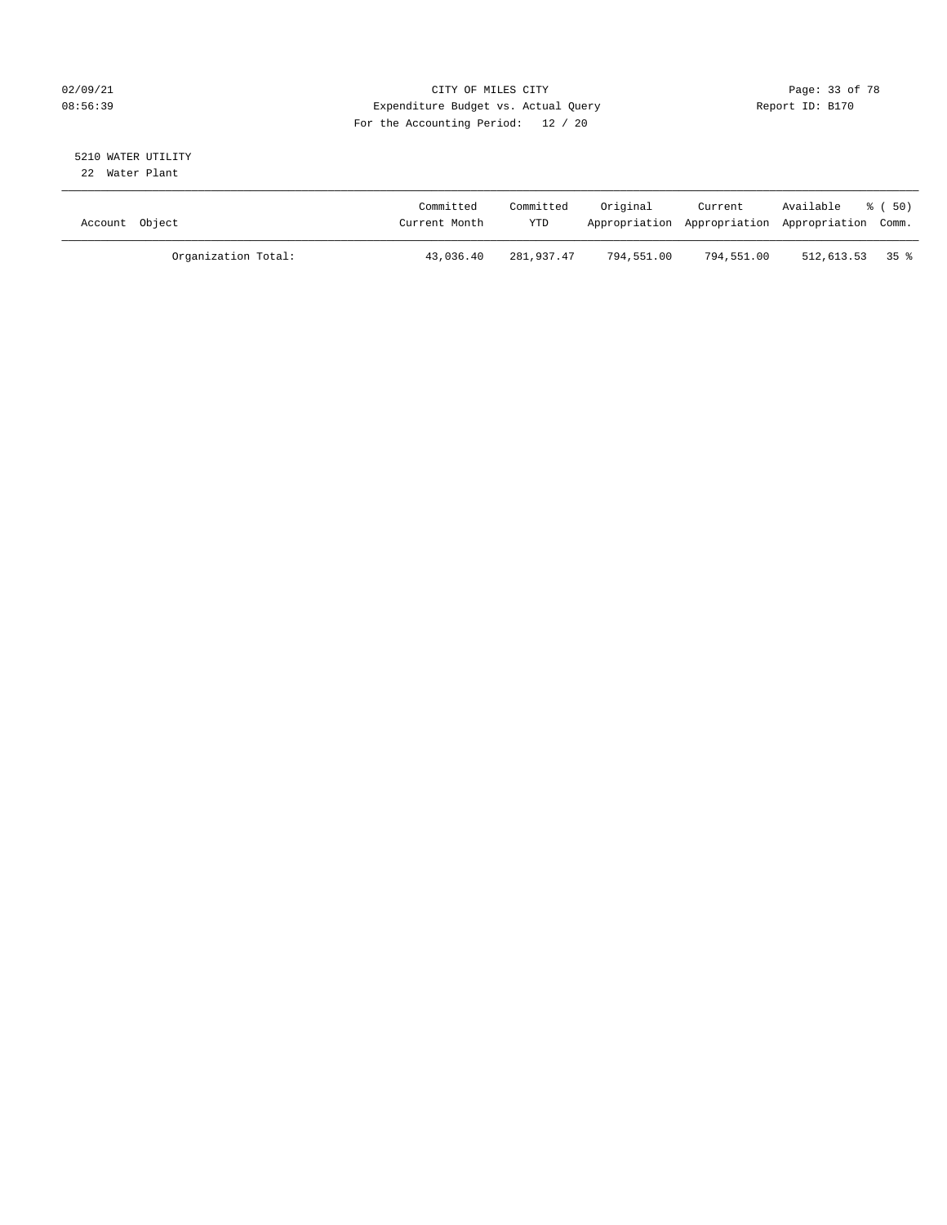#### 02/09/21 **CITY OF MILES CITY CITY CITY Page: 33 of 78** 08:56:39 Expenditure Budget vs. Actual Query Report ID: B170 For the Accounting Period: 12 / 20

#### 5210 WATER UTILITY 22 Water Plant

| Account Object |                     | Committed<br>Current Month | Committed<br>YTD | Original   | Current    | Available<br>Appropriation Appropriation Appropriation Comm. | - 8 ( 50) |
|----------------|---------------------|----------------------------|------------------|------------|------------|--------------------------------------------------------------|-----------|
|                | Organization Total: | 43,036.40                  | 281,937.47       | 794,551.00 | 794,551.00 | $512,613.53$ 35 %                                            |           |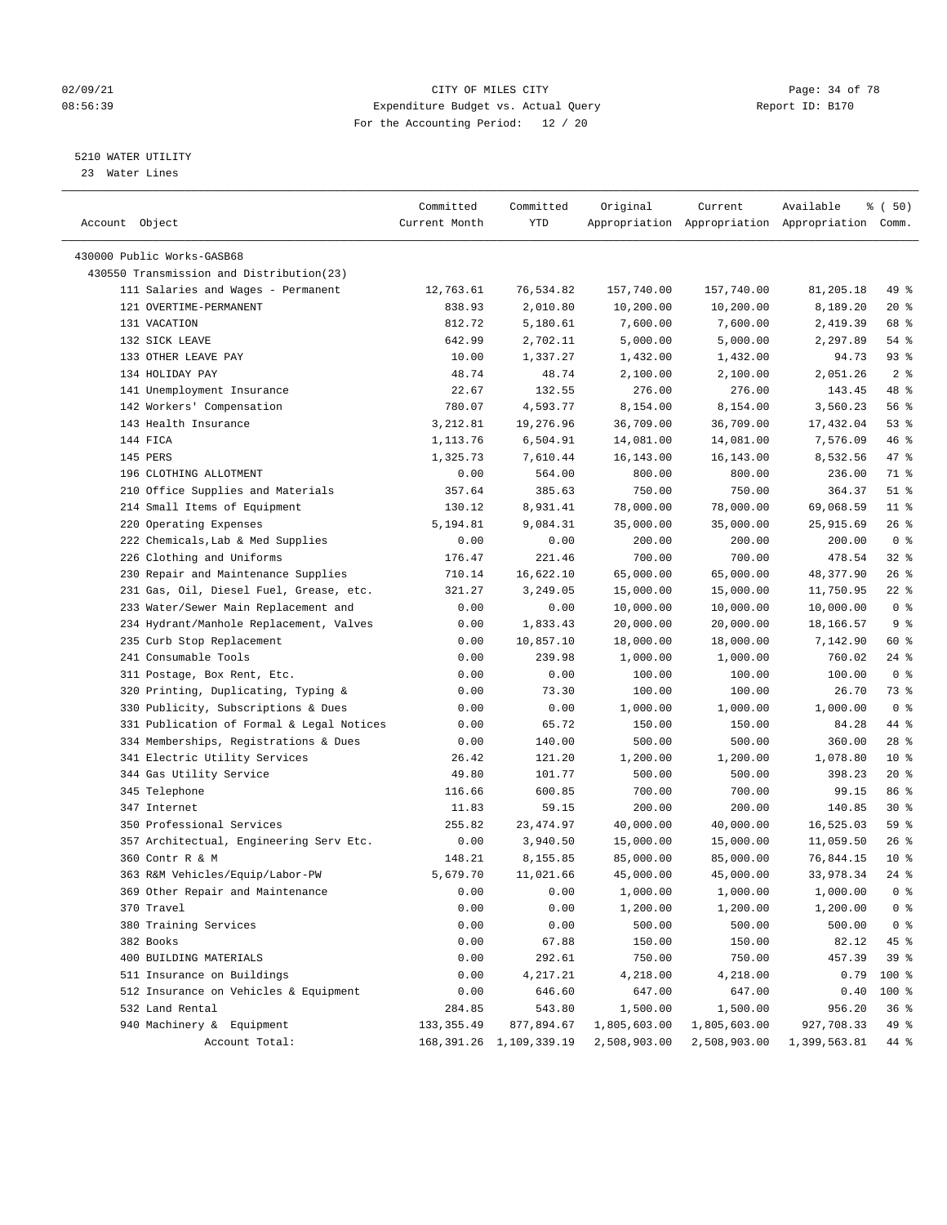#### 02/09/21 Page: 34 of 78 08:56:39 Expenditure Budget vs. Actual Query Report ID: B170 For the Accounting Period: 12 / 20

————————————————————————————————————————————————————————————————————————————————————————————————————————————————————————————————————

#### 5210 WATER UTILITY

23 Water Lines

|                                           | Committed     | Committed                    | Original           | Current               | Available                                       | % (50)         |
|-------------------------------------------|---------------|------------------------------|--------------------|-----------------------|-------------------------------------------------|----------------|
| Account Object                            | Current Month | YTD                          |                    |                       | Appropriation Appropriation Appropriation Comm. |                |
|                                           |               |                              |                    |                       |                                                 |                |
| 430000 Public Works-GASB68                |               |                              |                    |                       |                                                 |                |
| 430550 Transmission and Distribution(23)  |               |                              |                    |                       |                                                 |                |
| 111 Salaries and Wages - Permanent        | 12,763.61     | 76,534.82                    | 157,740.00         | 157,740.00            | 81,205.18                                       | 49 %           |
| 121 OVERTIME-PERMANENT                    | 838.93        | 2,010.80                     | 10,200.00          | 10,200.00             | 8,189.20                                        | $20*$          |
| 131 VACATION                              | 812.72        | 5,180.61                     | 7,600.00           | 7,600.00              | 2,419.39                                        | 68 %           |
| 132 SICK LEAVE                            | 642.99        | 2,702.11                     | 5,000.00           | 5,000.00              | 2,297.89                                        | $54$ %         |
| 133 OTHER LEAVE PAY                       | 10.00         | 1,337.27                     | 1,432.00           | 1,432.00              | 94.73                                           | 93%            |
| 134 HOLIDAY PAY                           | 48.74         | 48.74                        | 2,100.00           | 2,100.00              | 2,051.26                                        | 2 <sup>8</sup> |
| 141 Unemployment Insurance                | 22.67         | 132.55                       | 276.00             | 276.00                | 143.45                                          | 48 %           |
| 142 Workers' Compensation                 | 780.07        | 4,593.77                     | 8,154.00           | 8,154.00              | 3,560.23                                        | 56%            |
| 143 Health Insurance                      | 3,212.81      | 19,276.96                    | 36,709.00          | 36,709.00             | 17,432.04                                       | 53%            |
| 144 FICA                                  | 1,113.76      | 6,504.91                     | 14,081.00          | 14,081.00             | 7,576.09                                        | 46 %           |
| 145 PERS                                  | 1,325.73      | 7,610.44                     | 16,143.00          | 16,143.00             | 8,532.56                                        | 47 %           |
| 196 CLOTHING ALLOTMENT                    | 0.00          | 564.00                       | 800.00             | 800.00                | 236.00                                          | 71 %           |
| 210 Office Supplies and Materials         | 357.64        | 385.63                       | 750.00             | 750.00                | 364.37                                          | $51$ %         |
| 214 Small Items of Equipment              | 130.12        | 8,931.41                     | 78,000.00          | 78,000.00             | 69,068.59                                       | $11$ %         |
| 220 Operating Expenses                    | 5,194.81      | 9,084.31                     | 35,000.00          | 35,000.00             | 25,915.69                                       | $26$ %         |
| 222 Chemicals, Lab & Med Supplies         | 0.00          | 0.00                         | 200.00             | 200.00                | 200.00                                          | 0 <sup>8</sup> |
| 226 Clothing and Uniforms                 | 176.47        | 221.46                       | 700.00             | 700.00                | 478.54                                          | $32$ $%$       |
| 230 Repair and Maintenance Supplies       | 710.14        | 16,622.10                    | 65,000.00          | 65,000.00             | 48,377.90                                       | $26$ %         |
| 231 Gas, Oil, Diesel Fuel, Grease, etc.   | 321.27        | 3,249.05                     | 15,000.00          | 15,000.00             | 11,750.95                                       | $22$ %         |
| 233 Water/Sewer Main Replacement and      | 0.00          | 0.00                         | 10,000.00          | 10,000.00             | 10,000.00                                       | 0 <sup>8</sup> |
| 234 Hydrant/Manhole Replacement, Valves   | 0.00          | 1,833.43                     | 20,000.00          | 20,000.00             | 18,166.57                                       | 9%             |
| 235 Curb Stop Replacement                 | 0.00          | 10,857.10                    | 18,000.00          | 18,000.00             | 7,142.90                                        | 60 %           |
| 241 Consumable Tools                      | 0.00          | 239.98                       | 1,000.00           | 1,000.00              | 760.02                                          | $24$ %         |
| 311 Postage, Box Rent, Etc.               | 0.00          | 0.00                         | 100.00             | 100.00                | 100.00                                          | 0 <sup>8</sup> |
| 320 Printing, Duplicating, Typing &       | 0.00          | 73.30                        | 100.00             | 100.00                | 26.70                                           | 73 %           |
| 330 Publicity, Subscriptions & Dues       | 0.00          | 0.00                         | 1,000.00           | 1,000.00              | 1,000.00                                        | 0 <sup>8</sup> |
| 331 Publication of Formal & Legal Notices | 0.00          | 65.72                        | 150.00             | 150.00                | 84.28                                           | 44 %           |
| 334 Memberships, Registrations & Dues     | 0.00          | 140.00                       | 500.00             | 500.00                | 360.00                                          | $28$ %         |
| 341 Electric Utility Services             | 26.42         | 121.20                       | 1,200.00           | 1,200.00              | 1,078.80                                        | $10*$          |
| 344 Gas Utility Service                   | 49.80         | 101.77                       | 500.00             | 500.00                | 398.23                                          | $20*$          |
| 345 Telephone                             | 116.66        | 600.85                       | 700.00             | 700.00                | 99.15                                           | 86 %           |
| 347 Internet                              | 11.83         | 59.15                        | 200.00             | 200.00                | 140.85                                          | $30*$          |
| 350 Professional Services                 | 255.82        | 23, 474.97                   | 40,000.00          | 40,000.00             | 16,525.03                                       | 59 %           |
| 357 Architectual, Engineering Serv Etc.   | 0.00          | 3,940.50                     | 15,000.00          | 15,000.00             | 11,059.50                                       | $26$ %         |
| 360 Contr R & M                           | 148.21        | 8,155.85                     | 85,000.00          | 85,000.00             | 76,844.15                                       | $10*$          |
| 363 R&M Vehicles/Equip/Labor-PW           | 5,679.70      | 11,021.66                    | 45,000.00          |                       | 33,978.34                                       | $24$ %         |
| 369 Other Repair and Maintenance          | 0.00          | 0.00                         | 1,000.00           | 45,000.00<br>1,000.00 | 1,000.00                                        | $0$ %          |
|                                           |               |                              |                    |                       | 1,200.00                                        |                |
| 370 Travel                                | 0.00          | 0.00                         | 1,200.00<br>500.00 | 1,200.00              |                                                 | 0 <sup>8</sup> |
| 380 Training Services                     | 0.00          | 0.00                         |                    | 500.00                | 500.00                                          | 0 <sup>8</sup> |
| 382 Books                                 | 0.00          | 67.88                        | 150.00             | 150.00                | 82.12                                           | 45 %           |
| 400 BUILDING MATERIALS                    | 0.00          | 292.61                       | 750.00             | 750.00                | 457.39                                          | 39 %           |
| 511 Insurance on Buildings                | 0.00          | 4,217.21                     | 4,218.00           | 4,218.00              | 0.79                                            | 100 %          |
| 512 Insurance on Vehicles & Equipment     | 0.00          | 646.60                       | 647.00             | 647.00                | 0.40                                            | 100 %          |
| 532 Land Rental                           | 284.85        | 543.80                       | 1,500.00           | 1,500.00              | 956.20                                          | 36%            |
| 940 Machinery & Equipment                 | 133, 355.49   | 877,894.67                   | 1,805,603.00       | 1,805,603.00          | 927,708.33                                      | 49 %           |
| Account Total:                            |               | 168, 391. 26 1, 109, 339. 19 | 2,508,903.00       | 2,508,903.00          | 1,399,563.81                                    | 44 %           |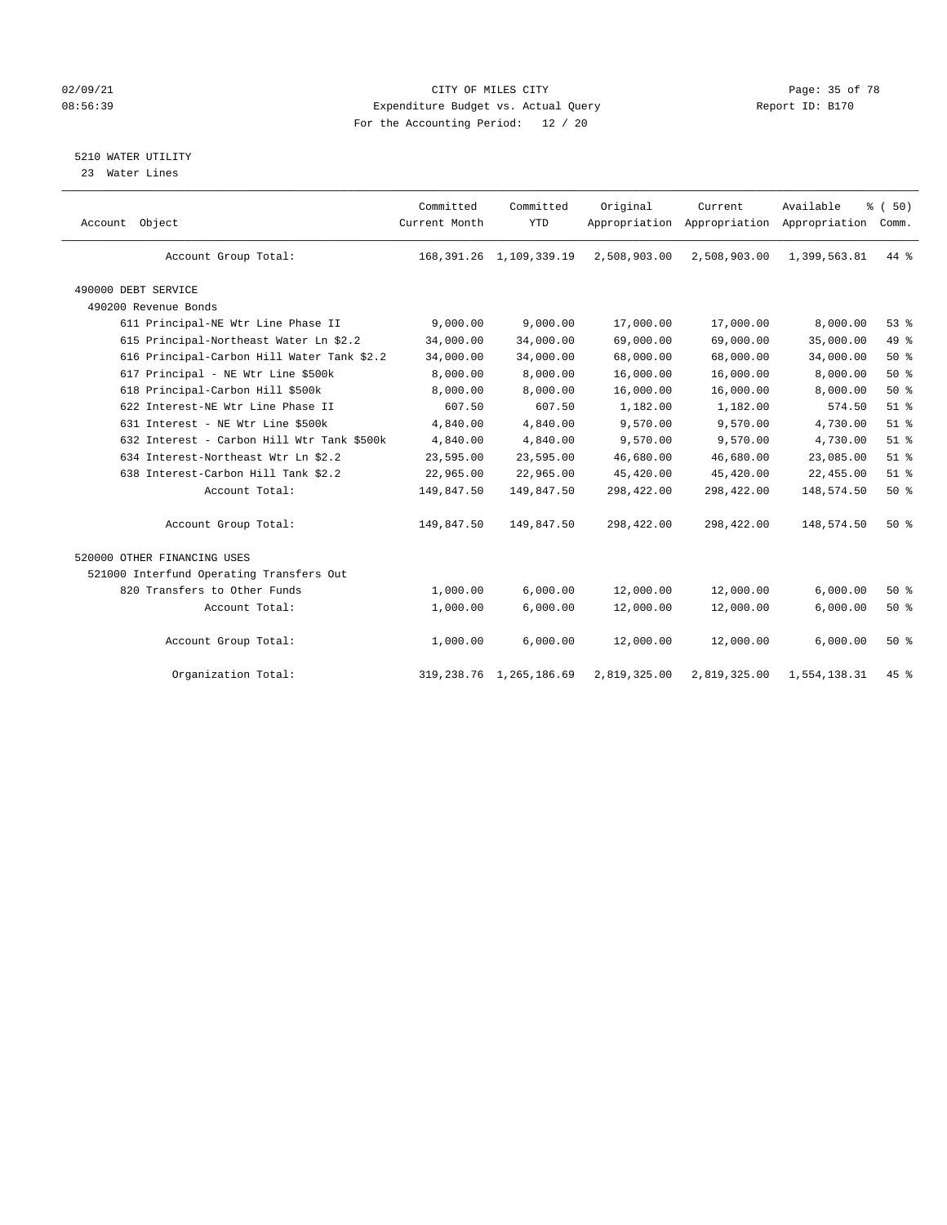#### 02/09/21 **CITY OF MILES CITY CITY CITY Page: 35 of 78** 08:56:39 Expenditure Budget vs. Actual Query Report ID: B170 For the Accounting Period: 12 / 20

#### 5210 WATER UTILITY

23 Water Lines

| Account Object                             | Committed<br>Current Month | Committed<br><b>YTD</b>      | Original     | Current<br>Appropriation Appropriation Appropriation | Available    | % (50)<br>Comm. |  |
|--------------------------------------------|----------------------------|------------------------------|--------------|------------------------------------------------------|--------------|-----------------|--|
| Account Group Total:                       |                            | 168, 391. 26 1, 109, 339. 19 | 2,508,903.00 | 2,508,903.00                                         | 1,399,563.81 | $44*$           |  |
| 490000 DEBT SERVICE                        |                            |                              |              |                                                      |              |                 |  |
| 490200 Revenue Bonds                       |                            |                              |              |                                                      |              |                 |  |
| 611 Principal-NE Wtr Line Phase II         | 9,000.00                   | 9,000.00                     | 17,000.00    | 17,000.00                                            | 8,000.00     | 53%             |  |
| 615 Principal-Northeast Water Ln \$2.2     | 34,000.00                  | 34,000.00                    | 69,000.00    | 69,000.00                                            | 35,000.00    | 49 %            |  |
| 616 Principal-Carbon Hill Water Tank \$2.2 | 34,000.00                  | 34,000.00                    | 68,000.00    | 68,000.00                                            | 34,000.00    | $50*$           |  |
| 617 Principal - NE Wtr Line \$500k         | 8,000.00                   | 8,000.00                     | 16,000.00    | 16,000.00                                            | 8,000.00     | 50%             |  |
| 618 Principal-Carbon Hill \$500k           | 8,000.00                   | 8,000.00                     | 16,000.00    | 16,000.00                                            | 8,000.00     | 50%             |  |
| 622 Interest-NE Wtr Line Phase II          | 607.50                     | 607.50                       | 1,182.00     | 1,182.00                                             | 574.50       | $51$ %          |  |
| 631 Interest - NE Wtr Line \$500k          | 4,840.00                   | 4,840.00                     | 9,570.00     | 9,570.00                                             | 4,730.00     | $51$ %          |  |
| 632 Interest - Carbon Hill Wtr Tank \$500k | 4,840.00                   | 4,840.00                     | 9,570.00     | 9,570.00                                             | 4,730.00     | $51$ %          |  |
| 634 Interest-Northeast Wtr Ln \$2.2        | 23,595.00                  | 23,595.00                    | 46,680.00    | 46,680.00                                            | 23,085.00    | $51$ %          |  |
| 638 Interest-Carbon Hill Tank \$2.2        | 22,965.00                  | 22,965.00                    | 45,420.00    | 45,420.00                                            | 22,455.00    | $51$ %          |  |
| Account Total:                             | 149,847.50                 | 149,847.50                   | 298,422.00   | 298,422.00                                           | 148,574.50   | 50%             |  |
| Account Group Total:                       | 149,847.50                 | 149,847.50                   | 298,422.00   | 298,422.00                                           | 148,574.50   | 50%             |  |
| 520000 OTHER FINANCING USES                |                            |                              |              |                                                      |              |                 |  |
| 521000 Interfund Operating Transfers Out   |                            |                              |              |                                                      |              |                 |  |
| 820 Transfers to Other Funds               | 1,000.00                   | 6,000.00                     | 12,000.00    | 12,000.00                                            | 6,000.00     | 50%             |  |
| Account Total:                             | 1,000.00                   | 6,000.00                     | 12,000.00    | 12,000.00                                            | 6,000.00     | 50%             |  |
| Account Group Total:                       | 1,000.00                   | 6,000.00                     | 12,000.00    | 12,000.00                                            | 6,000.00     | 50%             |  |
| Organization Total:                        | 319,238.76                 | 1,265,186.69                 | 2,819,325.00 | 2,819,325.00                                         | 1,554,138.31 | 45 %            |  |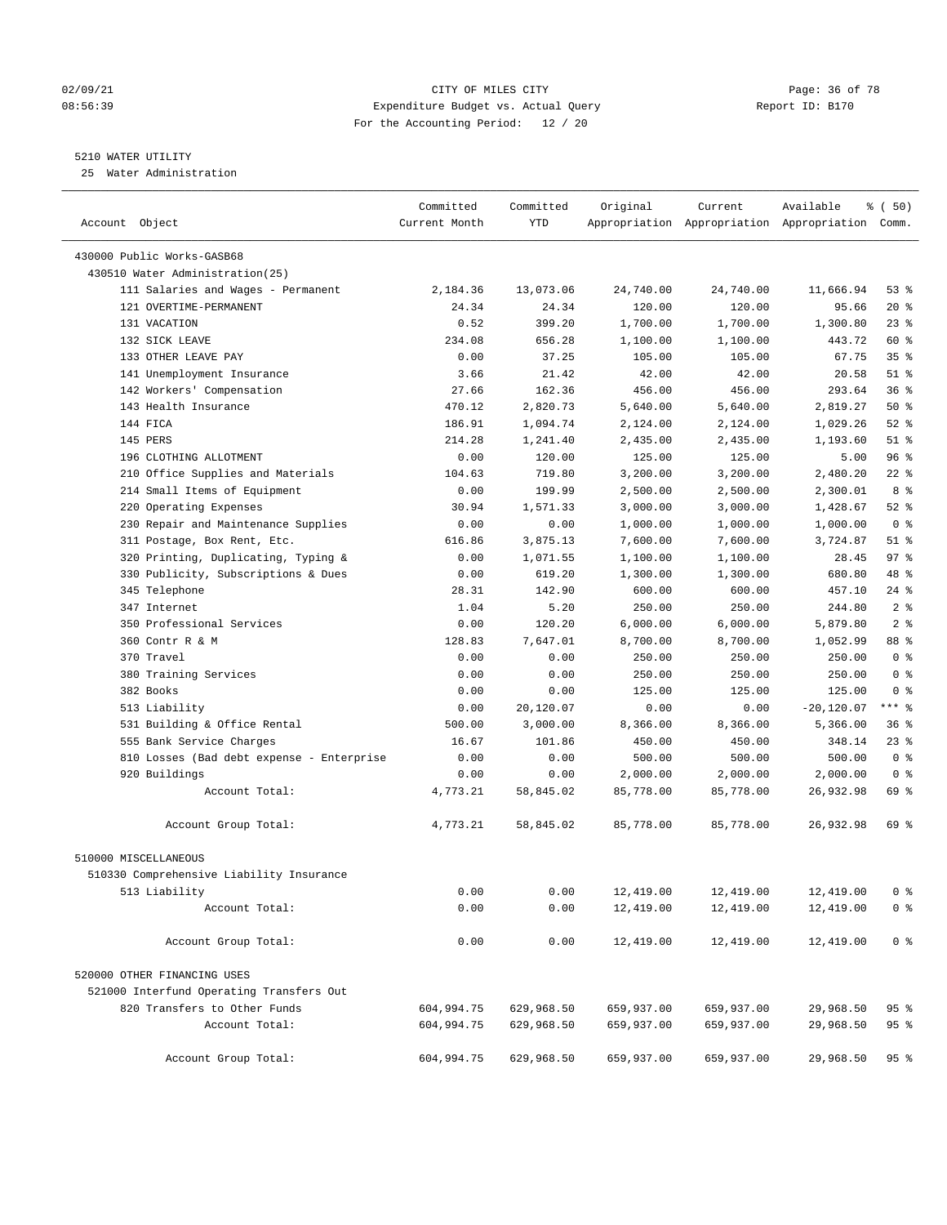#### 02/09/21 **CITY OF MILES CITY CITY CITY Page: 36 of 78** 08:56:39 Expenditure Budget vs. Actual Query Report ID: B170 For the Accounting Period: 12 / 20

————————————————————————————————————————————————————————————————————————————————————————————————————————————————————————————————————

#### 5210 WATER UTILITY

25 Water Administration

|                                           | Committed     | Committed  | Original   | Current    | Available                                       | 8 ( 50)         |  |
|-------------------------------------------|---------------|------------|------------|------------|-------------------------------------------------|-----------------|--|
| Account Object                            | Current Month | YTD        |            |            | Appropriation Appropriation Appropriation Comm. |                 |  |
| 430000 Public Works-GASB68                |               |            |            |            |                                                 |                 |  |
| 430510 Water Administration(25)           |               |            |            |            |                                                 |                 |  |
| 111 Salaries and Wages - Permanent        | 2,184.36      | 13,073.06  | 24,740.00  | 24,740.00  | 11,666.94                                       | 53 %            |  |
| 121 OVERTIME-PERMANENT                    | 24.34         | 24.34      | 120.00     | 120.00     | 95.66                                           | $20*$           |  |
| 131 VACATION                              | 0.52          | 399.20     | 1,700.00   | 1,700.00   | 1,300.80                                        | $23$ $%$        |  |
| 132 SICK LEAVE                            | 234.08        | 656.28     | 1,100.00   | 1,100.00   | 443.72                                          | 60 %            |  |
| 133 OTHER LEAVE PAY                       | 0.00          | 37.25      | 105.00     | 105.00     | 67.75                                           | 35 <sup>8</sup> |  |
| 141 Unemployment Insurance                | 3.66          | 21.42      | 42.00      | 42.00      | 20.58                                           | $51$ %          |  |
| 142 Workers' Compensation                 | 27.66         | 162.36     | 456.00     | 456.00     | 293.64                                          | 36%             |  |
| 143 Health Insurance                      | 470.12        | 2,820.73   | 5,640.00   | 5,640.00   | 2,819.27                                        | 50%             |  |
| 144 FICA                                  | 186.91        | 1,094.74   | 2,124.00   | 2,124.00   | 1,029.26                                        | $52$ %          |  |
| 145 PERS                                  | 214.28        | 1,241.40   | 2,435.00   | 2,435.00   | 1,193.60                                        | $51$ %          |  |
| 196 CLOTHING ALLOTMENT                    | 0.00          | 120.00     | 125.00     | 125.00     | 5.00                                            | 96%             |  |
| 210 Office Supplies and Materials         | 104.63        | 719.80     | 3,200.00   | 3,200.00   | 2,480.20                                        | $22$ %          |  |
| 214 Small Items of Equipment              | 0.00          | 199.99     | 2,500.00   | 2,500.00   | 2,300.01                                        | 8 %             |  |
| 220 Operating Expenses                    | 30.94         | 1,571.33   | 3,000.00   | 3,000.00   | 1,428.67                                        | $52$ %          |  |
| 230 Repair and Maintenance Supplies       | 0.00          | 0.00       | 1,000.00   | 1,000.00   | 1,000.00                                        | 0 <sup>8</sup>  |  |
| 311 Postage, Box Rent, Etc.               | 616.86        | 3,875.13   | 7,600.00   | 7,600.00   | 3,724.87                                        | $51$ %          |  |
| 320 Printing, Duplicating, Typing &       | 0.00          | 1,071.55   | 1,100.00   | 1,100.00   | 28.45                                           | $97$ %          |  |
| 330 Publicity, Subscriptions & Dues       | 0.00          | 619.20     | 1,300.00   | 1,300.00   | 680.80                                          | 48 %            |  |
| 345 Telephone                             | 28.31         | 142.90     | 600.00     | 600.00     | 457.10                                          | $24$ %          |  |
| 347 Internet                              | 1.04          | 5.20       | 250.00     | 250.00     | 244.80                                          | 2 <sub>8</sub>  |  |
| 350 Professional Services                 | 0.00          | 120.20     | 6,000.00   | 6,000.00   | 5,879.80                                        | 2 <sub>8</sub>  |  |
| 360 Contr R & M                           | 128.83        | 7,647.01   | 8,700.00   | 8,700.00   | 1,052.99                                        | 88 %            |  |
| 370 Travel                                | 0.00          | 0.00       | 250.00     | 250.00     | 250.00                                          | 0 <sup>8</sup>  |  |
| 380 Training Services                     | 0.00          | 0.00       | 250.00     | 250.00     | 250.00                                          | 0 <sup>8</sup>  |  |
| 382 Books                                 | 0.00          | 0.00       | 125.00     | 125.00     | 125.00                                          | 0 <sup>8</sup>  |  |
| 513 Liability                             | 0.00          | 20,120.07  | 0.00       | 0.00       | $-20,120.07$                                    | $***$ $-$       |  |
| 531 Building & Office Rental              | 500.00        | 3,000.00   | 8,366.00   | 8,366.00   | 5,366.00                                        | 36%             |  |
| 555 Bank Service Charges                  | 16.67         | 101.86     | 450.00     | 450.00     | 348.14                                          | $23$ $%$        |  |
| 810 Losses (Bad debt expense - Enterprise | 0.00          | 0.00       | 500.00     | 500.00     | 500.00                                          | 0 <sup>8</sup>  |  |
| 920 Buildings                             | 0.00          | 0.00       | 2,000.00   | 2,000.00   | 2,000.00                                        | 0 <sup>8</sup>  |  |
| Account Total:                            | 4,773.21      | 58,845.02  | 85,778.00  | 85,778.00  | 26,932.98                                       | 69 %            |  |
| Account Group Total:                      | 4,773.21      | 58,845.02  | 85,778.00  | 85,778.00  | 26,932.98                                       | 69 %            |  |
| 510000 MISCELLANEOUS                      |               |            |            |            |                                                 |                 |  |
| 510330 Comprehensive Liability Insurance  |               |            |            |            |                                                 |                 |  |
| 513 Liability                             | 0.00          | 0.00       | 12,419.00  | 12,419.00  | 12,419.00                                       | ∩ ജ             |  |
| Account Total:                            | 0.00          | 0.00       | 12,419.00  | 12,419.00  | 12,419.00                                       | 0 <sup>8</sup>  |  |
| Account Group Total:                      | 0.00          | 0.00       | 12,419.00  | 12,419.00  | 12,419.00                                       | 0 <sup>8</sup>  |  |
| 520000 OTHER FINANCING USES               |               |            |            |            |                                                 |                 |  |
| 521000 Interfund Operating Transfers Out  |               |            |            |            |                                                 |                 |  |
| 820 Transfers to Other Funds              | 604,994.75    | 629,968.50 | 659,937.00 | 659,937.00 | 29,968.50                                       | 95%             |  |
| Account Total:                            | 604,994.75    | 629,968.50 | 659,937.00 | 659,937.00 | 29,968.50                                       | 95%             |  |
| Account Group Total:                      | 604,994.75    | 629,968.50 | 659,937.00 | 659,937.00 | 29,968.50                                       | 95%             |  |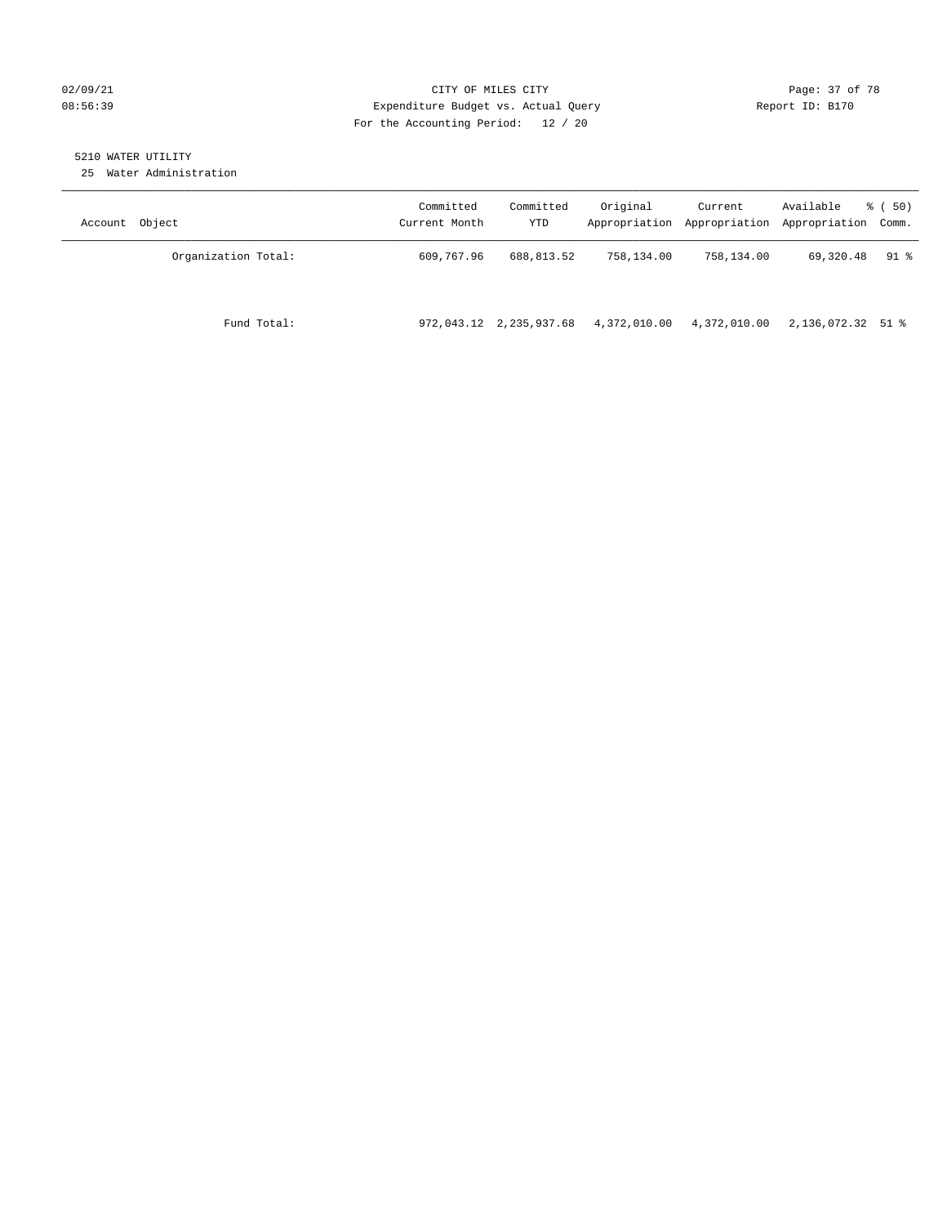## 02/09/21 **CITY OF MILES CITY CITY CITY Page: 37 of 78** 08:56:39 Expenditure Budget vs. Actual Query Report ID: B170 For the Accounting Period: 12 / 20

# 5210 WATER UTILITY

25 Water Administration

| Account Object      | Committed<br>Current Month | Committed<br>YTD        | Original     | Current<br>Appropriation Appropriation Appropriation Comm. | Available         | 8 ( 50) |
|---------------------|----------------------------|-------------------------|--------------|------------------------------------------------------------|-------------------|---------|
| Organization Total: | 609,767.96                 | 688,813.52              | 758,134.00   | 758,134.00                                                 | 69,320.48         | 91 %    |
| Fund Total:         |                            | 972,043.12 2,235,937.68 | 4,372,010.00 | 4,372,010.00                                               | 2,136,072.32 51 % |         |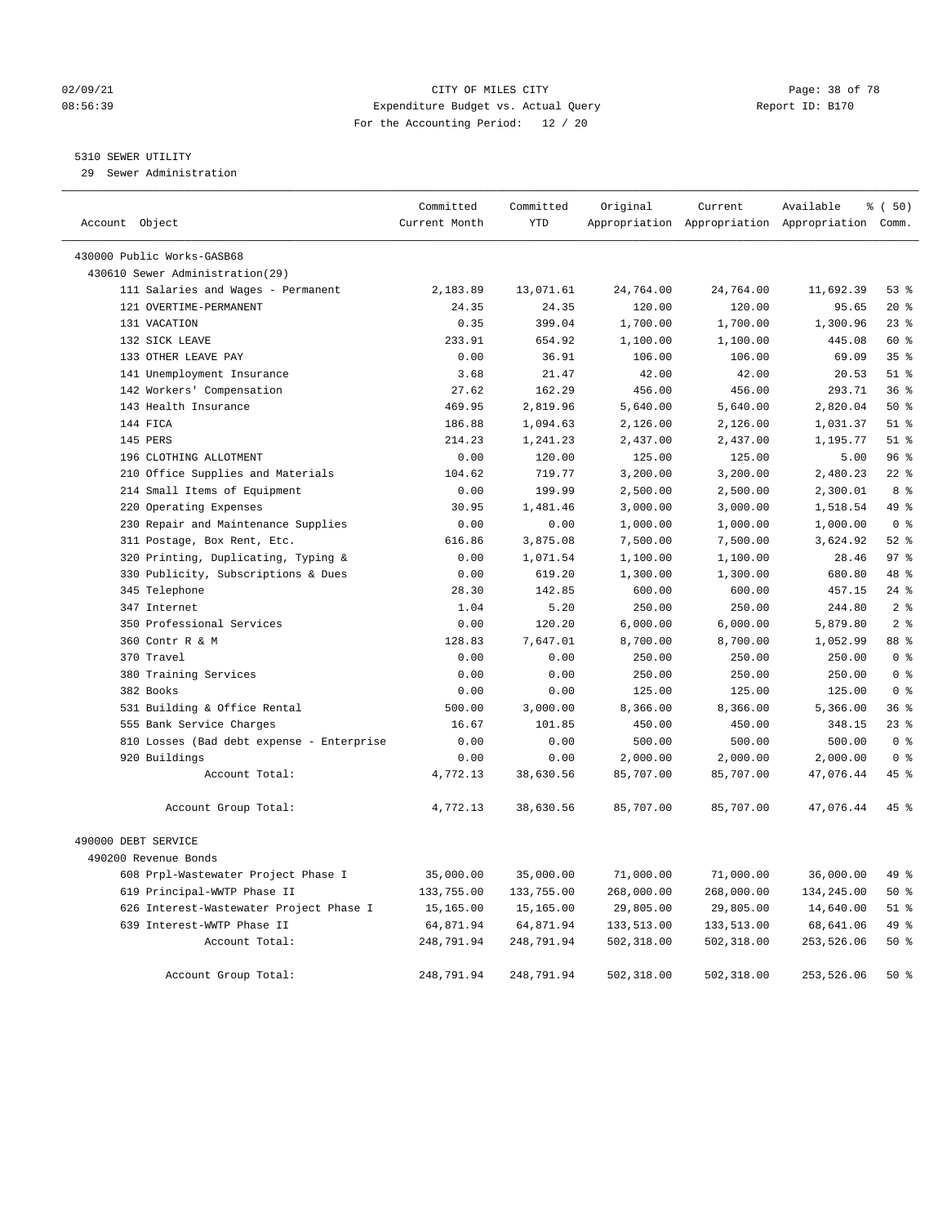## 02/09/21 **CITY OF MILES CITY CITY CITY Page: 38 of 78** 08:56:39 Expenditure Budget vs. Actual Query Report ID: B170 For the Accounting Period: 12 / 20

## 5310 SEWER UTILITY

29 Sewer Administration

| Account Object                            | Committed<br>Current Month | Committed<br><b>YTD</b> | Original   | Current    | Available<br>Appropriation Appropriation Appropriation Comm. | 8 ( 50)         |
|-------------------------------------------|----------------------------|-------------------------|------------|------------|--------------------------------------------------------------|-----------------|
|                                           |                            |                         |            |            |                                                              |                 |
| 430000 Public Works-GASB68                |                            |                         |            |            |                                                              |                 |
| 430610 Sewer Administration(29)           |                            |                         |            |            |                                                              |                 |
| 111 Salaries and Wages - Permanent        | 2,183.89                   | 13,071.61               | 24,764.00  | 24,764.00  | 11,692.39                                                    | 53%             |
| 121 OVERTIME-PERMANENT                    | 24.35                      | 24.35                   | 120.00     | 120.00     | 95.65                                                        | $20*$           |
| 131 VACATION                              | 0.35                       | 399.04                  | 1,700.00   | 1,700.00   | 1,300.96                                                     | $23$ $%$        |
| 132 SICK LEAVE                            | 233.91                     | 654.92                  | 1,100.00   | 1,100.00   | 445.08                                                       | 60 %            |
| 133 OTHER LEAVE PAY                       | 0.00                       | 36.91                   | 106.00     | 106.00     | 69.09                                                        | 35%             |
| 141 Unemployment Insurance                | 3.68                       | 21.47                   | 42.00      | 42.00      | 20.53                                                        | $51$ %          |
| 142 Workers' Compensation                 | 27.62                      | 162.29                  | 456.00     | 456.00     | 293.71                                                       | 36%             |
| 143 Health Insurance                      | 469.95                     | 2,819.96                | 5,640.00   | 5,640.00   | 2,820.04                                                     | 50%             |
| 144 FICA                                  | 186.88                     | 1,094.63                | 2,126.00   | 2,126.00   | 1,031.37                                                     | $51$ %          |
| 145 PERS                                  | 214.23                     | 1,241.23                | 2,437.00   | 2,437.00   | 1,195.77                                                     | $51$ %          |
| 196 CLOTHING ALLOTMENT                    | 0.00                       | 120.00                  | 125.00     | 125.00     | 5.00                                                         | 96%             |
| 210 Office Supplies and Materials         | 104.62                     | 719.77                  | 3,200.00   | 3,200.00   | 2,480.23                                                     | $22$ %          |
| 214 Small Items of Equipment              | 0.00                       | 199.99                  | 2,500.00   | 2,500.00   | 2,300.01                                                     | 8 %             |
| 220 Operating Expenses                    | 30.95                      | 1,481.46                | 3,000.00   | 3,000.00   | 1,518.54                                                     | 49 %            |
| 230 Repair and Maintenance Supplies       | 0.00                       | 0.00                    | 1,000.00   | 1,000.00   | 1,000.00                                                     | 0 <sup>8</sup>  |
| 311 Postage, Box Rent, Etc.               | 616.86                     | 3,875.08                | 7,500.00   | 7,500.00   | 3,624.92                                                     | $52$ $%$        |
| 320 Printing, Duplicating, Typing &       | 0.00                       | 1,071.54                | 1,100.00   | 1,100.00   | 28.46                                                        | 97 <sub>8</sub> |
| 330 Publicity, Subscriptions & Dues       | 0.00                       | 619.20                  | 1,300.00   | 1,300.00   | 680.80                                                       | 48 %            |
| 345 Telephone                             | 28.30                      | 142.85                  | 600.00     | 600.00     | 457.15                                                       | 24 %            |
| 347 Internet                              | 1.04                       | 5.20                    | 250.00     | 250.00     | 244.80                                                       | 2 <sup>°</sup>  |
| 350 Professional Services                 | 0.00                       | 120.20                  | 6,000.00   | 6,000.00   | 5,879.80                                                     | 2 <sup>°</sup>  |
| 360 Contr R & M                           | 128.83                     | 7,647.01                | 8,700.00   | 8,700.00   | 1,052.99                                                     | 88 %            |
| 370 Travel                                | 0.00                       | 0.00                    | 250.00     | 250.00     | 250.00                                                       | 0 <sup>8</sup>  |
| 380 Training Services                     | 0.00                       | 0.00                    | 250.00     | 250.00     | 250.00                                                       | 0 <sup>8</sup>  |
| 382 Books                                 | 0.00                       | 0.00                    | 125.00     | 125.00     | 125.00                                                       | 0 <sup>8</sup>  |
| 531 Building & Office Rental              | 500.00                     | 3,000.00                | 8,366.00   | 8,366.00   | 5,366.00                                                     | 36%             |
| 555 Bank Service Charges                  | 16.67                      | 101.85                  | 450.00     | 450.00     | 348.15                                                       | 23%             |
| 810 Losses (Bad debt expense - Enterprise | 0.00                       | 0.00                    | 500.00     | 500.00     | 500.00                                                       | 0 <sup>8</sup>  |
| 920 Buildings                             | 0.00                       | 0.00                    | 2,000.00   | 2,000.00   | 2,000.00                                                     | 0 <sup>8</sup>  |
| Account Total:                            | 4,772.13                   | 38,630.56               | 85,707.00  | 85,707.00  | 47,076.44                                                    | 45 %            |
| Account Group Total:                      | 4,772.13                   | 38,630.56               | 85,707.00  | 85,707.00  | 47,076.44                                                    | 45 %            |
| 490000 DEBT SERVICE                       |                            |                         |            |            |                                                              |                 |
| 490200 Revenue Bonds                      |                            |                         |            |            |                                                              |                 |
| 608 Prpl-Wastewater Project Phase I       | 35,000.00                  | 35,000.00               | 71,000.00  | 71,000.00  | 36,000.00                                                    | 49 %            |
| 619 Principal-WWTP Phase II               | 133,755.00                 | 133,755.00              | 268,000.00 | 268,000.00 | 134,245.00                                                   | 50%             |
| 626 Interest-Wastewater Project Phase I   | 15,165.00                  | 15,165.00               | 29,805.00  | 29,805.00  | 14,640.00                                                    | $51$ %          |
| 639 Interest-WWTP Phase II                | 64,871.94                  | 64,871.94               | 133,513.00 | 133,513.00 | 68,641.06                                                    | 49 %            |
| Account Total:                            | 248,791.94                 | 248,791.94              | 502,318.00 | 502,318.00 | 253,526.06                                                   | 50%             |
| Account Group Total:                      | 248,791.94                 | 248,791.94              | 502,318.00 | 502,318.00 | 253,526.06                                                   | 50%             |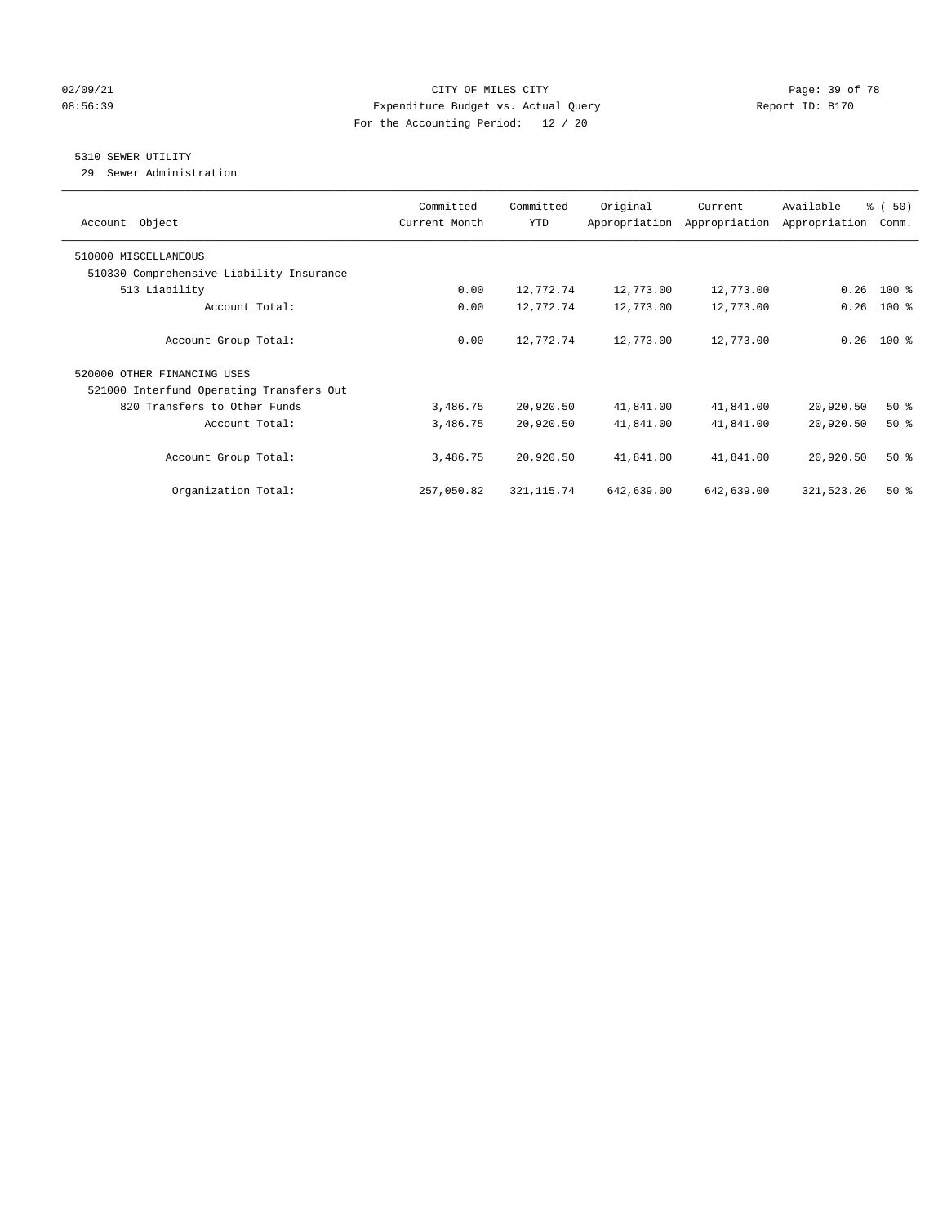## 02/09/21 **CITY OF MILES CITY CITY CITY Page: 39 of 78** 08:56:39 Expenditure Budget vs. Actual Query Report ID: B170 For the Accounting Period: 12 / 20

# 5310 SEWER UTILITY

29 Sewer Administration

| Object<br>Account                        | Committed<br>Current Month | Committed<br><b>YTD</b> | Original   | Current<br>Appropriation Appropriation | Available<br>Appropriation | % (50)<br>Comm. |
|------------------------------------------|----------------------------|-------------------------|------------|----------------------------------------|----------------------------|-----------------|
| 510000 MISCELLANEOUS                     |                            |                         |            |                                        |                            |                 |
| 510330 Comprehensive Liability Insurance |                            |                         |            |                                        |                            |                 |
| 513 Liability                            | 0.00                       | 12,772.74               | 12,773.00  | 12,773.00                              | 0.26                       | $100$ %         |
| Account Total:                           | 0.00                       | 12,772.74               | 12,773.00  | 12,773.00                              | 0.26                       | $100*$          |
| Account Group Total:                     | 0.00                       | 12,772.74               | 12,773.00  | 12,773.00                              | 0.26                       | $100*$          |
| 520000 OTHER FINANCING USES              |                            |                         |            |                                        |                            |                 |
| 521000 Interfund Operating Transfers Out |                            |                         |            |                                        |                            |                 |
| 820 Transfers to Other Funds             | 3,486.75                   | 20,920.50               | 41,841.00  | 41,841.00                              | 20,920.50                  | $50*$           |
| Account Total:                           | 3,486.75                   | 20,920.50               | 41,841.00  | 41,841.00                              | 20,920.50                  | $50*$           |
| Account Group Total:                     | 3,486.75                   | 20,920.50               | 41,841.00  | 41,841.00                              | 20,920.50                  | $50*$           |
| Organization Total:                      | 257,050.82                 | 321, 115.74             | 642,639.00 | 642,639.00                             | 321,523.26                 | $50*$           |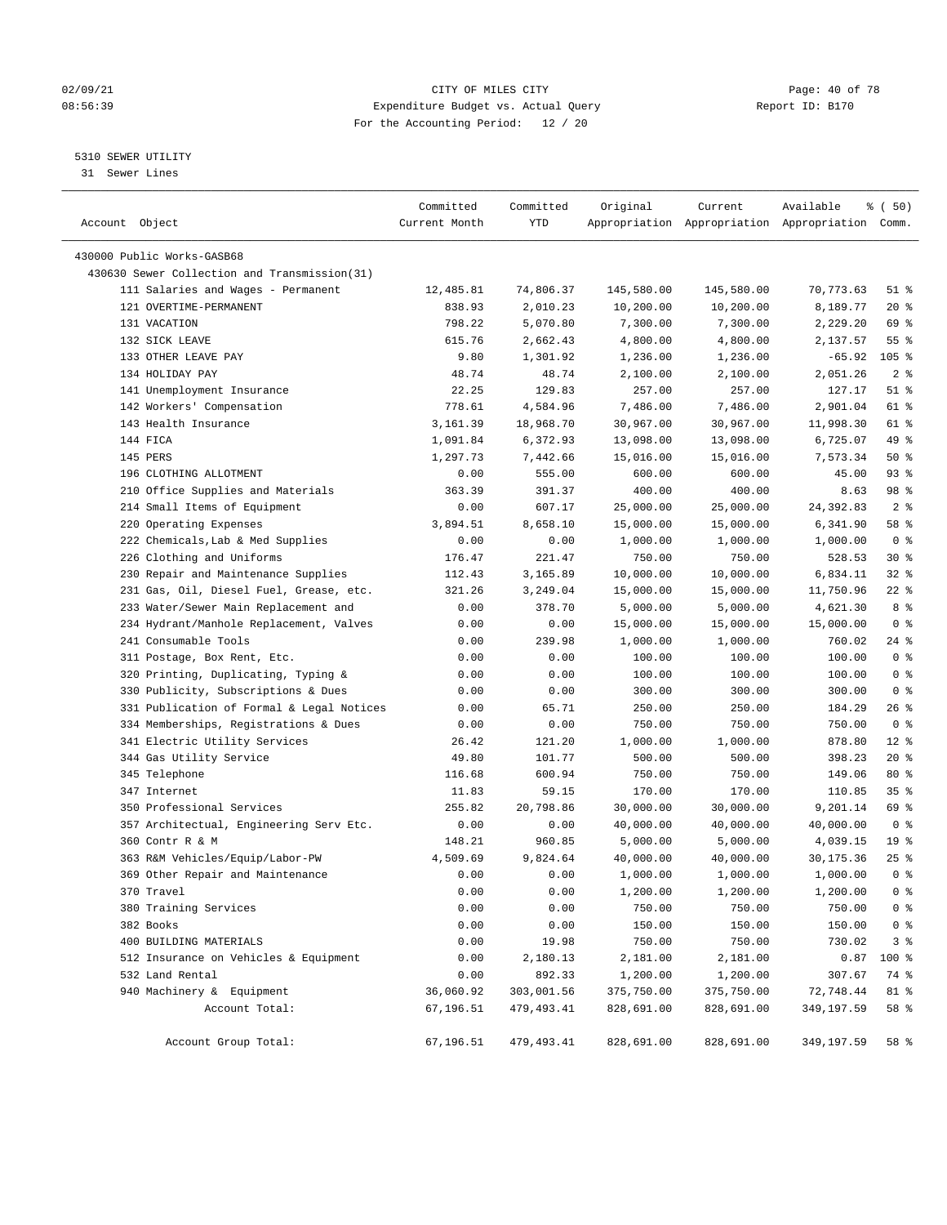## 02/09/21 **Page: 40 of 78** CITY OF MILES CITY **Page: 40 of 78** 08:56:39 Expenditure Budget vs. Actual Query Report ID: B170 For the Accounting Period: 12 / 20

————————————————————————————————————————————————————————————————————————————————————————————————————————————————————————————————————

# 5310 SEWER UTILITY

31 Sewer Lines

|                                              | Committed     | Committed  | Original   | Current    | Available                                       | % (50)             |
|----------------------------------------------|---------------|------------|------------|------------|-------------------------------------------------|--------------------|
| Account Object                               | Current Month | YTD        |            |            | Appropriation Appropriation Appropriation Comm. |                    |
|                                              |               |            |            |            |                                                 |                    |
| 430000 Public Works-GASB68                   |               |            |            |            |                                                 |                    |
| 430630 Sewer Collection and Transmission(31) |               |            |            |            |                                                 |                    |
| 111 Salaries and Wages - Permanent           | 12,485.81     | 74,806.37  | 145,580.00 | 145,580.00 | 70,773.63                                       | $51$ %             |
| 121 OVERTIME-PERMANENT                       | 838.93        | 2,010.23   | 10,200.00  | 10,200.00  | 8,189.77                                        | $20*$              |
| 131 VACATION                                 | 798.22        | 5,070.80   | 7,300.00   | 7,300.00   | 2,229.20                                        | 69 %               |
| 132 SICK LEAVE                               | 615.76        | 2,662.43   | 4,800.00   | 4,800.00   | 2,137.57                                        | $55$ $\frac{6}{3}$ |
| 133 OTHER LEAVE PAY                          | 9.80          | 1,301.92   | 1,236.00   | 1,236.00   | $-65.92$                                        | $105$ %            |
| 134 HOLIDAY PAY                              | 48.74         | 48.74      | 2,100.00   | 2,100.00   | 2,051.26                                        | 2 <sup>°</sup>     |
| 141 Unemployment Insurance                   | 22.25         | 129.83     | 257.00     | 257.00     | 127.17                                          | $51$ %             |
| 142 Workers' Compensation                    | 778.61        | 4,584.96   | 7,486.00   | 7,486.00   | 2,901.04                                        | 61 %               |
| 143 Health Insurance                         | 3,161.39      | 18,968.70  | 30,967.00  | 30,967.00  | 11,998.30                                       | 61 %               |
| 144 FICA                                     | 1,091.84      | 6,372.93   | 13,098.00  | 13,098.00  | 6,725.07                                        | 49 %               |
| 145 PERS                                     | 1,297.73      | 7,442.66   | 15,016.00  | 15,016.00  | 7,573.34                                        | 50%                |
| 196 CLOTHING ALLOTMENT                       | 0.00          | 555.00     | 600.00     | 600.00     | 45.00                                           | $93$ $%$           |
| 210 Office Supplies and Materials            | 363.39        | 391.37     | 400.00     | 400.00     | 8.63                                            | 98 %               |
| 214 Small Items of Equipment                 | 0.00          | 607.17     | 25,000.00  | 25,000.00  | 24,392.83                                       | 2 <sup>8</sup>     |
| 220 Operating Expenses                       | 3,894.51      | 8,658.10   | 15,000.00  | 15,000.00  | 6,341.90                                        | 58 %               |
| 222 Chemicals, Lab & Med Supplies            | 0.00          | 0.00       | 1,000.00   | 1,000.00   | 1,000.00                                        | 0 <sup>8</sup>     |
| 226 Clothing and Uniforms                    | 176.47        | 221.47     | 750.00     | 750.00     | 528.53                                          | $30*$              |
| 230 Repair and Maintenance Supplies          | 112.43        | 3,165.89   | 10,000.00  | 10,000.00  | 6,834.11                                        | $32$ $%$           |
| 231 Gas, Oil, Diesel Fuel, Grease, etc.      | 321.26        | 3,249.04   | 15,000.00  | 15,000.00  | 11,750.96                                       | 22 %               |
| 233 Water/Sewer Main Replacement and         | 0.00          | 378.70     | 5,000.00   | 5,000.00   | 4,621.30                                        | 8 %                |
| 234 Hydrant/Manhole Replacement, Valves      | 0.00          | 0.00       | 15,000.00  | 15,000.00  | 15,000.00                                       | 0 <sup>8</sup>     |
| 241 Consumable Tools                         | 0.00          | 239.98     | 1,000.00   | 1,000.00   | 760.02                                          | $24$ %             |
| 311 Postage, Box Rent, Etc.                  | 0.00          | 0.00       | 100.00     | 100.00     | 100.00                                          | 0 <sup>8</sup>     |
| 320 Printing, Duplicating, Typing &          | 0.00          | 0.00       | 100.00     | 100.00     | 100.00                                          | 0 <sup>8</sup>     |
| 330 Publicity, Subscriptions & Dues          | 0.00          | 0.00       | 300.00     | 300.00     | 300.00                                          | 0 <sup>8</sup>     |
| 331 Publication of Formal & Legal Notices    | 0.00          | 65.71      | 250.00     | 250.00     | 184.29                                          | $26$ %             |
| 334 Memberships, Registrations & Dues        | 0.00          | 0.00       | 750.00     | 750.00     | 750.00                                          | 0 <sup>8</sup>     |
| 341 Electric Utility Services                | 26.42         | 121.20     | 1,000.00   | 1,000.00   | 878.80                                          | $12*$              |
| 344 Gas Utility Service                      | 49.80         | 101.77     | 500.00     | 500.00     | 398.23                                          | 20 %               |
| 345 Telephone                                | 116.68        | 600.94     | 750.00     | 750.00     | 149.06                                          | 80 %               |
| 347 Internet                                 | 11.83         | 59.15      | 170.00     | 170.00     | 110.85                                          | 35%                |
| 350 Professional Services                    | 255.82        | 20,798.86  | 30,000.00  | 30,000.00  | 9,201.14                                        | 69 %               |
| 357 Architectual, Engineering Serv Etc.      | 0.00          | 0.00       | 40,000.00  | 40,000.00  | 40,000.00                                       | 0 <sup>8</sup>     |
| 360 Contr R & M                              | 148.21        | 960.85     | 5,000.00   | 5,000.00   | 4,039.15                                        | 19 <sup>°</sup>    |
| 363 R&M Vehicles/Equip/Labor-PW              | 4,509.69      | 9,824.64   | 40,000.00  | 40,000.00  | 30,175.36                                       | 25%                |
| 369 Other Repair and Maintenance             | 0.00          | 0.00       | 1,000.00   | 1,000.00   | 1,000.00                                        | 0 <sup>8</sup>     |
| 370 Travel                                   | 0.00          | 0.00       | 1,200.00   | 1,200.00   | 1,200.00                                        | 0 <sup>8</sup>     |
| 380 Training Services                        | 0.00          | 0.00       | 750.00     | 750.00     | 750.00                                          | $0$ %              |
| 382 Books                                    | 0.00          | 0.00       | 150.00     | 150.00     | 150.00                                          | $0$ %              |
| 400 BUILDING MATERIALS                       | 0.00          | 19.98      | 750.00     | 750.00     | 730.02                                          | 3 <sup>°</sup>     |
| 512 Insurance on Vehicles & Equipment        | 0.00          | 2,180.13   | 2,181.00   | 2,181.00   | 0.87                                            | 100 %              |
| 532 Land Rental                              | 0.00          | 892.33     | 1,200.00   | 1,200.00   | 307.67                                          | 74 %               |
| 940 Machinery & Equipment                    | 36,060.92     | 303,001.56 | 375,750.00 | 375,750.00 | 72,748.44                                       | 81 %               |
| Account Total:                               | 67,196.51     | 479,493.41 | 828,691.00 | 828,691.00 | 349,197.59                                      | 58 %               |
|                                              |               |            |            |            |                                                 |                    |
| Account Group Total:                         | 67,196.51     | 479,493.41 | 828,691.00 | 828,691.00 | 349,197.59                                      | 58 %               |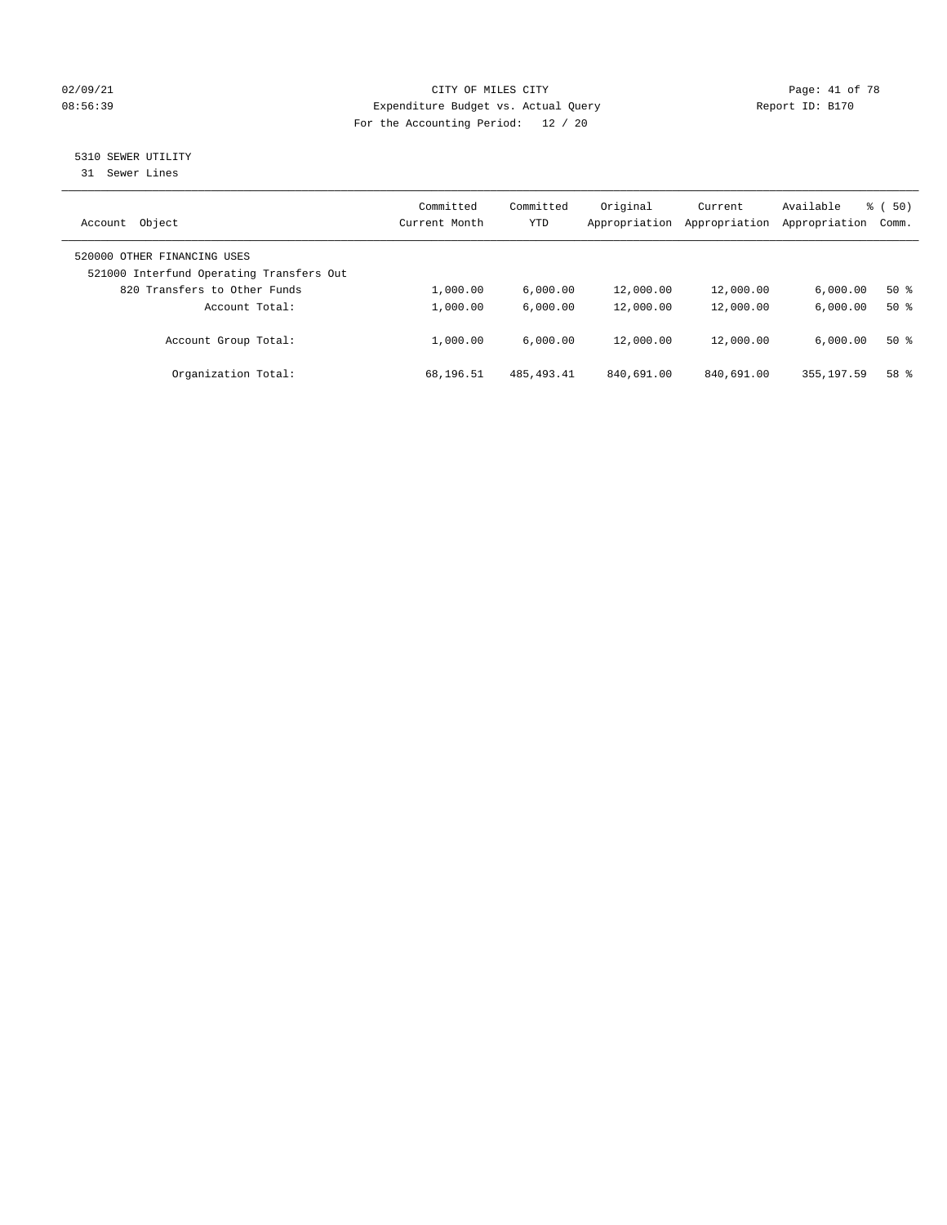## 02/09/21 Page: 41 of 78 08:56:39 Expenditure Budget vs. Actual Query Report ID: B170 For the Accounting Period: 12 / 20

# 5310 SEWER UTILITY

31 Sewer Lines

| Object<br>Account                                                       | Committed<br>Current Month | Committed<br><b>YTD</b> | Original<br>Appropriation | Current<br>Appropriation | Available<br>Appropriation | 50)<br>ී (<br>Comm. |
|-------------------------------------------------------------------------|----------------------------|-------------------------|---------------------------|--------------------------|----------------------------|---------------------|
| 520000 OTHER FINANCING USES<br>521000 Interfund Operating Transfers Out |                            |                         |                           |                          |                            |                     |
| 820 Transfers to Other Funds                                            | 1,000.00                   | 6.000.00                | 12,000.00                 | 12,000.00                | 6.000.00                   | 50%                 |
| Account Total:                                                          | 1,000.00                   | 6.000.00                | 12,000.00                 | 12,000.00                | 6.000.00                   | $50*$               |
| Account Group Total:                                                    | 1,000.00                   | 6.000.00                | 12,000.00                 | 12,000.00                | 6.000.00                   | $50*$               |
| Organization Total:                                                     | 68,196.51                  | 485, 493.41             | 840,691.00                | 840,691.00               | 355, 197.59                | 58 %                |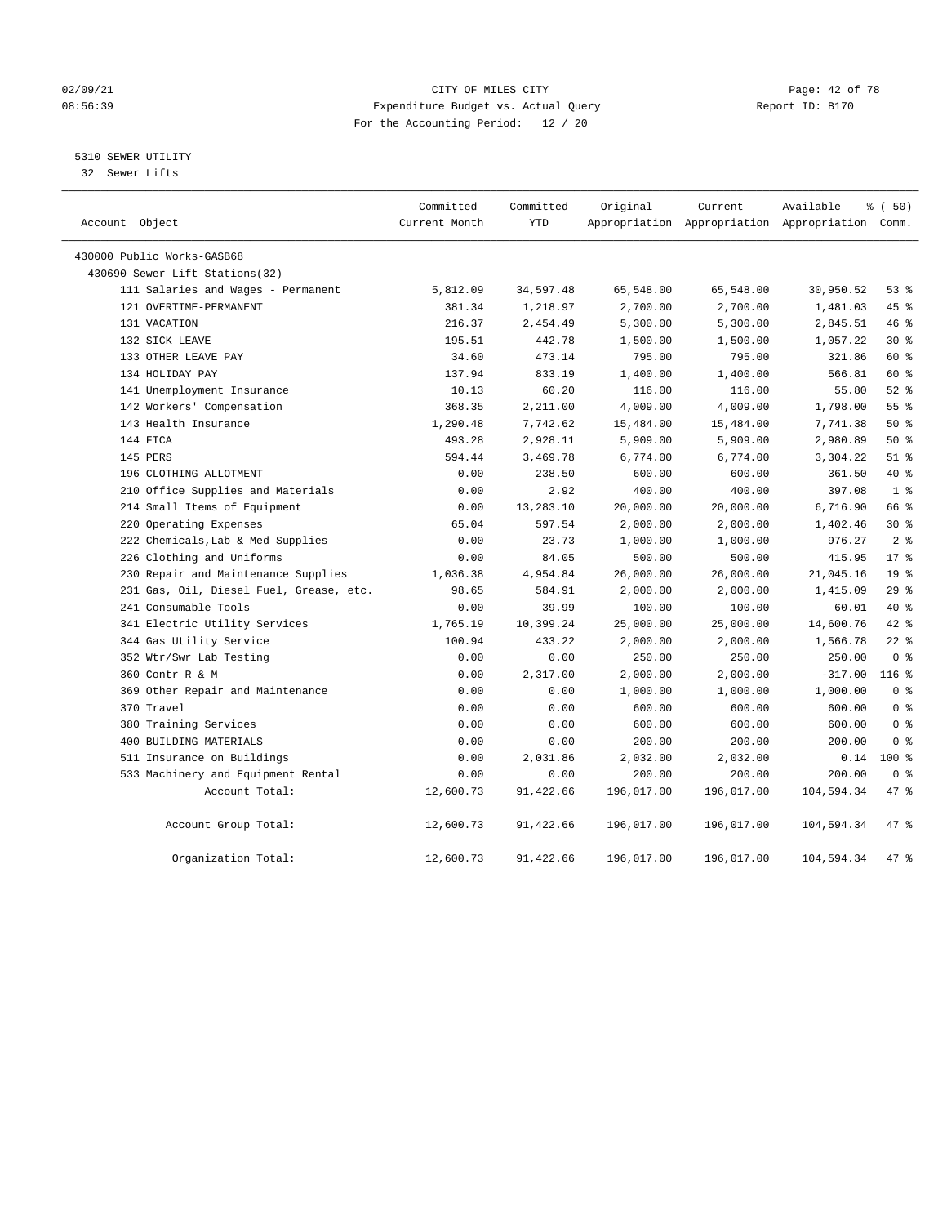## 02/09/21 Page: 42 of 78 08:56:39 Expenditure Budget vs. Actual Query Report ID: B170 For the Accounting Period: 12 / 20

5310 SEWER UTILITY

32 Sewer Lifts

| Account Object                          | Committed<br>Current Month | Committed<br><b>YTD</b> | Original   | Current    | Available<br>Appropriation Appropriation Appropriation Comm. | % (50)          |
|-----------------------------------------|----------------------------|-------------------------|------------|------------|--------------------------------------------------------------|-----------------|
| 430000 Public Works-GASB68              |                            |                         |            |            |                                                              |                 |
| 430690 Sewer Lift Stations(32)          |                            |                         |            |            |                                                              |                 |
| 111 Salaries and Wages - Permanent      | 5,812.09                   | 34,597.48               | 65,548.00  | 65,548.00  | 30,950.52                                                    | 53%             |
| 121 OVERTIME-PERMANENT                  | 381.34                     | 1,218.97                | 2,700.00   | 2,700.00   | 1,481.03                                                     | 45 %            |
| 131 VACATION                            | 216.37                     | 2,454.49                | 5,300.00   | 5,300.00   | 2,845.51                                                     | 46 %            |
| 132 SICK LEAVE                          | 195.51                     | 442.78                  | 1,500.00   | 1,500.00   | 1,057.22                                                     | $30*$           |
| 133 OTHER LEAVE PAY                     | 34.60                      | 473.14                  | 795.00     | 795.00     | 321.86                                                       | 60 %            |
| 134 HOLIDAY PAY                         | 137.94                     | 833.19                  | 1,400.00   | 1,400.00   | 566.81                                                       | 60 %            |
| 141 Unemployment Insurance              | 10.13                      | 60.20                   | 116.00     | 116.00     | 55.80                                                        | $52$ $%$        |
| 142 Workers' Compensation               | 368.35                     | 2,211.00                | 4,009.00   | 4,009.00   | 1,798.00                                                     | 55 <sup>8</sup> |
| 143 Health Insurance                    | 1,290.48                   | 7,742.62                | 15,484.00  | 15,484.00  | 7,741.38                                                     | 50%             |
| 144 FICA                                | 493.28                     | 2,928.11                | 5,909.00   | 5,909.00   | 2,980.89                                                     | 50%             |
| 145 PERS                                | 594.44                     | 3,469.78                | 6,774.00   | 6,774.00   | 3,304.22                                                     | $51$ %          |
| 196 CLOTHING ALLOTMENT                  | 0.00                       | 238.50                  | 600.00     | 600.00     | 361.50                                                       | 40 %            |
| 210 Office Supplies and Materials       | 0.00                       | 2.92                    | 400.00     | 400.00     | 397.08                                                       | 1 <sup>°</sup>  |
| 214 Small Items of Equipment            | 0.00                       | 13,283.10               | 20,000.00  | 20,000.00  | 6,716.90                                                     | 66 %            |
| 220 Operating Expenses                  | 65.04                      | 597.54                  | 2,000.00   | 2,000.00   | 1,402.46                                                     | $30*$           |
| 222 Chemicals, Lab & Med Supplies       | 0.00                       | 23.73                   | 1,000.00   | 1,000.00   | 976.27                                                       | 2 <sup>8</sup>  |
| 226 Clothing and Uniforms               | 0.00                       | 84.05                   | 500.00     | 500.00     | 415.95                                                       | $17*$           |
| 230 Repair and Maintenance Supplies     | 1,036.38                   | 4,954.84                | 26,000.00  | 26,000.00  | 21,045.16                                                    | 19 <sup>°</sup> |
| 231 Gas, Oil, Diesel Fuel, Grease, etc. | 98.65                      | 584.91                  | 2,000.00   | 2,000.00   | 1,415.09                                                     | 29%             |
| 241 Consumable Tools                    | 0.00                       | 39.99                   | 100.00     | 100.00     | 60.01                                                        | 40 %            |
| 341 Electric Utility Services           | 1,765.19                   | 10,399.24               | 25,000.00  | 25,000.00  | 14,600.76                                                    | 42 %            |
| 344 Gas Utility Service                 | 100.94                     | 433.22                  | 2,000.00   | 2,000.00   | 1,566.78                                                     | $22$ %          |
| 352 Wtr/Swr Lab Testing                 | 0.00                       | 0.00                    | 250.00     | 250.00     | 250.00                                                       | 0 <sup>8</sup>  |
| 360 Contr R & M                         | 0.00                       | 2,317.00                | 2,000.00   | 2,000.00   | $-317.00$                                                    | $116$ %         |
| 369 Other Repair and Maintenance        | 0.00                       | 0.00                    | 1,000.00   | 1,000.00   | 1,000.00                                                     | 0 <sup>8</sup>  |
| 370 Travel                              | 0.00                       | 0.00                    | 600.00     | 600.00     | 600.00                                                       | 0 <sup>8</sup>  |
| 380 Training Services                   | 0.00                       | 0.00                    | 600.00     | 600.00     | 600.00                                                       | 0 <sup>8</sup>  |
| 400 BUILDING MATERIALS                  | 0.00                       | 0.00                    | 200.00     | 200.00     | 200.00                                                       | 0 <sup>8</sup>  |
| 511 Insurance on Buildings              | 0.00                       | 2,031.86                | 2,032.00   | 2,032.00   | 0.14                                                         | $100*$          |
| 533 Machinery and Equipment Rental      | 0.00                       | 0.00                    | 200.00     | 200.00     | 200.00                                                       | 0 <sup>8</sup>  |
| Account Total:                          | 12,600.73                  | 91,422.66               | 196,017.00 | 196,017.00 | 104,594.34                                                   | 47 %            |
| Account Group Total:                    | 12,600.73                  | 91,422.66               | 196,017.00 | 196,017.00 | 104,594.34                                                   | 47 %            |
| Organization Total:                     | 12,600.73                  | 91,422.66               | 196,017.00 | 196,017.00 | 104,594.34                                                   | 47 %            |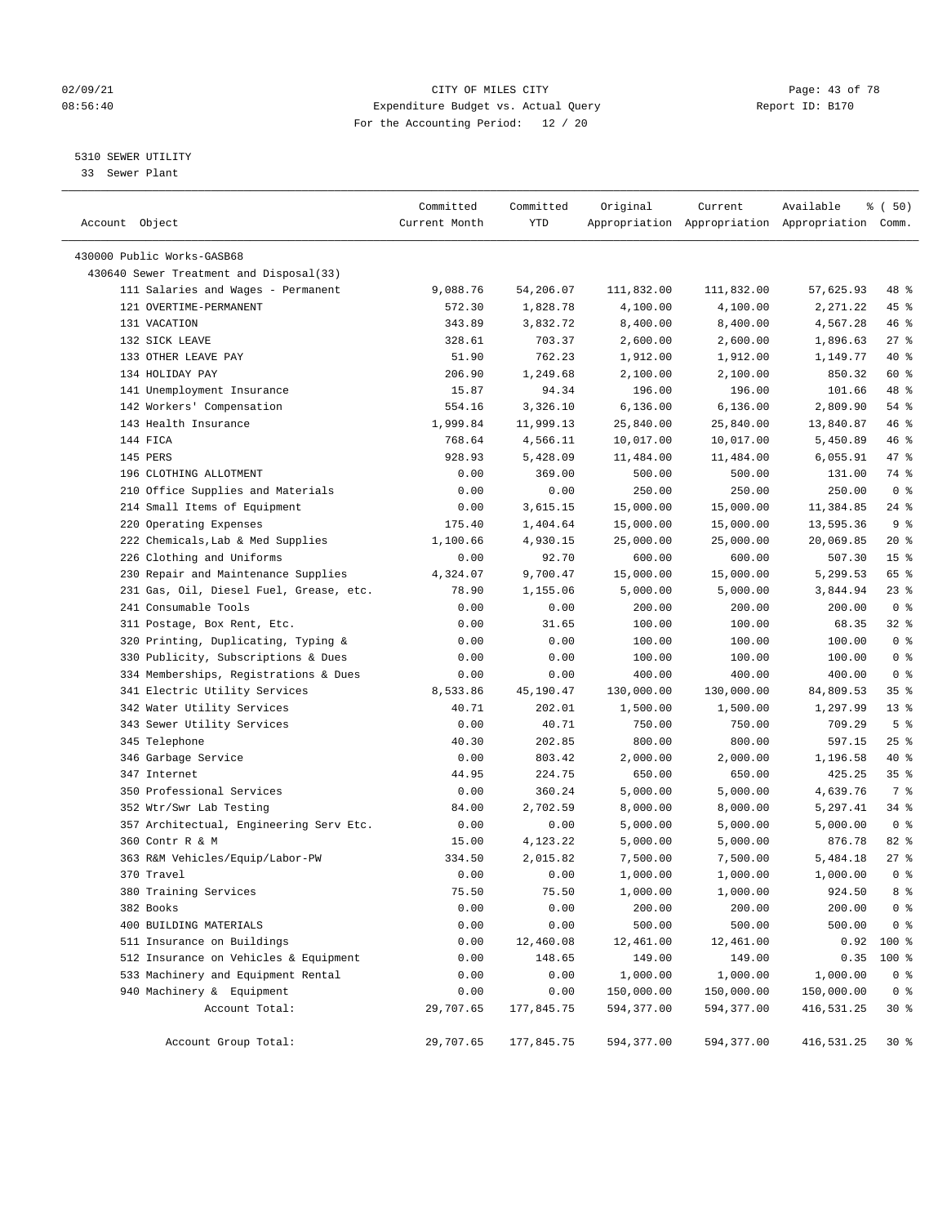## 02/09/21 **CITY OF MILES CITY CITY CITY Page: 43 of 78** 08:56:40 Expenditure Budget vs. Actual Query Report ID: B170 For the Accounting Period: 12 / 20

————————————————————————————————————————————————————————————————————————————————————————————————————————————————————————————————————

## 5310 SEWER UTILITY

33 Sewer Plant

|                |                                         | Committed     | Committed  | Original   | Current    | Available                                       | % (50)          |  |
|----------------|-----------------------------------------|---------------|------------|------------|------------|-------------------------------------------------|-----------------|--|
| Account Object |                                         | Current Month | YTD        |            |            | Appropriation Appropriation Appropriation Comm. |                 |  |
|                | 430000 Public Works-GASB68              |               |            |            |            |                                                 |                 |  |
|                | 430640 Sewer Treatment and Disposal(33) |               |            |            |            |                                                 |                 |  |
|                | 111 Salaries and Wages - Permanent      | 9,088.76      | 54,206.07  | 111,832.00 | 111,832.00 | 57,625.93                                       | 48 %            |  |
|                | 121 OVERTIME-PERMANENT                  | 572.30        | 1,828.78   | 4,100.00   | 4,100.00   | 2,271.22                                        | 45 %            |  |
|                | 131 VACATION                            | 343.89        | 3,832.72   | 8,400.00   | 8,400.00   | 4,567.28                                        | 46 %            |  |
|                | 132 SICK LEAVE                          | 328.61        | 703.37     | 2,600.00   | 2,600.00   | 1,896.63                                        | $27$ %          |  |
|                | 133 OTHER LEAVE PAY                     | 51.90         | 762.23     | 1,912.00   | 1,912.00   | 1,149.77                                        | 40 %            |  |
|                | 134 HOLIDAY PAY                         | 206.90        | 1,249.68   | 2,100.00   | 2,100.00   | 850.32                                          | 60 %            |  |
|                | 141 Unemployment Insurance              | 15.87         | 94.34      | 196.00     | 196.00     | 101.66                                          | 48 %            |  |
|                | 142 Workers' Compensation               | 554.16        | 3,326.10   | 6, 136.00  | 6,136.00   | 2,809.90                                        | 54 %            |  |
|                | 143 Health Insurance                    | 1,999.84      | 11,999.13  | 25,840.00  | 25,840.00  | 13,840.87                                       | 46 %            |  |
| 144 FICA       |                                         | 768.64        | 4,566.11   | 10,017.00  | 10,017.00  | 5,450.89                                        | 46 %            |  |
| 145 PERS       |                                         | 928.93        | 5,428.09   | 11,484.00  | 11,484.00  | 6,055.91                                        | 47 %            |  |
|                | 196 CLOTHING ALLOTMENT                  | 0.00          | 369.00     | 500.00     | 500.00     | 131.00                                          | 74 %            |  |
|                | 210 Office Supplies and Materials       | 0.00          | 0.00       | 250.00     | 250.00     | 250.00                                          | 0 <sup>8</sup>  |  |
|                | 214 Small Items of Equipment            | 0.00          | 3,615.15   | 15,000.00  | 15,000.00  | 11,384.85                                       | $24$ %          |  |
|                | 220 Operating Expenses                  | 175.40        | 1,404.64   | 15,000.00  | 15,000.00  | 13,595.36                                       | 9 <sub>8</sub>  |  |
|                | 222 Chemicals, Lab & Med Supplies       | 1,100.66      | 4,930.15   | 25,000.00  | 25,000.00  | 20,069.85                                       | $20*$           |  |
|                | 226 Clothing and Uniforms               | 0.00          | 92.70      | 600.00     | 600.00     | 507.30                                          | 15 <sup>°</sup> |  |
|                | 230 Repair and Maintenance Supplies     | 4,324.07      | 9,700.47   | 15,000.00  | 15,000.00  | 5,299.53                                        | 65 %            |  |
|                | 231 Gas, Oil, Diesel Fuel, Grease, etc. | 78.90         | 1,155.06   | 5,000.00   | 5,000.00   | 3,844.94                                        | 23%             |  |
|                | 241 Consumable Tools                    | 0.00          | 0.00       | 200.00     | 200.00     | 200.00                                          | 0 <sup>8</sup>  |  |
|                | 311 Postage, Box Rent, Etc.             | 0.00          | 31.65      | 100.00     | 100.00     | 68.35                                           | $32$ $%$        |  |
|                | 320 Printing, Duplicating, Typing &     | 0.00          | 0.00       | 100.00     | 100.00     | 100.00                                          | 0 <sup>8</sup>  |  |
|                | 330 Publicity, Subscriptions & Dues     | 0.00          | 0.00       | 100.00     | 100.00     | 100.00                                          | 0 <sup>8</sup>  |  |
|                | 334 Memberships, Registrations & Dues   | 0.00          | 0.00       | 400.00     | 400.00     | 400.00                                          | 0 <sup>8</sup>  |  |
|                | 341 Electric Utility Services           | 8,533.86      | 45,190.47  | 130,000.00 | 130,000.00 | 84,809.53                                       | 35%             |  |
|                | 342 Water Utility Services              | 40.71         | 202.01     | 1,500.00   | 1,500.00   | 1,297.99                                        | $13*$           |  |
|                | 343 Sewer Utility Services              | 0.00          | 40.71      | 750.00     | 750.00     | 709.29                                          | 5 <sup>8</sup>  |  |
|                | 345 Telephone                           | 40.30         | 202.85     | 800.00     | 800.00     | 597.15                                          | $25$ %          |  |
|                | 346 Garbage Service                     | 0.00          | 803.42     | 2,000.00   | 2,000.00   | 1,196.58                                        | 40 %            |  |
|                | 347 Internet                            | 44.95         | 224.75     | 650.00     | 650.00     | 425.25                                          | 35%             |  |
|                | 350 Professional Services               | 0.00          | 360.24     | 5,000.00   | 5,000.00   | 4,639.76                                        | 7 %             |  |
|                | 352 Wtr/Swr Lab Testing                 | 84.00         | 2,702.59   | 8,000.00   | 8,000.00   | 5,297.41                                        | $34$ $%$        |  |
|                | 357 Architectual, Engineering Serv Etc. | 0.00          | 0.00       | 5,000.00   | 5,000.00   | 5,000.00                                        | 0 <sup>8</sup>  |  |
|                | 360 Contr R & M                         | 15.00         | 4,123.22   | 5,000.00   | 5,000.00   | 876.78                                          | $82$ $%$        |  |
|                | 363 R&M Vehicles/Equip/Labor-PW         | 334.50        | 2,015.82   | 7,500.00   | 7,500.00   | 5,484.18                                        | 27%             |  |
|                | 370 Travel                              | 0.00          | 0.00       | 1,000.00   | 1,000.00   | 1,000.00                                        | 0 <sup>8</sup>  |  |
|                | 380 Training Services                   | 75.50         | 75.50      | 1,000.00   | 1,000.00   | 924.50                                          | 8 %             |  |
|                | 382 Books                               | 0.00          | 0.00       | 200.00     | 200.00     | 200.00                                          | $0$ %           |  |
|                | 400 BUILDING MATERIALS                  | 0.00          | 0.00       | 500.00     | 500.00     | 500.00                                          | 0 <sup>8</sup>  |  |
|                | 511 Insurance on Buildings              | 0.00          | 12,460.08  | 12,461.00  | 12,461.00  | 0.92                                            | 100 %           |  |
|                | 512 Insurance on Vehicles & Equipment   | 0.00          | 148.65     | 149.00     | 149.00     | 0.35                                            | $100$ %         |  |
|                | 533 Machinery and Equipment Rental      | 0.00          | 0.00       | 1,000.00   | 1,000.00   | 1,000.00                                        | $0$ %           |  |
|                | 940 Machinery & Equipment               | 0.00          | 0.00       | 150,000.00 | 150,000.00 | 150,000.00                                      | 0 <sup>8</sup>  |  |
|                | Account Total:                          | 29,707.65     | 177,845.75 | 594,377.00 | 594,377.00 | 416,531.25                                      | $30*$           |  |
|                |                                         |               |            |            |            |                                                 |                 |  |
|                | Account Group Total:                    | 29,707.65     | 177,845.75 | 594,377.00 | 594,377.00 | 416,531.25                                      | 30%             |  |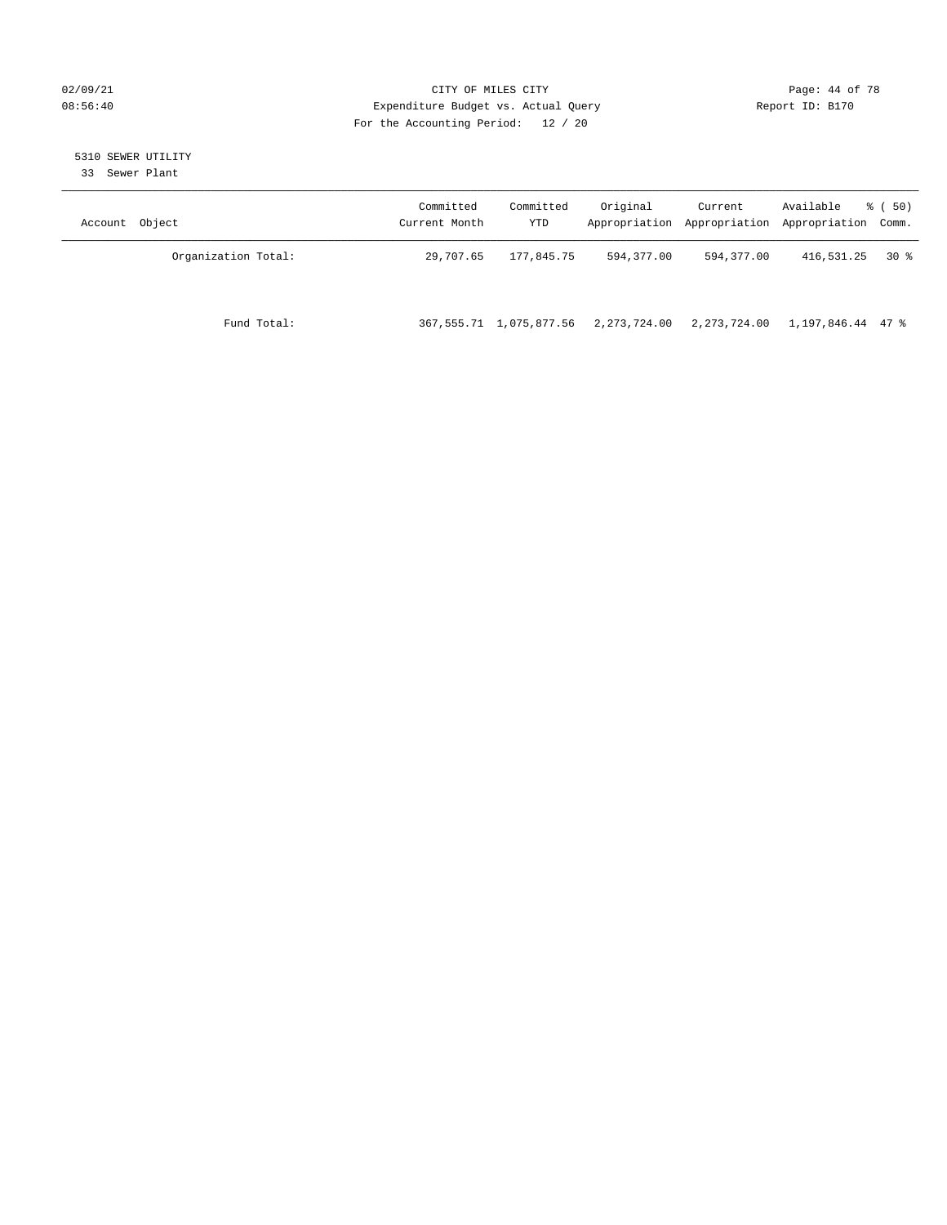## 02/09/21 Page: 44 of 78 08:56:40 Expenditure Budget vs. Actual Query Report ID: B170 For the Accounting Period: 12 / 20

# 5310 SEWER UTILITY

33 Sewer Plant

| Object<br>Account   | Committed<br>Current Month | Committed<br>YTD           | Original     | Current      | Available<br>Appropriation Appropriation Appropriation Comm. | 8 ( 50) |
|---------------------|----------------------------|----------------------------|--------------|--------------|--------------------------------------------------------------|---------|
| Organization Total: | 29,707.65                  | 177,845.75                 | 594,377.00   | 594,377.00   | 416,531.25                                                   | 30 %    |
| Fund Total:         |                            | 367, 555.71 1, 075, 877.56 | 2,273,724.00 | 2,273,724.00 | 1,197,846.44 47 %                                            |         |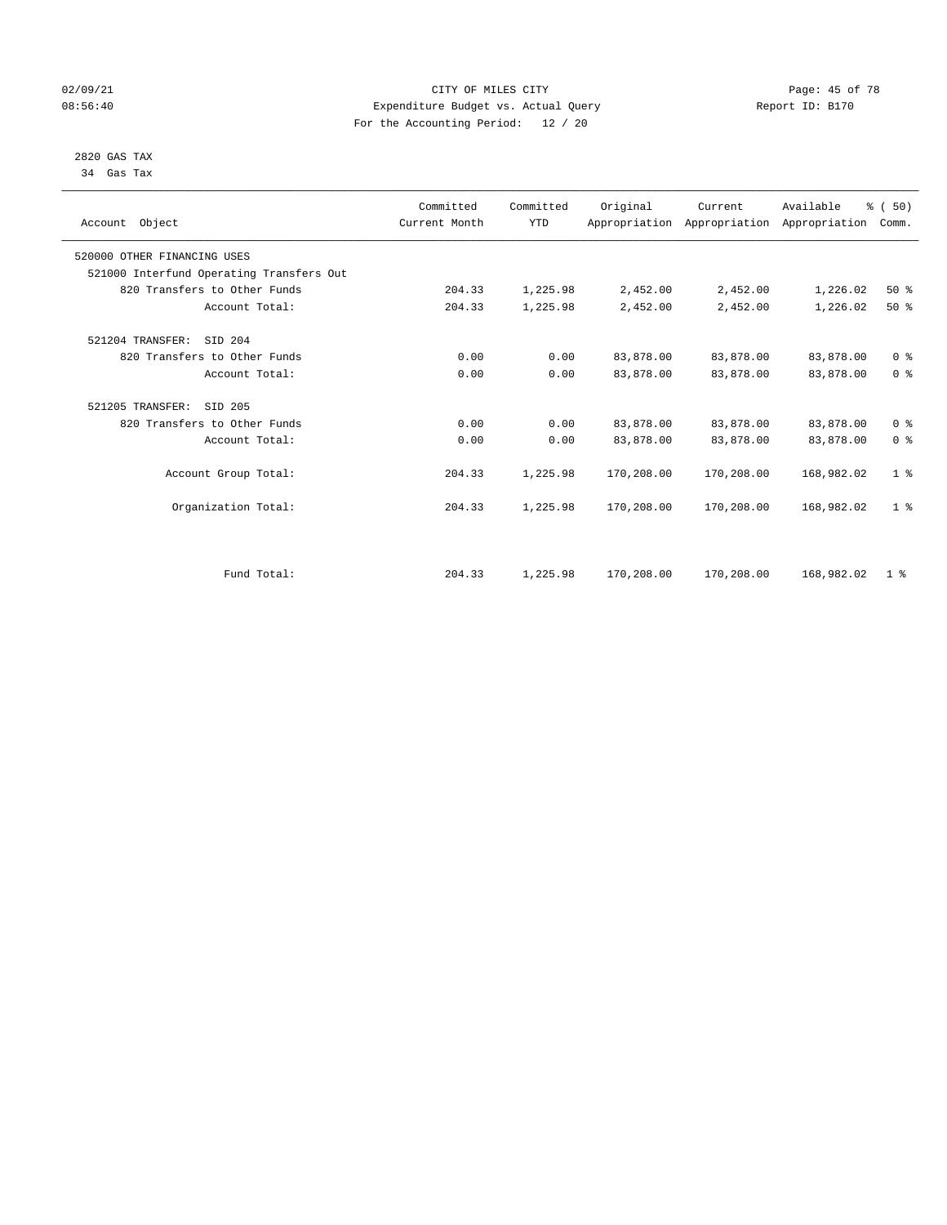## 02/09/21 **CITY OF MILES CITY CITY CITY Page: 45 of 78** 08:56:40 Expenditure Budget vs. Actual Query Report ID: B170 For the Accounting Period: 12 / 20

 2820 GAS TAX 34 Gas Tax

| Account Object                           | Committed<br>Current Month | Committed<br><b>YTD</b> | Original   | Current<br>Appropriation Appropriation Appropriation | Available  | % (50)<br>Comm. |
|------------------------------------------|----------------------------|-------------------------|------------|------------------------------------------------------|------------|-----------------|
| 520000 OTHER FINANCING USES              |                            |                         |            |                                                      |            |                 |
| 521000 Interfund Operating Transfers Out |                            |                         |            |                                                      |            |                 |
| 820 Transfers to Other Funds             | 204.33                     | 1,225.98                | 2,452.00   | 2,452.00                                             | 1,226.02   | 50%             |
| Account Total:                           | 204.33                     | 1,225.98                | 2,452.00   | 2,452.00                                             | 1,226.02   | $50*$           |
| 521204 TRANSFER:<br>STD 204              |                            |                         |            |                                                      |            |                 |
| 820 Transfers to Other Funds             | 0.00                       | 0.00                    | 83,878.00  | 83,878.00                                            | 83,878.00  | 0 <sup>8</sup>  |
| Account Total:                           | 0.00                       | 0.00                    | 83,878.00  | 83,878.00                                            | 83,878.00  | 0 <sup>8</sup>  |
| 521205 TRANSFER:<br>SID 205              |                            |                         |            |                                                      |            |                 |
| 820 Transfers to Other Funds             | 0.00                       | 0.00                    | 83,878.00  | 83,878.00                                            | 83,878.00  | 0 <sup>8</sup>  |
| Account Total:                           | 0.00                       | 0.00                    | 83,878.00  | 83,878.00                                            | 83,878.00  | 0 <sup>8</sup>  |
| Account Group Total:                     | 204.33                     | 1,225.98                | 170,208.00 | 170,208.00                                           | 168,982.02 | 1 <sup>°</sup>  |
| Organization Total:                      | 204.33                     | 1,225.98                | 170,208.00 | 170,208.00                                           | 168,982.02 | 1 <sup>°</sup>  |
|                                          |                            |                         |            |                                                      |            |                 |
| Fund Total:                              | 204.33                     | 1,225.98                | 170,208.00 | 170,208.00                                           | 168,982.02 | 1 <sup>8</sup>  |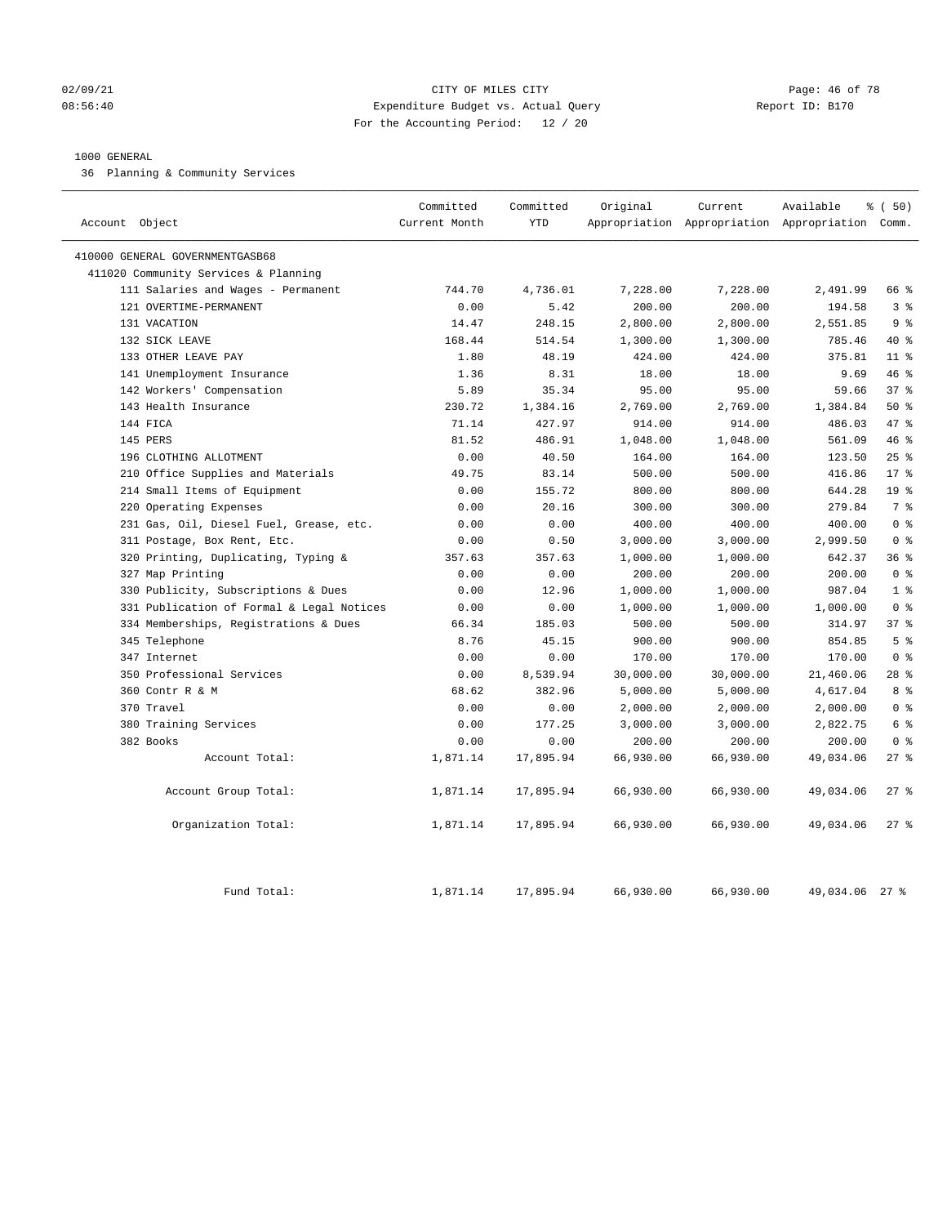## 02/09/21 **Page: 46 of 78** CITY OF MILES CITY **Page: 46 of 78** 08:56:40 Expenditure Budget vs. Actual Query Report ID: B170 For the Accounting Period: 12 / 20

#### 1000 GENERAL

36 Planning & Community Services

| Account Object                            | Committed<br>Current Month | Committed<br><b>YTD</b> | Original  | Current   | Available<br>Appropriation Appropriation Appropriation Comm. | % (50)          |
|-------------------------------------------|----------------------------|-------------------------|-----------|-----------|--------------------------------------------------------------|-----------------|
| 410000 GENERAL GOVERNMENTGASB68           |                            |                         |           |           |                                                              |                 |
| 411020 Community Services & Planning      |                            |                         |           |           |                                                              |                 |
| 111 Salaries and Wages - Permanent        | 744.70                     | 4,736.01                | 7,228.00  | 7,228.00  | 2,491.99                                                     | 66 %            |
| 121 OVERTIME-PERMANENT                    | 0.00                       | 5.42                    | 200.00    | 200.00    | 194.58                                                       | 3 <sup>°</sup>  |
| 131 VACATION                              | 14.47                      | 248.15                  | 2,800.00  | 2,800.00  | 2,551.85                                                     | 9 <sup>8</sup>  |
| 132 SICK LEAVE                            | 168.44                     | 514.54                  | 1,300.00  | 1,300.00  | 785.46                                                       | 40 %            |
| 133 OTHER LEAVE PAY                       | 1.80                       | 48.19                   | 424.00    | 424.00    | 375.81                                                       | 11 <sup>8</sup> |
| 141 Unemployment Insurance                | 1.36                       | 8.31                    | 18.00     | 18.00     | 9.69                                                         | 46 %            |
| 142 Workers' Compensation                 | 5.89                       | 35.34                   | 95.00     | 95.00     | 59.66                                                        | 37 <sup>8</sup> |
| 143 Health Insurance                      | 230.72                     | 1,384.16                | 2,769.00  | 2,769.00  | 1,384.84                                                     | 50%             |
| 144 FICA                                  | 71.14                      | 427.97                  | 914.00    | 914.00    | 486.03                                                       | 47 %            |
| 145 PERS                                  | 81.52                      | 486.91                  | 1,048.00  | 1,048.00  | 561.09                                                       | 46%             |
| 196 CLOTHING ALLOTMENT                    | 0.00                       | 40.50                   | 164.00    | 164.00    | 123.50                                                       | 25%             |
| 210 Office Supplies and Materials         | 49.75                      | 83.14                   | 500.00    | 500.00    | 416.86                                                       | $17*$           |
| 214 Small Items of Equipment              | 0.00                       | 155.72                  | 800.00    | 800.00    | 644.28                                                       | 19 <sup>°</sup> |
| Operating Expenses<br>220                 | 0.00                       | 20.16                   | 300.00    | 300.00    | 279.84                                                       | 7 <sup>°</sup>  |
| 231 Gas, Oil, Diesel Fuel, Grease, etc.   | 0.00                       | 0.00                    | 400.00    | 400.00    | 400.00                                                       | 0 <sup>8</sup>  |
| 311 Postage, Box Rent, Etc.               | 0.00                       | 0.50                    | 3,000.00  | 3,000.00  | 2,999.50                                                     | 0 <sup>8</sup>  |
| 320 Printing, Duplicating, Typing &       | 357.63                     | 357.63                  | 1,000.00  | 1,000.00  | 642.37                                                       | 36%             |
| 327 Map Printing                          | 0.00                       | 0.00                    | 200.00    | 200.00    | 200.00                                                       | 0 <sup>8</sup>  |
| 330 Publicity, Subscriptions & Dues       | 0.00                       | 12.96                   | 1,000.00  | 1,000.00  | 987.04                                                       | 1 <sup>°</sup>  |
| 331 Publication of Formal & Legal Notices | 0.00                       | 0.00                    | 1,000.00  | 1,000.00  | 1,000.00                                                     | 0 <sup>8</sup>  |
| 334 Memberships, Registrations & Dues     | 66.34                      | 185.03                  | 500.00    | 500.00    | 314.97                                                       | 378             |
| 345 Telephone                             | 8.76                       | 45.15                   | 900.00    | 900.00    | 854.85                                                       | 5 <sup>°</sup>  |
| 347 Internet                              | 0.00                       | 0.00                    | 170.00    | 170.00    | 170.00                                                       | 0 <sup>8</sup>  |
| 350 Professional Services                 | 0.00                       | 8,539.94                | 30,000.00 | 30,000.00 | 21,460.06                                                    | $28$ %          |
| 360 Contr R & M                           | 68.62                      | 382.96                  | 5,000.00  | 5,000.00  | 4,617.04                                                     | 8 %             |
| 370 Travel                                | 0.00                       | 0.00                    | 2,000.00  | 2,000.00  | 2,000.00                                                     | 0 <sup>8</sup>  |
| 380 Training Services                     | 0.00                       | 177.25                  | 3,000.00  | 3,000.00  | 2,822.75                                                     | 6 %             |
| 382 Books                                 | 0.00                       | 0.00                    | 200.00    | 200.00    | 200.00                                                       | 0 <sup>8</sup>  |
| Account Total:                            | 1,871.14                   | 17,895.94               | 66,930.00 | 66,930.00 | 49,034.06                                                    | 27%             |
| Account Group Total:                      | 1,871.14                   | 17,895.94               | 66,930.00 | 66,930.00 | 49,034.06                                                    | $27$ %          |
| Organization Total:                       | 1,871.14                   | 17,895.94               | 66,930.00 | 66,930.00 | 49,034.06                                                    | $27$ %          |
| Fund Total:                               | 1,871.14                   | 17,895.94               | 66,930.00 | 66,930.00 | 49,034.06                                                    | $27$ %          |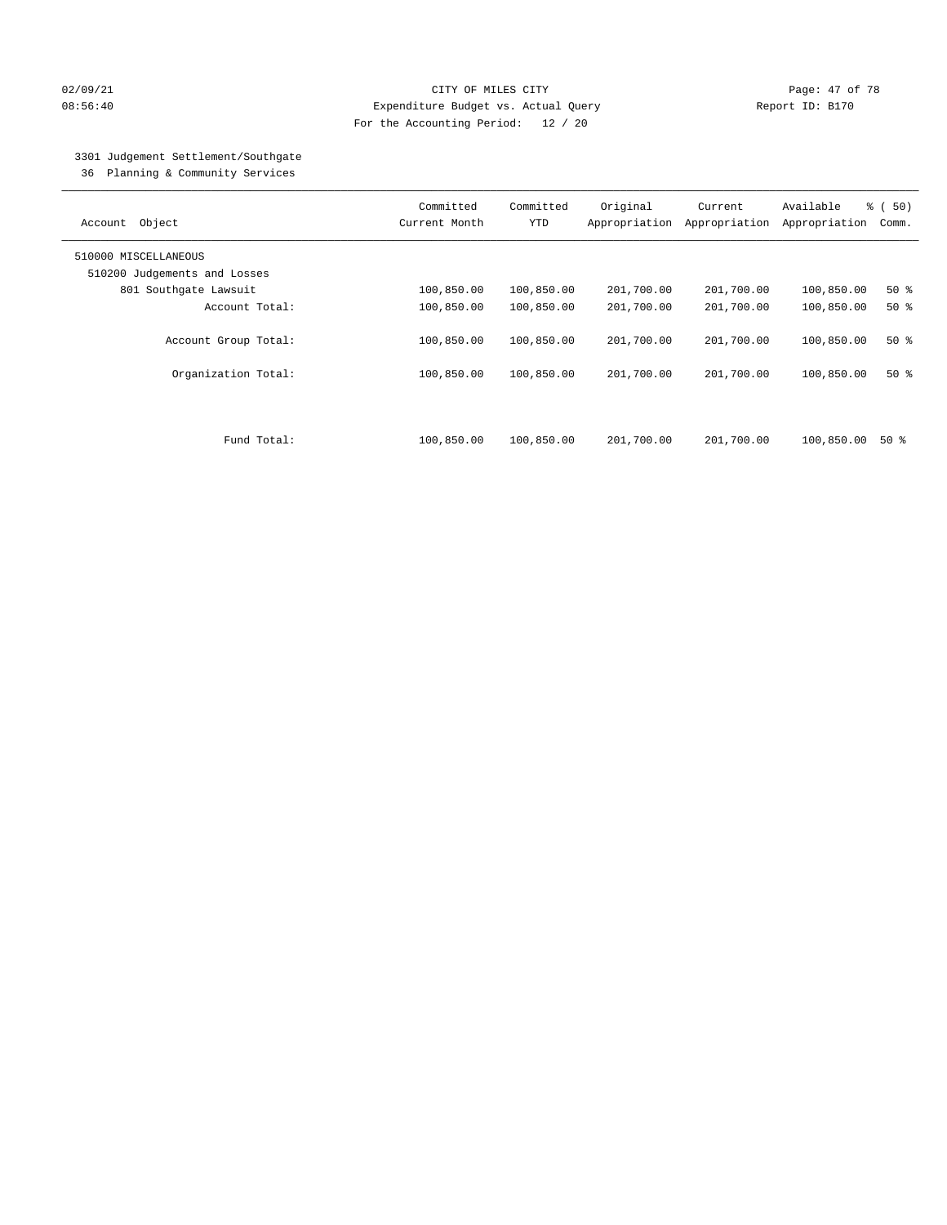## 02/09/21 Page: 47 of 78 08:56:40 Expenditure Budget vs. Actual Query Report ID: B170 For the Accounting Period: 12 / 20

# 3301 Judgement Settlement/Southgate

36 Planning & Community Services

| Object<br>Account            | Committed<br>Current Month | Committed<br><b>YTD</b> | Original<br>Appropriation | Current<br>Appropriation | Available<br>Appropriation | % (50)<br>Comm. |
|------------------------------|----------------------------|-------------------------|---------------------------|--------------------------|----------------------------|-----------------|
| 510000 MISCELLANEOUS         |                            |                         |                           |                          |                            |                 |
| 510200 Judgements and Losses |                            |                         |                           |                          |                            |                 |
| 801 Southgate Lawsuit        | 100,850.00                 | 100,850.00              | 201,700.00                | 201,700.00               | 100,850.00                 | 50%             |
| Account Total:               | 100,850.00                 | 100,850.00              | 201,700.00                | 201,700.00               | 100,850.00                 | $50*$           |
| Account Group Total:         | 100,850.00                 | 100,850.00              | 201,700.00                | 201,700.00               | 100,850.00                 | 50%             |
| Organization Total:          | 100,850.00                 | 100,850.00              | 201,700.00                | 201,700.00               | 100,850.00                 | $50*$           |
| Fund Total:                  | 100,850.00                 | 100,850.00              | 201,700.00                | 201,700.00               | 100,850.00                 | 50 %            |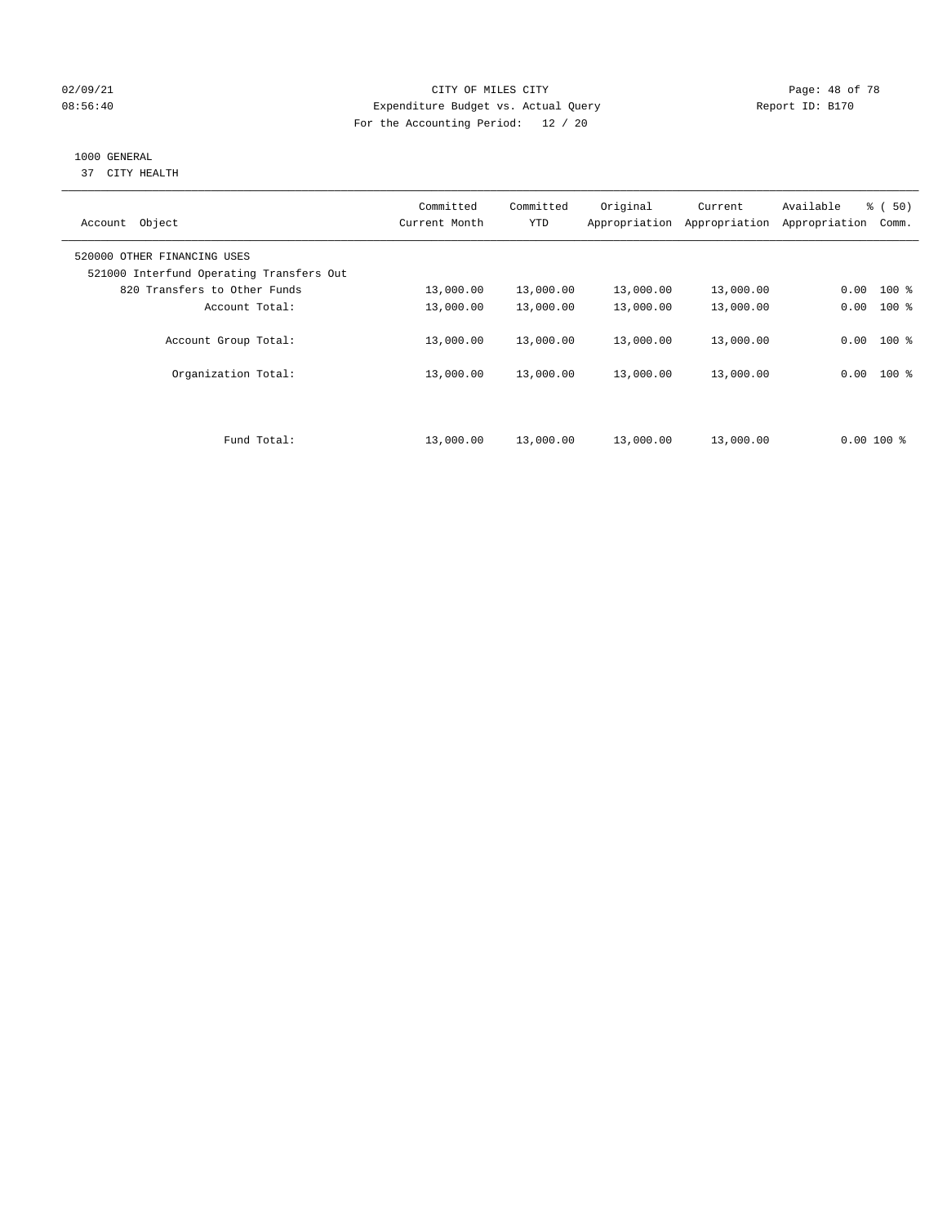## 02/09/21 **CITY OF MILES CITY CITY CITY Page: 48 of 78** 08:56:40 Expenditure Budget vs. Actual Query Report ID: B170 For the Accounting Period: 12 / 20

# 1000 GENERAL

37 CITY HEALTH

| Account Object                                                          | Committed<br>Current Month | Committed<br><b>YTD</b> | Original<br>Appropriation | Current<br>Appropriation | Available<br>Appropriation | <sub>ර</sub> ි (50)<br>Comm. |
|-------------------------------------------------------------------------|----------------------------|-------------------------|---------------------------|--------------------------|----------------------------|------------------------------|
| 520000 OTHER FINANCING USES<br>521000 Interfund Operating Transfers Out |                            |                         |                           |                          |                            |                              |
| 820 Transfers to Other Funds                                            | 13,000.00                  | 13,000.00               | 13,000.00                 | 13,000.00                | 0.00                       | $100$ %                      |
| Account Total:                                                          | 13,000.00                  | 13,000.00               | 13,000.00                 | 13,000.00                | 0.00                       | $100*$                       |
| Account Group Total:                                                    | 13,000.00                  | 13,000.00               | 13,000.00                 | 13,000.00                | 0.00                       | $100$ %                      |
| Organization Total:                                                     | 13,000.00                  | 13,000.00               | 13,000.00                 | 13,000.00                | 0.00                       | $100$ %                      |
| Fund Total:                                                             | 13,000.00                  | 13,000.00               | 13,000.00                 | 13,000.00                | $0.00100$ %                |                              |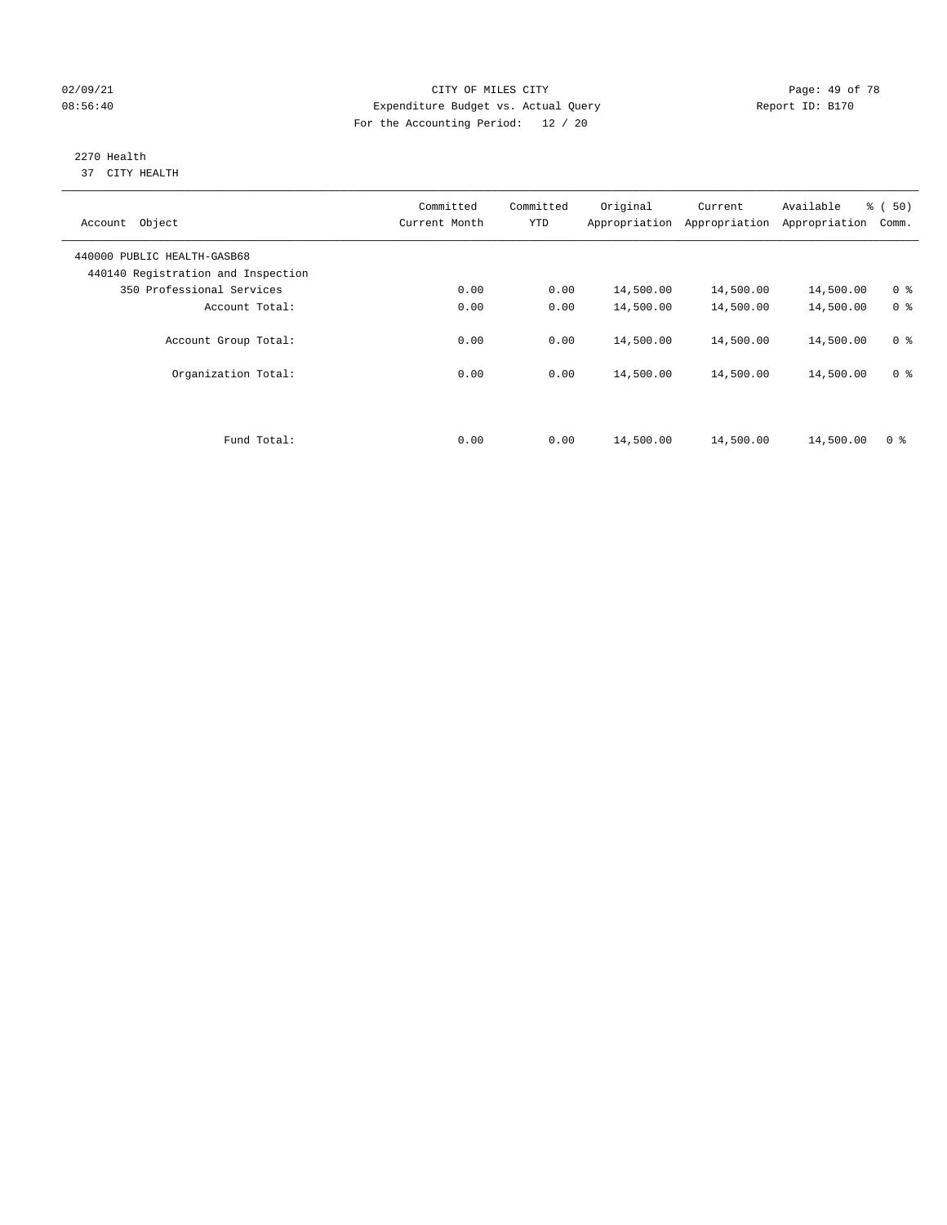## 02/09/21 **CITY OF MILES CITY CITY CITY Page: 49 of 78** 08:56:40 Expenditure Budget vs. Actual Query Report ID: B170 For the Accounting Period: 12 / 20

#### 2270 Health 37 CITY HEALTH

| Object<br>Account                                                 | Committed<br>Current Month | Committed<br><b>YTD</b> | Original<br>Appropriation | Current<br>Appropriation | Available<br>Appropriation | % (50)<br>Comm. |
|-------------------------------------------------------------------|----------------------------|-------------------------|---------------------------|--------------------------|----------------------------|-----------------|
| 440000 PUBLIC HEALTH-GASB68<br>440140 Registration and Inspection |                            |                         |                           |                          |                            |                 |
| 350 Professional Services                                         | 0.00                       | 0.00                    | 14,500.00                 | 14,500.00                | 14,500.00                  | 0 <sup>8</sup>  |
| Account Total:                                                    | 0.00                       | 0.00                    | 14,500.00                 | 14,500.00                | 14,500.00                  | 0 <sup>8</sup>  |
| Account Group Total:                                              | 0.00                       | 0.00                    | 14,500.00                 | 14,500.00                | 14,500.00                  | 0 <sup>8</sup>  |
| Organization Total:                                               | 0.00                       | 0.00                    | 14,500.00                 | 14,500.00                | 14,500.00                  | 0 <sup>8</sup>  |
|                                                                   |                            |                         |                           |                          |                            |                 |
| Fund Total:                                                       | 0.00                       | 0.00                    | 14,500.00                 | 14,500.00                | 14,500.00                  | 0 <sup>8</sup>  |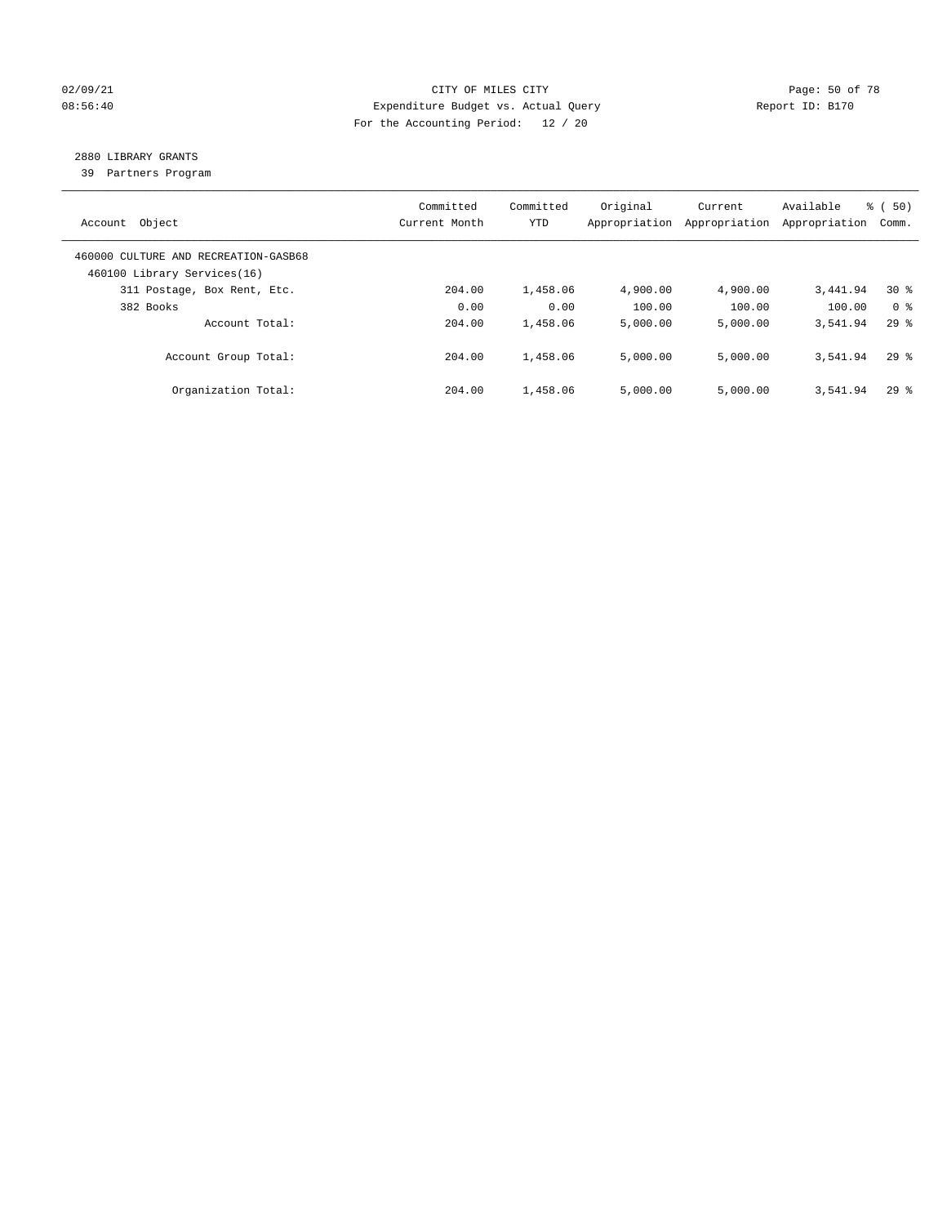## 02/09/21 **Page: 50 of 78** CITY OF MILES CITY **Page: 50 of 78** 08:56:40 Expenditure Budget vs. Actual Query Report ID: B170 For the Accounting Period: 12 / 20

# 2880 LIBRARY GRANTS

39 Partners Program

| Account Object                                                      | Committed<br>Current Month | Committed<br><b>YTD</b> | Original<br>Appropriation | Current<br>Appropriation | Available<br>Appropriation | % ( 50)<br>Comm.   |
|---------------------------------------------------------------------|----------------------------|-------------------------|---------------------------|--------------------------|----------------------------|--------------------|
| 460000 CULTURE AND RECREATION-GASB68<br>460100 Library Services(16) |                            |                         |                           |                          |                            |                    |
| 311 Postage, Box Rent, Etc.                                         | 204.00                     | 1,458.06                | 4,900.00                  | 4,900.00                 | 3,441.94                   | $30*$              |
| 382 Books                                                           | 0.00                       | 0.00                    | 100.00                    | 100.00                   | 100.00                     | 0 <sup>8</sup>     |
| Account Total:                                                      | 204.00                     | 1,458.06                | 5,000.00                  | 5,000.00                 | 3,541.94                   | $29*$              |
| Account Group Total:                                                | 204.00                     | 1,458.06                | 5,000.00                  | 5,000.00                 | 3,541.94                   | 298                |
| Organization Total:                                                 | 204.00                     | 1,458.06                | 5.000.00                  | 5,000.00                 | 3,541.94                   | $29$ $\frac{6}{3}$ |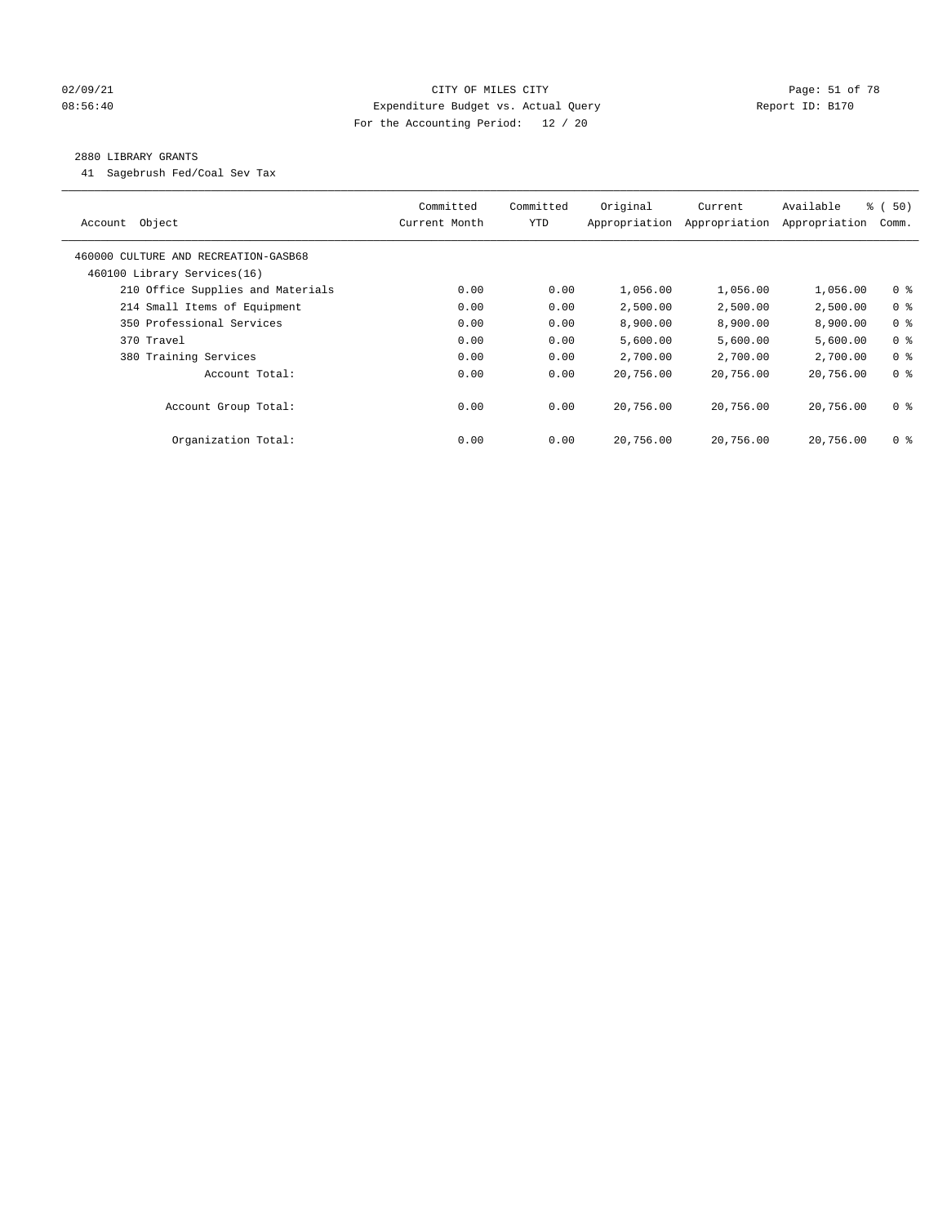## 02/09/21 Page: 51 of 78 08:56:40 Expenditure Budget vs. Actual Query Report ID: B170 For the Accounting Period: 12 / 20

#### 2880 LIBRARY GRANTS

41 Sagebrush Fed/Coal Sev Tax

| Object<br>Account                    | Committed<br>Current Month | Committed<br><b>YTD</b> | Original<br>Appropriation | Current<br>Appropriation | Available<br>Appropriation | % (50)<br>Comm. |
|--------------------------------------|----------------------------|-------------------------|---------------------------|--------------------------|----------------------------|-----------------|
| 460000 CULTURE AND RECREATION-GASB68 |                            |                         |                           |                          |                            |                 |
| 460100 Library Services(16)          |                            |                         |                           |                          |                            |                 |
| 210 Office Supplies and Materials    | 0.00                       | 0.00                    | 1,056.00                  | 1,056.00                 | 1,056.00                   | 0 <sub>8</sub>  |
| 214 Small Items of Equipment         | 0.00                       | 0.00                    | 2,500.00                  | 2,500.00                 | 2,500.00                   | 0 <sup>8</sup>  |
| 350 Professional Services            | 0.00                       | 0.00                    | 8,900.00                  | 8,900.00                 | 8,900.00                   | 0 <sup>8</sup>  |
| 370 Travel                           | 0.00                       | 0.00                    | 5,600.00                  | 5,600.00                 | 5,600.00                   | 0 <sup>8</sup>  |
| 380 Training Services                | 0.00                       | 0.00                    | 2,700.00                  | 2,700.00                 | 2,700.00                   | 0 <sup>8</sup>  |
| Account Total:                       | 0.00                       | 0.00                    | 20,756.00                 | 20,756.00                | 20,756.00                  | 0 <sup>8</sup>  |
| Account Group Total:                 | 0.00                       | 0.00                    | 20,756.00                 | 20,756.00                | 20,756.00                  | 0 <sup>8</sup>  |
| Organization Total:                  | 0.00                       | 0.00                    | 20,756.00                 | 20,756.00                | 20,756.00                  | 0 %             |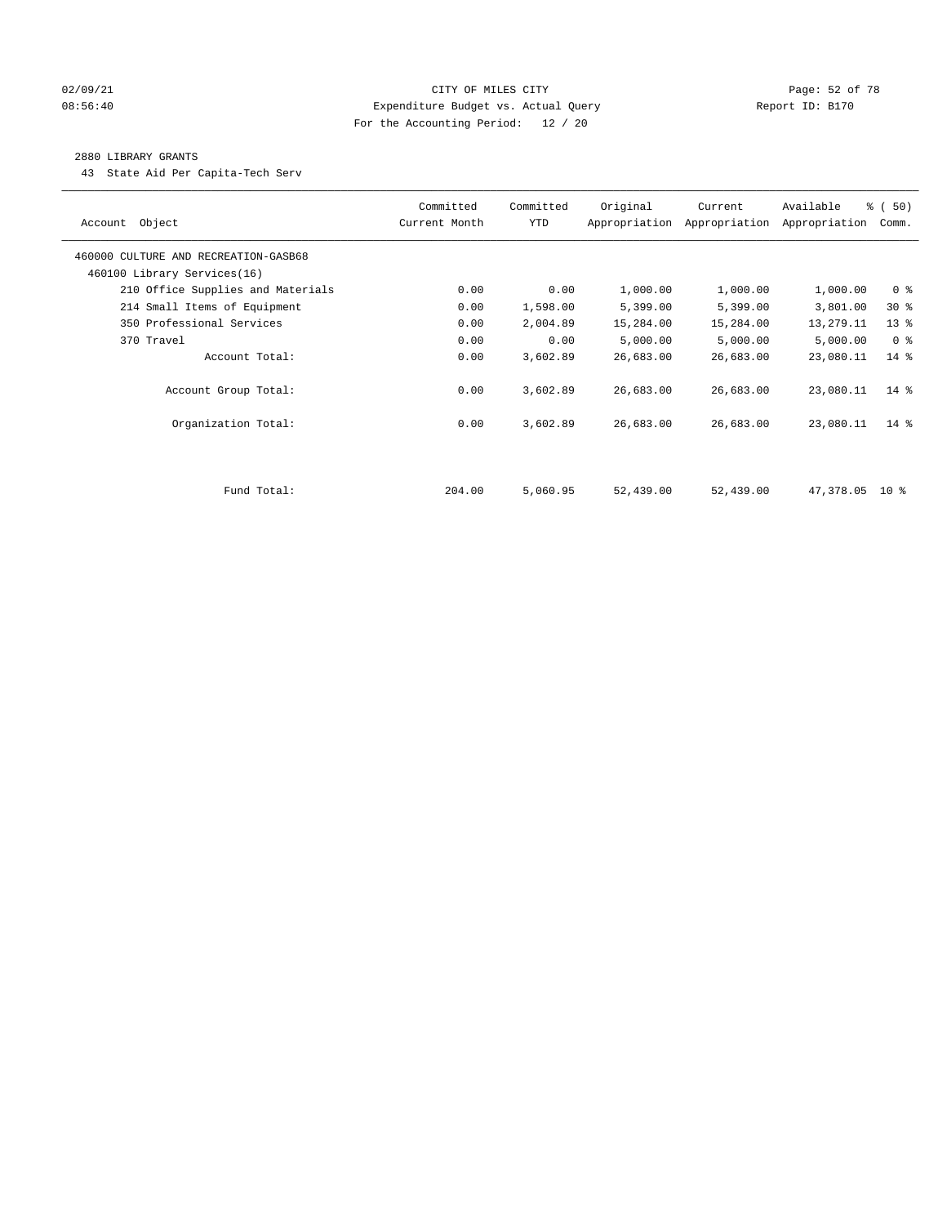## 02/09/21 Page: 52 of 78 08:56:40 Expenditure Budget vs. Actual Query Report ID: B170 For the Accounting Period: 12 / 20

#### 2880 LIBRARY GRANTS

43 State Aid Per Capita-Tech Serv

| Account Object                       | Committed<br>Current Month | Committed<br><b>YTD</b> | Original  | Current<br>Appropriation Appropriation | Available<br>Appropriation | % (50)<br>Comm. |
|--------------------------------------|----------------------------|-------------------------|-----------|----------------------------------------|----------------------------|-----------------|
| 460000 CULTURE AND RECREATION-GASB68 |                            |                         |           |                                        |                            |                 |
| 460100 Library Services(16)          |                            |                         |           |                                        |                            |                 |
| 210 Office Supplies and Materials    | 0.00                       | 0.00                    | 1,000.00  | 1,000.00                               | 1,000.00                   | 0 <sup>8</sup>  |
| 214 Small Items of Equipment         | 0.00                       | 1,598.00                | 5,399.00  | 5,399.00                               | 3,801.00                   | $30*$           |
| 350 Professional Services            | 0.00                       | 2,004.89                | 15,284.00 | 15,284.00                              | 13,279.11                  | 13 <sup>°</sup> |
| 370 Travel                           | 0.00                       | 0.00                    | 5,000.00  | 5,000.00                               | 5,000.00                   | 0 <sup>8</sup>  |
| Account Total:                       | 0.00                       | 3,602.89                | 26,683.00 | 26,683.00                              | 23,080.11                  | $14*$           |
| Account Group Total:                 | 0.00                       | 3,602.89                | 26,683.00 | 26,683.00                              | 23,080.11                  | $14*$           |
| Organization Total:                  | 0.00                       | 3,602.89                | 26,683.00 | 26,683.00                              | 23,080.11                  | $14*$           |
|                                      |                            |                         |           |                                        |                            |                 |
| Fund Total:                          | 204.00                     | 5,060.95                | 52,439.00 | 52,439.00                              | 47,378.05 10 %             |                 |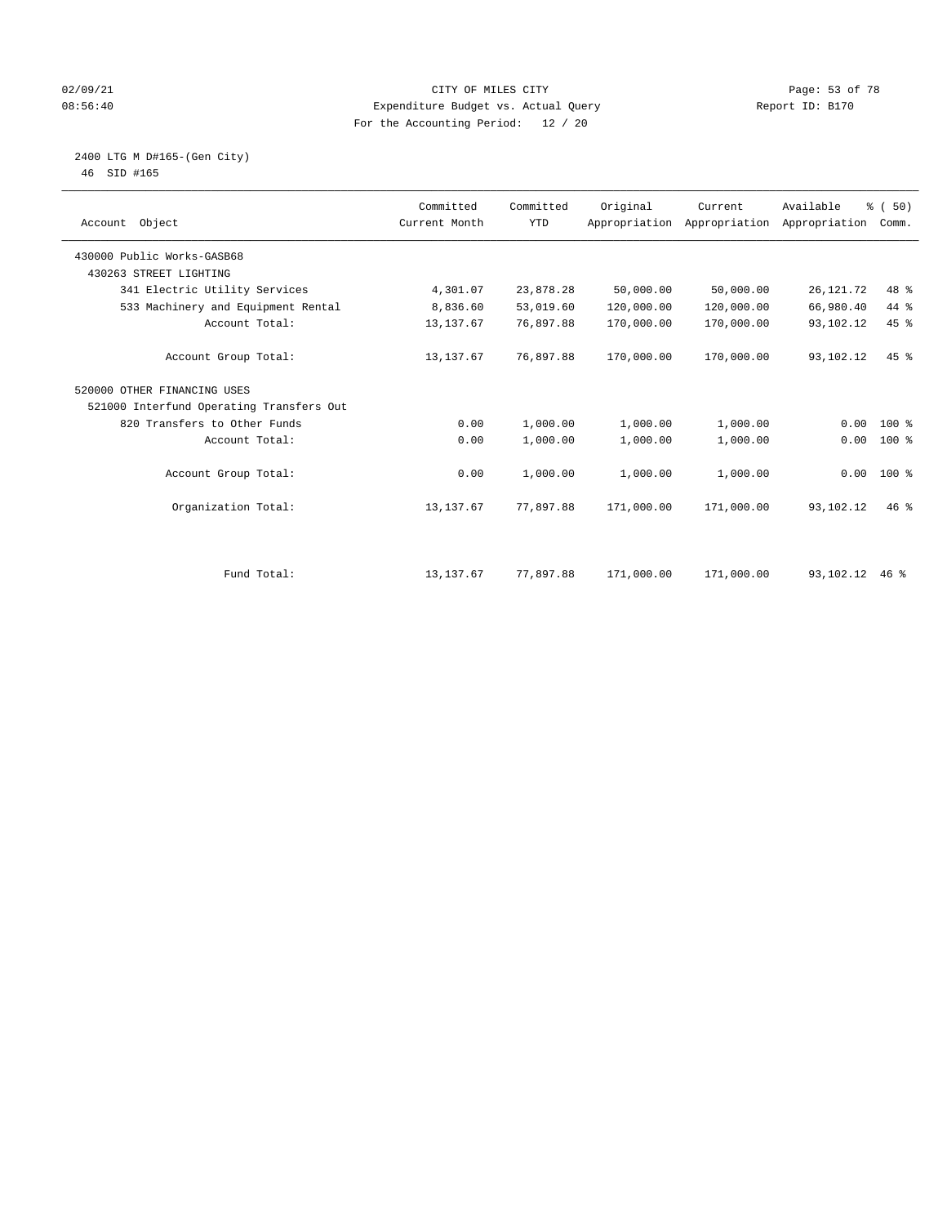## 02/09/21 **CITY OF MILES CITY CITY CITY Page: 53 of 78** 08:56:40 Expenditure Budget vs. Actual Query Report ID: B170 For the Accounting Period: 12 / 20

#### 2400 LTG M D#165-(Gen City) 46 SID #165

| Account Object                           | Committed<br>Current Month | Committed<br><b>YTD</b> | Original   | Current<br>Appropriation Appropriation | Available<br>Appropriation | % (50)<br>Comm. |  |
|------------------------------------------|----------------------------|-------------------------|------------|----------------------------------------|----------------------------|-----------------|--|
| 430000 Public Works-GASB68               |                            |                         |            |                                        |                            |                 |  |
| 430263 STREET LIGHTING                   |                            |                         |            |                                        |                            |                 |  |
| 341 Electric Utility Services            | 4,301.07                   | 23,878.28               | 50,000.00  | 50,000.00                              | 26, 121. 72                | 48 %            |  |
| 533 Machinery and Equipment Rental       | 8,836.60                   | 53,019.60               | 120,000.00 | 120,000.00                             | 66,980.40                  | 44 %            |  |
| Account Total:                           | 13, 137.67                 | 76,897.88               | 170,000.00 | 170,000.00                             | 93,102.12                  | 45 %            |  |
| Account Group Total:                     | 13, 137.67                 | 76,897.88               | 170,000.00 | 170,000.00                             | 93,102.12                  | $45$ $%$        |  |
| 520000 OTHER FINANCING USES              |                            |                         |            |                                        |                            |                 |  |
| 521000 Interfund Operating Transfers Out |                            |                         |            |                                        |                            |                 |  |
| 820 Transfers to Other Funds             | 0.00                       | 1,000.00                | 1,000.00   | 1,000.00                               | 0.00                       | $100*$          |  |
| Account Total:                           | 0.00                       | 1,000.00                | 1,000.00   | 1,000.00                               | 0.00                       | $100*$          |  |
| Account Group Total:                     | 0.00                       | 1,000.00                | 1,000.00   | 1,000.00                               |                            | $0.00$ 100 %    |  |
| Organization Total:                      | 13, 137.67                 | 77,897.88               | 171,000.00 | 171,000.00                             | 93,102.12                  | $46$ %          |  |
|                                          |                            |                         |            |                                        |                            |                 |  |
| Fund Total:                              | 13, 137.67                 | 77,897.88               | 171,000.00 | 171,000.00                             | 93,102.12                  | $46*$           |  |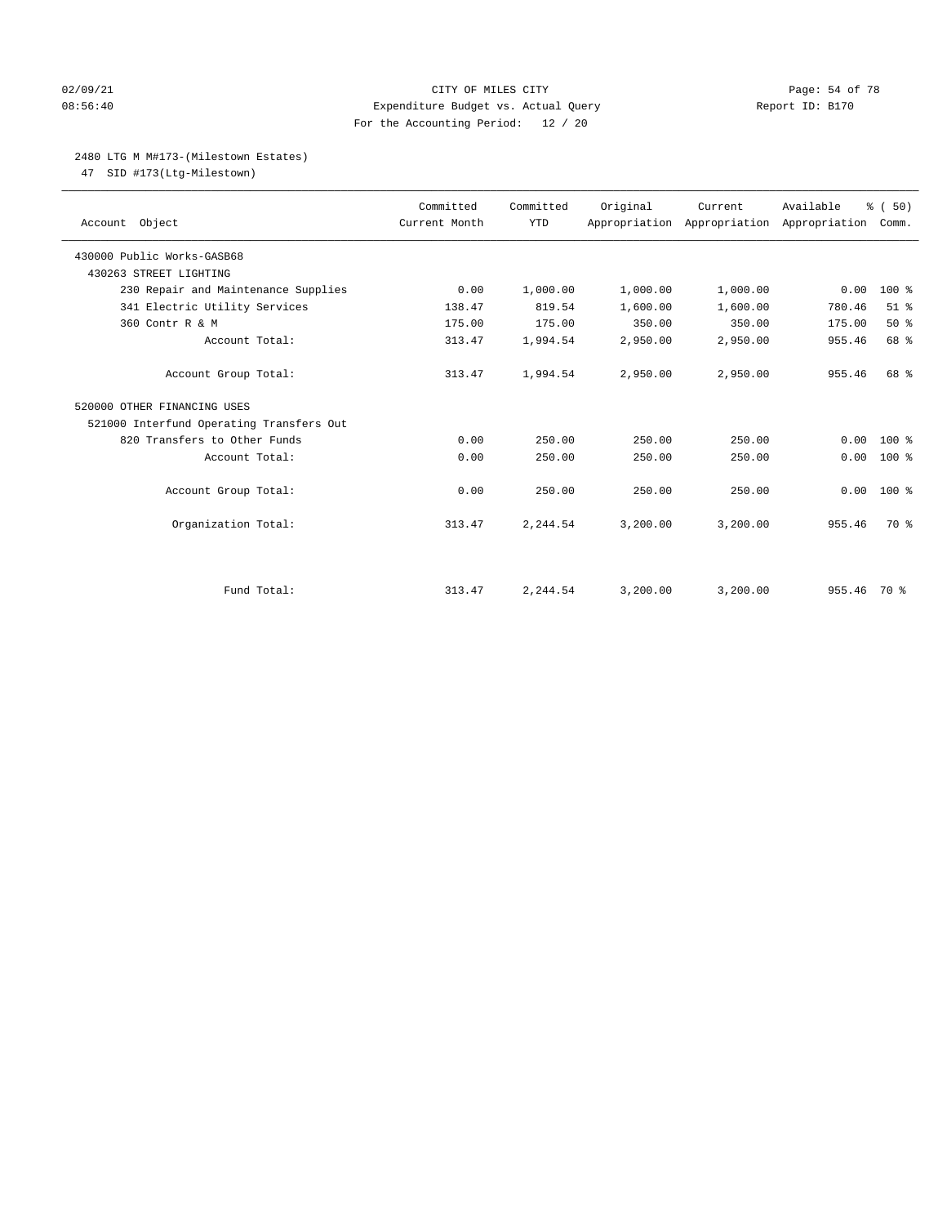## 02/09/21 Page: 54 of 78 08:56:40 Expenditure Budget vs. Actual Query Report ID: B170 For the Accounting Period: 12 / 20

# 2480 LTG M M#173-(Milestown Estates)

47 SID #173(Ltg-Milestown)

| Account Object                           | Committed<br>Current Month | Committed<br><b>YTD</b> | Original | Current<br>Appropriation Appropriation Appropriation | Available | % (50)<br>Comm. |
|------------------------------------------|----------------------------|-------------------------|----------|------------------------------------------------------|-----------|-----------------|
| 430000 Public Works-GASB68               |                            |                         |          |                                                      |           |                 |
| 430263 STREET LIGHTING                   |                            |                         |          |                                                      |           |                 |
| 230 Repair and Maintenance Supplies      | 0.00                       | 1,000.00                | 1,000.00 | 1,000.00                                             | 0.00      | 100 %           |
| 341 Electric Utility Services            | 138.47                     | 819.54                  | 1,600.00 | 1,600.00                                             | 780.46    | $51$ %          |
| 360 Contr R & M                          | 175.00                     | 175.00                  | 350.00   | 350.00                                               | 175.00    | 50%             |
| Account Total:                           | 313.47                     | 1,994.54                | 2,950.00 | 2,950.00                                             | 955.46    | 68 %            |
| Account Group Total:                     | 313.47                     | 1,994.54                | 2,950.00 | 2,950.00                                             | 955.46    | 68 %            |
| 520000 OTHER FINANCING USES              |                            |                         |          |                                                      |           |                 |
| 521000 Interfund Operating Transfers Out |                            |                         |          |                                                      |           |                 |
| 820 Transfers to Other Funds             | 0.00                       | 250.00                  | 250.00   | 250.00                                               | 0.00      | $100*$          |
| Account Total:                           | 0.00                       | 250.00                  | 250.00   | 250.00                                               | 0.00      | 100 %           |
| Account Group Total:                     | 0.00                       | 250.00                  | 250.00   | 250.00                                               | 0.00      | 100 %           |
| Organization Total:                      | 313.47                     | 2,244.54                | 3,200.00 | 3,200.00                                             | 955.46    | 70 %            |
|                                          |                            |                         |          |                                                      |           |                 |
| Fund Total:                              | 313.47                     | 2,244.54                | 3,200.00 | 3,200.00                                             | 955.46    | 70 %            |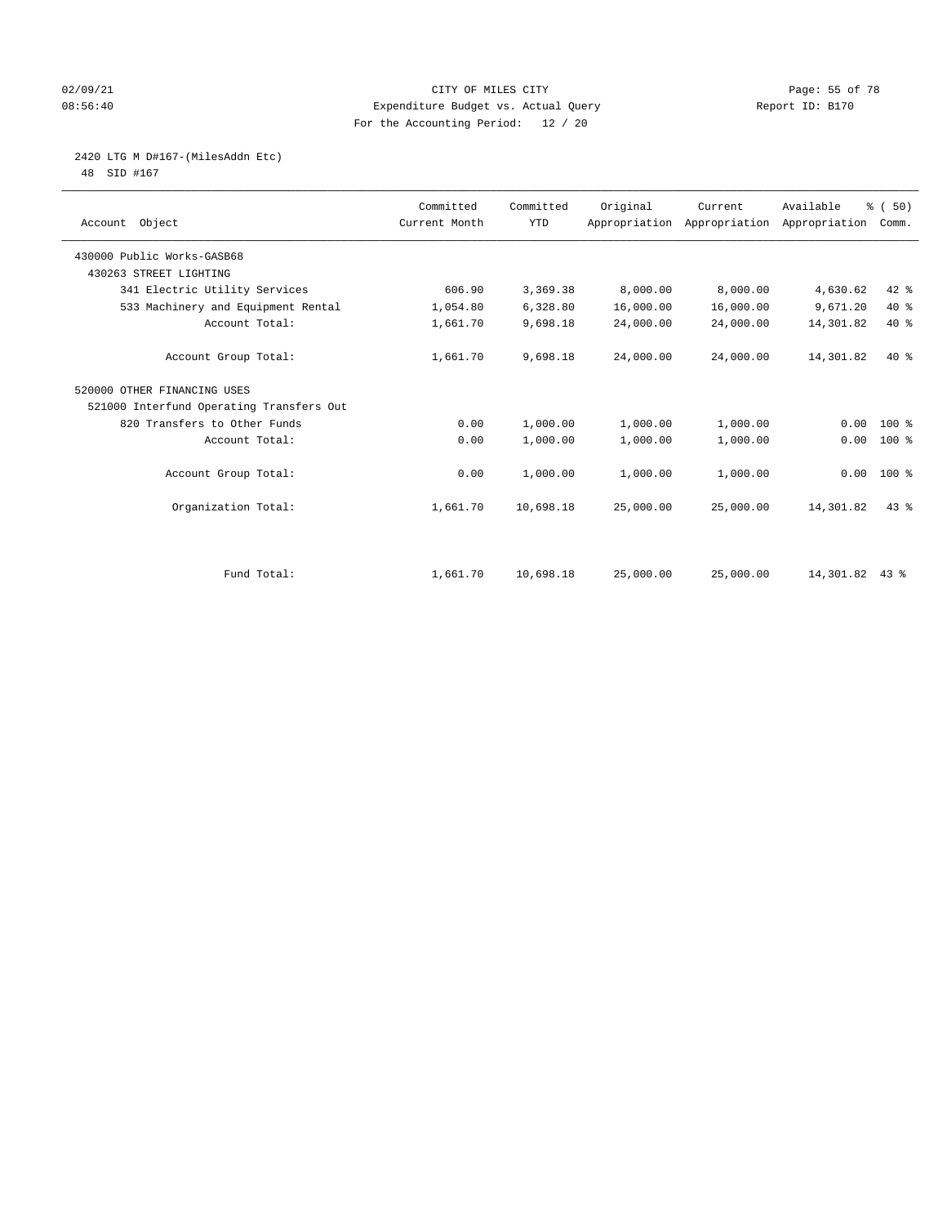## 02/09/21 **CITY OF MILES CITY CITY CITY Page: 55 of 78** 08:56:40 Expenditure Budget vs. Actual Query Report ID: B170 For the Accounting Period: 12 / 20

2420 LTG M D#167-(MilesAddn Etc)

48 SID #167

| Account Object                           | Committed<br>Current Month | Committed<br><b>YTD</b> | Original  | Current<br>Appropriation Appropriation | Available<br>Appropriation | % (50)<br>Comm. |  |
|------------------------------------------|----------------------------|-------------------------|-----------|----------------------------------------|----------------------------|-----------------|--|
| 430000 Public Works-GASB68               |                            |                         |           |                                        |                            |                 |  |
| 430263 STREET LIGHTING                   |                            |                         |           |                                        |                            |                 |  |
| 341 Electric Utility Services            | 606.90                     | 3,369.38                | 8,000.00  | 8,000.00                               | 4,630.62                   | 42 %            |  |
| 533 Machinery and Equipment Rental       | 1,054.80                   | 6,328.80                | 16,000.00 | 16,000.00                              | 9,671.20                   | $40*$           |  |
| Account Total:                           | 1,661.70                   | 9,698.18                | 24,000.00 | 24,000.00                              | 14,301.82                  | $40*$           |  |
| Account Group Total:                     | 1,661.70                   | 9,698.18                | 24,000.00 | 24,000.00                              | 14,301.82                  | $40*$           |  |
| 520000 OTHER FINANCING USES              |                            |                         |           |                                        |                            |                 |  |
| 521000 Interfund Operating Transfers Out |                            |                         |           |                                        |                            |                 |  |
| 820 Transfers to Other Funds             | 0.00                       | 1,000.00                | 1,000.00  | 1,000.00                               | 0.00                       | $100*$          |  |
| Account Total:                           | 0.00                       | 1,000.00                | 1,000.00  | 1,000.00                               | 0.00                       | 100 %           |  |
| Account Group Total:                     | 0.00                       | 1,000.00                | 1,000.00  | 1,000.00                               |                            | $0.00 100$ %    |  |
| Organization Total:                      | 1,661.70                   | 10,698.18               | 25,000.00 | 25,000.00                              | 14,301.82                  | 43%             |  |
|                                          |                            |                         |           |                                        |                            |                 |  |
| Fund Total:                              | 1,661.70                   | 10,698.18               | 25,000.00 | 25,000.00                              | 14,301.82 43 %             |                 |  |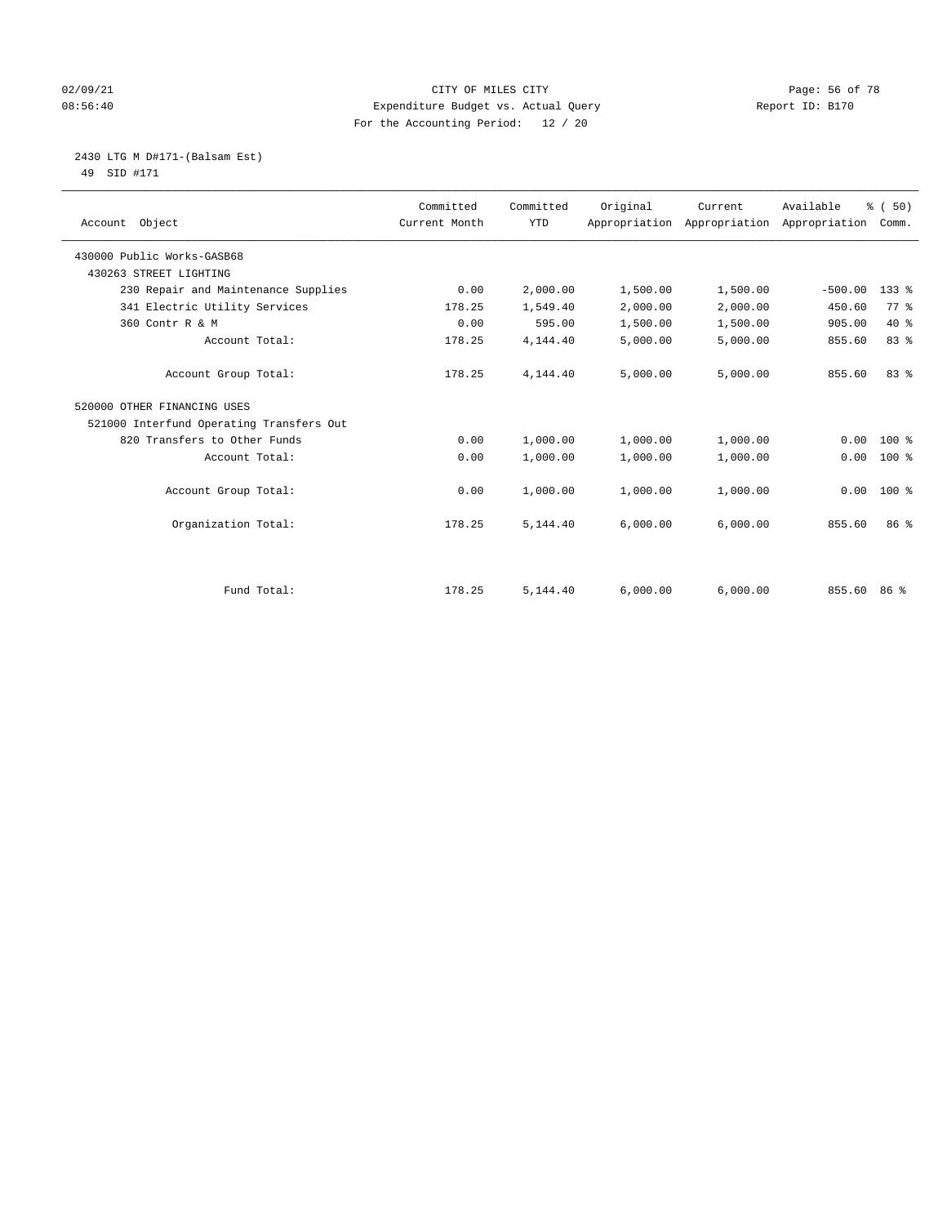## 02/09/21 **CITY OF MILES CITY CITY CITY Page: 56 of 78** 08:56:40 Expenditure Budget vs. Actual Query Report ID: B170 For the Accounting Period: 12 / 20

 2430 LTG M D#171-(Balsam Est) 49 SID #171

| Account Object                           | Committed<br>Current Month | Committed<br><b>YTD</b> | Original | Current<br>Appropriation Appropriation | Available<br>Appropriation | % (50)<br>Comm. |
|------------------------------------------|----------------------------|-------------------------|----------|----------------------------------------|----------------------------|-----------------|
| 430000 Public Works-GASB68               |                            |                         |          |                                        |                            |                 |
| 430263 STREET LIGHTING                   |                            |                         |          |                                        |                            |                 |
| 230 Repair and Maintenance Supplies      | 0.00                       | 2,000.00                | 1,500.00 | 1,500.00                               | $-500.00$                  | $133$ $%$       |
| 341 Electric Utility Services            | 178.25                     | 1,549.40                | 2,000.00 | 2,000.00                               | 450.60                     | 77.8            |
| 360 Contr R & M                          | 0.00                       | 595.00                  | 1,500.00 | 1,500.00                               | 905.00                     | $40*$           |
| Account Total:                           | 178.25                     | 4,144.40                | 5,000.00 | 5,000.00                               | 855.60                     | 83%             |
| Account Group Total:                     | 178.25                     | 4,144.40                | 5,000.00 | 5,000.00                               | 855.60                     | 83 %            |
| 520000 OTHER FINANCING USES              |                            |                         |          |                                        |                            |                 |
| 521000 Interfund Operating Transfers Out |                            |                         |          |                                        |                            |                 |
| 820 Transfers to Other Funds             | 0.00                       | 1,000.00                | 1,000.00 | 1,000.00                               | 0.00                       | $100*$          |
| Account Total:                           | 0.00                       | 1,000.00                | 1,000.00 | 1,000.00                               | 0.00                       | $100$ %         |
| Account Group Total:                     | 0.00                       | 1,000.00                | 1,000.00 | 1,000.00                               | 0.00                       | $100$ %         |
| Organization Total:                      | 178.25                     | 5,144.40                | 6,000.00 | 6,000.00                               | 855.60                     | 86 <sup>8</sup> |
|                                          |                            |                         |          |                                        |                            |                 |
| Fund Total:                              | 178.25                     | 5,144.40                | 6,000.00 | 6,000.00                               | 855.60                     | 86 %            |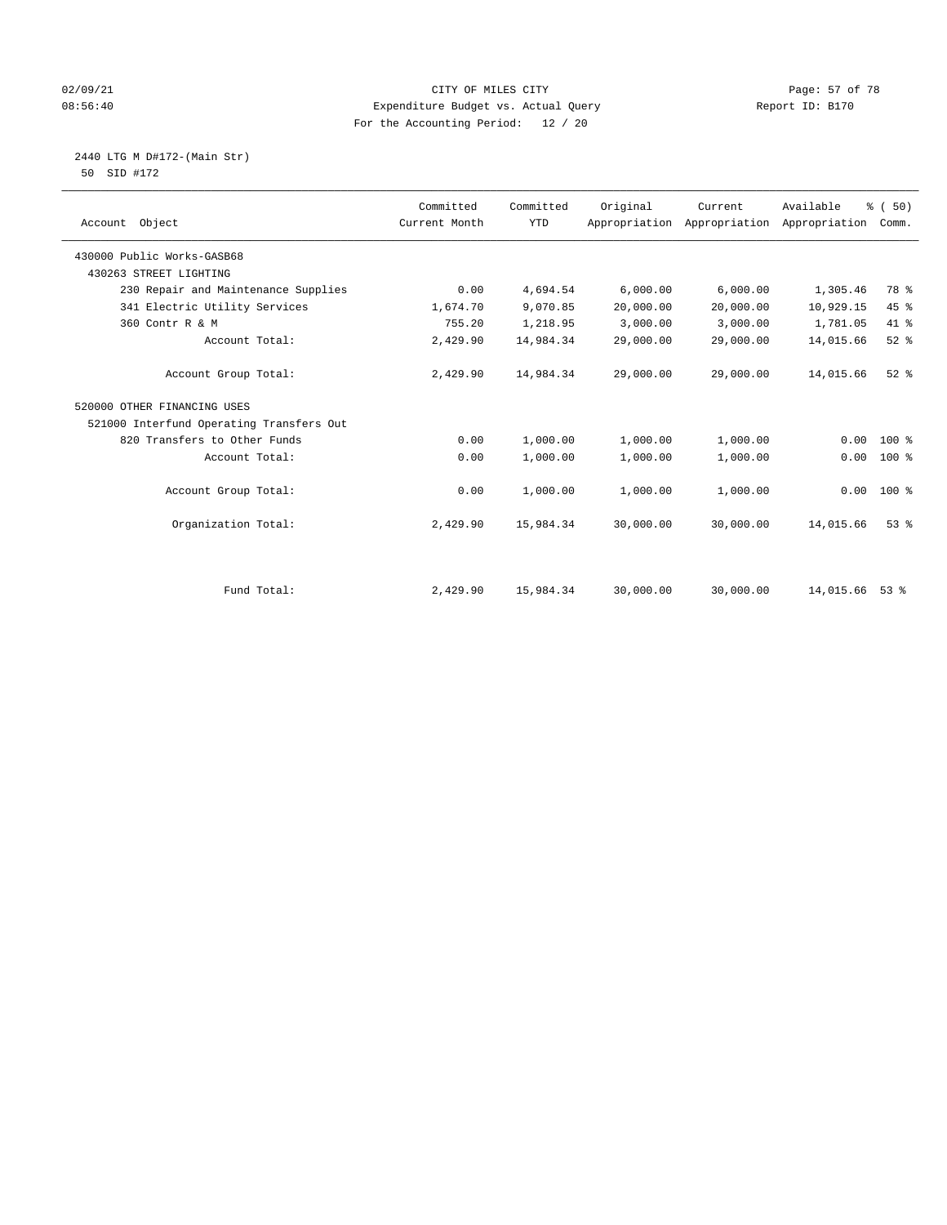## 02/09/21 Page: 57 of 78 08:56:40 Expenditure Budget vs. Actual Query Report ID: B170 For the Accounting Period: 12 / 20

2440 LTG M D#172-(Main Str)

| 50 | SID #172 |  |
|----|----------|--|
|    |          |  |

| Account Object                           | Committed<br>Current Month | Committed<br><b>YTD</b> | Original  | Current<br>Appropriation Appropriation | Available<br>Appropriation | % (50)<br>Comm. |
|------------------------------------------|----------------------------|-------------------------|-----------|----------------------------------------|----------------------------|-----------------|
| 430000 Public Works-GASB68               |                            |                         |           |                                        |                            |                 |
| 430263 STREET LIGHTING                   |                            |                         |           |                                        |                            |                 |
| 230 Repair and Maintenance Supplies      | 0.00                       | 4,694.54                | 6,000.00  | 6,000.00                               | 1,305.46                   | 78 %            |
| 341 Electric Utility Services            | 1,674.70                   | 9,070.85                | 20,000.00 | 20,000.00                              | 10,929.15                  | 45 %            |
| 360 Contr R & M                          | 755.20                     | 1,218.95                | 3,000.00  | 3,000.00                               | 1,781.05                   | 41 %            |
| Account Total:                           | 2,429.90                   | 14,984.34               | 29,000.00 | 29,000.00                              | 14,015.66                  | $52$ $%$        |
| Account Group Total:                     | 2,429.90                   | 14,984.34               | 29,000.00 | 29,000.00                              | 14,015.66                  | $52$ $%$        |
| 520000 OTHER FINANCING USES              |                            |                         |           |                                        |                            |                 |
| 521000 Interfund Operating Transfers Out |                            |                         |           |                                        |                            |                 |
| 820 Transfers to Other Funds             | 0.00                       | 1,000.00                | 1,000.00  | 1,000.00                               | 0.00                       | $100$ %         |
| Account Total:                           | 0.00                       | 1,000.00                | 1,000.00  | 1,000.00                               | 0.00                       | $100$ %         |
| Account Group Total:                     | 0.00                       | 1,000.00                | 1,000.00  | 1,000.00                               | 0.00                       | 100 %           |
| Organization Total:                      | 2,429.90                   | 15,984.34               | 30,000.00 | 30,000.00                              | 14,015.66                  | $53$ $%$        |
|                                          |                            |                         |           |                                        |                            |                 |
| Fund Total:                              | 2,429.90                   | 15,984.34               | 30,000.00 | 30,000.00                              | 14,015.66 53 %             |                 |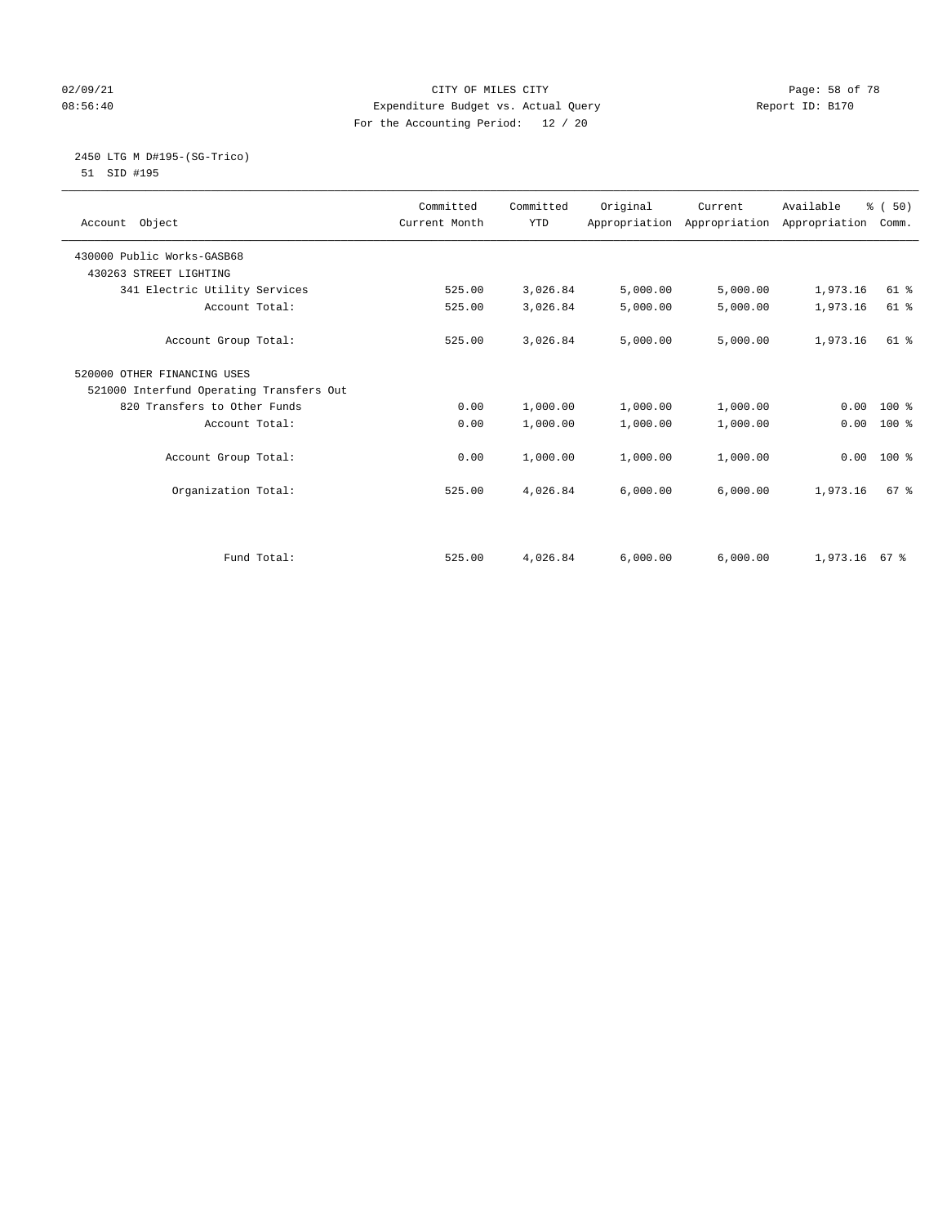## 02/09/21 **CITY OF MILES CITY CITY CITY Page: 58 of 78** 08:56:40 Expenditure Budget vs. Actual Query Report ID: B170 For the Accounting Period: 12 / 20

#### 2450 LTG M D#195-(SG-Trico) 51 SID #195

| Account Object                           | Committed<br>Current Month | Committed<br><b>YTD</b> | Original | Current<br>Appropriation Appropriation Appropriation | Available       | % (50)<br>Comm. |
|------------------------------------------|----------------------------|-------------------------|----------|------------------------------------------------------|-----------------|-----------------|
| 430000 Public Works-GASB68               |                            |                         |          |                                                      |                 |                 |
| 430263 STREET LIGHTING                   |                            |                         |          |                                                      |                 |                 |
| 341 Electric Utility Services            | 525.00                     | 3,026.84                | 5,000.00 | 5,000.00                                             | 1,973.16        | $61$ %          |
| Account Total:                           | 525.00                     | 3,026.84                | 5,000.00 | 5,000.00                                             | 1,973.16        | $61$ %          |
| Account Group Total:                     | 525.00                     | 3,026.84                | 5,000.00 | 5,000.00                                             | 1,973.16        | $61$ $%$        |
| 520000 OTHER FINANCING USES              |                            |                         |          |                                                      |                 |                 |
| 521000 Interfund Operating Transfers Out |                            |                         |          |                                                      |                 |                 |
| 820 Transfers to Other Funds             | 0.00                       | 1,000.00                | 1,000.00 | 1,000.00                                             | 0.00            | $100*$          |
| Account Total:                           | 0.00                       | 1,000.00                | 1,000.00 | 1,000.00                                             | 0.00            | $100*$          |
| Account Group Total:                     | 0.00                       | 1,000.00                | 1,000.00 | 1,000.00                                             | 0.00            | 100 %           |
| Organization Total:                      | 525.00                     | 4,026.84                | 6,000.00 | 6,000.00                                             | 1,973.16        | 67 <sup>8</sup> |
|                                          |                            |                         |          |                                                      |                 |                 |
| Fund Total:                              | 525.00                     | 4,026.84                | 6.000.00 | 6.000.00                                             | $1.973.16$ 67 % |                 |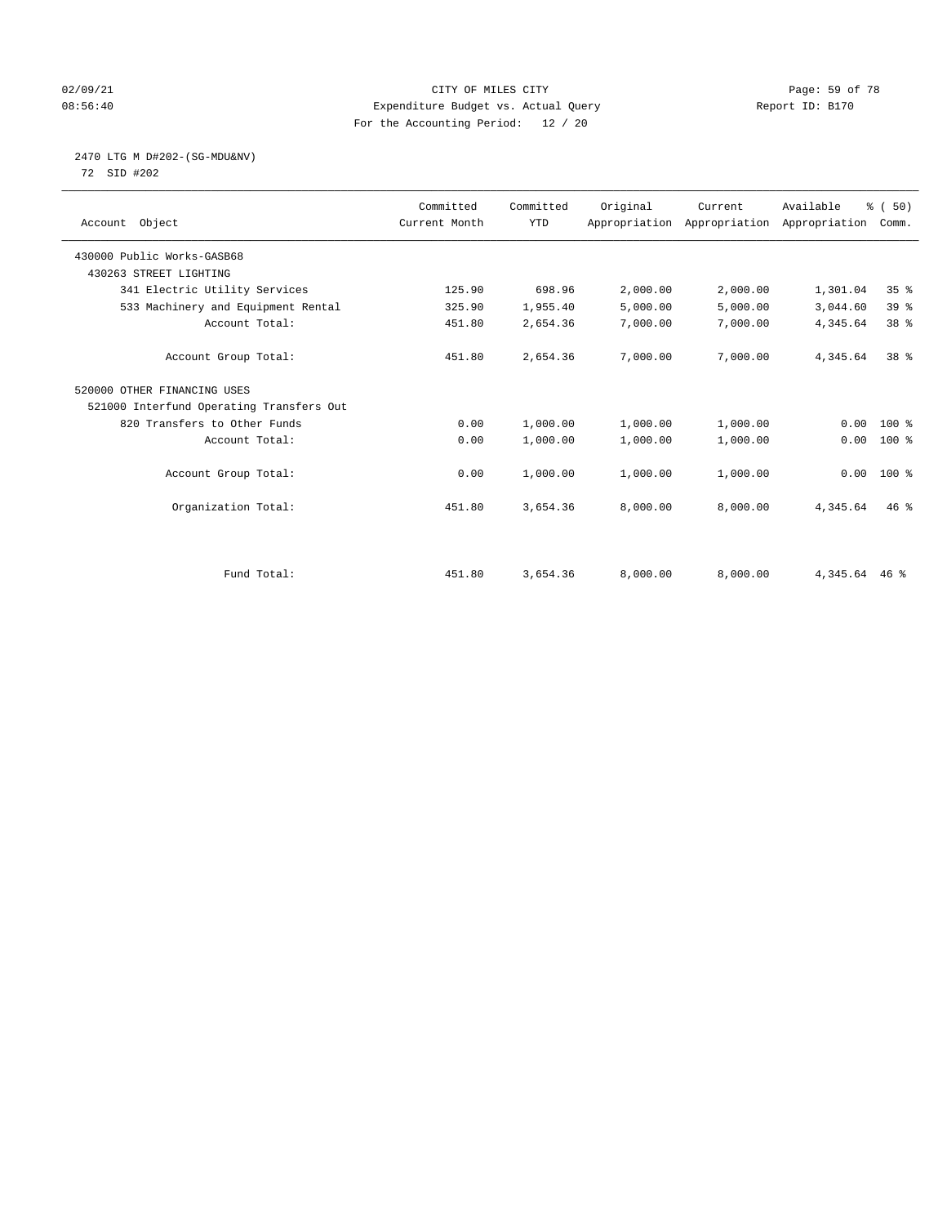## 02/09/21 **CITY OF MILES CITY CITY CITY Page: 59 of 78** 08:56:40 Expenditure Budget vs. Actual Query Report ID: B170 For the Accounting Period: 12 / 20

# 2470 LTG M D#202-(SG-MDU&NV)

72 SID #202

| Account Object                           | Committed<br>Current Month | Committed<br><b>YTD</b> | Original | Current<br>Appropriation Appropriation Appropriation | Available      | % (50)<br>Comm. |  |
|------------------------------------------|----------------------------|-------------------------|----------|------------------------------------------------------|----------------|-----------------|--|
| 430000 Public Works-GASB68               |                            |                         |          |                                                      |                |                 |  |
| 430263 STREET LIGHTING                   |                            |                         |          |                                                      |                |                 |  |
| 341 Electric Utility Services            | 125.90                     | 698.96                  | 2,000.00 | 2,000.00                                             | 1,301.04       | 35 <sup>8</sup> |  |
| 533 Machinery and Equipment Rental       | 325.90                     | 1,955.40                | 5,000.00 | 5,000.00                                             | 3,044.60       | 39%             |  |
| Account Total:                           | 451.80                     | 2,654.36                | 7,000.00 | 7,000.00                                             | 4,345.64       | 38 %            |  |
| Account Group Total:                     | 451.80                     | 2,654.36                | 7,000.00 | 7,000.00                                             | 4,345.64       | 38 <sup>8</sup> |  |
| 520000 OTHER FINANCING USES              |                            |                         |          |                                                      |                |                 |  |
| 521000 Interfund Operating Transfers Out |                            |                         |          |                                                      |                |                 |  |
| 820 Transfers to Other Funds             | 0.00                       | 1,000.00                | 1,000.00 | 1,000.00                                             | 0.00           | $100*$          |  |
| Account Total:                           | 0.00                       | 1,000.00                | 1,000.00 | 1,000.00                                             | 0.00           | $100$ %         |  |
| Account Group Total:                     | 0.00                       | 1,000.00                | 1,000.00 | 1,000.00                                             | 0.00           | $100*$          |  |
| Organization Total:                      | 451.80                     | 3,654.36                | 8,000.00 | 8,000.00                                             | 4,345.64       | $46$ %          |  |
|                                          |                            |                         |          |                                                      |                |                 |  |
| Fund Total:                              | 451.80                     | 3,654.36                | 8,000.00 | 8,000.00                                             | 4, 345.64 46 % |                 |  |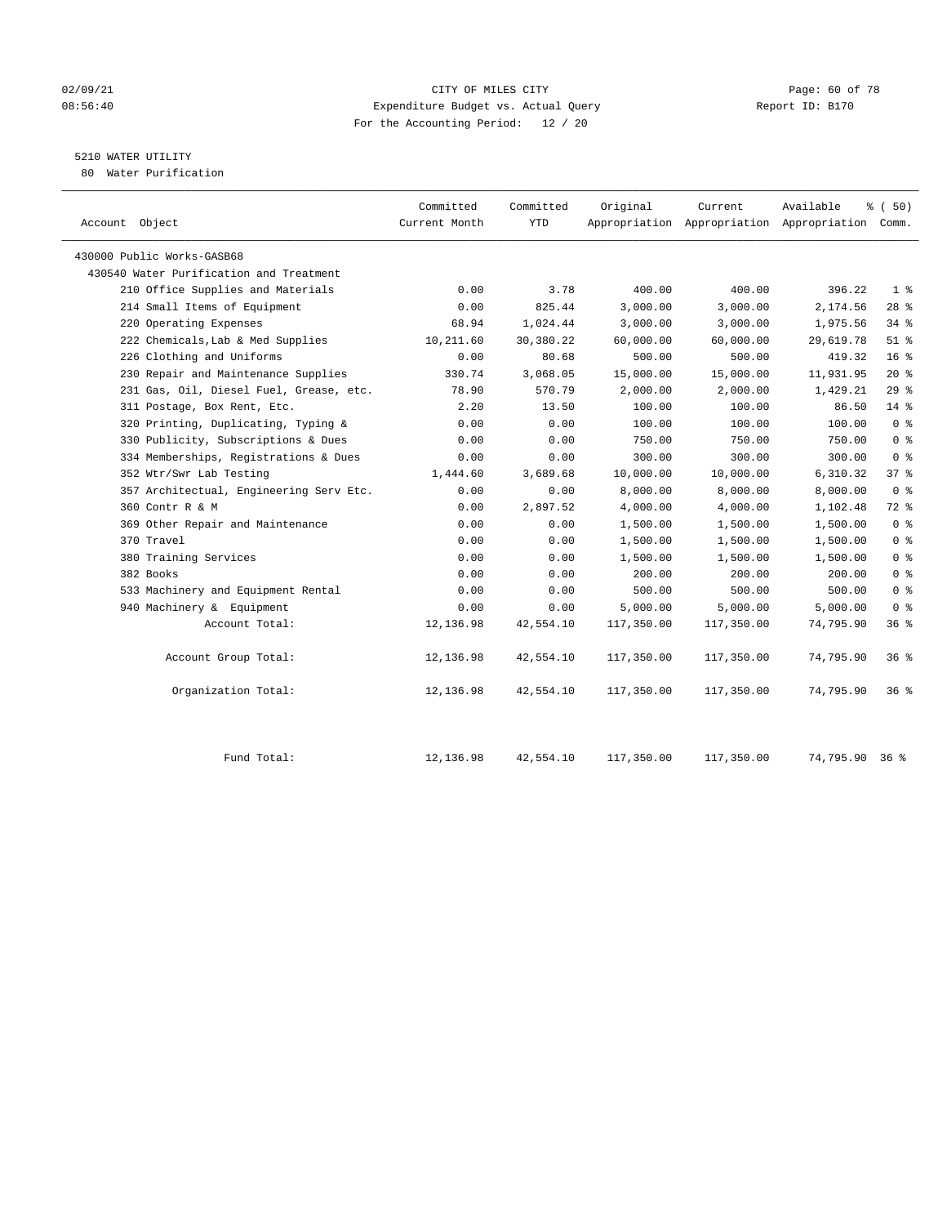#### 02/09/21 **Page: 60 of 78** CITY OF MILES CITY **CITY Page: 60 of 78** 08:56:40 Expenditure Budget vs. Actual Query Report ID: B170 For the Accounting Period: 12 / 20

# 5210 WATER UTILITY

80 Water Purification

| Account Object                          | Committed<br>Current Month | Committed<br>YTD | Original   | Current    | Available<br>Appropriation Appropriation Appropriation | 8 ( 50)<br>Comm. |
|-----------------------------------------|----------------------------|------------------|------------|------------|--------------------------------------------------------|------------------|
| 430000 Public Works-GASB68              |                            |                  |            |            |                                                        |                  |
| 430540 Water Purification and Treatment |                            |                  |            |            |                                                        |                  |
| 210 Office Supplies and Materials       | 0.00                       | 3.78             | 400.00     | 400.00     | 396.22                                                 | 1 <sup>°</sup>   |
| 214 Small Items of Equipment            | 0.00                       | 825.44           | 3,000.00   | 3,000.00   | 2,174.56                                               | $28$ %           |
| 220 Operating Expenses                  | 68.94                      | 1,024.44         | 3,000.00   | 3,000.00   | 1,975.56                                               | 34%              |
| 222 Chemicals, Lab & Med Supplies       | 10,211.60                  | 30,380.22        | 60,000.00  | 60,000.00  | 29,619.78                                              | $51$ %           |
| 226 Clothing and Uniforms               | 0.00                       | 80.68            | 500.00     | 500.00     | 419.32                                                 | 16 <sup>8</sup>  |
| 230 Repair and Maintenance Supplies     | 330.74                     | 3,068.05         | 15,000.00  | 15,000.00  | 11,931.95                                              | $20*$            |
| 231 Gas, Oil, Diesel Fuel, Grease, etc. | 78.90                      | 570.79           | 2,000.00   | 2,000.00   | 1,429.21                                               | 29%              |
| 311 Postage, Box Rent, Etc.             | 2.20                       | 13.50            | 100.00     | 100.00     | 86.50                                                  | $14*$            |
| 320 Printing, Duplicating, Typing &     | 0.00                       | 0.00             | 100.00     | 100.00     | 100.00                                                 | 0 <sup>8</sup>   |
| 330 Publicity, Subscriptions & Dues     | 0.00                       | 0.00             | 750.00     | 750.00     | 750.00                                                 | 0 <sup>8</sup>   |
| 334 Memberships, Registrations & Dues   | 0.00                       | 0.00             | 300.00     | 300.00     | 300.00                                                 | 0 <sup>8</sup>   |
| 352 Wtr/Swr Lab Testing                 | 1,444.60                   | 3,689.68         | 10,000.00  | 10,000.00  | 6,310.32                                               | 37 %             |
| 357 Architectual, Engineering Serv Etc. | 0.00                       | 0.00             | 8,000.00   | 8,000.00   | 8,000.00                                               | 0 <sup>8</sup>   |
| 360 Contr R & M                         | 0.00                       | 2,897.52         | 4,000.00   | 4,000.00   | 1,102.48                                               | 72 %             |
| 369 Other Repair and Maintenance        | 0.00                       | 0.00             | 1,500.00   | 1,500.00   | 1,500.00                                               | 0 <sup>8</sup>   |
| 370 Travel                              | 0.00                       | 0.00             | 1,500.00   | 1,500.00   | 1,500.00                                               | 0 <sup>8</sup>   |
| 380 Training Services                   | 0.00                       | 0.00             | 1,500.00   | 1,500.00   | 1,500.00                                               | 0 <sup>8</sup>   |
| 382 Books                               | 0.00                       | 0.00             | 200.00     | 200.00     | 200.00                                                 | 0 <sup>8</sup>   |
| 533 Machinery and Equipment Rental      | 0.00                       | 0.00             | 500.00     | 500.00     | 500.00                                                 | 0 <sup>8</sup>   |
| 940 Machinery & Equipment               | 0.00                       | 0.00             | 5,000.00   | 5,000.00   | 5,000.00                                               | 0 <sup>8</sup>   |
| Account Total:                          | 12,136.98                  | 42,554.10        | 117,350.00 | 117,350.00 | 74,795.90                                              | 36 <sup>8</sup>  |
| Account Group Total:                    | 12,136.98                  | 42,554.10        | 117,350.00 | 117,350.00 | 74,795.90                                              | 36%              |
| Organization Total:                     | 12,136.98                  | 42,554.10        | 117,350.00 | 117,350.00 | 74,795.90                                              | 36%              |
|                                         |                            |                  |            |            |                                                        |                  |

Fund Total: 12,136.98 42,554.10 117,350.00 117,350.00 74,795.90 36 %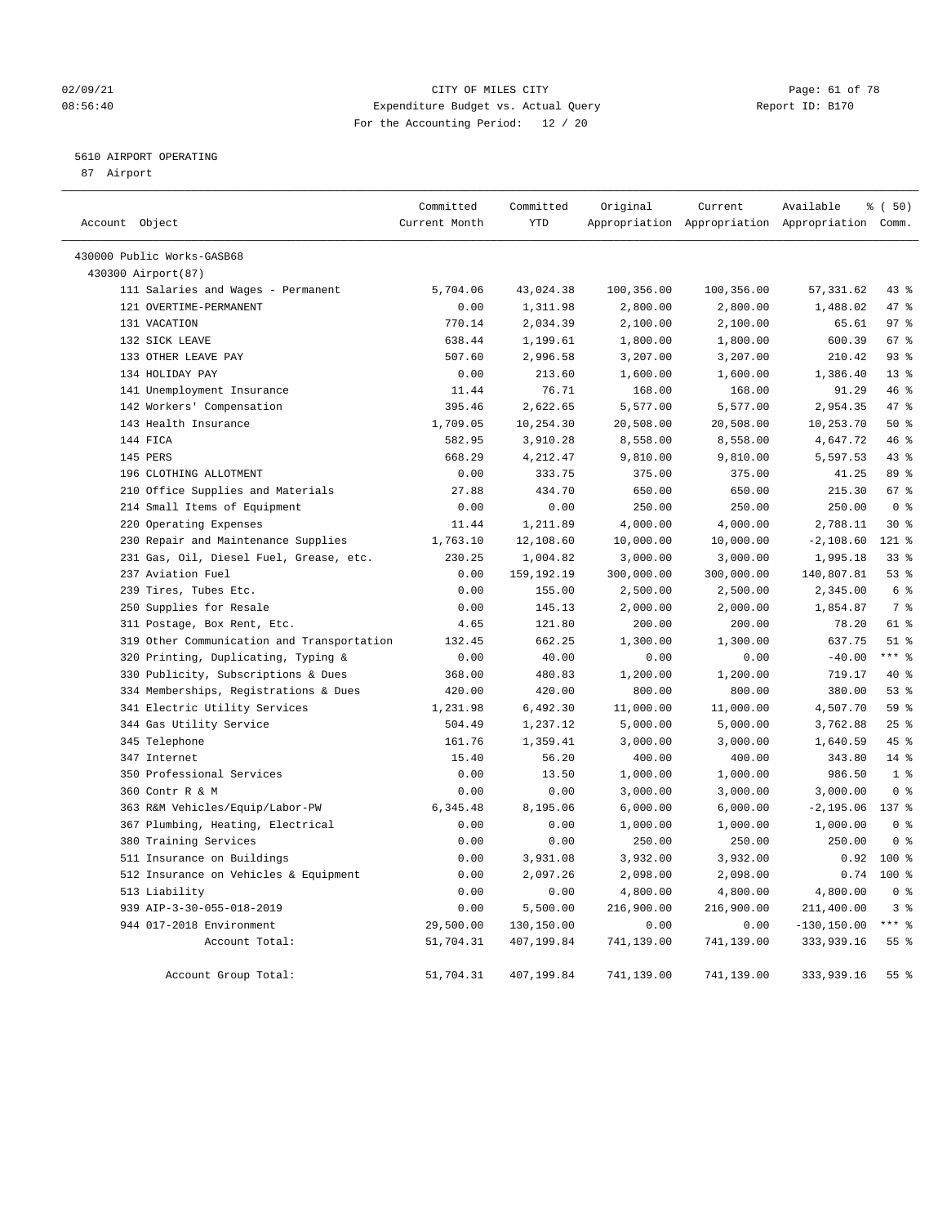## 02/09/21 **Page: 61 of 78** CITY OF MILES CITY **Page: 61 of 78** 08:56:40 Expenditure Budget vs. Actual Query Report ID: B170 For the Accounting Period: 12 / 20

## 5610 AIRPORT OPERATING

87 Airport

| Account Object                             | Committed<br>Current Month | Committed<br><b>YTD</b> | Original   | Current    | Available<br>Appropriation Appropriation Appropriation Comm. | % (50)          |
|--------------------------------------------|----------------------------|-------------------------|------------|------------|--------------------------------------------------------------|-----------------|
|                                            |                            |                         |            |            |                                                              |                 |
| 430000 Public Works-GASB68                 |                            |                         |            |            |                                                              |                 |
| 430300 Airport(87)                         |                            |                         |            |            |                                                              |                 |
| 111 Salaries and Wages - Permanent         | 5,704.06                   | 43,024.38               | 100,356.00 | 100,356.00 | 57, 331.62                                                   | $43$ %          |
| 121 OVERTIME-PERMANENT                     | 0.00                       | 1,311.98                | 2,800.00   | 2,800.00   | 1,488.02                                                     | 47 %            |
| 131 VACATION                               | 770.14                     | 2,034.39                | 2,100.00   | 2,100.00   | 65.61                                                        | 97 <sub>8</sub> |
| 132 SICK LEAVE                             | 638.44                     | 1,199.61                | 1,800.00   | 1,800.00   | 600.39                                                       | 67%             |
| 133 OTHER LEAVE PAY                        | 507.60                     | 2,996.58                | 3,207.00   | 3,207.00   | 210.42                                                       | 93%             |
| 134 HOLIDAY PAY                            | 0.00                       | 213.60                  | 1,600.00   | 1,600.00   | 1,386.40                                                     | 13 <sup>8</sup> |
| 141 Unemployment Insurance                 | 11.44                      | 76.71                   | 168.00     | 168.00     | 91.29                                                        | 46 %            |
| 142 Workers' Compensation                  | 395.46                     | 2,622.65                | 5,577.00   | 5,577.00   | 2,954.35                                                     | 47 %            |
| 143 Health Insurance                       | 1,709.05                   | 10,254.30               | 20,508.00  | 20,508.00  | 10,253.70                                                    | 50%             |
| 144 FICA                                   | 582.95                     | 3,910.28                | 8,558.00   | 8,558.00   | 4,647.72                                                     | 46%             |
| 145 PERS                                   | 668.29                     | 4,212.47                | 9,810.00   | 9,810.00   | 5,597.53                                                     | 43%             |
| 196 CLOTHING ALLOTMENT                     | 0.00                       | 333.75                  | 375.00     | 375.00     | 41.25                                                        | 89 %            |
| 210 Office Supplies and Materials          | 27.88                      | 434.70                  | 650.00     | 650.00     | 215.30                                                       | 67 %            |
| 214 Small Items of Equipment               | 0.00                       | 0.00                    | 250.00     | 250.00     | 250.00                                                       | 0 <sup>8</sup>  |
| 220 Operating Expenses                     | 11.44                      | 1,211.89                | 4,000.00   | 4,000.00   | 2,788.11                                                     | $30*$           |
| 230 Repair and Maintenance Supplies        | 1,763.10                   | 12,108.60               | 10,000.00  | 10,000.00  | $-2,108.60$                                                  | 121 %           |
| 231 Gas, Oil, Diesel Fuel, Grease, etc.    | 230.25                     | 1,004.82                | 3,000.00   | 3,000.00   | 1,995.18                                                     | 33 <sup>8</sup> |
| 237 Aviation Fuel                          | 0.00                       | 159,192.19              | 300,000.00 | 300,000.00 | 140,807.81                                                   | 53%             |
| 239 Tires, Tubes Etc.                      | 0.00                       | 155.00                  | 2,500.00   | 2,500.00   | 2,345.00                                                     | 6 <sup>8</sup>  |
| 250 Supplies for Resale                    | 0.00                       | 145.13                  | 2,000.00   | 2,000.00   | 1,854.87                                                     | 7 <sup>°</sup>  |
| 311 Postage, Box Rent, Etc.                | 4.65                       | 121.80                  | 200.00     | 200.00     | 78.20                                                        | 61 %            |
| 319 Other Communication and Transportation | 132.45                     | 662.25                  | 1,300.00   | 1,300.00   | 637.75                                                       | $51$ %          |
| 320 Printing, Duplicating, Typing &        | 0.00                       | 40.00                   | 0.00       | 0.00       | $-40.00$                                                     | $***$ $_{8}$    |
| 330 Publicity, Subscriptions & Dues        | 368.00                     | 480.83                  | 1,200.00   | 1,200.00   | 719.17                                                       | $40*$           |
| 334 Memberships, Registrations & Dues      | 420.00                     | 420.00                  | 800.00     | 800.00     | 380.00                                                       | 53%             |
| 341 Electric Utility Services              | 1,231.98                   | 6,492.30                | 11,000.00  | 11,000.00  | 4,507.70                                                     | 59 %            |
| 344 Gas Utility Service                    | 504.49                     | 1,237.12                | 5,000.00   | 5,000.00   | 3,762.88                                                     | 25%             |
| 345 Telephone                              | 161.76                     | 1,359.41                | 3,000.00   | 3,000.00   | 1,640.59                                                     | 45 %            |
| 347 Internet                               | 15.40                      | 56.20                   | 400.00     | 400.00     | 343.80                                                       | $14*$           |
| 350 Professional Services                  | 0.00                       | 13.50                   | 1,000.00   | 1,000.00   | 986.50                                                       | 1 <sup>8</sup>  |
| 360 Contr R & M                            | 0.00                       | 0.00                    | 3,000.00   | 3,000.00   | 3,000.00                                                     | 0 <sup>8</sup>  |
| 363 R&M Vehicles/Equip/Labor-PW            | 6,345.48                   | 8,195.06                | 6,000.00   | 6,000.00   | $-2, 195.06$                                                 | 137 %           |
| 367 Plumbing, Heating, Electrical          | 0.00                       | 0.00                    | 1,000.00   | 1,000.00   | 1,000.00                                                     | 0 <sup>8</sup>  |
| 380 Training Services                      | 0.00                       | 0.00                    | 250.00     | 250.00     | 250.00                                                       | 0 <sup>8</sup>  |
| 511 Insurance on Buildings                 | 0.00                       | 3,931.08                | 3,932.00   | 3,932.00   | 0.92                                                         | $100*$          |
| 512 Insurance on Vehicles & Equipment      | 0.00                       | 2,097.26                | 2,098.00   | 2,098.00   | 0.74                                                         | $100*$          |
| 513 Liability                              | 0.00                       | 0.00                    | 4,800.00   | 4,800.00   | 4,800.00                                                     | 0 <sup>8</sup>  |
| 939 AIP-3-30-055-018-2019                  | 0.00                       | 5,500.00                | 216,900.00 | 216,900.00 | 211,400.00                                                   | 3%              |
| 944 017-2018 Environment                   | 29,500.00                  | 130,150.00              | 0.00       | 0.00       | $-130, 150.00$                                               | $***$ $_{8}$    |
| Account Total:                             | 51,704.31                  | 407,199.84              | 741,139.00 | 741,139.00 | 333,939.16                                                   | 55 %            |
|                                            |                            |                         |            |            |                                                              |                 |
| Account Group Total:                       | 51,704.31                  | 407,199.84              | 741,139.00 | 741,139.00 | 333,939.16                                                   | 55%             |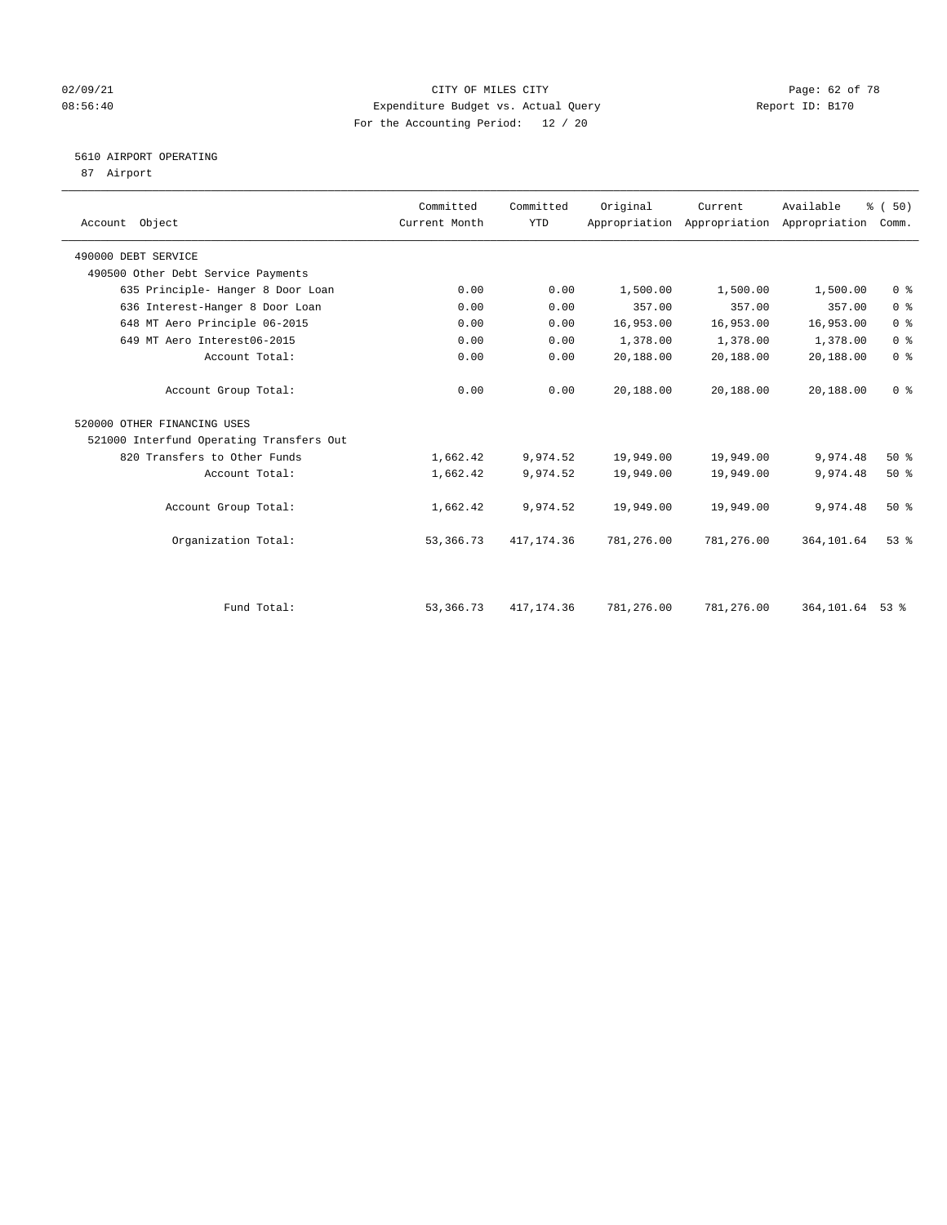## 02/09/21 **CITY OF MILES CITY CITY CITY Page: 62 of 78** 08:56:40 Expenditure Budget vs. Actual Query Report ID: B170 For the Accounting Period: 12 / 20

# 5610 AIRPORT OPERATING

87 Airport

| Account Object                           | Committed<br>Current Month | Committed<br><b>YTD</b> | Original   | Current    | Available<br>Appropriation Appropriation Appropriation | % (50)<br>Comm. |
|------------------------------------------|----------------------------|-------------------------|------------|------------|--------------------------------------------------------|-----------------|
|                                          |                            |                         |            |            |                                                        |                 |
| 490000 DEBT SERVICE                      |                            |                         |            |            |                                                        |                 |
| 490500 Other Debt Service Payments       |                            |                         |            |            |                                                        |                 |
| 635 Principle- Hanger 8 Door Loan        | 0.00                       | 0.00                    | 1,500.00   | 1,500.00   | 1,500.00                                               | 0 <sup>8</sup>  |
| 636 Interest-Hanger 8 Door Loan          | 0.00                       | 0.00                    | 357.00     | 357.00     | 357.00                                                 | 0 <sup>8</sup>  |
| 648 MT Aero Principle 06-2015            | 0.00                       | 0.00                    | 16,953.00  | 16,953.00  | 16,953.00                                              | 0 <sup>8</sup>  |
| 649 MT Aero Interest06-2015              | 0.00                       | 0.00                    | 1,378.00   | 1,378.00   | 1,378.00                                               | 0 <sup>8</sup>  |
| Account Total:                           | 0.00                       | 0.00                    | 20,188.00  | 20,188.00  | 20,188.00                                              | 0 <sup>8</sup>  |
| Account Group Total:                     | 0.00                       | 0.00                    | 20,188.00  | 20,188.00  | 20,188.00                                              | 0 <sup>8</sup>  |
| 520000 OTHER FINANCING USES              |                            |                         |            |            |                                                        |                 |
| 521000 Interfund Operating Transfers Out |                            |                         |            |            |                                                        |                 |
| 820 Transfers to Other Funds             | 1,662.42                   | 9,974.52                | 19,949.00  | 19,949.00  | 9,974.48                                               | $50*$           |
| Account Total:                           | 1,662.42                   | 9,974.52                | 19,949.00  | 19,949.00  | 9,974.48                                               | 50%             |
| Account Group Total:                     | 1,662.42                   | 9,974.52                | 19,949.00  | 19,949.00  | 9,974.48                                               | 50%             |
| Organization Total:                      | 53,366.73                  | 417, 174.36             | 781,276.00 | 781,276.00 | 364, 101.64                                            | $53$ $%$        |
|                                          |                            |                         |            |            |                                                        |                 |
| Fund Total:                              | 53,366.73                  | 417, 174.36             | 781,276.00 | 781,276.00 | 364,101.64                                             | $53$ $%$        |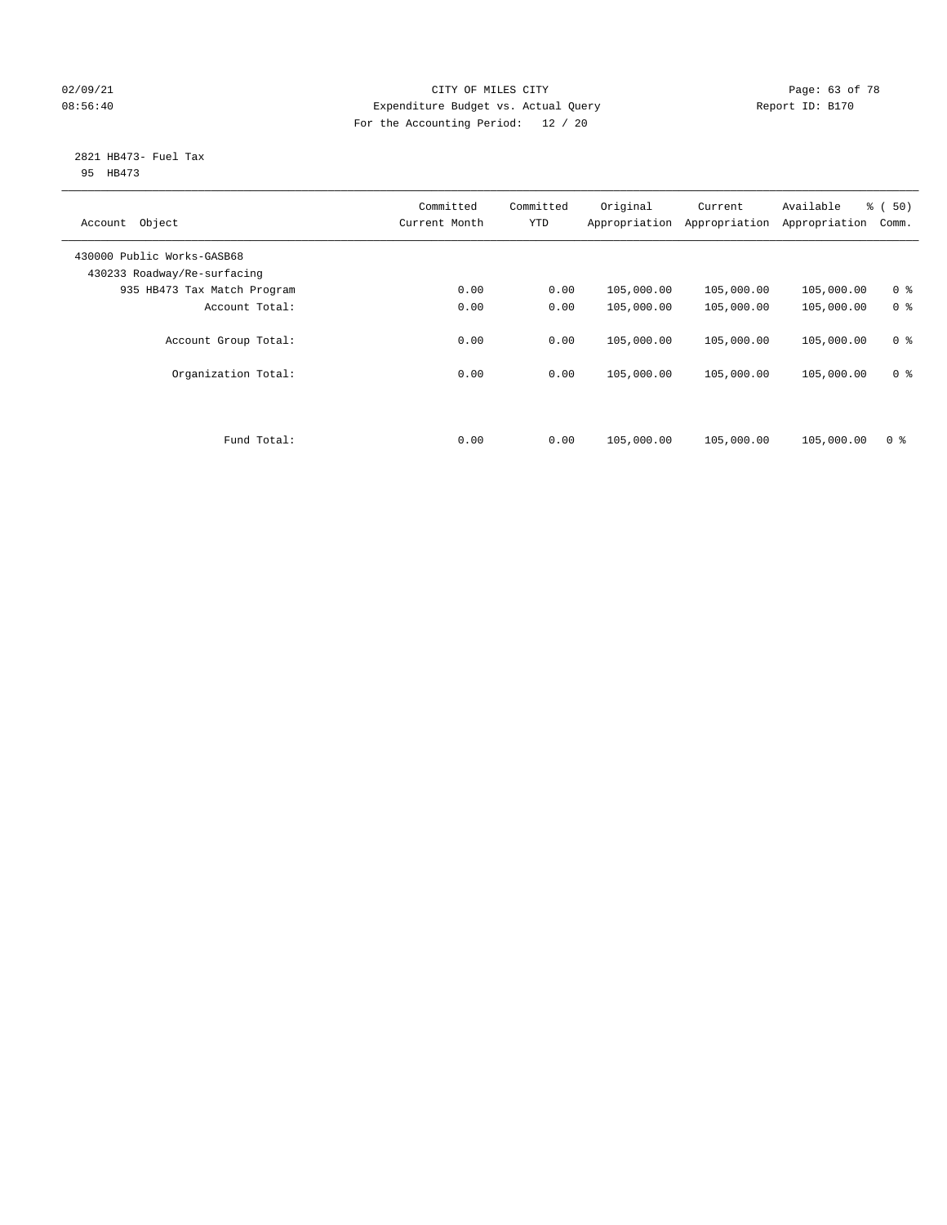## 02/09/21 **CITY OF MILES CITY CITY CITY Page: 63 of 78** 08:56:40 Expenditure Budget vs. Actual Query Report ID: B170 For the Accounting Period: 12 / 20

#### 2821 HB473- Fuel Tax 95 HB473

| Object<br>Account                                         | Committed<br>Current Month | Committed<br><b>YTD</b> | Original<br>Appropriation | Current<br>Appropriation | Available<br>Appropriation | % (50)<br>Comm. |
|-----------------------------------------------------------|----------------------------|-------------------------|---------------------------|--------------------------|----------------------------|-----------------|
| 430000 Public Works-GASB68<br>430233 Roadway/Re-surfacing |                            |                         |                           |                          |                            |                 |
| 935 HB473 Tax Match Program                               | 0.00                       | 0.00                    | 105,000.00                | 105,000.00               | 105,000.00                 | 0 <sup>8</sup>  |
| Account Total:                                            | 0.00                       | 0.00                    | 105,000.00                | 105,000.00               | 105,000.00                 | 0 <sup>8</sup>  |
| Account Group Total:                                      | 0.00                       | 0.00                    | 105,000.00                | 105,000.00               | 105,000.00                 | 0 <sup>8</sup>  |
| Organization Total:                                       | 0.00                       | 0.00                    | 105,000.00                | 105,000.00               | 105,000.00                 | 0 <sup>8</sup>  |
|                                                           |                            |                         |                           |                          |                            |                 |
| Fund Total:                                               | 0.00                       | 0.00                    | 105,000.00                | 105,000.00               | 105,000.00                 | 0 <sup>8</sup>  |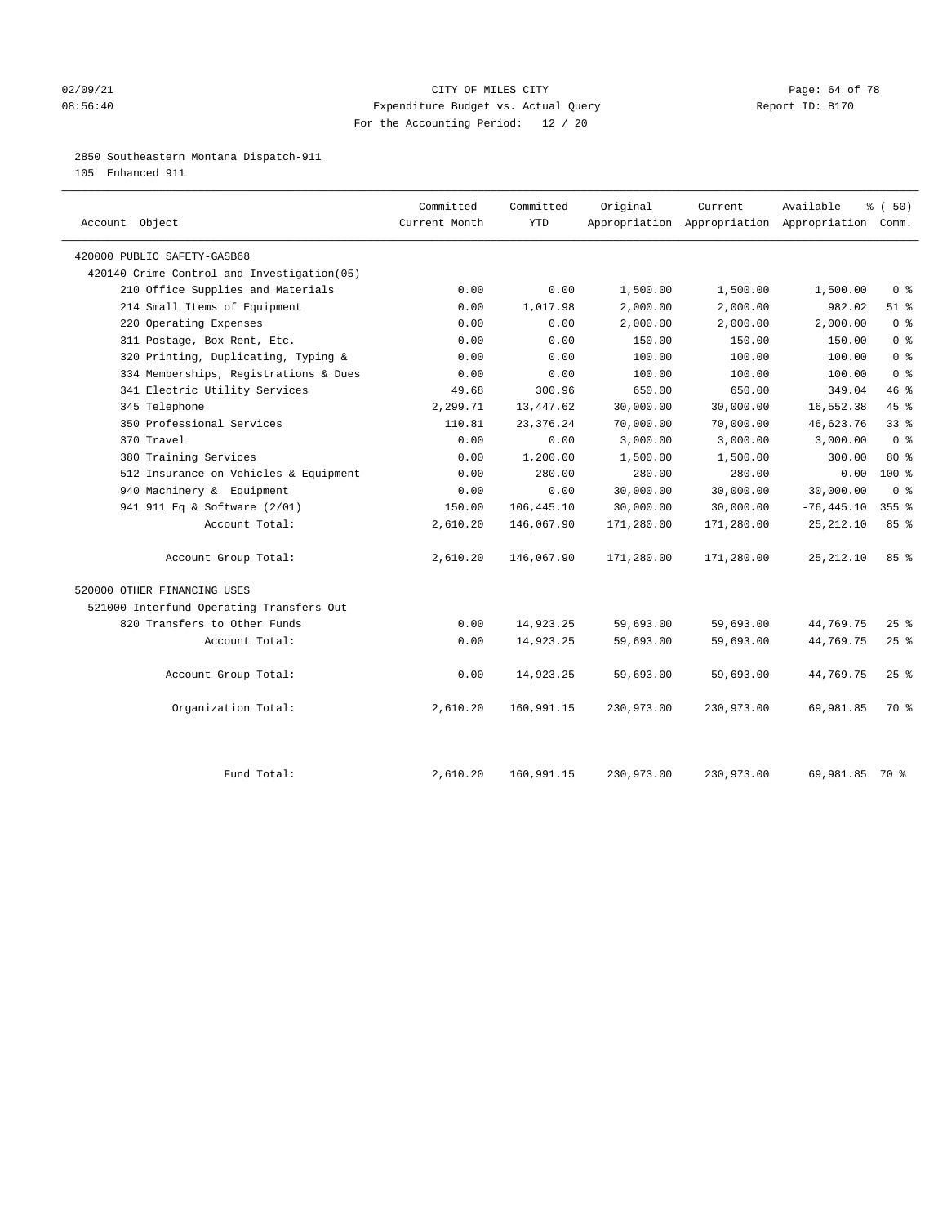## 02/09/21 **Page: 64 of 78** CITY OF MILES CITY **Page: 64 of 78** 08:56:40 Expenditure Budget vs. Actual Query Report ID: B170 For the Accounting Period: 12 / 20

## 2850 Southeastern Montana Dispatch-911

105 Enhanced 911

| Account Object                              | Committed<br>Current Month | Committed<br><b>YTD</b> | Original   | Current    | Available<br>Appropriation Appropriation Appropriation Comm. | % (50)          |
|---------------------------------------------|----------------------------|-------------------------|------------|------------|--------------------------------------------------------------|-----------------|
| 420000 PUBLIC SAFETY-GASB68                 |                            |                         |            |            |                                                              |                 |
| 420140 Crime Control and Investigation (05) |                            |                         |            |            |                                                              |                 |
| 210 Office Supplies and Materials           | 0.00                       | 0.00                    | 1,500.00   | 1,500.00   | 1,500.00                                                     | 0 <sup>8</sup>  |
| 214 Small Items of Equipment                | 0.00                       | 1,017.98                | 2,000.00   | 2,000.00   | 982.02                                                       | $51$ %          |
| 220 Operating Expenses                      | 0.00                       | 0.00                    | 2,000.00   | 2,000.00   | 2,000.00                                                     | 0 <sup>8</sup>  |
| 311 Postage, Box Rent, Etc.                 | 0.00                       | 0.00                    | 150.00     | 150.00     | 150.00                                                       | 0 <sup>8</sup>  |
| 320 Printing, Duplicating, Typing &         | 0.00                       | 0.00                    | 100.00     | 100.00     | 100.00                                                       | 0 <sup>8</sup>  |
| 334 Memberships, Registrations & Dues       | 0.00                       | 0.00                    | 100.00     | 100.00     | 100.00                                                       | 0 <sup>8</sup>  |
| 341 Electric Utility Services               | 49.68                      | 300.96                  | 650.00     | 650.00     | 349.04                                                       | 46%             |
| 345 Telephone                               | 2,299.71                   | 13,447.62               | 30,000.00  | 30,000.00  | 16,552.38                                                    | 45 %            |
| 350 Professional Services                   | 110.81                     | 23, 376. 24             | 70,000.00  | 70,000.00  | 46,623.76                                                    | 33 <sup>8</sup> |
| 370 Travel                                  | 0.00                       | 0.00                    | 3,000.00   | 3,000.00   | 3,000.00                                                     | 0 <sup>8</sup>  |
| 380 Training Services                       | 0.00                       | 1,200.00                | 1,500.00   | 1,500.00   | 300.00                                                       | 80 %            |
| 512 Insurance on Vehicles & Equipment       | 0.00                       | 280.00                  | 280.00     | 280.00     | 0.00                                                         | 100 %           |
| 940 Machinery & Equipment                   | 0.00                       | 0.00                    | 30,000.00  | 30,000.00  | 30,000.00                                                    | 0 <sup>8</sup>  |
| 941 911 Eq & Software (2/01)                | 150.00                     | 106,445.10              | 30,000.00  | 30,000.00  | $-76, 445.10$                                                | $355$ $%$       |
| Account Total:                              | 2,610.20                   | 146,067.90              | 171,280.00 | 171,280.00 | 25, 212.10                                                   | 85%             |
| Account Group Total:                        | 2,610.20                   | 146,067.90              | 171,280.00 | 171,280.00 | 25, 212.10                                                   | 85%             |
| 520000 OTHER FINANCING USES                 |                            |                         |            |            |                                                              |                 |
| 521000 Interfund Operating Transfers Out    |                            |                         |            |            |                                                              |                 |
| 820 Transfers to Other Funds                | 0.00                       | 14,923.25               | 59,693.00  | 59,693.00  | 44,769.75                                                    | 25%             |
| Account Total:                              | 0.00                       | 14,923.25               | 59,693.00  | 59,693.00  | 44,769.75                                                    | $25$ %          |
| Account Group Total:                        | 0.00                       | 14,923.25               | 59,693.00  | 59,693.00  | 44,769.75                                                    | $25$ %          |
| Organization Total:                         | 2,610.20                   | 160,991.15              | 230,973.00 | 230,973.00 | 69,981.85                                                    | 70 %            |
| Fund Total:                                 | 2,610.20                   | 160,991.15              | 230,973.00 | 230,973.00 | 69,981.85 70 %                                               |                 |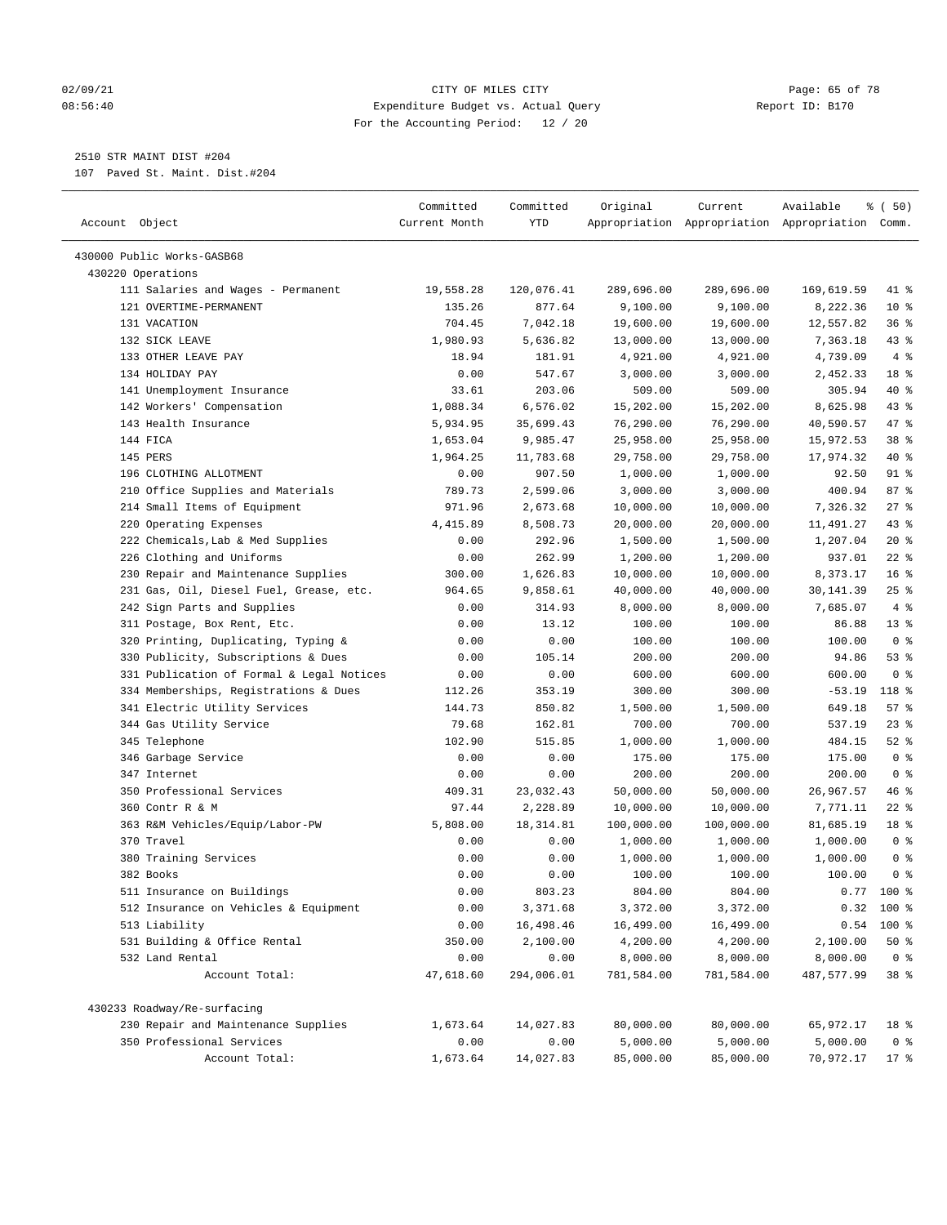#### 02/09/21 Page: 65 of 78 08:56:40 Expenditure Budget vs. Actual Query Report ID: B170 For the Accounting Period: 12 / 20

————————————————————————————————————————————————————————————————————————————————————————————————————————————————————————————————————

# 2510 STR MAINT DIST #204

107 Paved St. Maint. Dist.#204

|                                                              | Committed     | Committed  | Original   | Current    | Available                                       | ៖ (50)          |
|--------------------------------------------------------------|---------------|------------|------------|------------|-------------------------------------------------|-----------------|
| Account Object                                               | Current Month | YTD        |            |            | Appropriation Appropriation Appropriation Comm. |                 |
|                                                              |               |            |            |            |                                                 |                 |
| 430000 Public Works-GASB68<br>430220 Operations              |               |            |            |            |                                                 |                 |
|                                                              | 19,558.28     | 120,076.41 | 289,696.00 | 289,696.00 |                                                 | 41 %            |
| 111 Salaries and Wages - Permanent<br>121 OVERTIME-PERMANENT | 135.26        | 877.64     | 9,100.00   | 9,100.00   | 169,619.59<br>8,222.36                          | $10*$           |
| 131 VACATION                                                 | 704.45        | 7,042.18   | 19,600.00  | 19,600.00  | 12,557.82                                       | 36%             |
| 132 SICK LEAVE                                               | 1,980.93      | 5,636.82   | 13,000.00  | 13,000.00  | 7,363.18                                        | 43 %            |
| 133 OTHER LEAVE PAY                                          | 18.94         | 181.91     | 4,921.00   | 4,921.00   | 4,739.09                                        | 4%              |
| 134 HOLIDAY PAY                                              | 0.00          | 547.67     | 3,000.00   | 3,000.00   | 2,452.33                                        | 18 %            |
| 141 Unemployment Insurance                                   | 33.61         | 203.06     | 509.00     | 509.00     | 305.94                                          | 40 %            |
| 142 Workers' Compensation                                    | 1,088.34      | 6,576.02   | 15,202.00  | 15,202.00  | 8,625.98                                        | 43 %            |
| 143 Health Insurance                                         | 5,934.95      | 35,699.43  | 76,290.00  | 76,290.00  | 40,590.57                                       | 47 %            |
| 144 FICA                                                     | 1,653.04      | 9,985.47   | 25,958.00  | 25,958.00  | 15,972.53                                       | 38 <sup>8</sup> |
| 145 PERS                                                     | 1,964.25      | 11,783.68  | 29,758.00  | 29,758.00  | 17,974.32                                       | 40 %            |
| 196 CLOTHING ALLOTMENT                                       | 0.00          | 907.50     | 1,000.00   | 1,000.00   | 92.50                                           | 91 %            |
| 210 Office Supplies and Materials                            | 789.73        | 2,599.06   | 3,000.00   | 3,000.00   | 400.94                                          | 87%             |
| 214 Small Items of Equipment                                 | 971.96        | 2,673.68   | 10,000.00  | 10,000.00  | 7,326.32                                        | 27%             |
| 220 Operating Expenses                                       | 4,415.89      | 8,508.73   | 20,000.00  | 20,000.00  | 11,491.27                                       | $43$ %          |
| 222 Chemicals, Lab & Med Supplies                            | 0.00          | 292.96     | 1,500.00   | 1,500.00   | 1,207.04                                        | $20*$           |
| 226 Clothing and Uniforms                                    | 0.00          | 262.99     | 1,200.00   | 1,200.00   | 937.01                                          | $22$ %          |
| 230 Repair and Maintenance Supplies                          | 300.00        | 1,626.83   | 10,000.00  | 10,000.00  | 8,373.17                                        | 16 <sup>°</sup> |
| 231 Gas, Oil, Diesel Fuel, Grease, etc.                      | 964.65        | 9,858.61   | 40,000.00  | 40,000.00  | 30,141.39                                       | 25%             |
| 242 Sign Parts and Supplies                                  | 0.00          | 314.93     | 8,000.00   | 8,000.00   | 7,685.07                                        | 4%              |
| 311 Postage, Box Rent, Etc.                                  | 0.00          | 13.12      | 100.00     | 100.00     | 86.88                                           | $13*$           |
| 320 Printing, Duplicating, Typing &                          | 0.00          | 0.00       | 100.00     | 100.00     | 100.00                                          | 0 <sup>8</sup>  |
| 330 Publicity, Subscriptions & Dues                          | 0.00          | 105.14     | 200.00     | 200.00     | 94.86                                           | 53%             |
| 331 Publication of Formal & Legal Notices                    | 0.00          | 0.00       | 600.00     | 600.00     | 600.00                                          | 0 <sup>8</sup>  |
| 334 Memberships, Registrations & Dues                        | 112.26        | 353.19     | 300.00     | 300.00     | $-53.19$                                        | 118 %           |
| 341 Electric Utility Services                                | 144.73        | 850.82     | 1,500.00   | 1,500.00   | 649.18                                          | 57%             |
| 344 Gas Utility Service                                      | 79.68         | 162.81     | 700.00     | 700.00     | 537.19                                          | 23%             |
| 345 Telephone                                                | 102.90        | 515.85     | 1,000.00   | 1,000.00   | 484.15                                          | $52$ $%$        |
| 346 Garbage Service                                          | 0.00          | 0.00       | 175.00     | 175.00     | 175.00                                          | 0 <sup>8</sup>  |
| 347 Internet                                                 | 0.00          | 0.00       | 200.00     | 200.00     | 200.00                                          | 0 <sup>8</sup>  |
| 350 Professional Services                                    | 409.31        | 23,032.43  | 50,000.00  | 50,000.00  | 26,967.57                                       | 46 %            |
| 360 Contr R & M                                              | 97.44         | 2,228.89   | 10,000.00  | 10,000.00  | 7,771.11                                        | $22$ %          |
| 363 R&M Vehicles/Equip/Labor-PW                              | 5,808.00      | 18,314.81  | 100,000.00 | 100,000.00 | 81,685.19                                       | 18 %            |
| 370 Travel                                                   | 0.00          | 0.00       | 1,000.00   | 1,000.00   | 1,000.00                                        | 0 <sup>8</sup>  |
| 380 Training Services                                        | 0.00          | 0.00       | 1,000.00   | 1,000.00   | 1,000.00                                        | 0 <sup>°</sup>  |
| 382 Books                                                    | 0.00          | 0.00       | 100.00     | 100.00     | 100.00                                          | 0 <sup>8</sup>  |
| 511 Insurance on Buildings                                   | 0.00          | 803.23     | 804.00     | 804.00     |                                                 | $0.77$ 100 %    |
| 512 Insurance on Vehicles & Equipment                        | 0.00          | 3,371.68   | 3,372.00   | 3,372.00   |                                                 | $0.32$ 100 %    |
| 513 Liability                                                | 0.00          | 16,498.46  | 16,499.00  | 16,499.00  | 0.54                                            | 100 %           |
| 531 Building & Office Rental                                 | 350.00        | 2,100.00   | 4,200.00   | 4,200.00   | 2,100.00                                        | $50*$           |
| 532 Land Rental                                              | 0.00          | 0.00       | 8,000.00   | 8,000.00   | 8,000.00                                        | 0 <sup>8</sup>  |
| Account Total:                                               | 47,618.60     | 294,006.01 | 781,584.00 | 781,584.00 | 487,577.99                                      | 38 %            |
| 430233 Roadway/Re-surfacing                                  |               |            |            |            |                                                 |                 |
| 230 Repair and Maintenance Supplies                          | 1,673.64      | 14,027.83  | 80,000.00  | 80,000.00  | 65,972.17                                       | 18 %            |
| 350 Professional Services                                    | 0.00          | 0.00       | 5,000.00   | 5,000.00   | 5,000.00                                        | 0 <sup>8</sup>  |
| Account Total:                                               | 1,673.64      | 14,027.83  | 85,000.00  | 85,000.00  | 70,972.17                                       | $17*$           |
|                                                              |               |            |            |            |                                                 |                 |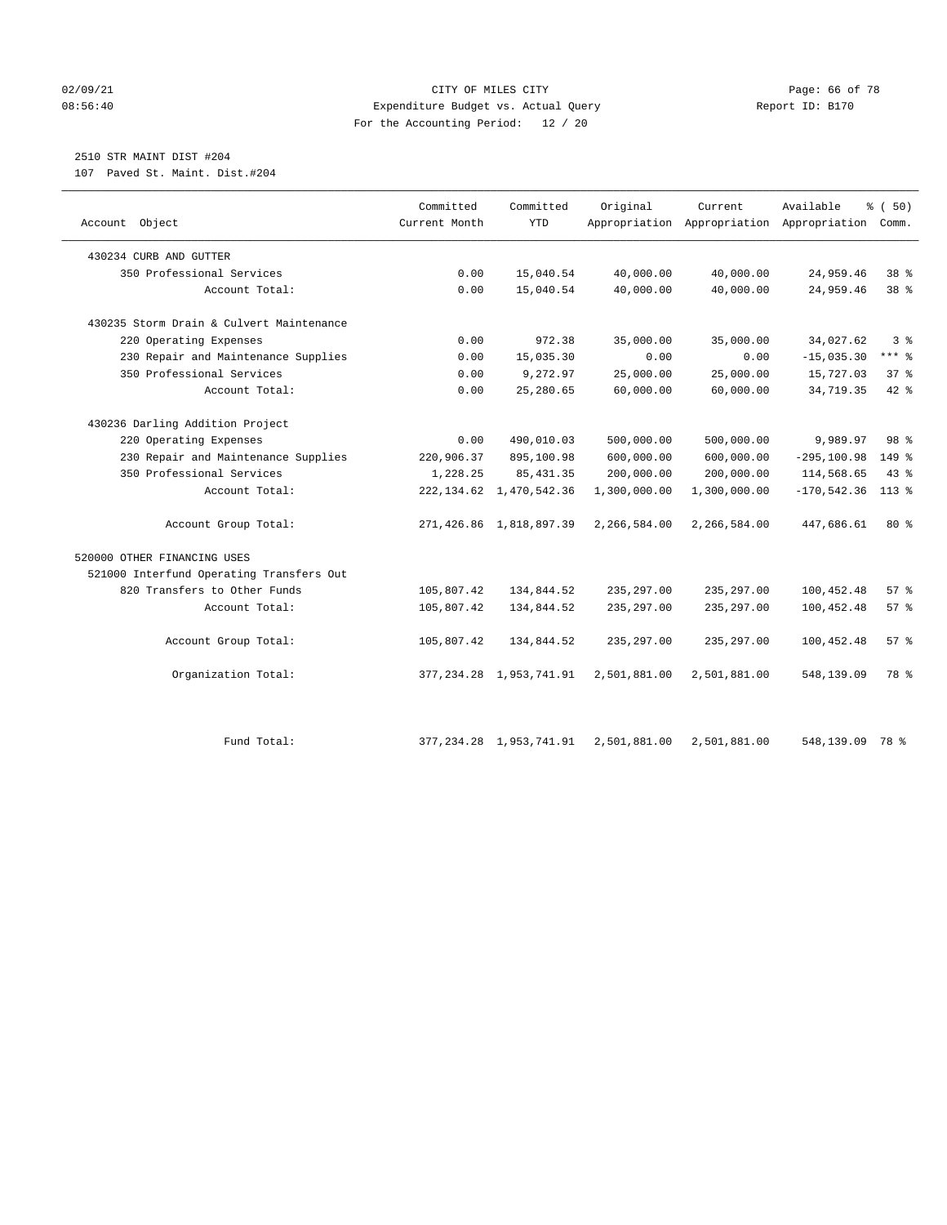#### 02/09/21 **CITY OF MILES CITY CITY CITY Page: 66 of 78** 08:56:40 Expenditure Budget vs. Actual Query Report ID: B170 For the Accounting Period: 12 / 20

# 2510 STR MAINT DIST #204

107 Paved St. Maint. Dist.#204

| Account Object                           | Committed<br>Current Month | Committed<br><b>YTD</b>      | Original     | Current      | Available<br>Appropriation Appropriation Appropriation | % (50)<br>Comm. |
|------------------------------------------|----------------------------|------------------------------|--------------|--------------|--------------------------------------------------------|-----------------|
| 430234 CURB AND GUTTER                   |                            |                              |              |              |                                                        |                 |
| 350 Professional Services                | 0.00                       | 15,040.54                    | 40,000.00    | 40,000.00    | 24,959.46                                              | 38 %            |
| Account Total:                           | 0.00                       | 15,040.54                    | 40,000.00    | 40,000.00    | 24,959.46                                              | 38 %            |
| 430235 Storm Drain & Culvert Maintenance |                            |                              |              |              |                                                        |                 |
| 220 Operating Expenses                   | 0.00                       | 972.38                       | 35,000.00    | 35,000.00    | 34,027.62                                              | 3 <sup>8</sup>  |
| 230 Repair and Maintenance Supplies      | 0.00                       | 15,035.30                    | 0.00         | 0.00         | $-15,035.30$                                           | $***$ $%$       |
| 350 Professional Services                | 0.00                       | 9,272.97                     | 25,000.00    | 25,000.00    | 15,727.03                                              | 37%             |
| Account Total:                           | 0.00                       | 25,280.65                    | 60,000.00    | 60,000.00    | 34,719.35                                              | $42$ $%$        |
| 430236 Darling Addition Project          |                            |                              |              |              |                                                        |                 |
| 220 Operating Expenses                   | 0.00                       | 490,010.03                   | 500,000.00   | 500,000.00   | 9,989.97                                               | 98 %            |
| 230 Repair and Maintenance Supplies      | 220,906.37                 | 895,100.98                   | 600,000.00   | 600,000.00   | $-295, 100.98$                                         | 149 %           |
| 350 Professional Services                | 1,228.25                   | 85, 431.35                   | 200,000.00   | 200,000.00   | 114,568.65                                             | 43%             |
| Account Total:                           | 222, 134.62                | 1,470,542.36                 | 1,300,000.00 | 1,300,000.00 | $-170, 542.36$                                         | $113*$          |
| Account Group Total:                     |                            | 271, 426.86 1, 818, 897.39   | 2,266,584.00 | 2,266,584.00 | 447,686.61                                             | $80*$           |
| 520000 OTHER FINANCING USES              |                            |                              |              |              |                                                        |                 |
| 521000 Interfund Operating Transfers Out |                            |                              |              |              |                                                        |                 |
| 820 Transfers to Other Funds             | 105,807.42                 | 134,844.52                   | 235, 297.00  | 235, 297.00  | 100,452.48                                             | 57%             |
| Account Total:                           | 105,807.42                 | 134,844.52                   | 235, 297.00  | 235, 297.00  | 100,452.48                                             | 57%             |
| Account Group Total:                     | 105,807.42                 | 134,844.52                   | 235, 297.00  | 235, 297.00  | 100,452.48                                             | 57%             |
| Organization Total:                      |                            | 377, 234.28 1, 953, 741.91   | 2,501,881.00 | 2,501,881.00 | 548,139.09                                             | 78 %            |
| Fund Total:                              |                            | 377, 234. 28 1, 953, 741. 91 | 2,501,881.00 | 2,501,881.00 | 548,139.09                                             | 78 %            |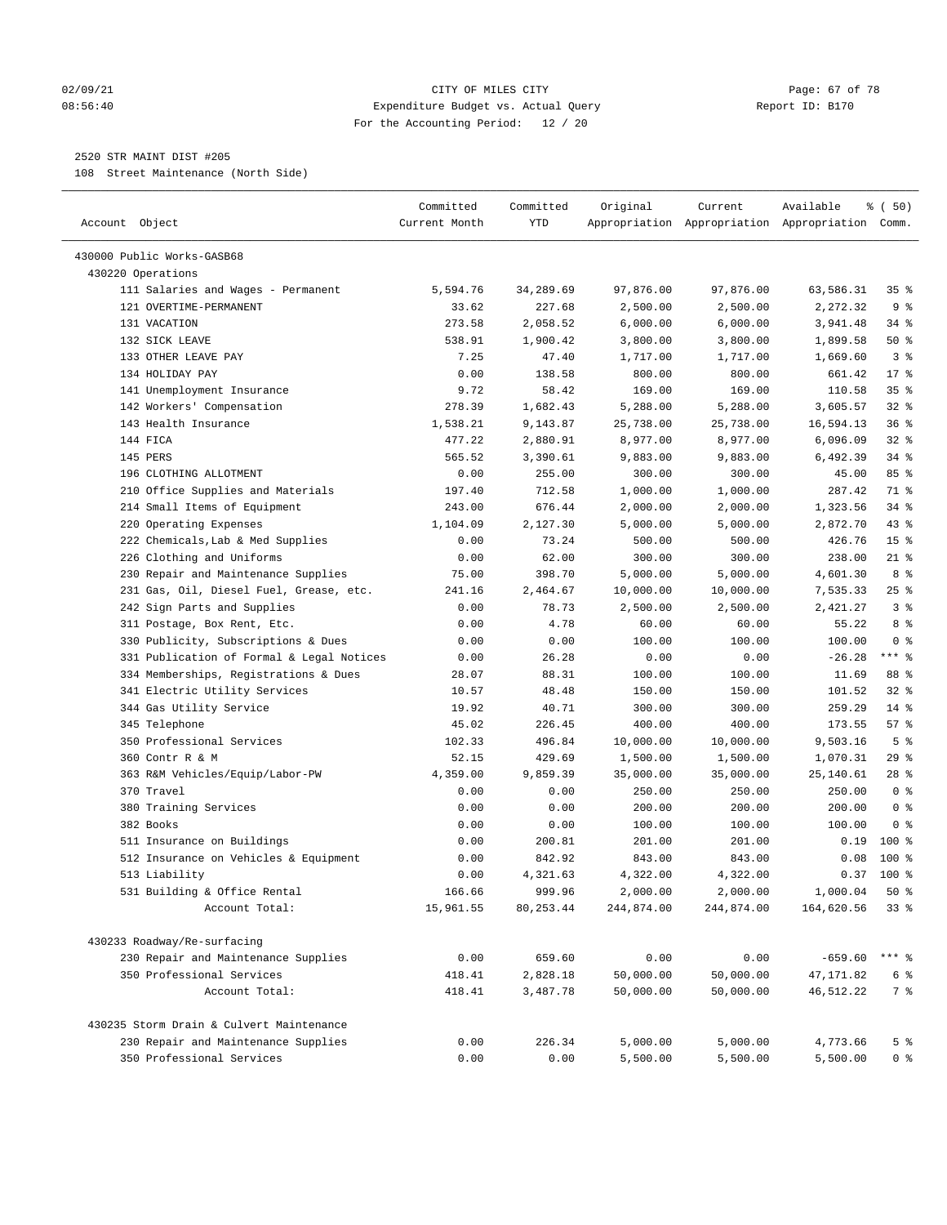#### $O2/09/21$  Page: 67 of 78 08:56:40 Expenditure Budget vs. Actual Query Report ID: B170 For the Accounting Period: 12 / 20

————————————————————————————————————————————————————————————————————————————————————————————————————————————————————————————————————

## 2520 STR MAINT DIST #205

108 Street Maintenance (North Side)

|                                           | Committed     | Committed  | Original   | Current    | Available                                       | ៖ (50)          |
|-------------------------------------------|---------------|------------|------------|------------|-------------------------------------------------|-----------------|
| Account Object                            | Current Month | YTD        |            |            | Appropriation Appropriation Appropriation Comm. |                 |
| 430000 Public Works-GASB68                |               |            |            |            |                                                 |                 |
| 430220 Operations                         |               |            |            |            |                                                 |                 |
| 111 Salaries and Wages - Permanent        | 5,594.76      | 34,289.69  | 97,876.00  | 97,876.00  | 63,586.31                                       | 35%             |
| 121 OVERTIME-PERMANENT                    | 33.62         | 227.68     | 2,500.00   | 2,500.00   | 2,272.32                                        | 9%              |
| 131 VACATION                              | 273.58        | 2,058.52   | 6,000.00   | 6,000.00   | 3,941.48                                        | $34$ $%$        |
| 132 SICK LEAVE                            | 538.91        | 1,900.42   | 3,800.00   | 3,800.00   | 1,899.58                                        | 50%             |
| 133 OTHER LEAVE PAY                       | 7.25          | 47.40      | 1,717.00   | 1,717.00   | 1,669.60                                        | 3%              |
| 134 HOLIDAY PAY                           | 0.00          | 138.58     | 800.00     | 800.00     | 661.42                                          | $17*$           |
| 141 Unemployment Insurance                | 9.72          | 58.42      | 169.00     | 169.00     | 110.58                                          | 35%             |
| 142 Workers' Compensation                 | 278.39        | 1,682.43   | 5,288.00   | 5,288.00   | 3,605.57                                        | $32$ $%$        |
| 143 Health Insurance                      | 1,538.21      | 9,143.87   | 25,738.00  | 25,738.00  | 16,594.13                                       | 36%             |
| 144 FICA                                  | 477.22        | 2,880.91   | 8,977.00   | 8,977.00   | 6,096.09                                        | $32$ $%$        |
| 145 PERS                                  | 565.52        | 3,390.61   | 9,883.00   | 9,883.00   | 6,492.39                                        | $34$ $%$        |
| 196 CLOTHING ALLOTMENT                    | 0.00          | 255.00     | 300.00     | 300.00     | 45.00                                           | 85%             |
| 210 Office Supplies and Materials         | 197.40        | 712.58     | 1,000.00   | 1,000.00   | 287.42                                          | 71 %            |
| 214 Small Items of Equipment              | 243.00        | 676.44     | 2,000.00   | 2,000.00   | 1,323.56                                        | $34$ $%$        |
| 220 Operating Expenses                    | 1,104.09      | 2,127.30   | 5,000.00   | 5,000.00   | 2,872.70                                        | $43$ %          |
| 222 Chemicals, Lab & Med Supplies         | 0.00          | 73.24      | 500.00     | 500.00     | 426.76                                          | 15 <sup>°</sup> |
| 226 Clothing and Uniforms                 | 0.00          | 62.00      | 300.00     | 300.00     | 238.00                                          | $21$ %          |
| 230 Repair and Maintenance Supplies       | 75.00         | 398.70     | 5,000.00   | 5,000.00   | 4,601.30                                        | 8 %             |
| 231 Gas, Oil, Diesel Fuel, Grease, etc.   | 241.16        | 2,464.67   | 10,000.00  | 10,000.00  | 7,535.33                                        | 25%             |
| 242 Sign Parts and Supplies               | 0.00          | 78.73      | 2,500.00   | 2,500.00   | 2,421.27                                        | 3%              |
| 311 Postage, Box Rent, Etc.               | 0.00          | 4.78       | 60.00      | 60.00      | 55.22                                           | 8 %             |
| 330 Publicity, Subscriptions & Dues       | 0.00          | 0.00       | 100.00     | 100.00     | 100.00                                          | 0 <sup>8</sup>  |
| 331 Publication of Formal & Legal Notices | 0.00          | 26.28      | 0.00       | 0.00       | $-26.28$                                        | $***$ $-$       |
| 334 Memberships, Registrations & Dues     | 28.07         | 88.31      | 100.00     | 100.00     | 11.69                                           | 88 %            |
| 341 Electric Utility Services             | 10.57         | 48.48      | 150.00     | 150.00     | 101.52                                          | $32$ $%$        |
| 344 Gas Utility Service                   | 19.92         | 40.71      | 300.00     | 300.00     | 259.29                                          | $14*$           |
| 345 Telephone                             | 45.02         | 226.45     | 400.00     | 400.00     | 173.55                                          | 57%             |
| 350 Professional Services                 | 102.33        | 496.84     | 10,000.00  | 10,000.00  | 9,503.16                                        | 5 <sup>°</sup>  |
| 360 Contr R & M                           | 52.15         | 429.69     | 1,500.00   | 1,500.00   | 1,070.31                                        | 29%             |
| 363 R&M Vehicles/Equip/Labor-PW           | 4,359.00      | 9,859.39   | 35,000.00  | 35,000.00  | 25,140.61                                       | $28$ %          |
| 370 Travel                                | 0.00          | 0.00       | 250.00     | 250.00     | 250.00                                          | 0 <sup>8</sup>  |
| 380 Training Services                     | 0.00          | 0.00       | 200.00     | 200.00     | 200.00                                          | 0 <sup>8</sup>  |
| 382 Books                                 | 0.00          | 0.00       | 100.00     | 100.00     | 100.00                                          | 0 <sup>8</sup>  |
| 511 Insurance on Buildings                | 0.00          | 200.81     | 201.00     | 201.00     | 0.19                                            | $100*$          |
| 512 Insurance on Vehicles & Equipment     | 0.00          | 842.92     | 843.00     | 843.00     | 0.08                                            | $100*$          |
| 513 Liability                             | 0.00          | 4,321.63   | 4,322.00   | 4,322.00   | 0.37                                            | 100 %           |
| 531 Building & Office Rental              | 166.66        | 999.96     | 2,000.00   | 2,000.00   | 1,000.04                                        | 50%             |
| Account Total:                            | 15,961.55     | 80, 253.44 | 244,874.00 | 244,874.00 | 164,620.56                                      | 33%             |
| 430233 Roadway/Re-surfacing               |               |            |            |            |                                                 |                 |
| 230 Repair and Maintenance Supplies       | 0.00          | 659.60     | 0.00       | 0.00       | $-659.60$                                       | $***$ $-$       |
| 350 Professional Services                 | 418.41        | 2,828.18   | 50,000.00  | 50,000.00  | 47,171.82                                       | 6 %             |
| Account Total:                            | 418.41        | 3,487.78   | 50,000.00  | 50,000.00  | 46, 512.22                                      | 7%              |
| 430235 Storm Drain & Culvert Maintenance  |               |            |            |            |                                                 |                 |
| 230 Repair and Maintenance Supplies       | 0.00          | 226.34     | 5,000.00   | 5,000.00   | 4,773.66                                        | 5 <sup>8</sup>  |
| 350 Professional Services                 | 0.00          | 0.00       | 5,500.00   | 5,500.00   | 5,500.00                                        | 0 <sup>8</sup>  |
|                                           |               |            |            |            |                                                 |                 |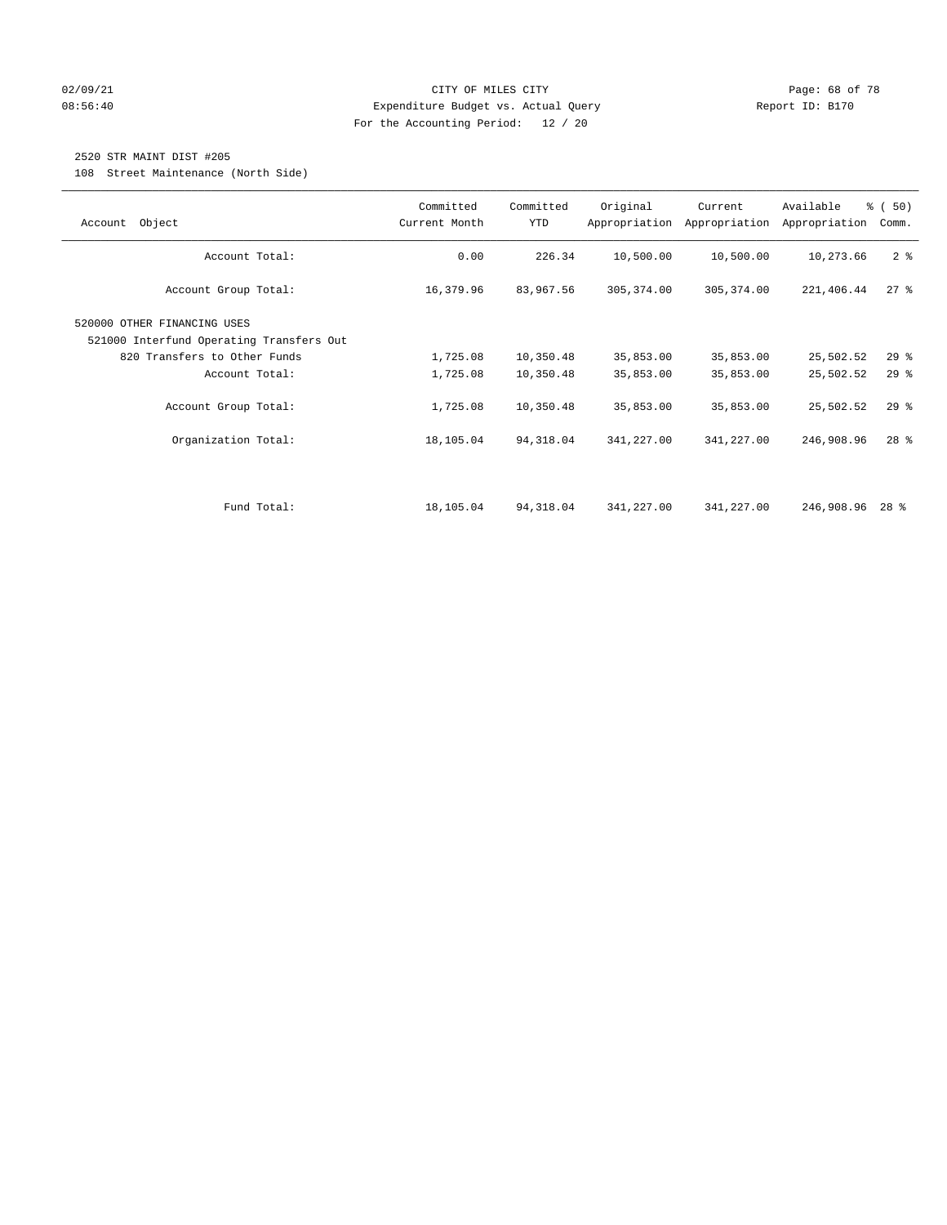#### $O2/09/21$  Page: 68 of 78 08:56:40 Expenditure Budget vs. Actual Query Report ID: B170 For the Accounting Period: 12 / 20

# 2520 STR MAINT DIST #205

108 Street Maintenance (North Side)

| Object<br>Account                                                       | Committed<br>Current Month | Committed<br>YTD | Original    | Current<br>Appropriation Appropriation | Available<br>Appropriation | % (50)<br>Comm. |
|-------------------------------------------------------------------------|----------------------------|------------------|-------------|----------------------------------------|----------------------------|-----------------|
| Account Total:                                                          | 0.00                       | 226.34           | 10,500.00   | 10,500.00                              | 10,273.66                  | 2 <sup>8</sup>  |
| Account Group Total:                                                    | 16,379.96                  | 83,967.56        | 305, 374.00 | 305, 374.00                            | 221,406.44                 | 278             |
| 520000 OTHER FINANCING USES<br>521000 Interfund Operating Transfers Out |                            |                  |             |                                        |                            |                 |
| 820 Transfers to Other Funds                                            | 1,725.08                   | 10,350.48        | 35,853.00   | 35,853.00                              | 25,502.52                  | $29$ $%$        |
| Account Total:                                                          | 1,725.08                   | 10,350.48        | 35,853.00   | 35,853.00                              | 25,502.52                  | $29$ $%$        |
| Account Group Total:                                                    | 1,725.08                   | 10,350.48        | 35,853.00   | 35,853.00                              | 25,502.52                  | 29%             |
| Organization Total:                                                     | 18,105.04                  | 94,318.04        | 341,227.00  | 341,227.00                             | 246,908.96                 | $28$ %          |
|                                                                         |                            |                  |             |                                        |                            |                 |
| Fund Total:                                                             | 18,105.04                  | 94,318.04        | 341,227.00  | 341,227.00                             | 246,908.96                 | $28$ %          |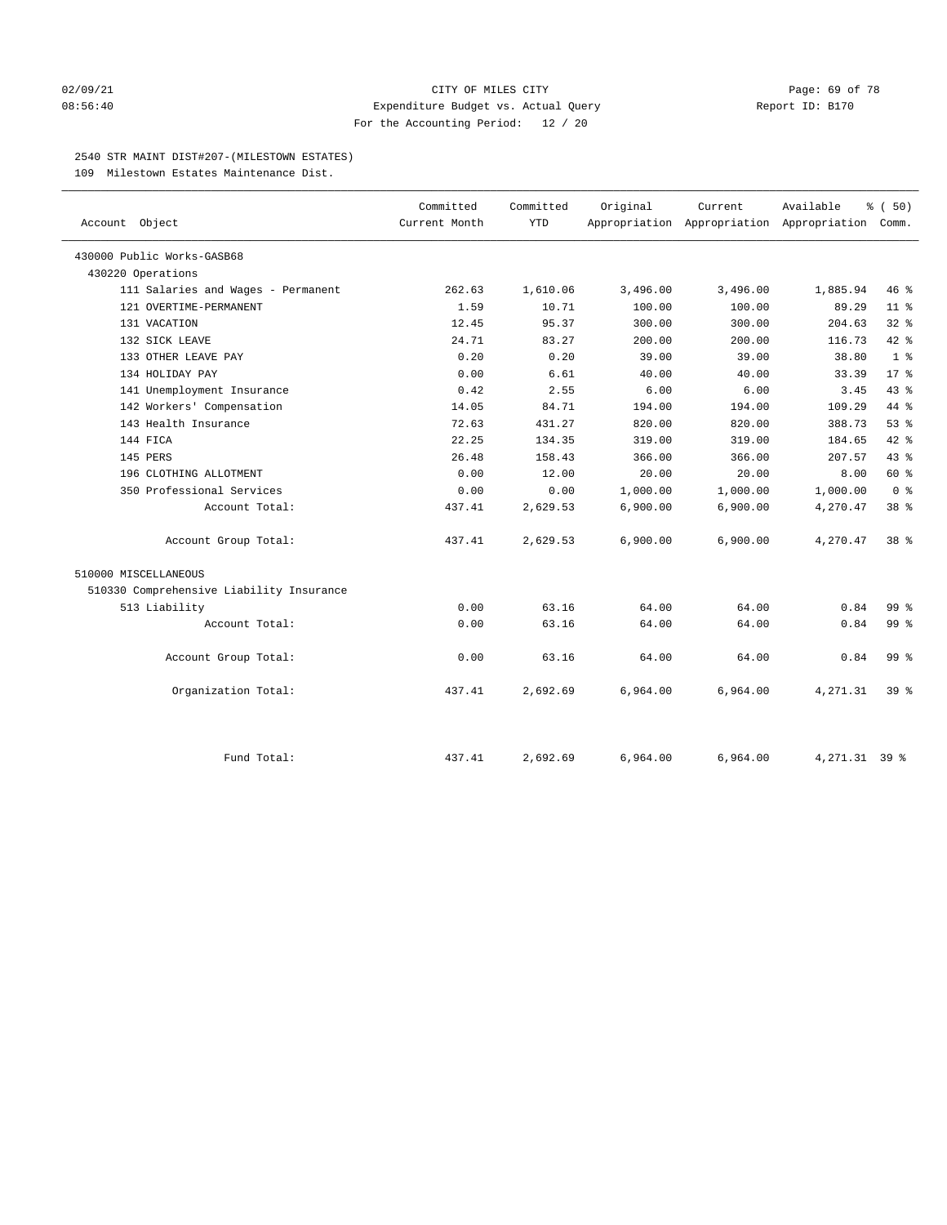#### 02/09/21 Page: 69 of 78 08:56:40 Expenditure Budget vs. Actual Query Report ID: B170 For the Accounting Period: 12 / 20

### 2540 STR MAINT DIST#207-(MILESTOWN ESTATES)

109 Milestown Estates Maintenance Dist.

| Account Object                           | Committed<br>Current Month | Committed<br>YTD | Original | Current  | Available<br>Appropriation Appropriation Appropriation Comm. | % (50)          |
|------------------------------------------|----------------------------|------------------|----------|----------|--------------------------------------------------------------|-----------------|
| 430000 Public Works-GASB68               |                            |                  |          |          |                                                              |                 |
| 430220 Operations                        |                            |                  |          |          |                                                              |                 |
| 111 Salaries and Wages - Permanent       | 262.63                     | 1,610.06         | 3,496.00 | 3,496.00 | 1,885.94                                                     | 46%             |
| 121 OVERTIME-PERMANENT                   | 1.59                       | 10.71            | 100.00   | 100.00   | 89.29                                                        | $11$ %          |
| 131 VACATION                             | 12.45                      | 95.37            | 300.00   | 300.00   | 204.63                                                       | $32$ $%$        |
| 132 SICK LEAVE                           | 24.71                      | 83.27            | 200.00   | 200.00   | 116.73                                                       | 42.8            |
| 133 OTHER LEAVE PAY                      | 0.20                       | 0.20             | 39.00    | 39.00    | 38.80                                                        | 1 <sup>8</sup>  |
| 134 HOLIDAY PAY                          | 0.00                       | 6.61             | 40.00    | 40.00    | 33.39                                                        | $17*$           |
| 141 Unemployment Insurance               | 0.42                       | 2.55             | 6.00     | 6.00     | 3.45                                                         | 43 %            |
| 142 Workers' Compensation                | 14.05                      | 84.71            | 194.00   | 194.00   | 109.29                                                       | 44 %            |
| 143 Health Insurance                     | 72.63                      | 431.27           | 820.00   | 820.00   | 388.73                                                       | 53%             |
| 144 FICA                                 | 22.25                      | 134.35           | 319.00   | 319.00   | 184.65                                                       | 42.8            |
| 145 PERS                                 | 26.48                      | 158.43           | 366.00   | 366.00   | 207.57                                                       | 43 %            |
| 196 CLOTHING ALLOTMENT                   | 0.00                       | 12.00            | 20.00    | 20.00    | 8.00                                                         | 60 %            |
| 350 Professional Services                | 0.00                       | 0.00             | 1,000.00 | 1,000.00 | 1,000.00                                                     | 0 <sup>8</sup>  |
| Account Total:                           | 437.41                     | 2,629.53         | 6,900.00 | 6,900.00 | 4,270.47                                                     | 38 <sup>8</sup> |
| Account Group Total:                     | 437.41                     | 2,629.53         | 6,900.00 | 6,900.00 | 4,270.47                                                     | 38 %            |
| 510000 MISCELLANEOUS                     |                            |                  |          |          |                                                              |                 |
| 510330 Comprehensive Liability Insurance |                            |                  |          |          |                                                              |                 |
| 513 Liability                            | 0.00                       | 63.16            | 64.00    | 64.00    | 0.84                                                         | 99 <sub>8</sub> |
| Account Total:                           | 0.00                       | 63.16            | 64.00    | 64.00    | 0.84                                                         | 99 <sub>8</sub> |
| Account Group Total:                     | 0.00                       | 63.16            | 64.00    | 64.00    | 0.84                                                         | 99 <sub>8</sub> |
| Organization Total:                      | 437.41                     | 2,692.69         | 6,964.00 | 6,964.00 | 4,271.31                                                     | 39 <sup>8</sup> |
| Fund Total:                              | 437.41                     | 2,692.69         | 6,964.00 | 6,964.00 | $4.271.31$ 39 %                                              |                 |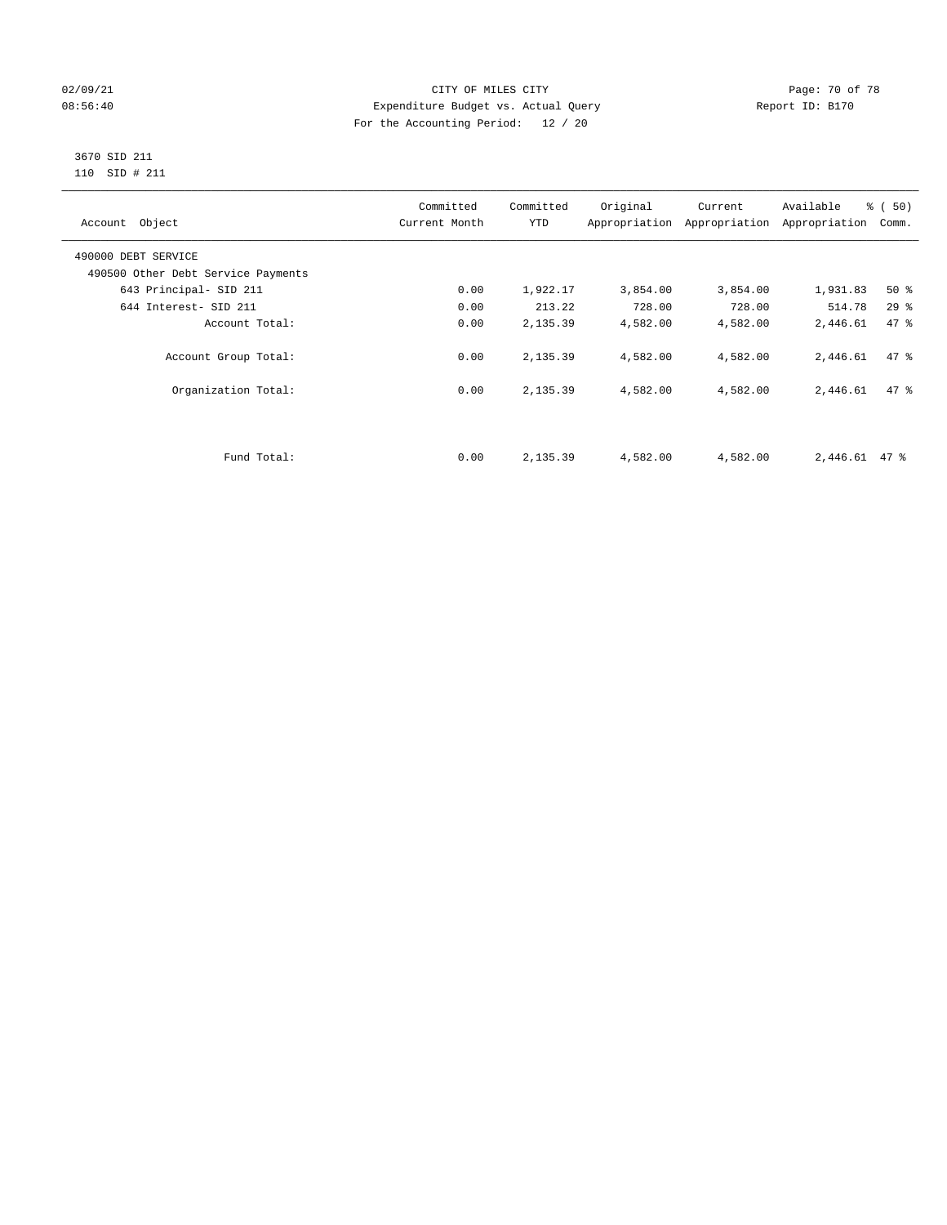## 02/09/21 **CITY OF MILES CITY CITY CITY Page: 70 of 78** 08:56:40 Expenditure Budget vs. Actual Query Report ID: B170 For the Accounting Period: 12 / 20

#### 3670 SID 211 110 SID # 211

| Account Object                     | Committed<br>Current Month | Committed<br><b>YTD</b> | Original | Current<br>Appropriation Appropriation | Available<br>Appropriation | % (50)<br>Comm. |
|------------------------------------|----------------------------|-------------------------|----------|----------------------------------------|----------------------------|-----------------|
| 490000 DEBT SERVICE                |                            |                         |          |                                        |                            |                 |
| 490500 Other Debt Service Payments |                            |                         |          |                                        |                            |                 |
| 643 Principal- SID 211             | 0.00                       | 1,922.17                | 3,854.00 | 3,854.00                               | 1,931.83                   | $50*$           |
| 644 Interest- SID 211              | 0.00                       | 213.22                  | 728.00   | 728.00                                 | 514.78                     | 29%             |
| Account Total:                     | 0.00                       | 2,135.39                | 4,582.00 | 4,582.00                               | 2,446.61                   | 47.8            |
| Account Group Total:               | 0.00                       | 2,135.39                | 4,582.00 | 4,582.00                               | 2,446.61                   | 47.8            |
| Organization Total:                | 0.00                       | 2,135.39                | 4,582.00 | 4,582.00                               | 2,446.61                   | 47.8            |
|                                    |                            |                         |          |                                        |                            |                 |
| Fund Total:                        | 0.00                       | 2,135.39                | 4,582.00 | 4,582.00                               | $2,446.61$ 47 %            |                 |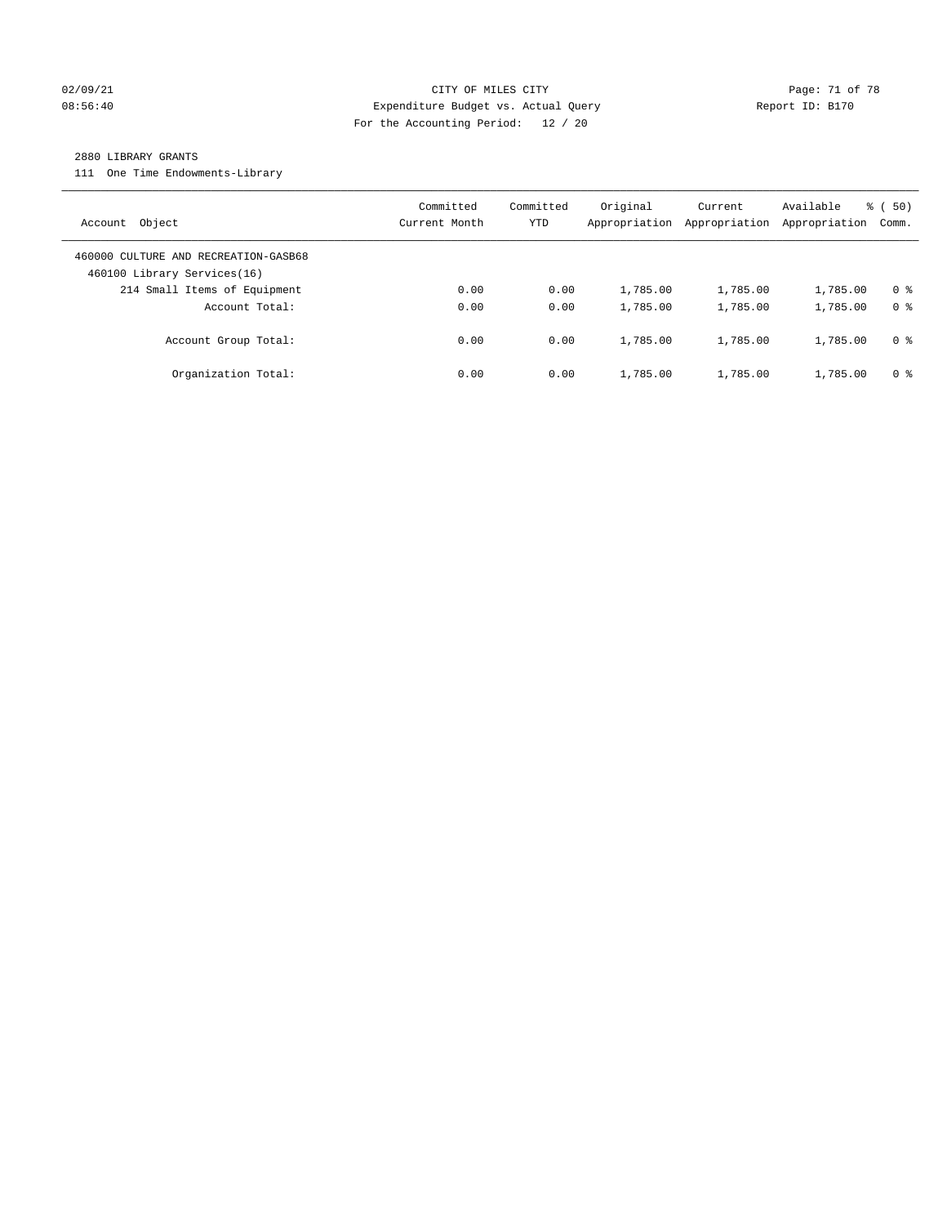## 02/09/21 **Page: 71 of 78** CITY OF MILES CITY **Page: 71 of 78** 08:56:40 Expenditure Budget vs. Actual Query Report ID: B170 For the Accounting Period: 12 / 20

#### 2880 LIBRARY GRANTS

111 One Time Endowments-Library

|                                      | Committed     | Committed | Original      | Current       | Available     | % (50)         |
|--------------------------------------|---------------|-----------|---------------|---------------|---------------|----------------|
| Object<br>Account                    | Current Month | YTD       | Appropriation | Appropriation | Appropriation | Comm.          |
| 460000 CULTURE AND RECREATION-GASB68 |               |           |               |               |               |                |
| 460100 Library Services(16)          |               |           |               |               |               |                |
| 214 Small Items of Equipment         | 0.00          | 0.00      | 1,785.00      | 1,785.00      | 1,785.00      | 0 <sup>8</sup> |
| Account Total:                       | 0.00          | 0.00      | 1,785.00      | 1,785.00      | 1,785.00      | 0 <sup>8</sup> |
| Account Group Total:                 | 0.00          | 0.00      | 1,785.00      | 1,785.00      | 1,785.00      | 0 %            |
| Organization Total:                  | 0.00          | 0.00      | 1,785.00      | 1,785.00      | 1,785.00      | 0 %            |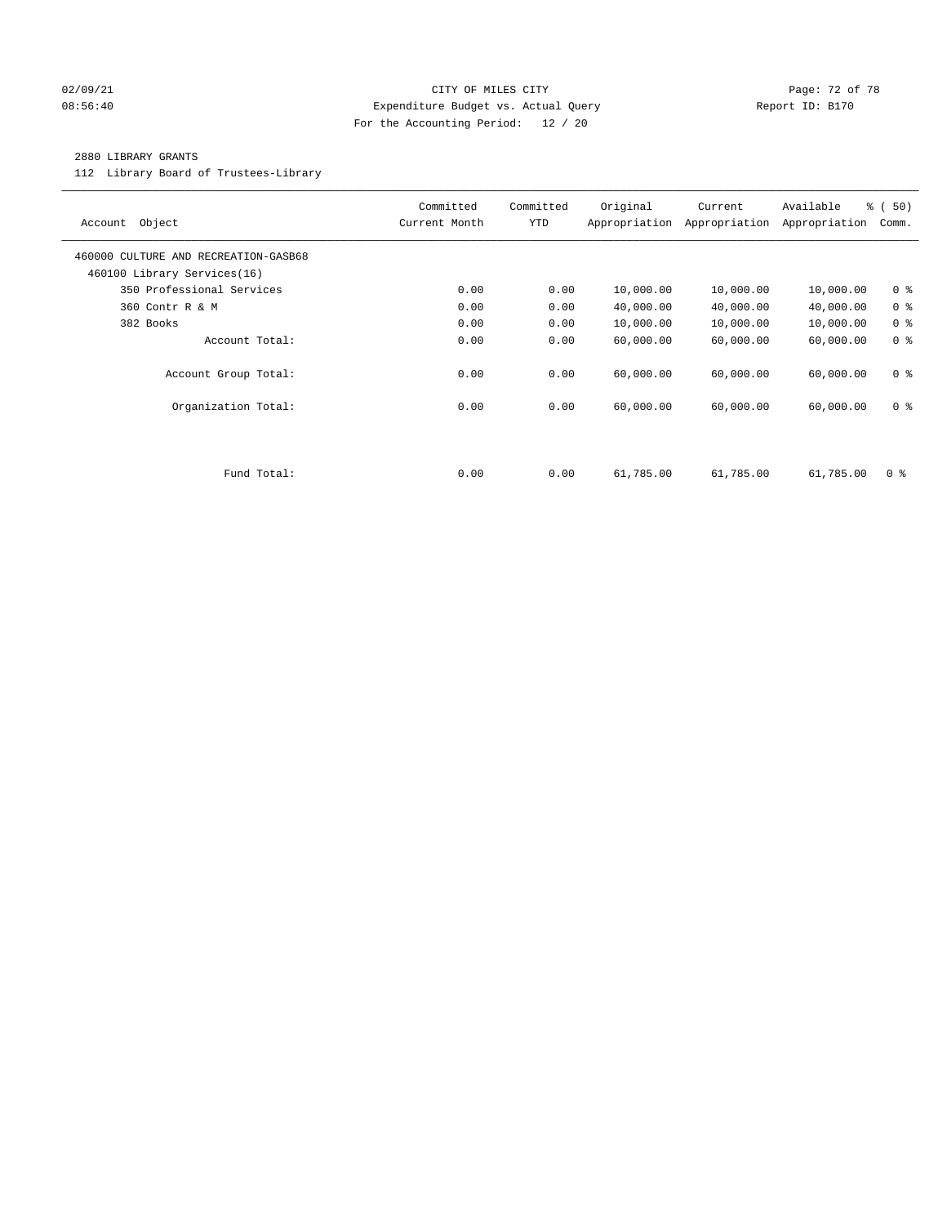## 02/09/21 **CITY OF MILES CITY CITY CITY Page: 72 of 78** 08:56:40 Expenditure Budget vs. Actual Query Report ID: B170 For the Accounting Period: 12 / 20

### 2880 LIBRARY GRANTS

112 Library Board of Trustees-Library

| Object<br>Account                                                   | Committed<br>Current Month | Committed<br><b>YTD</b> | Original  | Current<br>Appropriation Appropriation | Available<br>Appropriation | % (50)<br>Comm. |
|---------------------------------------------------------------------|----------------------------|-------------------------|-----------|----------------------------------------|----------------------------|-----------------|
| 460000 CULTURE AND RECREATION-GASB68<br>460100 Library Services(16) |                            |                         |           |                                        |                            |                 |
| 350 Professional Services                                           | 0.00                       | 0.00                    | 10,000.00 | 10,000.00                              | 10,000.00                  | 0 <sup>8</sup>  |
| 360 Contr R & M                                                     | 0.00                       | 0.00                    | 40,000.00 | 40,000.00                              | 40,000.00                  | 0 <sup>8</sup>  |
| 382 Books                                                           | 0.00                       | 0.00                    | 10,000.00 | 10,000.00                              | 10,000.00                  | 0 <sup>8</sup>  |
| Account Total:                                                      | 0.00                       | 0.00                    | 60,000.00 | 60,000.00                              | 60,000.00                  | 0 <sup>8</sup>  |
| Account Group Total:                                                | 0.00                       | 0.00                    | 60,000.00 | 60,000.00                              | 60,000.00                  | 0 <sup>8</sup>  |
| Organization Total:                                                 | 0.00                       | 0.00                    | 60,000.00 | 60,000.00                              | 60,000.00                  | 0 <sup>8</sup>  |
|                                                                     |                            |                         |           |                                        |                            |                 |
| Fund Total:                                                         | 0.00                       | 0.00                    | 61,785.00 | 61,785.00                              | 61,785.00                  | 0 <sup>8</sup>  |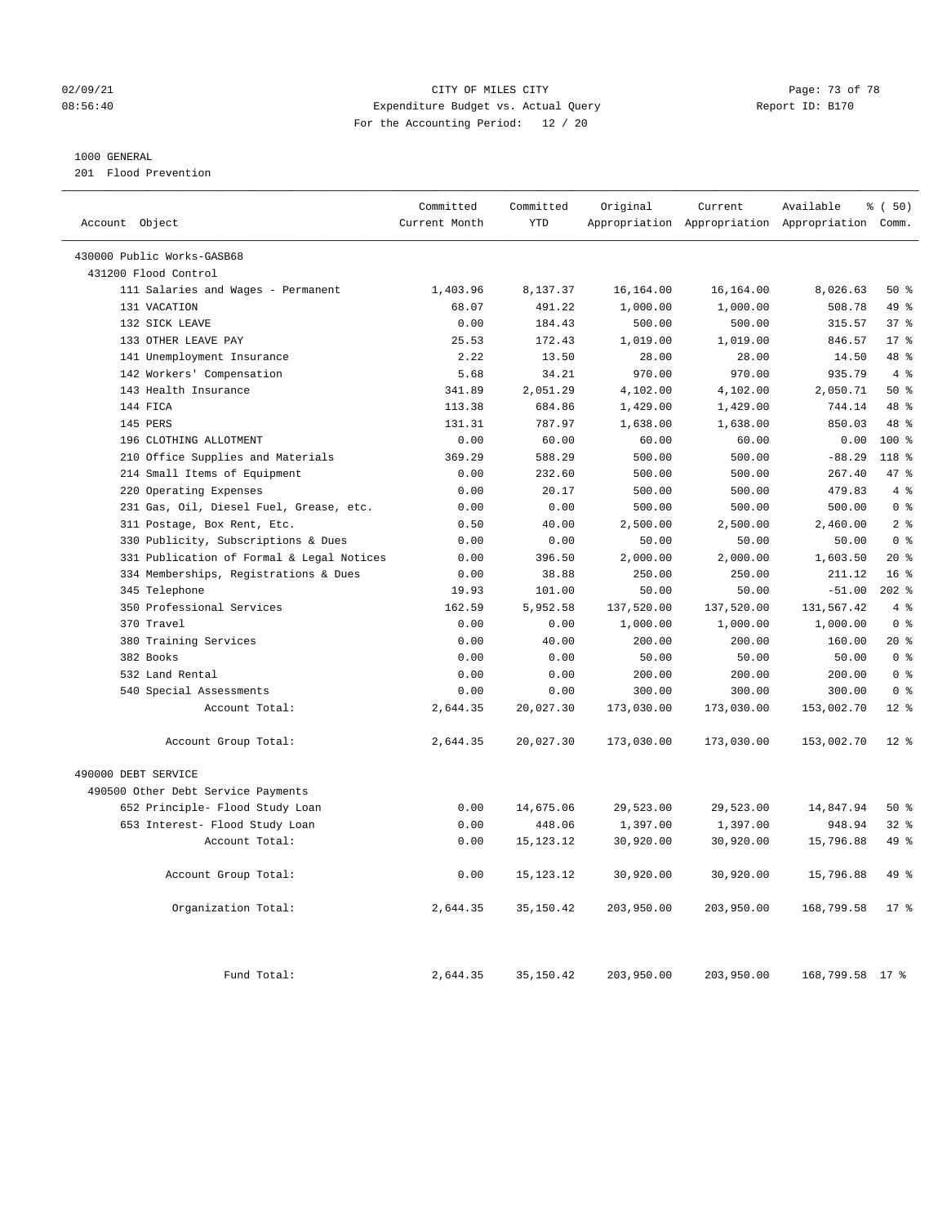### 02/09/21 **CITY OF MILES CITY CITY CITY Page: 73 of 78** 08:56:40 Expenditure Budget vs. Actual Query Report ID: B170 For the Accounting Period: 12 / 20

### 1000 GENERAL

201 Flood Prevention

| Account Object                            | Committed<br>Current Month | Committed<br><b>YTD</b> | Original   | Current    | Available<br>Appropriation Appropriation Appropriation Comm. | % (50)           |
|-------------------------------------------|----------------------------|-------------------------|------------|------------|--------------------------------------------------------------|------------------|
| 430000 Public Works-GASB68                |                            |                         |            |            |                                                              |                  |
| 431200 Flood Control                      |                            |                         |            |            |                                                              |                  |
| 111 Salaries and Wages - Permanent        | 1,403.96                   | 8,137.37                | 16,164.00  | 16,164.00  | 8,026.63                                                     | 50%              |
| 131 VACATION                              | 68.07                      | 491.22                  | 1,000.00   | 1,000.00   | 508.78                                                       | 49 %             |
| 132 SICK LEAVE                            | 0.00                       | 184.43                  | 500.00     | 500.00     | 315.57                                                       | 37 <sup>8</sup>  |
| 133 OTHER LEAVE PAY                       | 25.53                      | 172.43                  | 1,019.00   | 1,019.00   | 846.57                                                       | $17*$            |
| 141 Unemployment Insurance                | 2.22                       | 13.50                   | 28.00      | 28.00      | 14.50                                                        | 48 %             |
| 142 Workers' Compensation                 | 5.68                       | 34.21                   | 970.00     | 970.00     | 935.79                                                       | 4%               |
| 143 Health Insurance                      | 341.89                     | 2,051.29                | 4,102.00   | 4,102.00   | 2,050.71                                                     | 50%              |
| 144 FICA                                  | 113.38                     | 684.86                  | 1,429.00   | 1,429.00   | 744.14                                                       | 48 %             |
| 145 PERS                                  | 131.31                     | 787.97                  | 1,638.00   | 1,638.00   | 850.03                                                       | 48 %             |
| 196 CLOTHING ALLOTMENT                    | 0.00                       | 60.00                   | 60.00      | 60.00      | 0.00                                                         | $100*$           |
| 210 Office Supplies and Materials         | 369.29                     | 588.29                  | 500.00     | 500.00     | $-88.29$                                                     | 118 <sup>8</sup> |
| 214 Small Items of Equipment              | 0.00                       | 232.60                  | 500.00     | 500.00     | 267.40                                                       | 47.8             |
| 220 Operating Expenses                    | 0.00                       | 20.17                   | 500.00     | 500.00     | 479.83                                                       | 4%               |
| 231 Gas, Oil, Diesel Fuel, Grease, etc.   | 0.00                       | 0.00                    | 500.00     | 500.00     | 500.00                                                       | 0 <sup>8</sup>   |
| 311 Postage, Box Rent, Etc.               | 0.50                       | 40.00                   | 2,500.00   | 2,500.00   | 2,460.00                                                     | 2 <sup>°</sup>   |
| 330 Publicity, Subscriptions & Dues       | 0.00                       | 0.00                    | 50.00      | 50.00      | 50.00                                                        | 0 <sup>8</sup>   |
| 331 Publication of Formal & Legal Notices | 0.00                       | 396.50                  | 2,000.00   | 2,000.00   | 1,603.50                                                     | $20*$            |
| 334 Memberships, Registrations & Dues     | 0.00                       | 38.88                   | 250.00     | 250.00     | 211.12                                                       | 16 <sup>8</sup>  |
| 345 Telephone                             | 19.93                      | 101.00                  | 50.00      | 50.00      | $-51.00$                                                     | $202$ %          |
| 350 Professional Services                 | 162.59                     | 5,952.58                | 137,520.00 | 137,520.00 | 131,567.42                                                   | 4%               |
| 370 Travel                                | 0.00                       | 0.00                    | 1,000.00   | 1,000.00   | 1,000.00                                                     | 0 <sup>8</sup>   |
| 380 Training Services                     | 0.00                       | 40.00                   | 200.00     | 200.00     | 160.00                                                       | $20*$            |
| 382 Books                                 | 0.00                       | 0.00                    | 50.00      | 50.00      | 50.00                                                        | 0 <sup>8</sup>   |
| 532 Land Rental                           | 0.00                       | 0.00                    | 200.00     | 200.00     | 200.00                                                       | 0 <sup>8</sup>   |
| 540 Special Assessments                   | 0.00                       | 0.00                    | 300.00     | 300.00     | 300.00                                                       | 0 <sup>8</sup>   |
| Account Total:                            | 2,644.35                   | 20,027.30               | 173,030.00 | 173,030.00 | 153,002.70                                                   | $12*$            |
| Account Group Total:                      | 2,644.35                   | 20,027.30               | 173,030.00 | 173,030.00 | 153,002.70                                                   | $12*$            |
| 490000 DEBT SERVICE                       |                            |                         |            |            |                                                              |                  |
| 490500 Other Debt Service Payments        |                            |                         |            |            |                                                              |                  |
| 652 Principle- Flood Study Loan           | 0.00                       | 14,675.06               | 29,523.00  | 29,523.00  | 14,847.94                                                    | 50%              |
| 653 Interest- Flood Study Loan            | 0.00                       | 448.06                  | 1,397.00   | 1,397.00   | 948.94                                                       | 328              |
| Account Total:                            | 0.00                       | 15, 123. 12             | 30,920.00  | 30,920.00  | 15,796.88                                                    | 49 %             |
| Account Group Total:                      | 0.00                       | 15, 123. 12             | 30,920.00  | 30,920.00  | 15,796.88                                                    | 49 %             |
| Organization Total:                       | 2,644.35                   | 35, 150.42              | 203,950.00 | 203,950.00 | 168,799.58                                                   | $17*$            |
| Fund Total:                               | 2,644.35                   | 35, 150.42              | 203,950.00 | 203,950.00 | 168,799.58 17 %                                              |                  |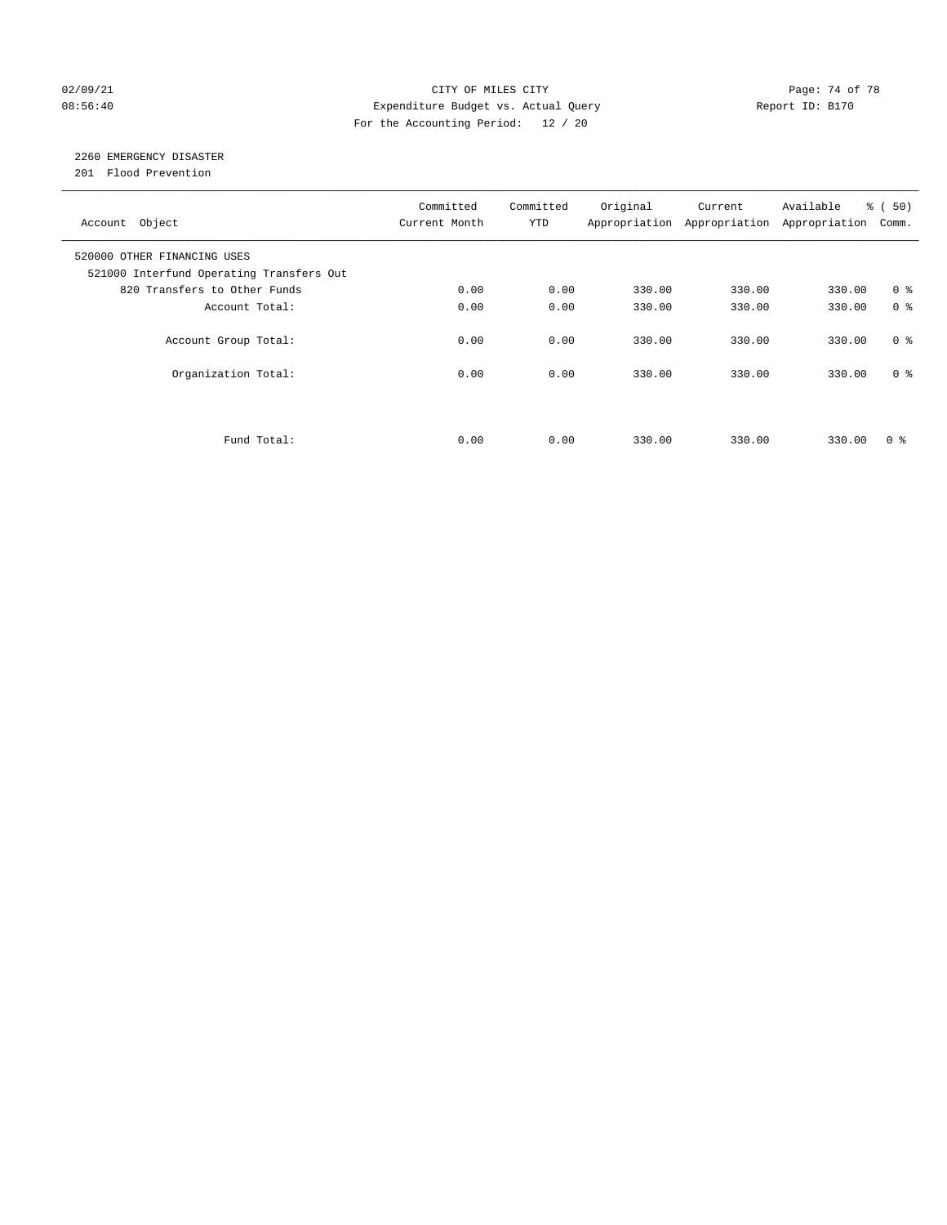### 02/09/21 Page: 74 of 78 08:56:40 Expenditure Budget vs. Actual Query Report ID: B170 For the Accounting Period: 12 / 20

# 2260 EMERGENCY DISASTER

201 Flood Prevention

| Account Object                                                          | Committed<br>Current Month | Committed<br><b>YTD</b> | Original | Current<br>Appropriation Appropriation | Available<br>Appropriation | % (50)<br>Comm. |
|-------------------------------------------------------------------------|----------------------------|-------------------------|----------|----------------------------------------|----------------------------|-----------------|
| 520000 OTHER FINANCING USES<br>521000 Interfund Operating Transfers Out |                            |                         |          |                                        |                            |                 |
| 820 Transfers to Other Funds                                            | 0.00                       | 0.00                    | 330.00   | 330.00                                 | 330.00                     | 0 <sup>8</sup>  |
| Account Total:                                                          | 0.00                       | 0.00                    | 330.00   | 330.00                                 | 330.00                     | 0 <sup>8</sup>  |
| Account Group Total:                                                    | 0.00                       | 0.00                    | 330.00   | 330.00                                 | 330.00                     | 0 <sup>8</sup>  |
| Organization Total:                                                     | 0.00                       | 0.00                    | 330.00   | 330.00                                 | 330.00                     | 0 <sup>8</sup>  |
|                                                                         |                            |                         |          |                                        |                            |                 |
| Fund Total:                                                             | 0.00                       | 0.00                    | 330.00   | 330.00                                 | 330.00                     | 0 %             |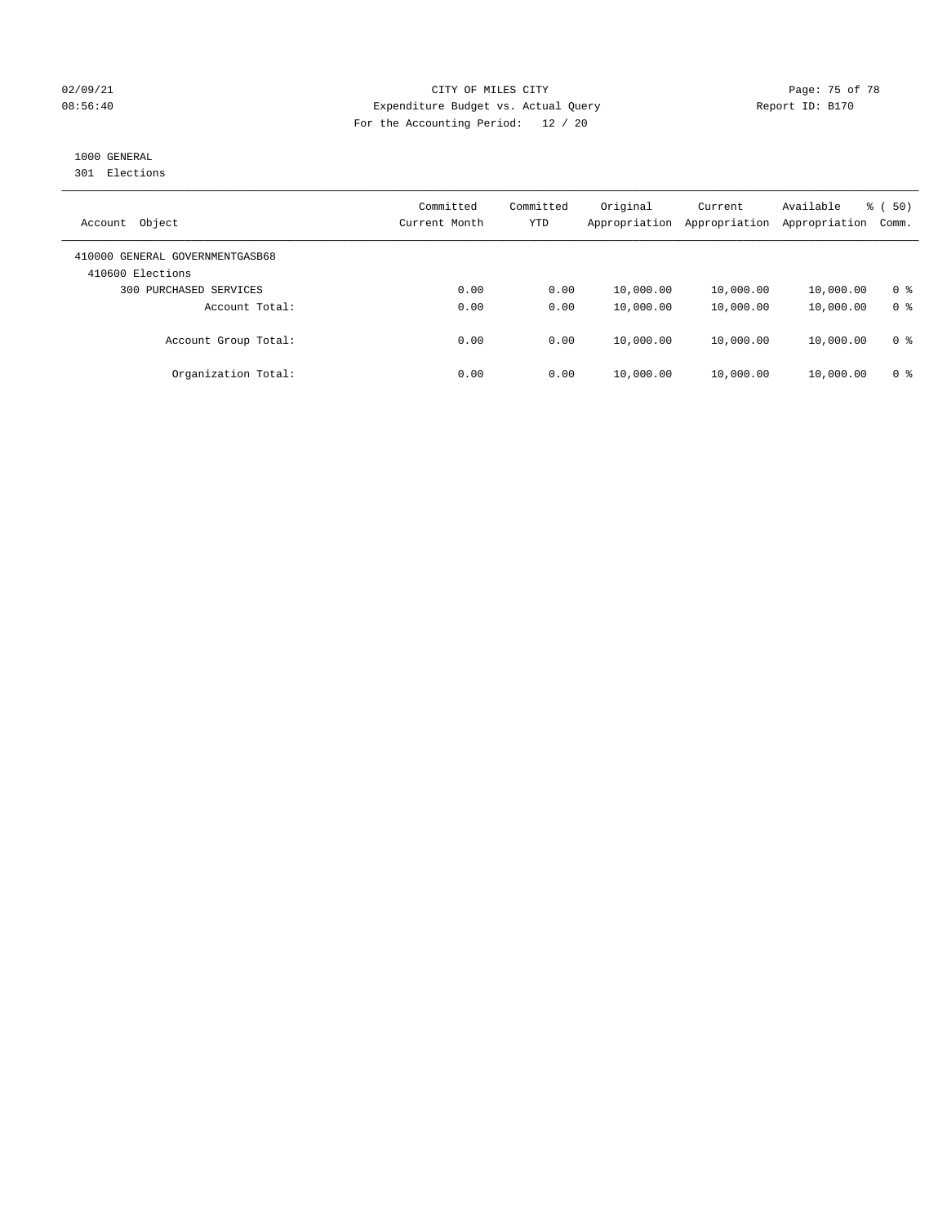### 02/09/21 **CITY OF MILES CITY CITY CITY Page: 75 of 78** 08:56:40 Expenditure Budget vs. Actual Query Report ID: B170 For the Accounting Period: 12 / 20

# 1000 GENERAL

301 Elections

| Object<br>Account                                   | Committed<br>Current Month | Committed<br>YTD | Original<br>Appropriation | Current<br>Appropriation | Available<br>Appropriation | % (50)<br>Comm. |
|-----------------------------------------------------|----------------------------|------------------|---------------------------|--------------------------|----------------------------|-----------------|
| 410000 GENERAL GOVERNMENTGASB68<br>410600 Elections |                            |                  |                           |                          |                            |                 |
| 300 PURCHASED SERVICES                              | 0.00                       | 0.00             | 10,000.00                 | 10,000.00                | 10,000.00                  | 0 <sup>8</sup>  |
| Account Total:                                      | 0.00                       | 0.00             | 10,000.00                 | 10,000.00                | 10,000.00                  | 0 <sup>8</sup>  |
| Account Group Total:                                | 0.00                       | 0.00             | 10,000.00                 | 10,000.00                | 10,000.00                  | 0 %             |
| Organization Total:                                 | 0.00                       | 0.00             | 10,000.00                 | 10,000.00                | 10,000.00                  | 0 <sup>8</sup>  |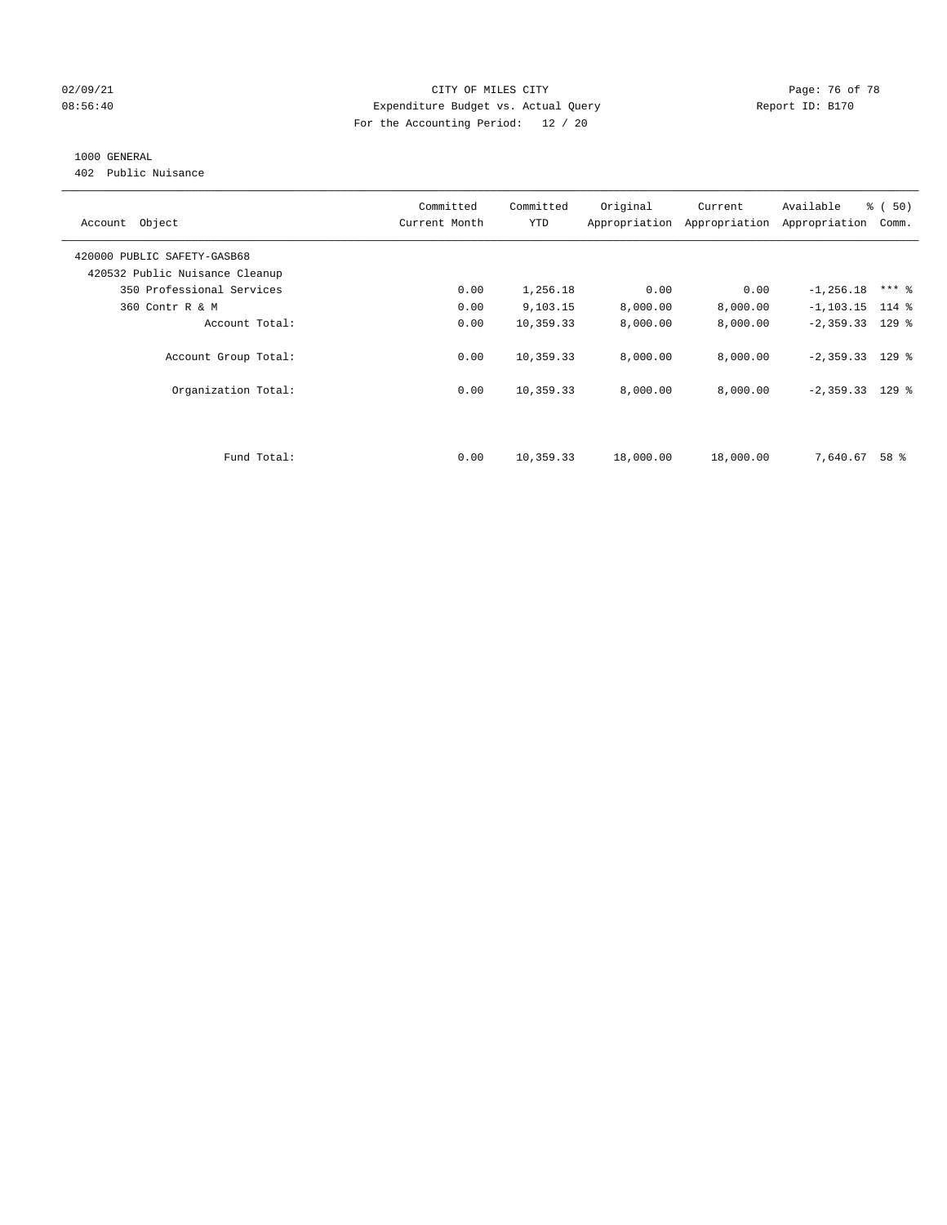### 02/09/21 **CITY OF MILES CITY CITY CITY Page: 76 of 78** 08:56:40 Expenditure Budget vs. Actual Query Report ID: B170 For the Accounting Period: 12 / 20

## 1000 GENERAL

402 Public Nuisance

| Account Object                 | Committed<br>Current Month | Committed<br><b>YTD</b> | Original  | Current<br>Appropriation Appropriation | Available<br>Appropriation | % (50)<br>Comm. |
|--------------------------------|----------------------------|-------------------------|-----------|----------------------------------------|----------------------------|-----------------|
| 420000 PUBLIC SAFETY-GASB68    |                            |                         |           |                                        |                            |                 |
| 420532 Public Nuisance Cleanup |                            |                         |           |                                        |                            |                 |
| 350 Professional Services      | 0.00                       | 1,256.18                | 0.00      | 0.00                                   | $-1, 256.18$               | $***$ %         |
| 360 Contr R & M                | 0.00                       | 9,103.15                | 8,000.00  | 8,000.00                               | $-1, 103.15$ 114 %         |                 |
| Account Total:                 | 0.00                       | 10,359.33               | 8,000.00  | 8,000.00                               | $-2,359.33$ 129 %          |                 |
| Account Group Total:           | 0.00                       | 10,359.33               | 8,000.00  | 8,000.00                               | $-2,359.33$ 129 %          |                 |
| Organization Total:            | 0.00                       | 10,359.33               | 8,000.00  | 8,000.00                               | $-2,359.33$ 129 %          |                 |
|                                |                            |                         |           |                                        |                            |                 |
| Fund Total:                    | 0.00                       | 10,359.33               | 18,000.00 | 18,000.00                              | 7,640.67                   | 58 %            |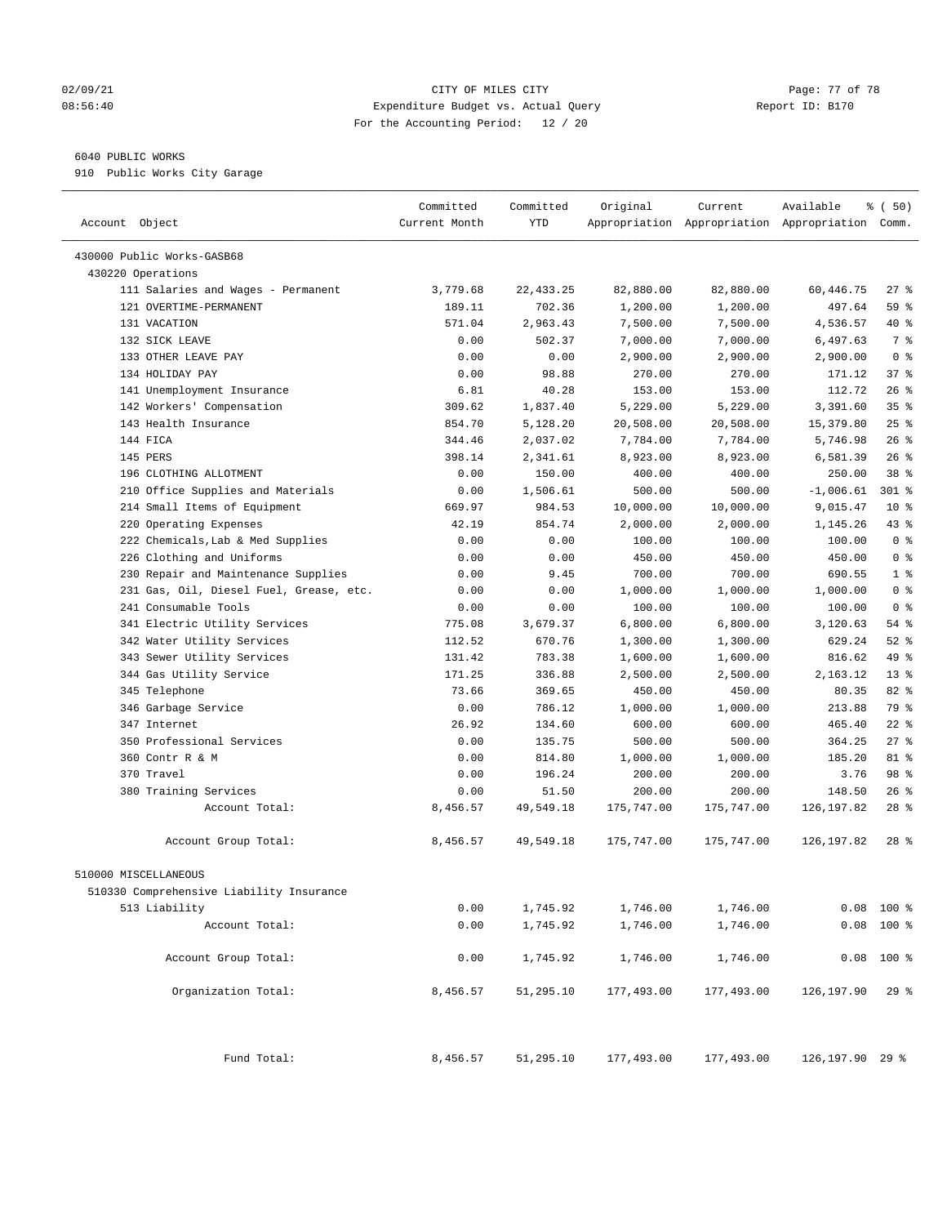#### 02/09/21 Page: 77 of 78 08:56:40 Expenditure Budget vs. Actual Query Report ID: B170 For the Accounting Period: 12 / 20

### 6040 PUBLIC WORKS

910 Public Works City Garage

| Account Object                           | Committed<br>Current Month | Committed<br><b>YTD</b> | Original   | Current    | Available<br>Appropriation Appropriation Appropriation Comm. | % (50)          |
|------------------------------------------|----------------------------|-------------------------|------------|------------|--------------------------------------------------------------|-----------------|
| 430000 Public Works-GASB68               |                            |                         |            |            |                                                              |                 |
| 430220 Operations                        |                            |                         |            |            |                                                              |                 |
| 111 Salaries and Wages - Permanent       | 3,779.68                   | 22, 433.25              | 82,880.00  | 82,880.00  | 60,446.75                                                    | $27$ %          |
| 121 OVERTIME-PERMANENT                   | 189.11                     | 702.36                  | 1,200.00   | 1,200.00   | 497.64                                                       | 59 %            |
| 131 VACATION                             | 571.04                     | 2,963.43                | 7,500.00   | 7,500.00   | 4,536.57                                                     | 40 %            |
| 132 STCK LEAVE                           | 0.00                       | 502.37                  | 7,000.00   | 7,000.00   | 6,497.63                                                     | 7 %             |
| 133 OTHER LEAVE PAY                      | 0.00                       | 0.00                    | 2,900.00   | 2,900.00   | 2,900.00                                                     | 0 <sup>8</sup>  |
| 134 HOLIDAY PAY                          | 0.00                       | 98.88                   | 270.00     | 270.00     | 171.12                                                       | 37%             |
| 141 Unemployment Insurance               | 6.81                       | 40.28                   | 153.00     | 153.00     | 112.72                                                       | 26%             |
| 142 Workers' Compensation                | 309.62                     | 1,837.40                | 5,229.00   | 5,229.00   | 3,391.60                                                     | 35%             |
| 143 Health Insurance                     | 854.70                     | 5,128.20                | 20,508.00  | 20,508.00  | 15,379.80                                                    | 25%             |
| 144 FICA                                 | 344.46                     | 2,037.02                | 7,784.00   | 7,784.00   | 5,746.98                                                     | 26%             |
| 145 PERS                                 | 398.14                     | 2,341.61                | 8,923.00   | 8,923.00   | 6,581.39                                                     | 26%             |
| 196 CLOTHING ALLOTMENT                   | 0.00                       | 150.00                  | 400.00     | 400.00     | 250.00                                                       | 38 %            |
| 210 Office Supplies and Materials        | 0.00                       | 1,506.61                | 500.00     | 500.00     | $-1,006.61$                                                  | 301 %           |
| 214 Small Items of Equipment             | 669.97                     | 984.53                  | 10,000.00  | 10,000.00  | 9,015.47                                                     | $10*$           |
| 220 Operating Expenses                   | 42.19                      | 854.74                  | 2,000.00   | 2,000.00   | 1,145.26                                                     | 43 %            |
| 222 Chemicals, Lab & Med Supplies        | 0.00                       | 0.00                    | 100.00     | 100.00     | 100.00                                                       | 0 <sup>8</sup>  |
| 226 Clothing and Uniforms                | 0.00                       | 0.00                    | 450.00     | 450.00     | 450.00                                                       | 0 <sup>8</sup>  |
| 230 Repair and Maintenance Supplies      | 0.00                       | 9.45                    | 700.00     | 700.00     | 690.55                                                       | 1 <sup>8</sup>  |
| 231 Gas, Oil, Diesel Fuel, Grease, etc.  | 0.00                       | 0.00                    | 1,000.00   | 1,000.00   | 1,000.00                                                     | 0 <sup>8</sup>  |
| 241 Consumable Tools                     | 0.00                       | 0.00                    | 100.00     | 100.00     | 100.00                                                       | 0 <sup>8</sup>  |
| 341 Electric Utility Services            | 775.08                     | 3,679.37                | 6,800.00   | 6,800.00   | 3,120.63                                                     | 54 %            |
| 342 Water Utility Services               | 112.52                     | 670.76                  | 1,300.00   | 1,300.00   | 629.24                                                       | $52$ %          |
| 343 Sewer Utility Services               | 131.42                     | 783.38                  | 1,600.00   | 1,600.00   | 816.62                                                       | 49 %            |
| 344 Gas Utility Service                  | 171.25                     | 336.88                  | 2,500.00   | 2,500.00   | 2,163.12                                                     | 13 <sup>8</sup> |
| 345 Telephone                            | 73.66                      | 369.65                  | 450.00     | 450.00     | 80.35                                                        | 82%             |
| 346 Garbage Service                      | 0.00                       | 786.12                  | 1,000.00   | 1,000.00   | 213.88                                                       | 79 %            |
| 347 Internet                             | 26.92                      | 134.60                  | 600.00     | 600.00     | 465.40                                                       | $22$ %          |
| 350 Professional Services                | 0.00                       | 135.75                  | 500.00     | 500.00     | 364.25                                                       | $27$ %          |
| 360 Contr R & M                          | 0.00                       | 814.80                  | 1,000.00   | 1,000.00   | 185.20                                                       | $81 - 8$        |
| 370 Travel                               | 0.00                       | 196.24                  | 200.00     | 200.00     | 3.76                                                         | 98 %            |
| 380 Training Services                    | 0.00                       | 51.50                   | 200.00     | 200.00     | 148.50                                                       | $26$ %          |
| Account Total:                           | 8,456.57                   | 49,549.18               | 175,747.00 | 175,747.00 | 126, 197.82                                                  | $28$ %          |
| Account Group Total:                     | 8,456.57                   | 49,549.18               | 175,747.00 | 175,747.00 | 126,197.82                                                   | $28$ %          |
| 510000 MISCELLANEOUS                     |                            |                         |            |            |                                                              |                 |
| 510330 Comprehensive Liability Insurance |                            |                         |            |            |                                                              |                 |
| 513 Liability                            | 0.00                       | 1,745.92                | 1,746.00   | 1,746.00   | 0.08                                                         | $100*$          |
| Account Total:                           | 0.00                       | 1,745.92                | 1,746.00   | 1,746.00   |                                                              | $0.08$ 100 %    |
| Account Group Total:                     | 0.00                       | 1,745.92                | 1,746.00   | 1,746.00   |                                                              | $0.08$ 100 %    |
| Organization Total:                      | 8,456.57                   | 51,295.10               | 177,493.00 | 177,493.00 | 126,197.90                                                   | $29$ $%$        |
| Fund Total:                              | 8,456.57                   | 51,295.10               | 177,493.00 | 177,493.00 | 126, 197.90 29 %                                             |                 |